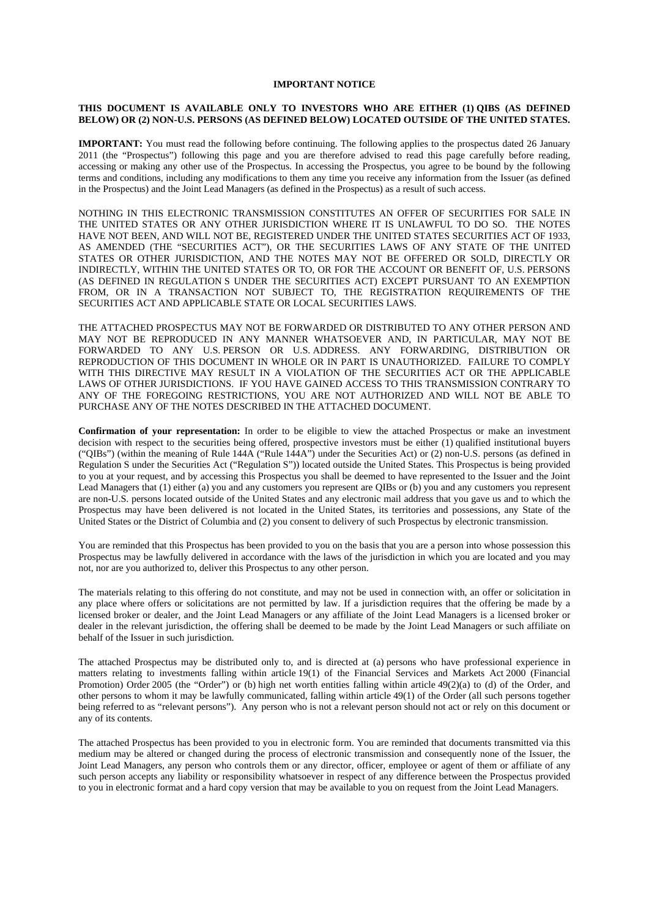#### **IMPORTANT NOTICE**

#### **THIS DOCUMENT IS AVAILABLE ONLY TO INVESTORS WHO ARE EITHER (1) QIBS (AS DEFINED BELOW) OR (2) NON-U.S. PERSONS (AS DEFINED BELOW) LOCATED OUTSIDE OF THE UNITED STATES.**

**IMPORTANT:** You must read the following before continuing. The following applies to the prospectus dated 26 January 2011 (the "Prospectus") following this page and you are therefore advised to read this page carefully before reading, accessing or making any other use of the Prospectus. In accessing the Prospectus, you agree to be bound by the following terms and conditions, including any modifications to them any time you receive any information from the Issuer (as defined in the Prospectus) and the Joint Lead Managers (as defined in the Prospectus) as a result of such access.

NOTHING IN THIS ELECTRONIC TRANSMISSION CONSTITUTES AN OFFER OF SECURITIES FOR SALE IN THE UNITED STATES OR ANY OTHER JURISDICTION WHERE IT IS UNLAWFUL TO DO SO. THE NOTES HAVE NOT BEEN, AND WILL NOT BE, REGISTERED UNDER THE UNITED STATES SECURITIES ACT OF 1933, AS AMENDED (THE "SECURITIES ACT"), OR THE SECURITIES LAWS OF ANY STATE OF THE UNITED STATES OR OTHER JURISDICTION, AND THE NOTES MAY NOT BE OFFERED OR SOLD, DIRECTLY OR INDIRECTLY, WITHIN THE UNITED STATES OR TO, OR FOR THE ACCOUNT OR BENEFIT OF, U.S. PERSONS (AS DEFINED IN REGULATION S UNDER THE SECURITIES ACT) EXCEPT PURSUANT TO AN EXEMPTION FROM, OR IN A TRANSACTION NOT SUBJECT TO, THE REGISTRATION REQUIREMENTS OF THE SECURITIES ACT AND APPLICABLE STATE OR LOCAL SECURITIES LAWS.

THE ATTACHED PROSPECTUS MAY NOT BE FORWARDED OR DISTRIBUTED TO ANY OTHER PERSON AND MAY NOT BE REPRODUCED IN ANY MANNER WHATSOEVER AND, IN PARTICULAR, MAY NOT BE FORWARDED TO ANY U.S. PERSON OR U.S. ADDRESS. ANY FORWARDING, DISTRIBUTION OR REPRODUCTION OF THIS DOCUMENT IN WHOLE OR IN PART IS UNAUTHORIZED. FAILURE TO COMPLY WITH THIS DIRECTIVE MAY RESULT IN A VIOLATION OF THE SECURITIES ACT OR THE APPLICABLE LAWS OF OTHER JURISDICTIONS. IF YOU HAVE GAINED ACCESS TO THIS TRANSMISSION CONTRARY TO ANY OF THE FOREGOING RESTRICTIONS, YOU ARE NOT AUTHORIZED AND WILL NOT BE ABLE TO PURCHASE ANY OF THE NOTES DESCRIBED IN THE ATTACHED DOCUMENT.

**Confirmation of your representation:** In order to be eligible to view the attached Prospectus or make an investment decision with respect to the securities being offered, prospective investors must be either (1) qualified institutional buyers ("QIBs") (within the meaning of Rule 144A ("Rule 144A") under the Securities Act) or (2) non-U.S. persons (as defined in Regulation S under the Securities Act ("Regulation S")) located outside the United States. This Prospectus is being provided to you at your request, and by accessing this Prospectus you shall be deemed to have represented to the Issuer and the Joint Lead Managers that (1) either (a) you and any customers you represent are QIBs or (b) you and any customers you represent are non-U.S. persons located outside of the United States and any electronic mail address that you gave us and to which the Prospectus may have been delivered is not located in the United States, its territories and possessions, any State of the United States or the District of Columbia and (2) you consent to delivery of such Prospectus by electronic transmission.

You are reminded that this Prospectus has been provided to you on the basis that you are a person into whose possession this Prospectus may be lawfully delivered in accordance with the laws of the jurisdiction in which you are located and you may not, nor are you authorized to, deliver this Prospectus to any other person.

The materials relating to this offering do not constitute, and may not be used in connection with, an offer or solicitation in any place where offers or solicitations are not permitted by law. If a jurisdiction requires that the offering be made by a licensed broker or dealer, and the Joint Lead Managers or any affiliate of the Joint Lead Managers is a licensed broker or dealer in the relevant jurisdiction, the offering shall be deemed to be made by the Joint Lead Managers or such affiliate on behalf of the Issuer in such jurisdiction.

The attached Prospectus may be distributed only to, and is directed at (a) persons who have professional experience in matters relating to investments falling within article 19(1) of the Financial Services and Markets Act 2000 (Financial Promotion) Order 2005 (the "Order") or (b) high net worth entities falling within article 49(2)(a) to (d) of the Order, and other persons to whom it may be lawfully communicated, falling within article 49(1) of the Order (all such persons together being referred to as "relevant persons"). Any person who is not a relevant person should not act or rely on this document or any of its contents.

The attached Prospectus has been provided to you in electronic form. You are reminded that documents transmitted via this medium may be altered or changed during the process of electronic transmission and consequently none of the Issuer, the Joint Lead Managers, any person who controls them or any director, officer, employee or agent of them or affiliate of any such person accepts any liability or responsibility whatsoever in respect of any difference between the Prospectus provided to you in electronic format and a hard copy version that may be available to you on request from the Joint Lead Managers.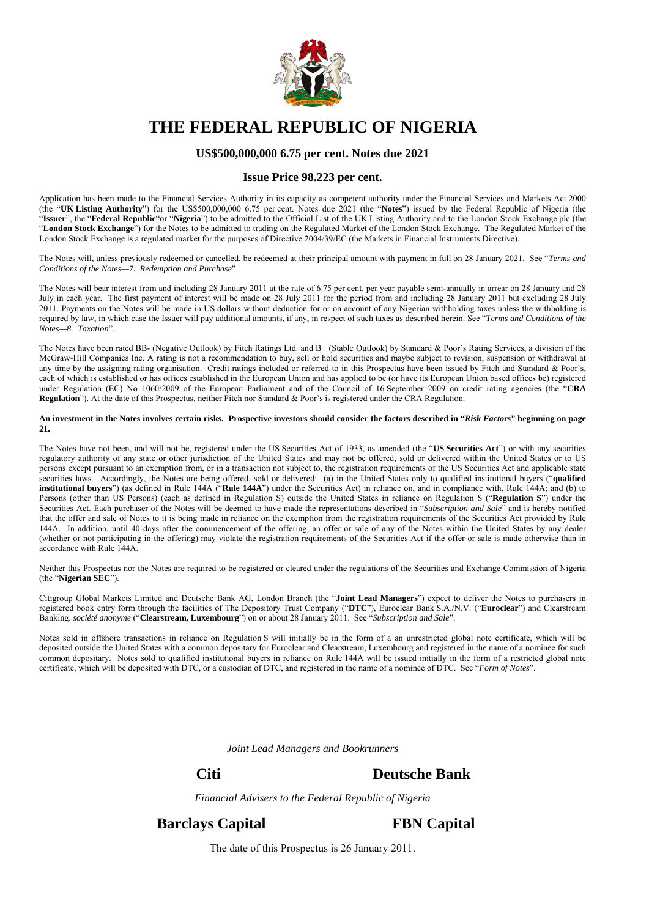

# **THE FEDERAL REPUBLIC OF NIGERIA**

#### **US\$500,000,000 6.75 per cent. Notes due 2021**

#### **Issue Price 98.223 per cent.**

Application has been made to the Financial Services Authority in its capacity as competent authority under the Financial Services and Markets Act 2000 (the "**UK Listing Authority**") for the US\$500,000,000 6.75 per cent. Notes due 2021 (the "**Notes**") issued by the Federal Republic of Nigeria (the "**Issuer**", the "**Federal Republic**"or "**Nigeria**") to be admitted to the Official List of the UK Listing Authority and to the London Stock Exchange plc (the "**London Stock Exchange**") for the Notes to be admitted to trading on the Regulated Market of the London Stock Exchange. The Regulated Market of the London Stock Exchange is a regulated market for the purposes of Directive 2004/39/EC (the Markets in Financial Instruments Directive).

The Notes will, unless previously redeemed or cancelled, be redeemed at their principal amount with payment in full on 28 January 2021. See "*Terms and Conditions of the Notes—7. Redemption and Purchase*".

The Notes will bear interest from and including 28 January 2011 at the rate of 6.75 per cent. per year payable semi-annually in arrear on 28 January and 28 July in each year. The first payment of interest will be made on 28 July 2011 for the period from and including 28 January 2011 but excluding 28 July 2011. Payments on the Notes will be made in US dollars without deduction for or on account of any Nigerian withholding taxes unless the withholding is required by law, in which case the Issuer will pay additional amounts, if any, in respect of such taxes as described herein. See "*Terms and Conditions of the Notes—8. Taxation*".

The Notes have been rated BB- (Negative Outlook) by Fitch Ratings Ltd. and B+ (Stable Outlook) by Standard & Poor's Rating Services, a division of the McGraw-Hill Companies Inc. A rating is not a recommendation to buy, sell or hold securities and maybe subject to revision, suspension or withdrawal at any time by the assigning rating organisation. Credit ratings included or referred to in this Prospectus have been issued by Fitch and Standard & Poor's, each of which is established or has offices established in the European Union and has applied to be (or have its European Union based offices be) registered under Regulation (EC) No 1060/2009 of the European Parliament and of the Council of 16 September 2009 on credit rating agencies (the "**CRA Regulation**"). At the date of this Prospectus, neither Fitch nor Standard & Poor's is registered under the CRA Regulation.

#### **An investment in the Notes involves certain risks. Prospective investors should consider the factors described in "***Risk Factors***" beginning on page 21.**

The Notes have not been, and will not be, registered under the US Securities Act of 1933, as amended (the "**US Securities Act**") or with any securities regulatory authority of any state or other jurisdiction of the United States and may not be offered, sold or delivered within the United States or to US persons except pursuant to an exemption from, or in a transaction not subject to, the registration requirements of the US Securities Act and applicable state securities laws. Accordingly, the Notes are being offered, sold or delivered: (a) in the United States only to qualified institutional buyers ("**qualified institutional buyers**") (as defined in Rule 144A ("**Rule 144A**") under the Securities Act) in reliance on, and in compliance with, Rule 144A; and (b) to Persons (other than US Persons) (each as defined in Regulation S) outside the United States in reliance on Regulation S ("**Regulation S**") under the Securities Act. Each purchaser of the Notes will be deemed to have made the representations described in "*Subscription and Sale*" and is hereby notified that the offer and sale of Notes to it is being made in reliance on the exemption from the registration requirements of the Securities Act provided by Rule 144A. In addition, until 40 days after the commencement of the offering, an offer or sale of any of the Notes within the United States by any dealer (whether or not participating in the offering) may violate the registration requirements of the Securities Act if the offer or sale is made otherwise than in accordance with Rule 144A.

Neither this Prospectus nor the Notes are required to be registered or cleared under the regulations of the Securities and Exchange Commission of Nigeria (the "**Nigerian SEC**").

Citigroup Global Markets Limited and Deutsche Bank AG, London Branch (the "**Joint Lead Managers**") expect to deliver the Notes to purchasers in registered book entry form through the facilities of The Depository Trust Company ("**DTC**"), Euroclear Bank S.A./N.V. ("**Euroclear**") and Clearstream Banking, *société anonyme* ("**Clearstream, Luxembourg**") on or about 28 January 2011. See "*Subscription and Sale*".

Notes sold in offshore transactions in reliance on Regulation S will initially be in the form of a an unrestricted global note certificate, which will be deposited outside the United States with a common depositary for Euroclear and Clearstream, Luxembourg and registered in the name of a nominee for such common depositary. Notes sold to qualified institutional buyers in reliance on Rule 144A will be issued initially in the form of a restricted global note certificate, which will be deposited with DTC, or a custodian of DTC, and registered in the name of a nominee of DTC. See "*Form of Notes*".

*Joint Lead Managers and Bookrunners* 

# **Citi Deutsche Bank**

*Financial Advisers to the Federal Republic of Nigeria* 

**Barclays Capital FBN Capital** 

The date of this Prospectus is 26 January 2011.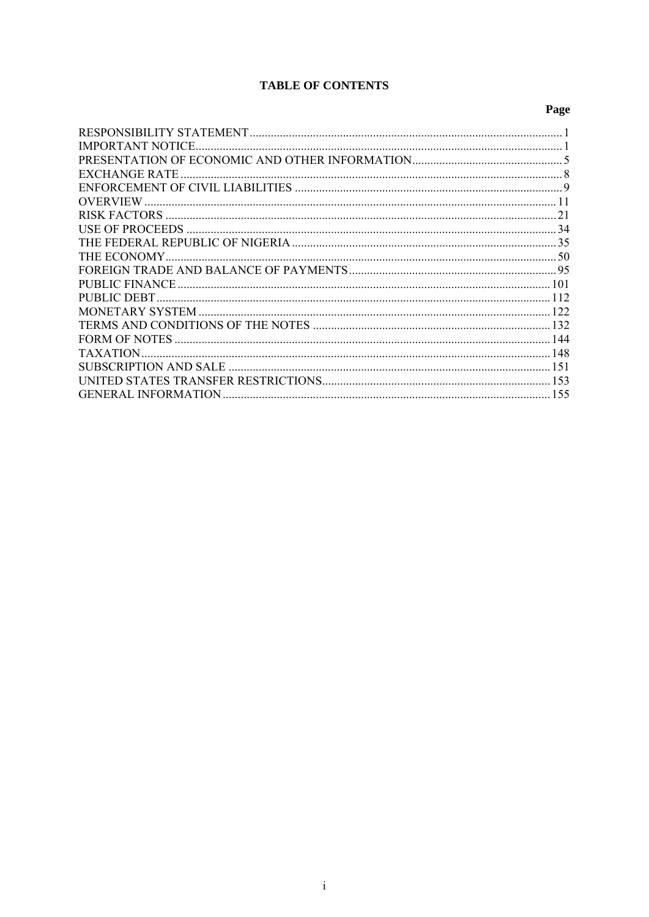# **TABLE OF CONTENTS**

# Page

| IMPORTANT NOTICE           |    |
|----------------------------|----|
|                            |    |
| EXCHANGE RATE              |    |
|                            |    |
|                            |    |
|                            | 21 |
|                            |    |
|                            |    |
|                            |    |
|                            |    |
|                            |    |
| PUBLIC DEBT                |    |
|                            |    |
|                            |    |
|                            |    |
|                            |    |
|                            |    |
|                            |    |
| <b>GENERAL INFORMATION</b> |    |
|                            |    |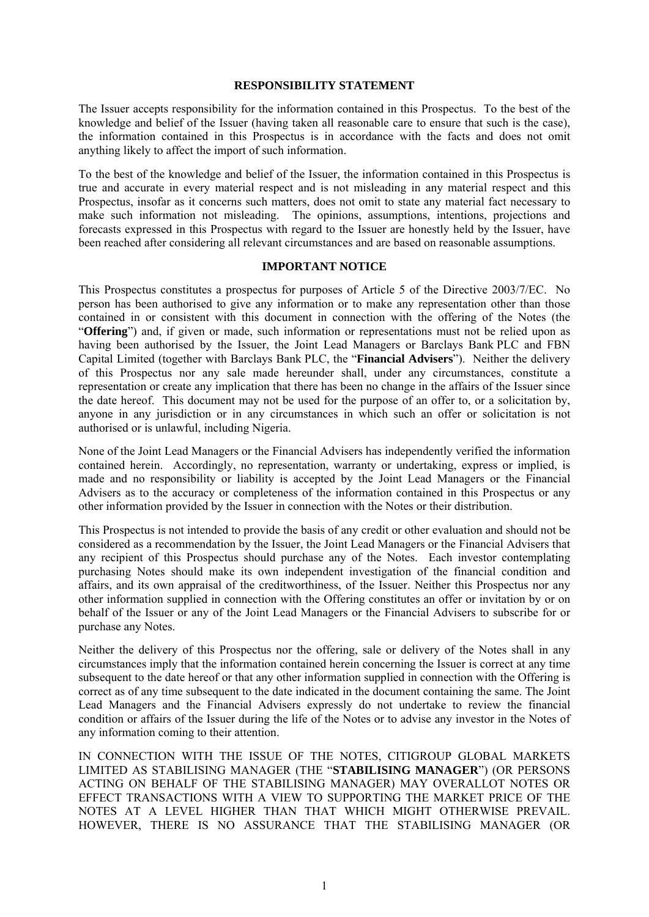#### **RESPONSIBILITY STATEMENT**

The Issuer accepts responsibility for the information contained in this Prospectus. To the best of the knowledge and belief of the Issuer (having taken all reasonable care to ensure that such is the case), the information contained in this Prospectus is in accordance with the facts and does not omit anything likely to affect the import of such information.

To the best of the knowledge and belief of the Issuer, the information contained in this Prospectus is true and accurate in every material respect and is not misleading in any material respect and this Prospectus, insofar as it concerns such matters, does not omit to state any material fact necessary to make such information not misleading. The opinions, assumptions, intentions, projections and forecasts expressed in this Prospectus with regard to the Issuer are honestly held by the Issuer, have been reached after considering all relevant circumstances and are based on reasonable assumptions.

#### **IMPORTANT NOTICE**

This Prospectus constitutes a prospectus for purposes of Article 5 of the Directive 2003/7/EC. No person has been authorised to give any information or to make any representation other than those contained in or consistent with this document in connection with the offering of the Notes (the "**Offering**") and, if given or made, such information or representations must not be relied upon as having been authorised by the Issuer, the Joint Lead Managers or Barclays Bank PLC and FBN Capital Limited (together with Barclays Bank PLC, the "**Financial Advisers**"). Neither the delivery of this Prospectus nor any sale made hereunder shall, under any circumstances, constitute a representation or create any implication that there has been no change in the affairs of the Issuer since the date hereof. This document may not be used for the purpose of an offer to, or a solicitation by, anyone in any jurisdiction or in any circumstances in which such an offer or solicitation is not authorised or is unlawful, including Nigeria.

None of the Joint Lead Managers or the Financial Advisers has independently verified the information contained herein. Accordingly, no representation, warranty or undertaking, express or implied, is made and no responsibility or liability is accepted by the Joint Lead Managers or the Financial Advisers as to the accuracy or completeness of the information contained in this Prospectus or any other information provided by the Issuer in connection with the Notes or their distribution.

This Prospectus is not intended to provide the basis of any credit or other evaluation and should not be considered as a recommendation by the Issuer, the Joint Lead Managers or the Financial Advisers that any recipient of this Prospectus should purchase any of the Notes. Each investor contemplating purchasing Notes should make its own independent investigation of the financial condition and affairs, and its own appraisal of the creditworthiness, of the Issuer. Neither this Prospectus nor any other information supplied in connection with the Offering constitutes an offer or invitation by or on behalf of the Issuer or any of the Joint Lead Managers or the Financial Advisers to subscribe for or purchase any Notes.

Neither the delivery of this Prospectus nor the offering, sale or delivery of the Notes shall in any circumstances imply that the information contained herein concerning the Issuer is correct at any time subsequent to the date hereof or that any other information supplied in connection with the Offering is correct as of any time subsequent to the date indicated in the document containing the same. The Joint Lead Managers and the Financial Advisers expressly do not undertake to review the financial condition or affairs of the Issuer during the life of the Notes or to advise any investor in the Notes of any information coming to their attention.

IN CONNECTION WITH THE ISSUE OF THE NOTES, CITIGROUP GLOBAL MARKETS LIMITED AS STABILISING MANAGER (THE "**STABILISING MANAGER**") (OR PERSONS ACTING ON BEHALF OF THE STABILISING MANAGER) MAY OVERALLOT NOTES OR EFFECT TRANSACTIONS WITH A VIEW TO SUPPORTING THE MARKET PRICE OF THE NOTES AT A LEVEL HIGHER THAN THAT WHICH MIGHT OTHERWISE PREVAIL. HOWEVER, THERE IS NO ASSURANCE THAT THE STABILISING MANAGER (OR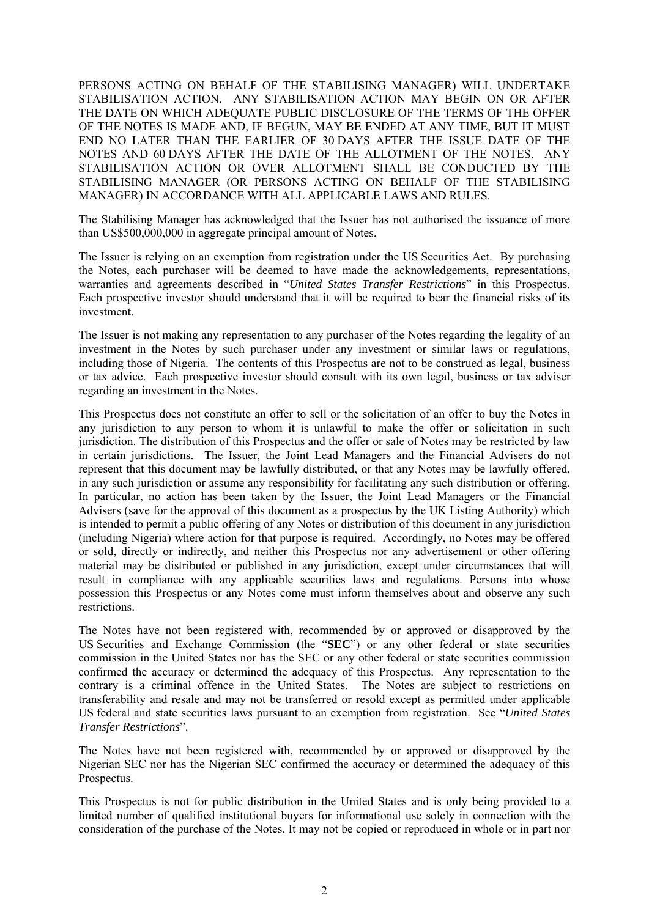PERSONS ACTING ON BEHALF OF THE STABILISING MANAGER) WILL UNDERTAKE STABILISATION ACTION. ANY STABILISATION ACTION MAY BEGIN ON OR AFTER THE DATE ON WHICH ADEQUATE PUBLIC DISCLOSURE OF THE TERMS OF THE OFFER OF THE NOTES IS MADE AND, IF BEGUN, MAY BE ENDED AT ANY TIME, BUT IT MUST END NO LATER THAN THE EARLIER OF 30 DAYS AFTER THE ISSUE DATE OF THE NOTES AND 60 DAYS AFTER THE DATE OF THE ALLOTMENT OF THE NOTES. ANY STABILISATION ACTION OR OVER ALLOTMENT SHALL BE CONDUCTED BY THE STABILISING MANAGER (OR PERSONS ACTING ON BEHALF OF THE STABILISING MANAGER) IN ACCORDANCE WITH ALL APPLICABLE LAWS AND RULES.

The Stabilising Manager has acknowledged that the Issuer has not authorised the issuance of more than US\$500,000,000 in aggregate principal amount of Notes.

The Issuer is relying on an exemption from registration under the US Securities Act. By purchasing the Notes, each purchaser will be deemed to have made the acknowledgements, representations, warranties and agreements described in "*United States Transfer Restrictions*" in this Prospectus. Each prospective investor should understand that it will be required to bear the financial risks of its investment.

The Issuer is not making any representation to any purchaser of the Notes regarding the legality of an investment in the Notes by such purchaser under any investment or similar laws or regulations, including those of Nigeria. The contents of this Prospectus are not to be construed as legal, business or tax advice. Each prospective investor should consult with its own legal, business or tax adviser regarding an investment in the Notes.

This Prospectus does not constitute an offer to sell or the solicitation of an offer to buy the Notes in any jurisdiction to any person to whom it is unlawful to make the offer or solicitation in such jurisdiction. The distribution of this Prospectus and the offer or sale of Notes may be restricted by law in certain jurisdictions. The Issuer, the Joint Lead Managers and the Financial Advisers do not represent that this document may be lawfully distributed, or that any Notes may be lawfully offered, in any such jurisdiction or assume any responsibility for facilitating any such distribution or offering. In particular, no action has been taken by the Issuer, the Joint Lead Managers or the Financial Advisers (save for the approval of this document as a prospectus by the UK Listing Authority) which is intended to permit a public offering of any Notes or distribution of this document in any jurisdiction (including Nigeria) where action for that purpose is required. Accordingly, no Notes may be offered or sold, directly or indirectly, and neither this Prospectus nor any advertisement or other offering material may be distributed or published in any jurisdiction, except under circumstances that will result in compliance with any applicable securities laws and regulations. Persons into whose possession this Prospectus or any Notes come must inform themselves about and observe any such restrictions.

The Notes have not been registered with, recommended by or approved or disapproved by the US Securities and Exchange Commission (the "**SEC**") or any other federal or state securities commission in the United States nor has the SEC or any other federal or state securities commission confirmed the accuracy or determined the adequacy of this Prospectus. Any representation to the contrary is a criminal offence in the United States. The Notes are subject to restrictions on transferability and resale and may not be transferred or resold except as permitted under applicable US federal and state securities laws pursuant to an exemption from registration. See "*United States Transfer Restrictions*".

The Notes have not been registered with, recommended by or approved or disapproved by the Nigerian SEC nor has the Nigerian SEC confirmed the accuracy or determined the adequacy of this Prospectus.

This Prospectus is not for public distribution in the United States and is only being provided to a limited number of qualified institutional buyers for informational use solely in connection with the consideration of the purchase of the Notes. It may not be copied or reproduced in whole or in part nor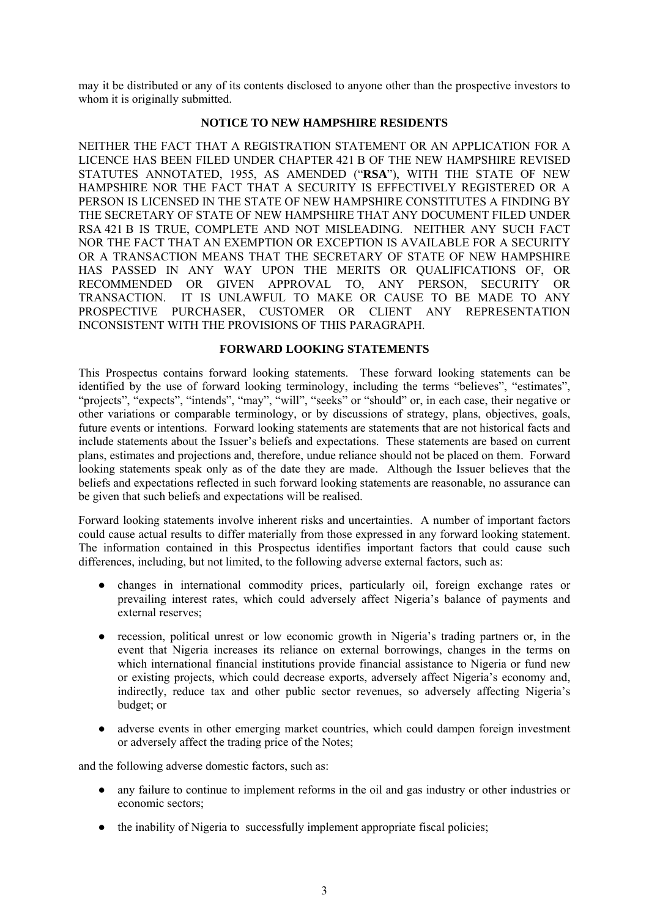may it be distributed or any of its contents disclosed to anyone other than the prospective investors to whom it is originally submitted.

#### **NOTICE TO NEW HAMPSHIRE RESIDENTS**

NEITHER THE FACT THAT A REGISTRATION STATEMENT OR AN APPLICATION FOR A LICENCE HAS BEEN FILED UNDER CHAPTER 421 B OF THE NEW HAMPSHIRE REVISED STATUTES ANNOTATED, 1955, AS AMENDED ("**RSA**"), WITH THE STATE OF NEW HAMPSHIRE NOR THE FACT THAT A SECURITY IS EFFECTIVELY REGISTERED OR A PERSON IS LICENSED IN THE STATE OF NEW HAMPSHIRE CONSTITUTES A FINDING BY THE SECRETARY OF STATE OF NEW HAMPSHIRE THAT ANY DOCUMENT FILED UNDER RSA 421 B IS TRUE, COMPLETE AND NOT MISLEADING. NEITHER ANY SUCH FACT NOR THE FACT THAT AN EXEMPTION OR EXCEPTION IS AVAILABLE FOR A SECURITY OR A TRANSACTION MEANS THAT THE SECRETARY OF STATE OF NEW HAMPSHIRE HAS PASSED IN ANY WAY UPON THE MERITS OR QUALIFICATIONS OF, OR RECOMMENDED OR GIVEN APPROVAL TO, ANY PERSON, SECURITY OR TRANSACTION. IT IS UNLAWFUL TO MAKE OR CAUSE TO BE MADE TO ANY PROSPECTIVE PURCHASER, CUSTOMER OR CLIENT ANY REPRESENTATION INCONSISTENT WITH THE PROVISIONS OF THIS PARAGRAPH.

#### **FORWARD LOOKING STATEMENTS**

This Prospectus contains forward looking statements. These forward looking statements can be identified by the use of forward looking terminology, including the terms "believes", "estimates", "projects", "expects", "intends", "may", "will", "seeks" or "should" or, in each case, their negative or other variations or comparable terminology, or by discussions of strategy, plans, objectives, goals, future events or intentions. Forward looking statements are statements that are not historical facts and include statements about the Issuer's beliefs and expectations. These statements are based on current plans, estimates and projections and, therefore, undue reliance should not be placed on them. Forward looking statements speak only as of the date they are made. Although the Issuer believes that the beliefs and expectations reflected in such forward looking statements are reasonable, no assurance can be given that such beliefs and expectations will be realised.

Forward looking statements involve inherent risks and uncertainties. A number of important factors could cause actual results to differ materially from those expressed in any forward looking statement. The information contained in this Prospectus identifies important factors that could cause such differences, including, but not limited, to the following adverse external factors, such as:

- changes in international commodity prices, particularly oil, foreign exchange rates or prevailing interest rates, which could adversely affect Nigeria's balance of payments and external reserves;
- recession, political unrest or low economic growth in Nigeria's trading partners or, in the event that Nigeria increases its reliance on external borrowings, changes in the terms on which international financial institutions provide financial assistance to Nigeria or fund new or existing projects, which could decrease exports, adversely affect Nigeria's economy and, indirectly, reduce tax and other public sector revenues, so adversely affecting Nigeria's budget; or
- adverse events in other emerging market countries, which could dampen foreign investment or adversely affect the trading price of the Notes;

and the following adverse domestic factors, such as:

- any failure to continue to implement reforms in the oil and gas industry or other industries or economic sectors;
- the inability of Nigeria to successfully implement appropriate fiscal policies;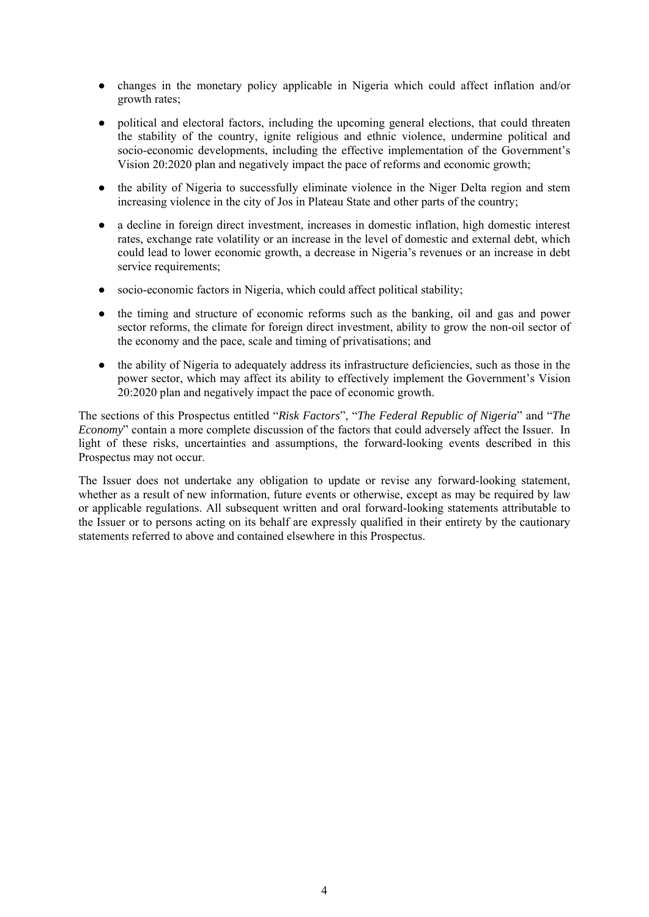- changes in the monetary policy applicable in Nigeria which could affect inflation and/or growth rates;
- political and electoral factors, including the upcoming general elections, that could threaten the stability of the country, ignite religious and ethnic violence, undermine political and socio-economic developments, including the effective implementation of the Government's Vision 20:2020 plan and negatively impact the pace of reforms and economic growth;
- the ability of Nigeria to successfully eliminate violence in the Niger Delta region and stem increasing violence in the city of Jos in Plateau State and other parts of the country;
- a decline in foreign direct investment, increases in domestic inflation, high domestic interest rates, exchange rate volatility or an increase in the level of domestic and external debt, which could lead to lower economic growth, a decrease in Nigeria's revenues or an increase in debt service requirements;
- socio-economic factors in Nigeria, which could affect political stability;
- the timing and structure of economic reforms such as the banking, oil and gas and power sector reforms, the climate for foreign direct investment, ability to grow the non-oil sector of the economy and the pace, scale and timing of privatisations; and
- the ability of Nigeria to adequately address its infrastructure deficiencies, such as those in the power sector, which may affect its ability to effectively implement the Government's Vision 20:2020 plan and negatively impact the pace of economic growth.

The sections of this Prospectus entitled "*Risk Factors*", "*The Federal Republic of Nigeria*" and "*The Economy*" contain a more complete discussion of the factors that could adversely affect the Issuer. In light of these risks, uncertainties and assumptions, the forward-looking events described in this Prospectus may not occur.

The Issuer does not undertake any obligation to update or revise any forward-looking statement, whether as a result of new information, future events or otherwise, except as may be required by law or applicable regulations. All subsequent written and oral forward-looking statements attributable to the Issuer or to persons acting on its behalf are expressly qualified in their entirety by the cautionary statements referred to above and contained elsewhere in this Prospectus.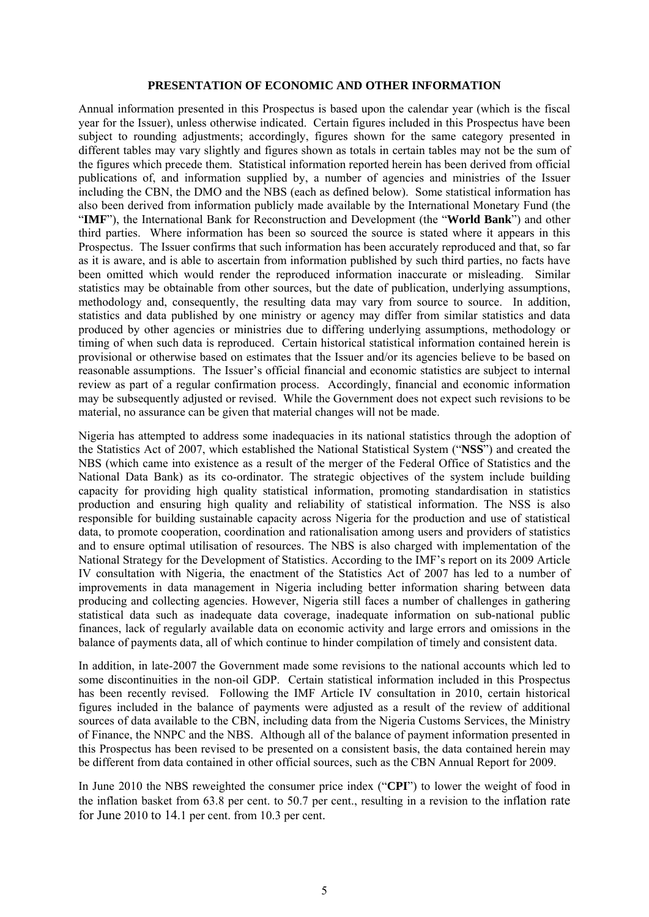#### **PRESENTATION OF ECONOMIC AND OTHER INFORMATION**

Annual information presented in this Prospectus is based upon the calendar year (which is the fiscal year for the Issuer), unless otherwise indicated. Certain figures included in this Prospectus have been subject to rounding adjustments; accordingly, figures shown for the same category presented in different tables may vary slightly and figures shown as totals in certain tables may not be the sum of the figures which precede them. Statistical information reported herein has been derived from official publications of, and information supplied by, a number of agencies and ministries of the Issuer including the CBN, the DMO and the NBS (each as defined below). Some statistical information has also been derived from information publicly made available by the International Monetary Fund (the "**IMF**"), the International Bank for Reconstruction and Development (the "**World Bank**") and other third parties. Where information has been so sourced the source is stated where it appears in this Prospectus. The Issuer confirms that such information has been accurately reproduced and that, so far as it is aware, and is able to ascertain from information published by such third parties, no facts have been omitted which would render the reproduced information inaccurate or misleading. Similar statistics may be obtainable from other sources, but the date of publication, underlying assumptions, methodology and, consequently, the resulting data may vary from source to source. In addition, statistics and data published by one ministry or agency may differ from similar statistics and data produced by other agencies or ministries due to differing underlying assumptions, methodology or timing of when such data is reproduced. Certain historical statistical information contained herein is provisional or otherwise based on estimates that the Issuer and/or its agencies believe to be based on reasonable assumptions. The Issuer's official financial and economic statistics are subject to internal review as part of a regular confirmation process. Accordingly, financial and economic information may be subsequently adjusted or revised. While the Government does not expect such revisions to be material, no assurance can be given that material changes will not be made.

Nigeria has attempted to address some inadequacies in its national statistics through the adoption of the Statistics Act of 2007, which established the National Statistical System ("**NSS**") and created the NBS (which came into existence as a result of the merger of the Federal Office of Statistics and the National Data Bank) as its co-ordinator. The strategic objectives of the system include building capacity for providing high quality statistical information, promoting standardisation in statistics production and ensuring high quality and reliability of statistical information. The NSS is also responsible for building sustainable capacity across Nigeria for the production and use of statistical data, to promote cooperation, coordination and rationalisation among users and providers of statistics and to ensure optimal utilisation of resources. The NBS is also charged with implementation of the National Strategy for the Development of Statistics. According to the IMF's report on its 2009 Article IV consultation with Nigeria, the enactment of the Statistics Act of 2007 has led to a number of improvements in data management in Nigeria including better information sharing between data producing and collecting agencies. However, Nigeria still faces a number of challenges in gathering statistical data such as inadequate data coverage, inadequate information on sub-national public finances, lack of regularly available data on economic activity and large errors and omissions in the balance of payments data, all of which continue to hinder compilation of timely and consistent data.

In addition, in late-2007 the Government made some revisions to the national accounts which led to some discontinuities in the non-oil GDP. Certain statistical information included in this Prospectus has been recently revised. Following the IMF Article IV consultation in 2010, certain historical figures included in the balance of payments were adjusted as a result of the review of additional sources of data available to the CBN, including data from the Nigeria Customs Services, the Ministry of Finance, the NNPC and the NBS. Although all of the balance of payment information presented in this Prospectus has been revised to be presented on a consistent basis, the data contained herein may be different from data contained in other official sources, such as the CBN Annual Report for 2009.

In June 2010 the NBS reweighted the consumer price index ("**CPI**") to lower the weight of food in the inflation basket from 63.8 per cent. to 50.7 per cent., resulting in a revision to the inflation rate for June 2010 to 14.1 per cent. from 10.3 per cent.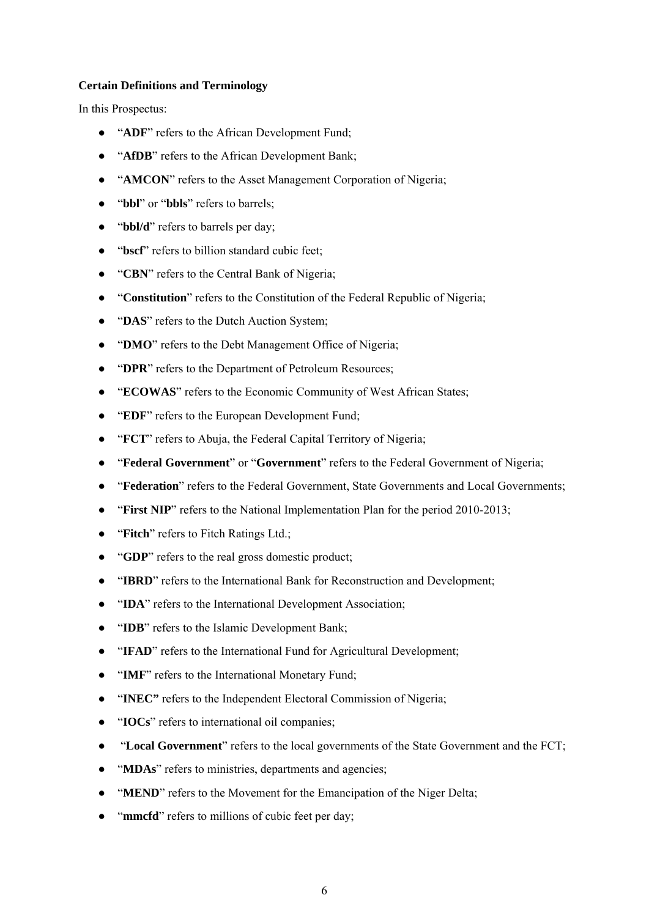#### **Certain Definitions and Terminology**

In this Prospectus:

- "**ADF**" refers to the African Development Fund;
- "**AfDB**" refers to the African Development Bank;
- "**AMCON**" refers to the Asset Management Corporation of Nigeria;
- "**bbl**" or "**bbls**" refers to barrels;
- "**bbl/d**" refers to barrels per day;
- "**bscf**" refers to billion standard cubic feet;
- "**CBN**" refers to the Central Bank of Nigeria;
- "**Constitution**" refers to the Constitution of the Federal Republic of Nigeria;
- "**DAS**" refers to the Dutch Auction System;
- "**DMO**" refers to the Debt Management Office of Nigeria;
- "**DPR**" refers to the Department of Petroleum Resources;
- "**ECOWAS**" refers to the Economic Community of West African States;
- "**EDF**" refers to the European Development Fund;
- "**FCT**" refers to Abuja, the Federal Capital Territory of Nigeria;
- "**Federal Government**" or "**Government**" refers to the Federal Government of Nigeria;
- "**Federation**" refers to the Federal Government, State Governments and Local Governments;
- "**First NIP**" refers to the National Implementation Plan for the period 2010-2013;
- "**Fitch**" refers to Fitch Ratings Ltd.;
- "**GDP**" refers to the real gross domestic product;
- "**IBRD**" refers to the International Bank for Reconstruction and Development;
- "**IDA**" refers to the International Development Association;
- "**IDB**" refers to the Islamic Development Bank;
- "**IFAD**" refers to the International Fund for Agricultural Development;
- "**IMF**" refers to the International Monetary Fund;
- "**INEC"** refers to the Independent Electoral Commission of Nigeria;
- "**IOCs**" refers to international oil companies;
- "**Local Government**" refers to the local governments of the State Government and the FCT;
- "**MDAs**" refers to ministries, departments and agencies;
- "**MEND**" refers to the Movement for the Emancipation of the Niger Delta;
- "**mmcfd**" refers to millions of cubic feet per day;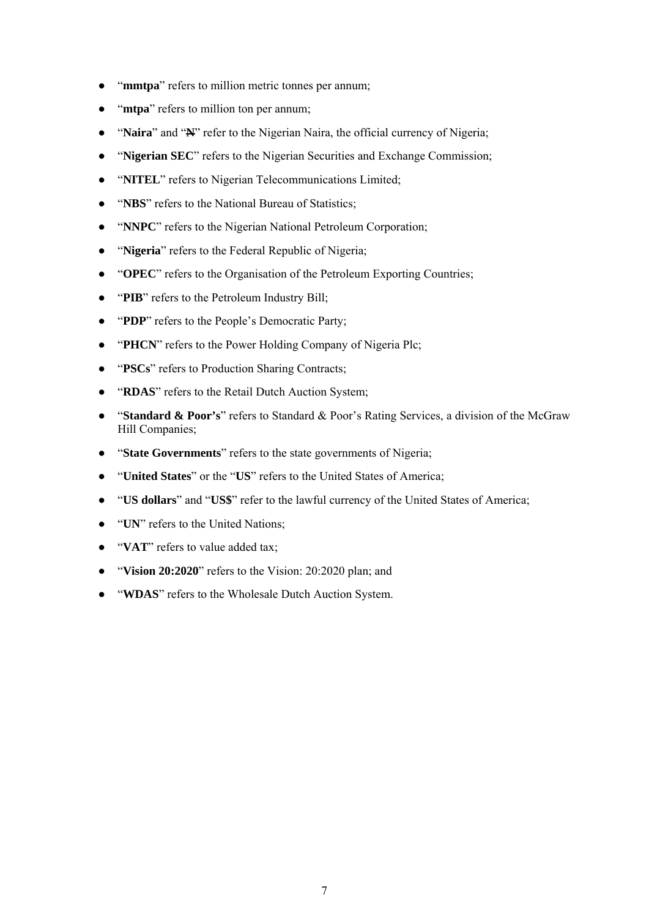- "**mmtpa**" refers to million metric tonnes per annum;
- "**mtpa**" refers to million ton per annum;
- "**Naira**" and "Netally" refer to the Nigerian Naira, the official currency of Nigeria;
- "**Nigerian SEC**" refers to the Nigerian Securities and Exchange Commission;
- "**NITEL**" refers to Nigerian Telecommunications Limited;
- "**NBS**" refers to the National Bureau of Statistics;
- "**NNPC**" refers to the Nigerian National Petroleum Corporation;
- "**Nigeria**" refers to the Federal Republic of Nigeria;
- "**OPEC**" refers to the Organisation of the Petroleum Exporting Countries;
- "PIB" refers to the Petroleum Industry Bill;
- "**PDP**" refers to the People's Democratic Party;
- "**PHCN**" refers to the Power Holding Company of Nigeria Plc;
- "**PSCs**" refers to Production Sharing Contracts;
- "**RDAS**" refers to the Retail Dutch Auction System;
- "**Standard & Poor's**" refers to Standard & Poor's Rating Services, a division of the McGraw Hill Companies;
- "**State Governments**" refers to the state governments of Nigeria;
- "United States" or the "US" refers to the United States of America;
- "**US dollars**" and "**US\$**" refer to the lawful currency of the United States of America;
- "**UN**" refers to the United Nations;
- "**VAT**" refers to value added tax;
- "Vision 20:2020" refers to the Vision: 20:2020 plan; and
- "**WDAS**" refers to the Wholesale Dutch Auction System.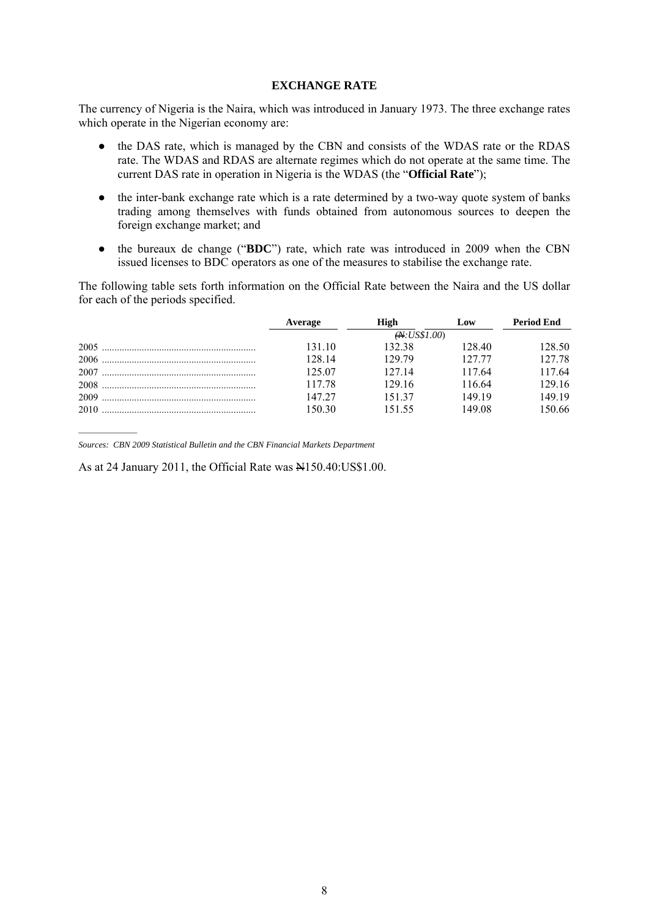#### **EXCHANGE RATE**

The currency of Nigeria is the Naira, which was introduced in January 1973. The three exchange rates which operate in the Nigerian economy are:

- the DAS rate, which is managed by the CBN and consists of the WDAS rate or the RDAS rate. The WDAS and RDAS are alternate regimes which do not operate at the same time. The current DAS rate in operation in Nigeria is the WDAS (the "**Official Rate**");
- the inter-bank exchange rate which is a rate determined by a two-way quote system of banks trading among themselves with funds obtained from autonomous sources to deepen the foreign exchange market; and
- the bureaux de change ("**BDC**") rate, which rate was introduced in 2009 when the CBN issued licenses to BDC operators as one of the measures to stabilise the exchange rate.

The following table sets forth information on the Official Rate between the Naira and the US dollar for each of the periods specified.

|      | Average | High         | Low    | <b>Period End</b> |
|------|---------|--------------|--------|-------------------|
|      |         | (A.US\$1.00) |        |                   |
|      | 131 10  | 132.38       | 128.40 | 128.50            |
|      | 128 14  | 129.79       | 127.77 | 127.78            |
|      | 125.07  | 127 14       | 117.64 | 117.64            |
|      | 117.78  | 129 16       | 116.64 | 129 16            |
|      | 147 27  | 15137        | 149 19 | 149 19            |
| 2010 | 150.30  | 151.55       | 149.08 | 150.66            |

*Sources: CBN 2009 Statistical Bulletin and the CBN Financial Markets Department* 

As at 24 January 2011, the Official Rate was N150.40:US\$1.00.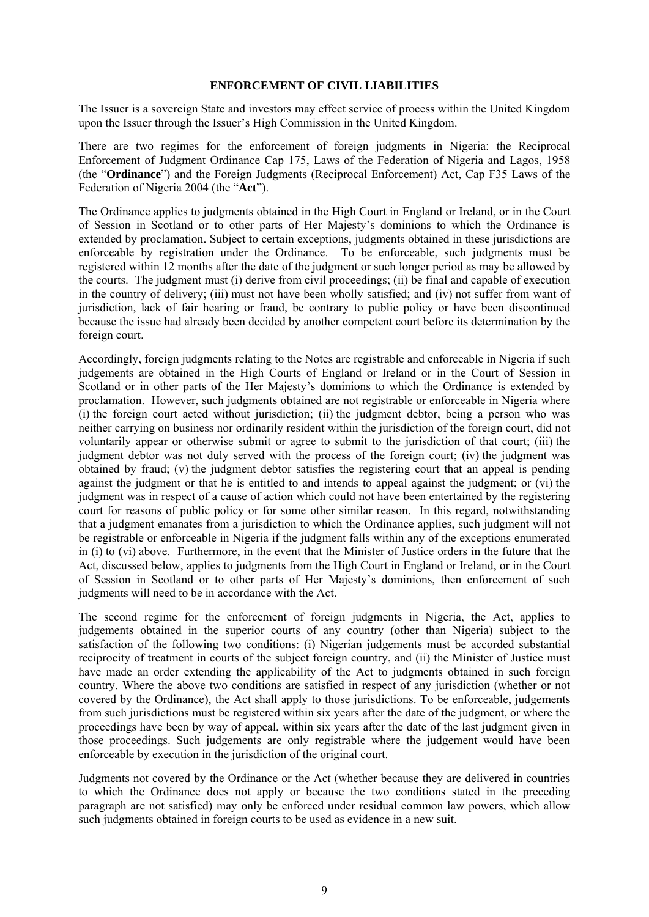#### **ENFORCEMENT OF CIVIL LIABILITIES**

The Issuer is a sovereign State and investors may effect service of process within the United Kingdom upon the Issuer through the Issuer's High Commission in the United Kingdom.

There are two regimes for the enforcement of foreign judgments in Nigeria: the Reciprocal Enforcement of Judgment Ordinance Cap 175, Laws of the Federation of Nigeria and Lagos, 1958 (the "**Ordinance**") and the Foreign Judgments (Reciprocal Enforcement) Act, Cap F35 Laws of the Federation of Nigeria 2004 (the "**Act**").

The Ordinance applies to judgments obtained in the High Court in England or Ireland, or in the Court of Session in Scotland or to other parts of Her Majesty's dominions to which the Ordinance is extended by proclamation. Subject to certain exceptions, judgments obtained in these jurisdictions are enforceable by registration under the Ordinance. To be enforceable, such judgments must be registered within 12 months after the date of the judgment or such longer period as may be allowed by the courts. The judgment must (i) derive from civil proceedings; (ii) be final and capable of execution in the country of delivery; (iii) must not have been wholly satisfied; and (iv) not suffer from want of jurisdiction, lack of fair hearing or fraud, be contrary to public policy or have been discontinued because the issue had already been decided by another competent court before its determination by the foreign court.

Accordingly, foreign judgments relating to the Notes are registrable and enforceable in Nigeria if such judgements are obtained in the High Courts of England or Ireland or in the Court of Session in Scotland or in other parts of the Her Majesty's dominions to which the Ordinance is extended by proclamation. However, such judgments obtained are not registrable or enforceable in Nigeria where (i) the foreign court acted without jurisdiction; (ii) the judgment debtor, being a person who was neither carrying on business nor ordinarily resident within the jurisdiction of the foreign court, did not voluntarily appear or otherwise submit or agree to submit to the jurisdiction of that court; (iii) the judgment debtor was not duly served with the process of the foreign court; (iv) the judgment was obtained by fraud; (v) the judgment debtor satisfies the registering court that an appeal is pending against the judgment or that he is entitled to and intends to appeal against the judgment; or (vi) the judgment was in respect of a cause of action which could not have been entertained by the registering court for reasons of public policy or for some other similar reason. In this regard, notwithstanding that a judgment emanates from a jurisdiction to which the Ordinance applies, such judgment will not be registrable or enforceable in Nigeria if the judgment falls within any of the exceptions enumerated in (i) to (vi) above. Furthermore, in the event that the Minister of Justice orders in the future that the Act, discussed below, applies to judgments from the High Court in England or Ireland, or in the Court of Session in Scotland or to other parts of Her Majesty's dominions, then enforcement of such judgments will need to be in accordance with the Act.

The second regime for the enforcement of foreign judgments in Nigeria, the Act, applies to judgements obtained in the superior courts of any country (other than Nigeria) subject to the satisfaction of the following two conditions: (i) Nigerian judgements must be accorded substantial reciprocity of treatment in courts of the subject foreign country, and (ii) the Minister of Justice must have made an order extending the applicability of the Act to judgments obtained in such foreign country. Where the above two conditions are satisfied in respect of any jurisdiction (whether or not covered by the Ordinance), the Act shall apply to those jurisdictions. To be enforceable, judgements from such jurisdictions must be registered within six years after the date of the judgment, or where the proceedings have been by way of appeal, within six years after the date of the last judgment given in those proceedings. Such judgements are only registrable where the judgement would have been enforceable by execution in the jurisdiction of the original court.

Judgments not covered by the Ordinance or the Act (whether because they are delivered in countries to which the Ordinance does not apply or because the two conditions stated in the preceding paragraph are not satisfied) may only be enforced under residual common law powers, which allow such judgments obtained in foreign courts to be used as evidence in a new suit.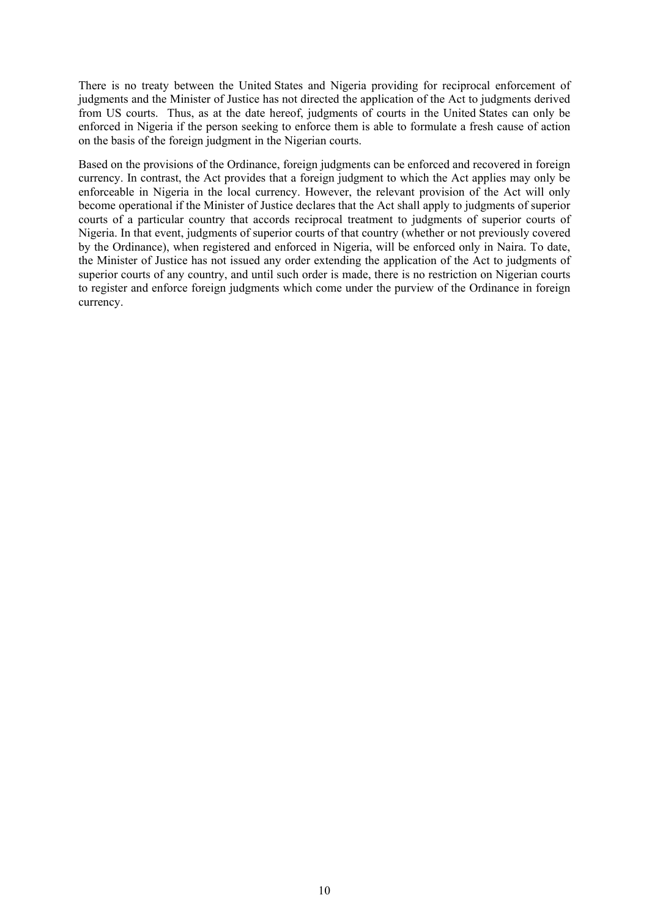There is no treaty between the United States and Nigeria providing for reciprocal enforcement of judgments and the Minister of Justice has not directed the application of the Act to judgments derived from US courts. Thus, as at the date hereof, judgments of courts in the United States can only be enforced in Nigeria if the person seeking to enforce them is able to formulate a fresh cause of action on the basis of the foreign judgment in the Nigerian courts.

Based on the provisions of the Ordinance, foreign judgments can be enforced and recovered in foreign currency. In contrast, the Act provides that a foreign judgment to which the Act applies may only be enforceable in Nigeria in the local currency. However, the relevant provision of the Act will only become operational if the Minister of Justice declares that the Act shall apply to judgments of superior courts of a particular country that accords reciprocal treatment to judgments of superior courts of Nigeria. In that event, judgments of superior courts of that country (whether or not previously covered by the Ordinance), when registered and enforced in Nigeria, will be enforced only in Naira. To date, the Minister of Justice has not issued any order extending the application of the Act to judgments of superior courts of any country, and until such order is made, there is no restriction on Nigerian courts to register and enforce foreign judgments which come under the purview of the Ordinance in foreign currency.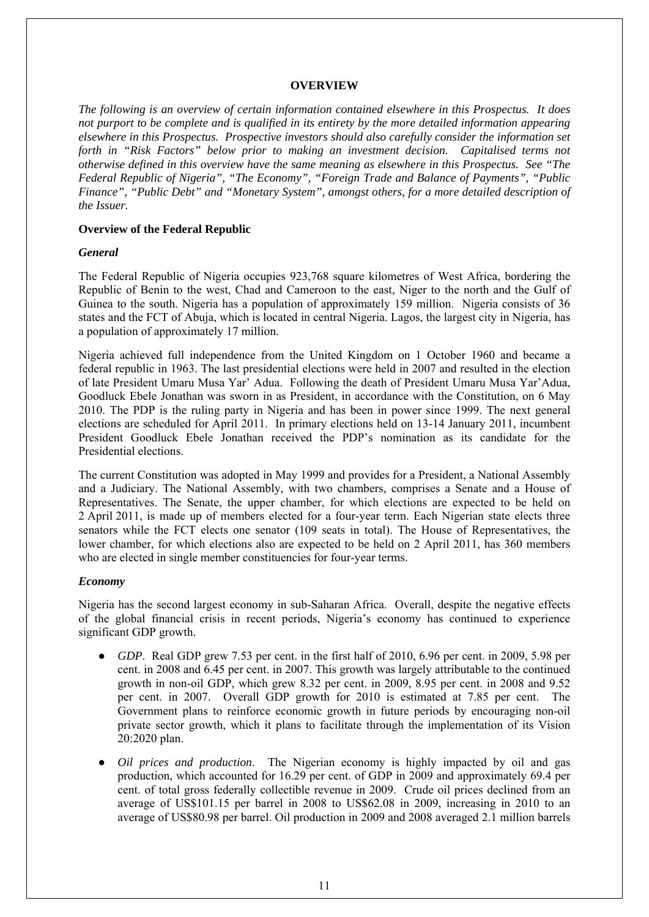#### **OVERVIEW**

*The following is an overview of certain information contained elsewhere in this Prospectus. It does not purport to be complete and is qualified in its entirety by the more detailed information appearing elsewhere in this Prospectus. Prospective investors should also carefully consider the information set forth in "Risk Factors" below prior to making an investment decision. Capitalised terms not otherwise defined in this overview have the same meaning as elsewhere in this Prospectus. See "The Federal Republic of Nigeria", "The Economy", "Foreign Trade and Balance of Payments", "Public Finance", "Public Debt" and "Monetary System", amongst others, for a more detailed description of the Issuer.*

#### **Overview of the Federal Republic**

#### *General*

The Federal Republic of Nigeria occupies 923,768 square kilometres of West Africa, bordering the Republic of Benin to the west, Chad and Cameroon to the east, Niger to the north and the Gulf of Guinea to the south. Nigeria has a population of approximately 159 million. Nigeria consists of 36 states and the FCT of Abuja, which is located in central Nigeria. Lagos, the largest city in Nigeria, has a population of approximately 17 million.

Nigeria achieved full independence from the United Kingdom on 1 October 1960 and became a federal republic in 1963. The last presidential elections were held in 2007 and resulted in the election of late President Umaru Musa Yar' Adua. Following the death of President Umaru Musa Yar'Adua, Goodluck Ebele Jonathan was sworn in as President, in accordance with the Constitution, on 6 May 2010. The PDP is the ruling party in Nigeria and has been in power since 1999. The next general elections are scheduled for April 2011. In primary elections held on 13-14 January 2011, incumbent President Goodluck Ebele Jonathan received the PDP's nomination as its candidate for the Presidential elections.

The current Constitution was adopted in May 1999 and provides for a President, a National Assembly and a Judiciary. The National Assembly, with two chambers, comprises a Senate and a House of Representatives. The Senate, the upper chamber, for which elections are expected to be held on 2 April 2011, is made up of members elected for a four-year term. Each Nigerian state elects three senators while the FCT elects one senator (109 seats in total). The House of Representatives, the lower chamber, for which elections also are expected to be held on 2 April 2011, has 360 members who are elected in single member constituencies for four-year terms.

#### *Economy*

Nigeria has the second largest economy in sub-Saharan Africa. Overall, despite the negative effects of the global financial crisis in recent periods, Nigeria's economy has continued to experience significant GDP growth.

- *GDP*. Real GDP grew 7.53 per cent. in the first half of 2010, 6.96 per cent. in 2009, 5.98 per cent. in 2008 and 6.45 per cent. in 2007. This growth was largely attributable to the continued growth in non-oil GDP, which grew 8.32 per cent. in 2009, 8.95 per cent. in 2008 and 9.52 per cent. in 2007. Overall GDP growth for 2010 is estimated at 7.85 per cent. The Government plans to reinforce economic growth in future periods by encouraging non-oil private sector growth, which it plans to facilitate through the implementation of its Vision 20:2020 plan.
- *Oil prices and production.* The Nigerian economy is highly impacted by oil and gas production, which accounted for 16.29 per cent. of GDP in 2009 and approximately 69.4 per cent. of total gross federally collectible revenue in 2009. Crude oil prices declined from an average of US\$101.15 per barrel in 2008 to US\$62.08 in 2009, increasing in 2010 to an average of US\$80.98 per barrel. Oil production in 2009 and 2008 averaged 2.1 million barrels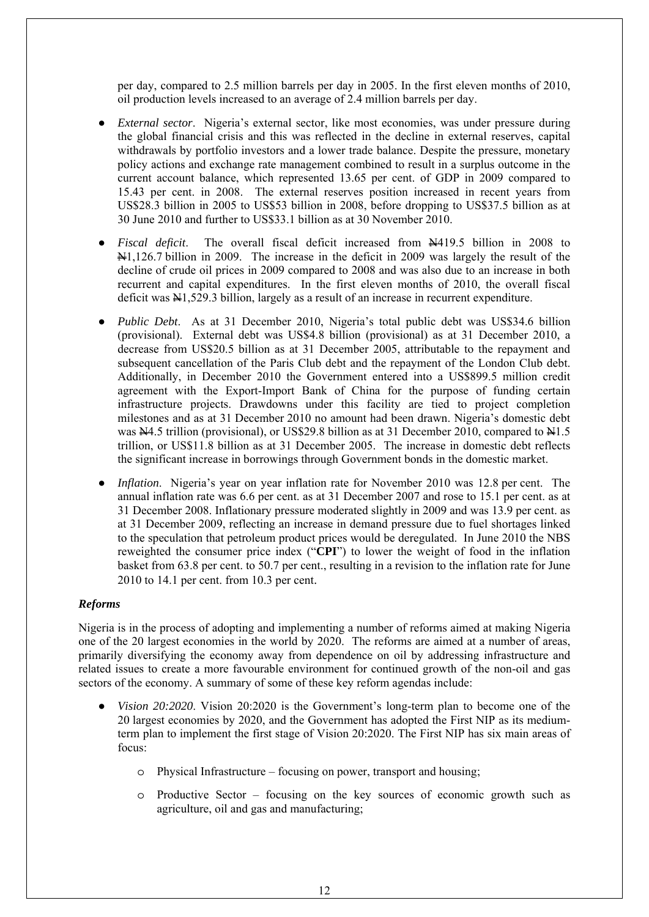per day, compared to 2.5 million barrels per day in 2005. In the first eleven months of 2010, oil production levels increased to an average of 2.4 million barrels per day.

- *External sector.* Nigeria's external sector, like most economies, was under pressure during the global financial crisis and this was reflected in the decline in external reserves, capital withdrawals by portfolio investors and a lower trade balance. Despite the pressure, monetary policy actions and exchange rate management combined to result in a surplus outcome in the current account balance, which represented 13.65 per cent. of GDP in 2009 compared to 15.43 per cent. in 2008. The external reserves position increased in recent years from US\$28.3 billion in 2005 to US\$53 billion in 2008, before dropping to US\$37.5 billion as at 30 June 2010 and further to US\$33.1 billion as at 30 November 2010.
- *Fiscal deficit*. The overall fiscal deficit increased from  $\frac{N}{4}$ 19.5 billion in 2008 to N1,126.7 billion in 2009. The increase in the deficit in 2009 was largely the result of the decline of crude oil prices in 2009 compared to 2008 and was also due to an increase in both recurrent and capital expenditures. In the first eleven months of 2010, the overall fiscal deficit was  $\frac{1}{2}$ , 529.3 billion, largely as a result of an increase in recurrent expenditure.
- *Public Debt*. As at 31 December 2010, Nigeria's total public debt was US\$34.6 billion (provisional). External debt was US\$4.8 billion (provisional) as at 31 December 2010, a decrease from US\$20.5 billion as at 31 December 2005, attributable to the repayment and subsequent cancellation of the Paris Club debt and the repayment of the London Club debt. Additionally, in December 2010 the Government entered into a US\$899.5 million credit agreement with the Export-Import Bank of China for the purpose of funding certain infrastructure projects. Drawdowns under this facility are tied to project completion milestones and as at 31 December 2010 no amount had been drawn. Nigeria's domestic debt was  $\text{N4.5}$  trillion (provisional), or US\$29.8 billion as at 31 December 2010, compared to  $\text{N4.5}$ trillion, or US\$11.8 billion as at 31 December 2005. The increase in domestic debt reflects the significant increase in borrowings through Government bonds in the domestic market.
- *Inflation*. Nigeria's year on year inflation rate for November 2010 was 12.8 per cent. The annual inflation rate was 6.6 per cent. as at 31 December 2007 and rose to 15.1 per cent. as at 31 December 2008. Inflationary pressure moderated slightly in 2009 and was 13.9 per cent. as at 31 December 2009, reflecting an increase in demand pressure due to fuel shortages linked to the speculation that petroleum product prices would be deregulated. In June 2010 the NBS reweighted the consumer price index ("**CPI**") to lower the weight of food in the inflation basket from 63.8 per cent. to 50.7 per cent., resulting in a revision to the inflation rate for June 2010 to 14.1 per cent. from 10.3 per cent.

### *Reforms*

Nigeria is in the process of adopting and implementing a number of reforms aimed at making Nigeria one of the 20 largest economies in the world by 2020. The reforms are aimed at a number of areas, primarily diversifying the economy away from dependence on oil by addressing infrastructure and related issues to create a more favourable environment for continued growth of the non-oil and gas sectors of the economy. A summary of some of these key reform agendas include:

- *Vision 20:2020*. Vision 20:2020 is the Government's long-term plan to become one of the 20 largest economies by 2020, and the Government has adopted the First NIP as its mediumterm plan to implement the first stage of Vision 20:2020. The First NIP has six main areas of focus:
	- o Physical Infrastructure focusing on power, transport and housing;
	- o Productive Sector focusing on the key sources of economic growth such as agriculture, oil and gas and manufacturing;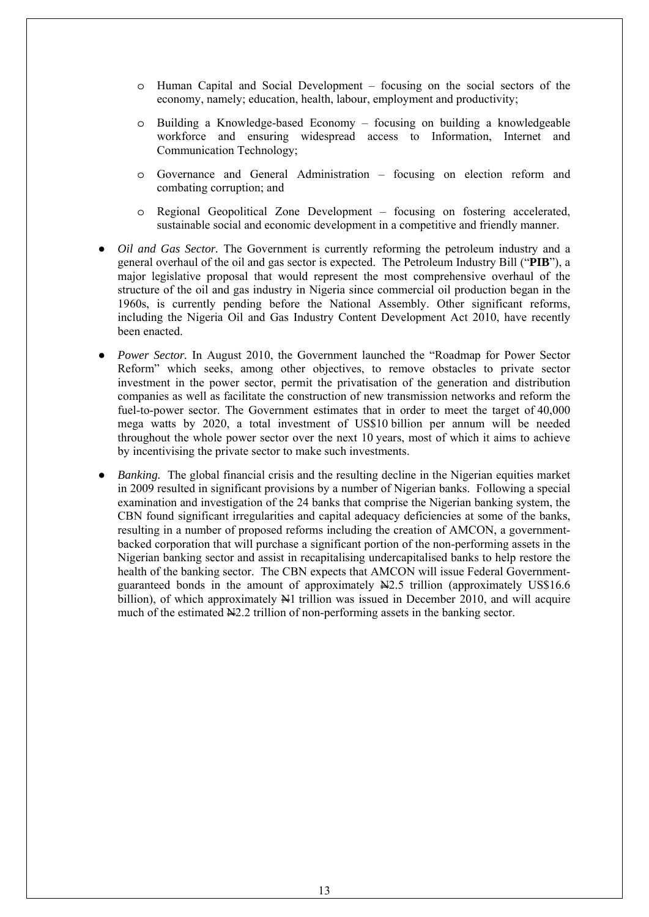- o Human Capital and Social Development focusing on the social sectors of the economy, namely; education, health, labour, employment and productivity;
- o Building a Knowledge-based Economy focusing on building a knowledgeable workforce and ensuring widespread access to Information, Internet and Communication Technology;
- o Governance and General Administration focusing on election reform and combating corruption; and
- o Regional Geopolitical Zone Development focusing on fostering accelerated, sustainable social and economic development in a competitive and friendly manner.
- Oil and Gas Sector. The Government is currently reforming the petroleum industry and a general overhaul of the oil and gas sector is expected. The Petroleum Industry Bill ("**PIB**"), a major legislative proposal that would represent the most comprehensive overhaul of the structure of the oil and gas industry in Nigeria since commercial oil production began in the 1960s, is currently pending before the National Assembly. Other significant reforms, including the Nigeria Oil and Gas Industry Content Development Act 2010, have recently been enacted.
- *Power Sector.* In August 2010, the Government launched the "Roadmap for Power Sector" Reform" which seeks, among other objectives, to remove obstacles to private sector investment in the power sector, permit the privatisation of the generation and distribution companies as well as facilitate the construction of new transmission networks and reform the fuel-to-power sector. The Government estimates that in order to meet the target of 40,000 mega watts by 2020, a total investment of US\$10 billion per annum will be needed throughout the whole power sector over the next 10 years, most of which it aims to achieve by incentivising the private sector to make such investments.
- *Banking.* The global financial crisis and the resulting decline in the Nigerian equities market in 2009 resulted in significant provisions by a number of Nigerian banks. Following a special examination and investigation of the 24 banks that comprise the Nigerian banking system, the CBN found significant irregularities and capital adequacy deficiencies at some of the banks, resulting in a number of proposed reforms including the creation of AMCON, a governmentbacked corporation that will purchase a significant portion of the non-performing assets in the Nigerian banking sector and assist in recapitalising undercapitalised banks to help restore the health of the banking sector. The CBN expects that AMCON will issue Federal Governmentguaranteed bonds in the amount of approximately N2.5 trillion (approximately US\$16.6 billion), of which approximately  $\mathbb{H}1$  trillion was issued in December 2010, and will acquire much of the estimated  $\frac{N}{2}$ . trillion of non-performing assets in the banking sector.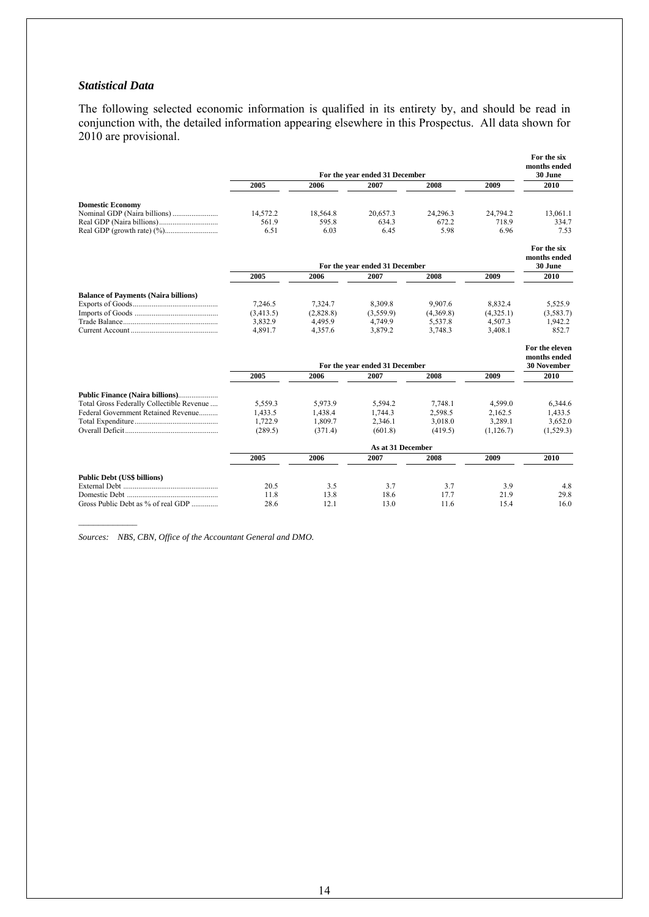#### *Statistical Data*

The following selected economic information is qualified in its entirety by, and should be read in conjunction with, the detailed information appearing elsewhere in this Prospectus. All data shown for 2010 are provisional.

|                                             |                   |           | For the year ended 31 December |           |            | For the six<br>months ended<br>30 June               |
|---------------------------------------------|-------------------|-----------|--------------------------------|-----------|------------|------------------------------------------------------|
|                                             | 2005              | 2006      | 2007                           | 2008      | 2009       | 2010                                                 |
| <b>Domestic Economy</b>                     |                   |           |                                |           |            |                                                      |
|                                             | 14.572.2          | 18,564.8  | 20.657.3                       | 24,296.3  | 24,794.2   | 13,061.1                                             |
|                                             | 561.9             | 595.8     | 634.3                          | 672.2     | 718.9      | 334.7                                                |
|                                             | 6.51              | 6.03      | 6.45                           | 5.98      | 6.96       | 7.53                                                 |
|                                             |                   |           | For the year ended 31 December |           |            | For the six<br>months ended<br>30 June               |
|                                             | 2005              | 2006      | 2007                           | 2008      | 2009       | 2010                                                 |
| <b>Balance of Payments (Naira billions)</b> |                   |           |                                |           |            |                                                      |
|                                             | 7.246.5           | 7,324.7   | 8,309.8                        | 9.907.6   | 8,832.4    | 5,525.9                                              |
|                                             | (3,413.5)         | (2,828.8) | (3,559.9)                      | (4,369.8) | (4,325.1)  | (3,583.7)                                            |
|                                             | 3,832.9           | 4,495.9   | 4,749.9                        | 5,537.8   | 4,507.3    | 1,942.2                                              |
|                                             | 4,891.7           | 4,357.6   | 3,879.2                        | 3,748.3   | 3,408.1    | 852.7                                                |
|                                             |                   |           | For the year ended 31 December |           |            | For the eleven<br>months ended<br><b>30 November</b> |
|                                             | 2005              | 2006      | 2007                           | 2008      | 2009       | 2010                                                 |
| Public Finance (Naira billions)             |                   |           |                                |           |            |                                                      |
| Total Gross Federally Collectible Revenue   | 5.559.3           | 5.973.9   | 5.594.2                        | 7.748.1   | 4.599.0    | 6.344.6                                              |
| Federal Government Retained Revenue         | 1,433.5           | 1,438.4   | 1.744.3                        | 2,598.5   | 2,162.5    | 1,433.5                                              |
|                                             | 1.722.9           | 1,809.7   | 2,346.1                        | 3.018.0   | 3,289.1    | 3,652.0                                              |
| Overall Deficit                             | (289.5)           | (371.4)   | (601.8)                        | (419.5)   | (1, 126.7) | (1,529.3)                                            |
|                                             | As at 31 December |           |                                |           |            |                                                      |
|                                             | 2005              | 2006      | 2007                           | 2008      | 2009       | 2010                                                 |
| <b>Public Debt (US\$ billions)</b>          |                   |           |                                |           |            |                                                      |
|                                             | 20.5              | 3.5       | 3.7                            | 3.7       | 3.9        | 4.8                                                  |
|                                             | 11.8              | 13.8      | 18.6                           | 17.7      | 21.9       | 29.8                                                 |
| Gross Public Debt as % of real GDP          | 28.6              | 12.1      | 13.0                           | 11.6      | 15.4       | 16.0                                                 |

*Sources: NBS, CBN, Office of the Accountant General and DMO.*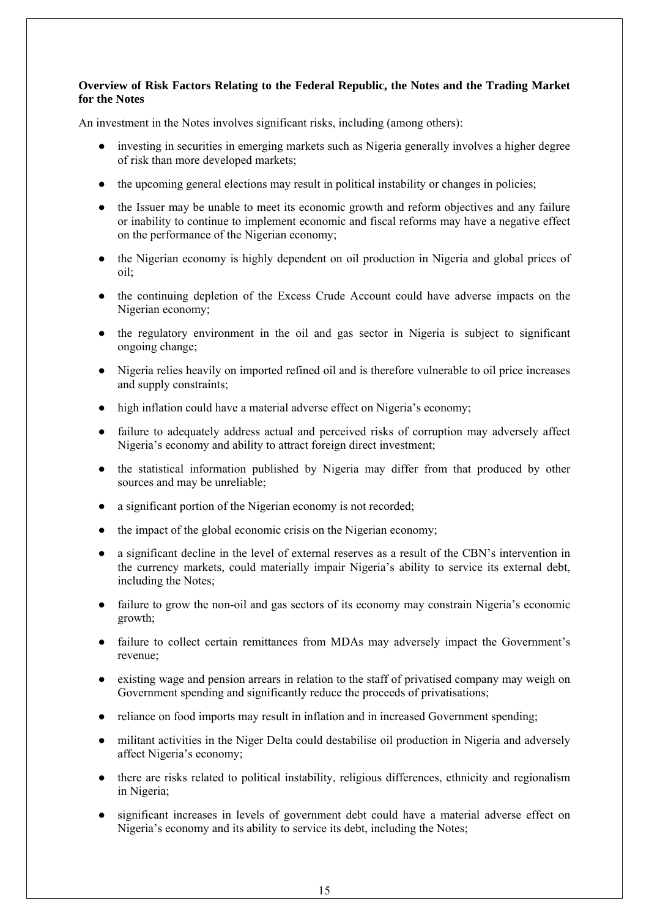## **Overview of Risk Factors Relating to the Federal Republic, the Notes and the Trading Market for the Notes**

An investment in the Notes involves significant risks, including (among others):

- investing in securities in emerging markets such as Nigeria generally involves a higher degree of risk than more developed markets;
- the upcoming general elections may result in political instability or changes in policies;
- the Issuer may be unable to meet its economic growth and reform objectives and any failure or inability to continue to implement economic and fiscal reforms may have a negative effect on the performance of the Nigerian economy;
- the Nigerian economy is highly dependent on oil production in Nigeria and global prices of  $oil$ ;
- the continuing depletion of the Excess Crude Account could have adverse impacts on the Nigerian economy;
- the regulatory environment in the oil and gas sector in Nigeria is subject to significant ongoing change;
- Nigeria relies heavily on imported refined oil and is therefore vulnerable to oil price increases and supply constraints;
- high inflation could have a material adverse effect on Nigeria's economy;
- failure to adequately address actual and perceived risks of corruption may adversely affect Nigeria's economy and ability to attract foreign direct investment;
- the statistical information published by Nigeria may differ from that produced by other sources and may be unreliable;
- a significant portion of the Nigerian economy is not recorded;
- the impact of the global economic crisis on the Nigerian economy;
- a significant decline in the level of external reserves as a result of the CBN's intervention in the currency markets, could materially impair Nigeria's ability to service its external debt, including the Notes;
- failure to grow the non-oil and gas sectors of its economy may constrain Nigeria's economic growth;
- failure to collect certain remittances from MDAs may adversely impact the Government's revenue;
- existing wage and pension arrears in relation to the staff of privatised company may weigh on Government spending and significantly reduce the proceeds of privatisations;
- reliance on food imports may result in inflation and in increased Government spending;
- militant activities in the Niger Delta could destabilise oil production in Nigeria and adversely affect Nigeria's economy;
- there are risks related to political instability, religious differences, ethnicity and regionalism in Nigeria;
- significant increases in levels of government debt could have a material adverse effect on Nigeria's economy and its ability to service its debt, including the Notes;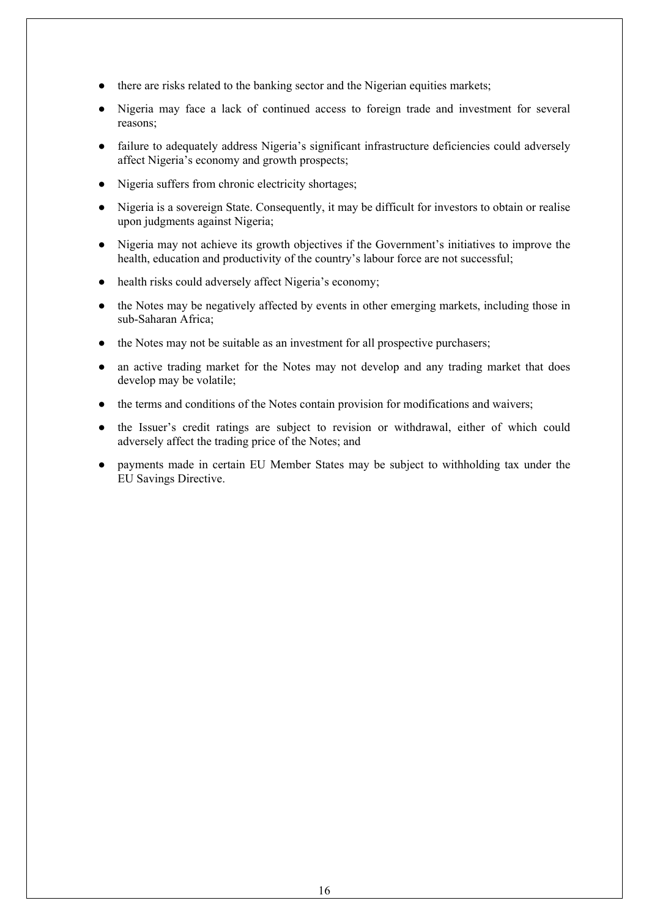- there are risks related to the banking sector and the Nigerian equities markets;
- Nigeria may face a lack of continued access to foreign trade and investment for several reasons;
- failure to adequately address Nigeria's significant infrastructure deficiencies could adversely affect Nigeria's economy and growth prospects;
- Nigeria suffers from chronic electricity shortages;
- Nigeria is a sovereign State. Consequently, it may be difficult for investors to obtain or realise upon judgments against Nigeria;
- Nigeria may not achieve its growth objectives if the Government's initiatives to improve the health, education and productivity of the country's labour force are not successful;
- health risks could adversely affect Nigeria's economy;
- the Notes may be negatively affected by events in other emerging markets, including those in sub-Saharan Africa;
- the Notes may not be suitable as an investment for all prospective purchasers;
- an active trading market for the Notes may not develop and any trading market that does develop may be volatile;
- the terms and conditions of the Notes contain provision for modifications and waivers;
- the Issuer's credit ratings are subject to revision or withdrawal, either of which could adversely affect the trading price of the Notes; and
- payments made in certain EU Member States may be subject to withholding tax under the EU Savings Directive.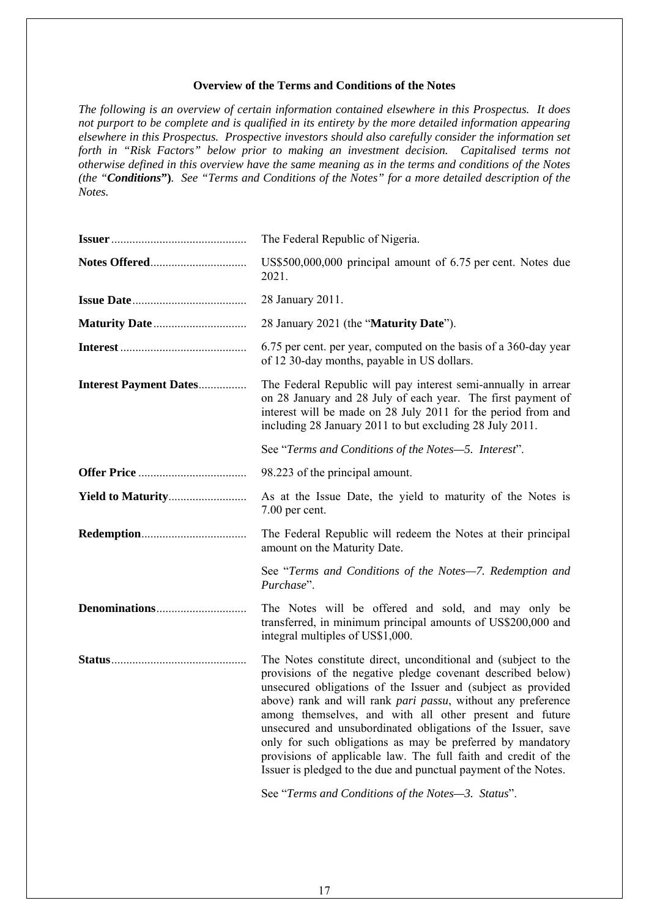#### **Overview of the Terms and Conditions of the Notes**

*The following is an overview of certain information contained elsewhere in this Prospectus. It does not purport to be complete and is qualified in its entirety by the more detailed information appearing elsewhere in this Prospectus. Prospective investors should also carefully consider the information set forth in "Risk Factors" below prior to making an investment decision. Capitalised terms not otherwise defined in this overview have the same meaning as in the terms and conditions of the Notes (the "Conditions***")***. See "Terms and Conditions of the Notes" for a more detailed description of the Notes.* 

|                               | The Federal Republic of Nigeria.                                                                                                                                                                                                                                                                                                                                                                                                                                                                                                                                                            |
|-------------------------------|---------------------------------------------------------------------------------------------------------------------------------------------------------------------------------------------------------------------------------------------------------------------------------------------------------------------------------------------------------------------------------------------------------------------------------------------------------------------------------------------------------------------------------------------------------------------------------------------|
|                               | US\$500,000,000 principal amount of 6.75 per cent. Notes due<br>2021.                                                                                                                                                                                                                                                                                                                                                                                                                                                                                                                       |
|                               | 28 January 2011.                                                                                                                                                                                                                                                                                                                                                                                                                                                                                                                                                                            |
|                               | 28 January 2021 (the "Maturity Date").                                                                                                                                                                                                                                                                                                                                                                                                                                                                                                                                                      |
|                               | 6.75 per cent. per year, computed on the basis of a 360-day year<br>of 12 30-day months, payable in US dollars.                                                                                                                                                                                                                                                                                                                                                                                                                                                                             |
| <b>Interest Payment Dates</b> | The Federal Republic will pay interest semi-annually in arrear<br>on 28 January and 28 July of each year. The first payment of<br>interest will be made on 28 July 2011 for the period from and<br>including 28 January 2011 to but excluding 28 July 2011.                                                                                                                                                                                                                                                                                                                                 |
|                               | See "Terms and Conditions of the Notes-5. Interest".                                                                                                                                                                                                                                                                                                                                                                                                                                                                                                                                        |
|                               | 98.223 of the principal amount.                                                                                                                                                                                                                                                                                                                                                                                                                                                                                                                                                             |
| <b>Yield to Maturity</b>      | As at the Issue Date, the yield to maturity of the Notes is<br>7.00 per cent.                                                                                                                                                                                                                                                                                                                                                                                                                                                                                                               |
|                               | The Federal Republic will redeem the Notes at their principal<br>amount on the Maturity Date.                                                                                                                                                                                                                                                                                                                                                                                                                                                                                               |
|                               | See "Terms and Conditions of the Notes-7. Redemption and<br>Purchase".                                                                                                                                                                                                                                                                                                                                                                                                                                                                                                                      |
|                               | The Notes will be offered and sold, and may only be<br>transferred, in minimum principal amounts of US\$200,000 and<br>integral multiples of US\$1,000.                                                                                                                                                                                                                                                                                                                                                                                                                                     |
|                               | The Notes constitute direct, unconditional and (subject to the<br>provisions of the negative pledge covenant described below)<br>unsecured obligations of the Issuer and (subject as provided<br>above) rank and will rank pari passu, without any preference<br>among themselves, and with all other present and future<br>unsecured and unsubordinated obligations of the Issuer, save<br>only for such obligations as may be preferred by mandatory<br>provisions of applicable law. The full faith and credit of the<br>Issuer is pledged to the due and punctual payment of the Notes. |
|                               | See "Terms and Conditions of the Notes-3. Status".                                                                                                                                                                                                                                                                                                                                                                                                                                                                                                                                          |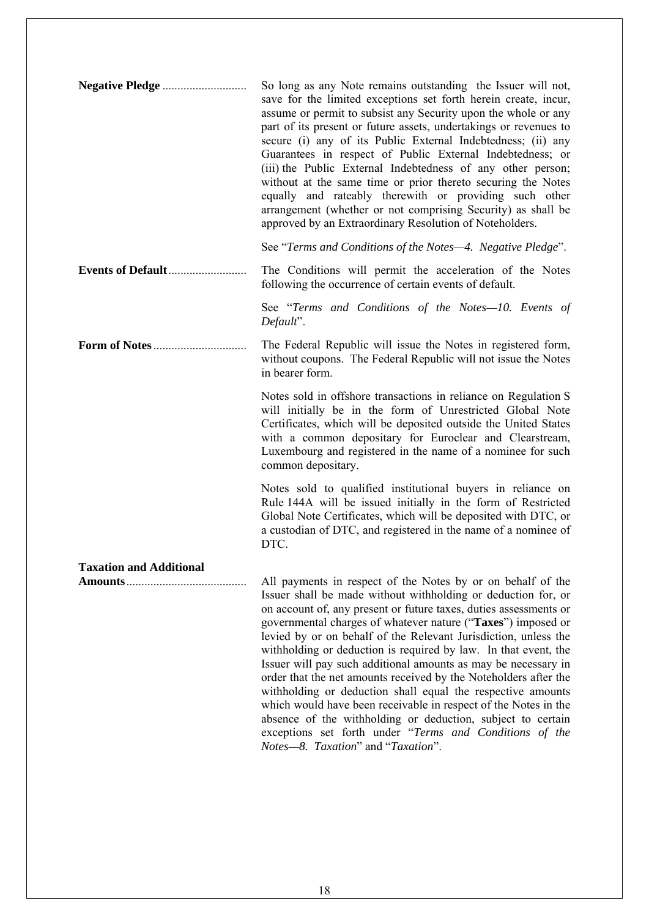**Negative Pledge** ............................ So long as any Note remains outstanding the Issuer will not, save for the limited exceptions set forth herein create, incur, assume or permit to subsist any Security upon the whole or any part of its present or future assets, undertakings or revenues to secure (i) any of its Public External Indebtedness; (ii) any Guarantees in respect of Public External Indebtedness; or (iii) the Public External Indebtedness of any other person; without at the same time or prior thereto securing the Notes equally and rateably therewith or providing such other arrangement (whether or not comprising Security) as shall be approved by an Extraordinary Resolution of Noteholders. See "*Terms and Conditions of the Notes—4. Negative Pledge*". **Events of Default**.......................... The Conditions will permit the acceleration of the Notes following the occurrence of certain events of default. See "*Terms and Conditions of the Notes—10. Events of Default*". **Form of Notes**............................... The Federal Republic will issue the Notes in registered form, without coupons. The Federal Republic will not issue the Notes in bearer form. Notes sold in offshore transactions in reliance on Regulation S will initially be in the form of Unrestricted Global Note Certificates, which will be deposited outside the United States with a common depositary for Euroclear and Clearstream, Luxembourg and registered in the name of a nominee for such common depositary. Notes sold to qualified institutional buyers in reliance on Rule 144A will be issued initially in the form of Restricted Global Note Certificates, which will be deposited with DTC, or a custodian of DTC, and registered in the name of a nominee of DTC. **Taxation and Additional Amounts**........................................ All payments in respect of the Notes by or on behalf of the Issuer shall be made without withholding or deduction for, or on account of, any present or future taxes, duties assessments or governmental charges of whatever nature ("**Taxes**") imposed or levied by or on behalf of the Relevant Jurisdiction, unless the withholding or deduction is required by law. In that event, the Issuer will pay such additional amounts as may be necessary in order that the net amounts received by the Noteholders after the withholding or deduction shall equal the respective amounts which would have been receivable in respect of the Notes in the absence of the withholding or deduction, subject to certain exceptions set forth under "*Terms and Conditions of the Notes—8. Taxation*" and "*Taxation*".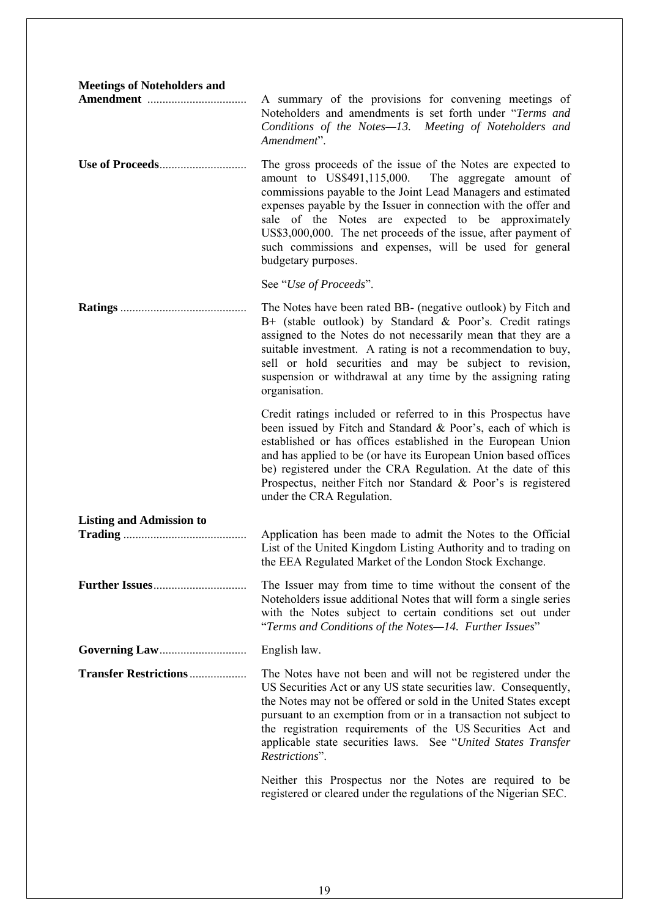| <b>Meetings of Noteholders and</b> |                                                                                                                                                                                                                                                                                                                                                                                                                                                                                      |
|------------------------------------|--------------------------------------------------------------------------------------------------------------------------------------------------------------------------------------------------------------------------------------------------------------------------------------------------------------------------------------------------------------------------------------------------------------------------------------------------------------------------------------|
|                                    | A summary of the provisions for convening meetings of<br>Noteholders and amendments is set forth under "Terms and<br>Conditions of the Notes-13. Meeting of Noteholders and<br>Amendment".                                                                                                                                                                                                                                                                                           |
|                                    | The gross proceeds of the issue of the Notes are expected to<br>amount to US\$491,115,000. The aggregate amount of<br>commissions payable to the Joint Lead Managers and estimated<br>expenses payable by the Issuer in connection with the offer and<br>sale of the Notes are expected to be approximately<br>US\$3,000,000. The net proceeds of the issue, after payment of<br>such commissions and expenses, will be used for general<br>budgetary purposes.                      |
|                                    | See "Use of Proceeds".                                                                                                                                                                                                                                                                                                                                                                                                                                                               |
|                                    | The Notes have been rated BB- (negative outlook) by Fitch and<br>B+ (stable outlook) by Standard & Poor's. Credit ratings<br>assigned to the Notes do not necessarily mean that they are a<br>suitable investment. A rating is not a recommendation to buy,<br>sell or hold securities and may be subject to revision,<br>suspension or withdrawal at any time by the assigning rating<br>organisation.                                                                              |
|                                    | Credit ratings included or referred to in this Prospectus have<br>been issued by Fitch and Standard & Poor's, each of which is<br>established or has offices established in the European Union<br>and has applied to be (or have its European Union based offices<br>be) registered under the CRA Regulation. At the date of this<br>Prospectus, neither Fitch nor Standard & Poor's is registered<br>under the CRA Regulation.                                                      |
| <b>Listing and Admission to</b>    |                                                                                                                                                                                                                                                                                                                                                                                                                                                                                      |
|                                    | Application has been made to admit the Notes to the Official<br>List of the United Kingdom Listing Authority and to trading on<br>the EEA Regulated Market of the London Stock Exchange.                                                                                                                                                                                                                                                                                             |
|                                    | The Issuer may from time to time without the consent of the<br>Noteholders issue additional Notes that will form a single series<br>with the Notes subject to certain conditions set out under<br>"Terms and Conditions of the Notes-14. Further Issues"                                                                                                                                                                                                                             |
|                                    | English law.                                                                                                                                                                                                                                                                                                                                                                                                                                                                         |
| <b>Transfer Restrictions </b>      | The Notes have not been and will not be registered under the<br>US Securities Act or any US state securities law. Consequently,<br>the Notes may not be offered or sold in the United States except<br>pursuant to an exemption from or in a transaction not subject to<br>the registration requirements of the US Securities Act and<br>applicable state securities laws. See "United States Transfer<br>Restrictions".<br>Neither this Prospectus nor the Notes are required to be |
|                                    | registered or cleared under the regulations of the Nigerian SEC.                                                                                                                                                                                                                                                                                                                                                                                                                     |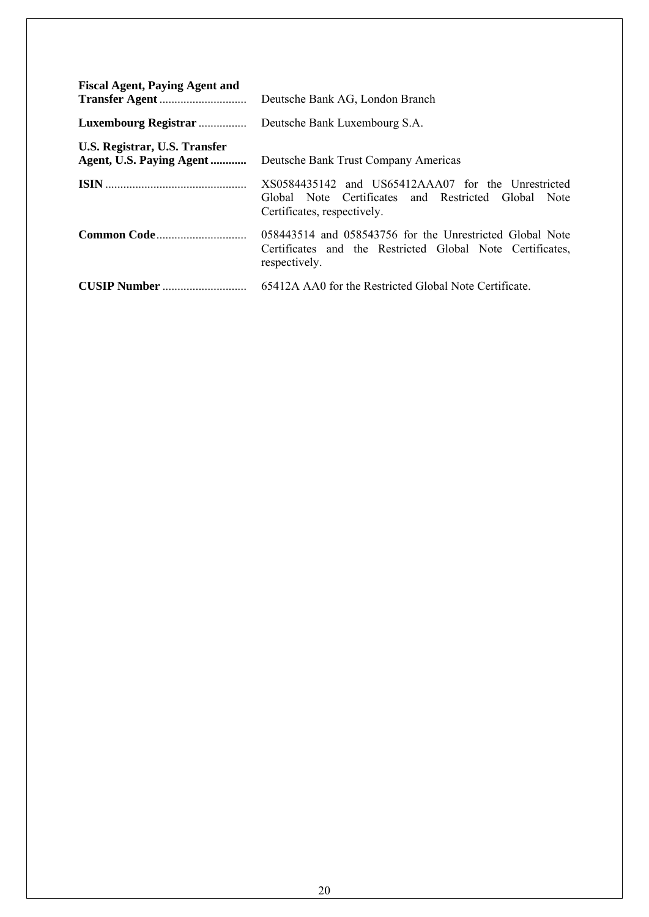| <b>Fiscal Agent, Paying Agent and</b>                     | Deutsche Bank AG, London Branch                                                                                                          |
|-----------------------------------------------------------|------------------------------------------------------------------------------------------------------------------------------------------|
| Luxembourg Registrar                                      | Deutsche Bank Luxembourg S.A.                                                                                                            |
| U.S. Registrar, U.S. Transfer<br>Agent, U.S. Paying Agent | Deutsche Bank Trust Company Americas                                                                                                     |
|                                                           | XS0584435142 and US65412AAA07 for the Unrestricted<br>Global Note Certificates and Restricted Global Note<br>Certificates, respectively. |
|                                                           | 058443514 and 058543756 for the Unrestricted Global Note<br>Certificates and the Restricted Global Note Certificates,<br>respectively.   |
|                                                           | 65412A AA0 for the Restricted Global Note Certificate.                                                                                   |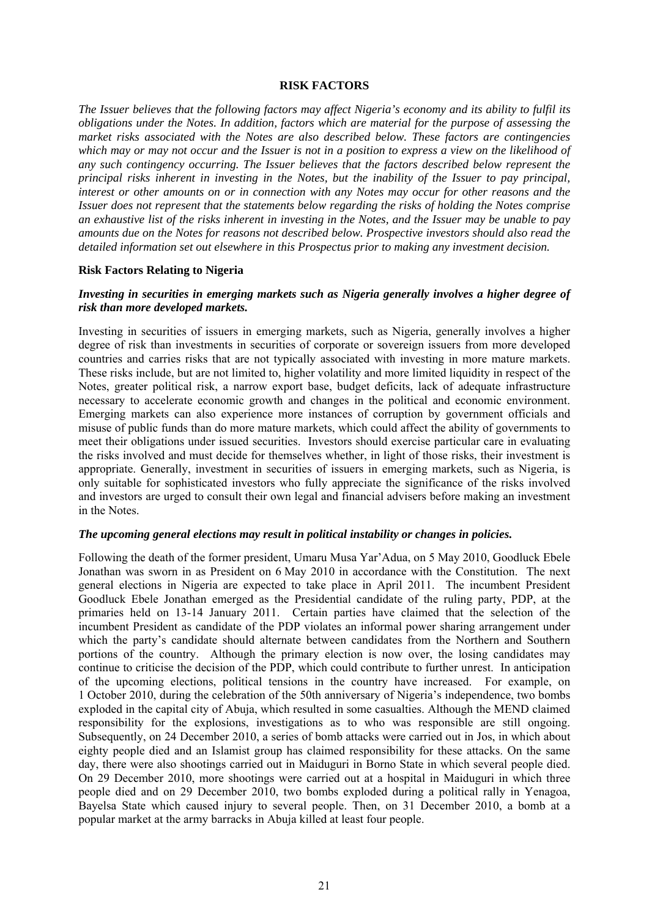#### **RISK FACTORS**

*The Issuer believes that the following factors may affect Nigeria's economy and its ability to fulfil its obligations under the Notes. In addition, factors which are material for the purpose of assessing the market risks associated with the Notes are also described below. These factors are contingencies which may or may not occur and the Issuer is not in a position to express a view on the likelihood of any such contingency occurring. The Issuer believes that the factors described below represent the principal risks inherent in investing in the Notes, but the inability of the Issuer to pay principal, interest or other amounts on or in connection with any Notes may occur for other reasons and the Issuer does not represent that the statements below regarding the risks of holding the Notes comprise an exhaustive list of the risks inherent in investing in the Notes, and the Issuer may be unable to pay amounts due on the Notes for reasons not described below. Prospective investors should also read the detailed information set out elsewhere in this Prospectus prior to making any investment decision.* 

#### **Risk Factors Relating to Nigeria**

## *Investing in securities in emerging markets such as Nigeria generally involves a higher degree of risk than more developed markets.*

Investing in securities of issuers in emerging markets, such as Nigeria, generally involves a higher degree of risk than investments in securities of corporate or sovereign issuers from more developed countries and carries risks that are not typically associated with investing in more mature markets. These risks include, but are not limited to, higher volatility and more limited liquidity in respect of the Notes, greater political risk, a narrow export base, budget deficits, lack of adequate infrastructure necessary to accelerate economic growth and changes in the political and economic environment. Emerging markets can also experience more instances of corruption by government officials and misuse of public funds than do more mature markets, which could affect the ability of governments to meet their obligations under issued securities. Investors should exercise particular care in evaluating the risks involved and must decide for themselves whether, in light of those risks, their investment is appropriate. Generally, investment in securities of issuers in emerging markets, such as Nigeria, is only suitable for sophisticated investors who fully appreciate the significance of the risks involved and investors are urged to consult their own legal and financial advisers before making an investment in the Notes.

#### *The upcoming general elections may result in political instability or changes in policies.*

Following the death of the former president, Umaru Musa Yar'Adua, on 5 May 2010, Goodluck Ebele Jonathan was sworn in as President on 6 May 2010 in accordance with the Constitution. The next general elections in Nigeria are expected to take place in April 2011. The incumbent President Goodluck Ebele Jonathan emerged as the Presidential candidate of the ruling party, PDP, at the primaries held on 13-14 January 2011. Certain parties have claimed that the selection of the incumbent President as candidate of the PDP violates an informal power sharing arrangement under which the party's candidate should alternate between candidates from the Northern and Southern portions of the country. Although the primary election is now over, the losing candidates may continue to criticise the decision of the PDP, which could contribute to further unrest. In anticipation of the upcoming elections, political tensions in the country have increased. For example, on 1 October 2010, during the celebration of the 50th anniversary of Nigeria's independence, two bombs exploded in the capital city of Abuja, which resulted in some casualties. Although the MEND claimed responsibility for the explosions, investigations as to who was responsible are still ongoing. Subsequently, on 24 December 2010, a series of bomb attacks were carried out in Jos, in which about eighty people died and an Islamist group has claimed responsibility for these attacks. On the same day, there were also shootings carried out in Maiduguri in Borno State in which several people died. On 29 December 2010, more shootings were carried out at a hospital in Maiduguri in which three people died and on 29 December 2010, two bombs exploded during a political rally in Yenagoa, Bayelsa State which caused injury to several people. Then, on 31 December 2010, a bomb at a popular market at the army barracks in Abuja killed at least four people.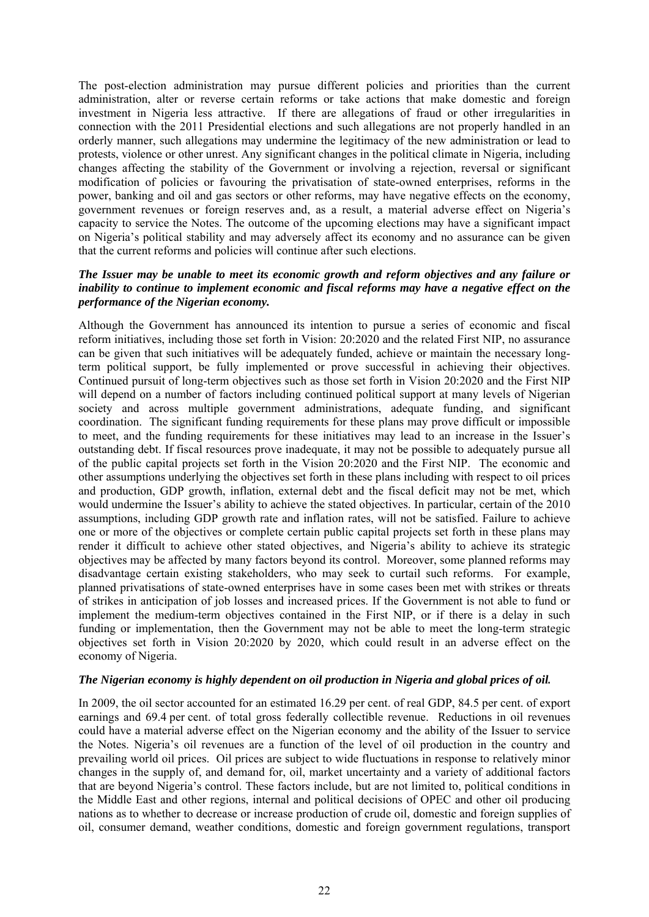The post-election administration may pursue different policies and priorities than the current administration, alter or reverse certain reforms or take actions that make domestic and foreign investment in Nigeria less attractive. If there are allegations of fraud or other irregularities in connection with the 2011 Presidential elections and such allegations are not properly handled in an orderly manner, such allegations may undermine the legitimacy of the new administration or lead to protests, violence or other unrest. Any significant changes in the political climate in Nigeria, including changes affecting the stability of the Government or involving a rejection, reversal or significant modification of policies or favouring the privatisation of state-owned enterprises, reforms in the power, banking and oil and gas sectors or other reforms, may have negative effects on the economy, government revenues or foreign reserves and, as a result, a material adverse effect on Nigeria's capacity to service the Notes. The outcome of the upcoming elections may have a significant impact on Nigeria's political stability and may adversely affect its economy and no assurance can be given that the current reforms and policies will continue after such elections.

## *The Issuer may be unable to meet its economic growth and reform objectives and any failure or inability to continue to implement economic and fiscal reforms may have a negative effect on the performance of the Nigerian economy.*

Although the Government has announced its intention to pursue a series of economic and fiscal reform initiatives, including those set forth in Vision: 20:2020 and the related First NIP, no assurance can be given that such initiatives will be adequately funded, achieve or maintain the necessary longterm political support, be fully implemented or prove successful in achieving their objectives. Continued pursuit of long-term objectives such as those set forth in Vision 20:2020 and the First NIP will depend on a number of factors including continued political support at many levels of Nigerian society and across multiple government administrations, adequate funding, and significant coordination. The significant funding requirements for these plans may prove difficult or impossible to meet, and the funding requirements for these initiatives may lead to an increase in the Issuer's outstanding debt. If fiscal resources prove inadequate, it may not be possible to adequately pursue all of the public capital projects set forth in the Vision 20:2020 and the First NIP. The economic and other assumptions underlying the objectives set forth in these plans including with respect to oil prices and production, GDP growth, inflation, external debt and the fiscal deficit may not be met, which would undermine the Issuer's ability to achieve the stated objectives. In particular, certain of the 2010 assumptions, including GDP growth rate and inflation rates, will not be satisfied. Failure to achieve one or more of the objectives or complete certain public capital projects set forth in these plans may render it difficult to achieve other stated objectives, and Nigeria's ability to achieve its strategic objectives may be affected by many factors beyond its control. Moreover, some planned reforms may disadvantage certain existing stakeholders, who may seek to curtail such reforms. For example, planned privatisations of state-owned enterprises have in some cases been met with strikes or threats of strikes in anticipation of job losses and increased prices. If the Government is not able to fund or implement the medium-term objectives contained in the First NIP, or if there is a delay in such funding or implementation, then the Government may not be able to meet the long-term strategic objectives set forth in Vision 20:2020 by 2020, which could result in an adverse effect on the economy of Nigeria.

## *The Nigerian economy is highly dependent on oil production in Nigeria and global prices of oil.*

In 2009, the oil sector accounted for an estimated 16.29 per cent. of real GDP, 84.5 per cent. of export earnings and 69.4 per cent. of total gross federally collectible revenue. Reductions in oil revenues could have a material adverse effect on the Nigerian economy and the ability of the Issuer to service the Notes. Nigeria's oil revenues are a function of the level of oil production in the country and prevailing world oil prices. Oil prices are subject to wide fluctuations in response to relatively minor changes in the supply of, and demand for, oil, market uncertainty and a variety of additional factors that are beyond Nigeria's control. These factors include, but are not limited to, political conditions in the Middle East and other regions, internal and political decisions of OPEC and other oil producing nations as to whether to decrease or increase production of crude oil, domestic and foreign supplies of oil, consumer demand, weather conditions, domestic and foreign government regulations, transport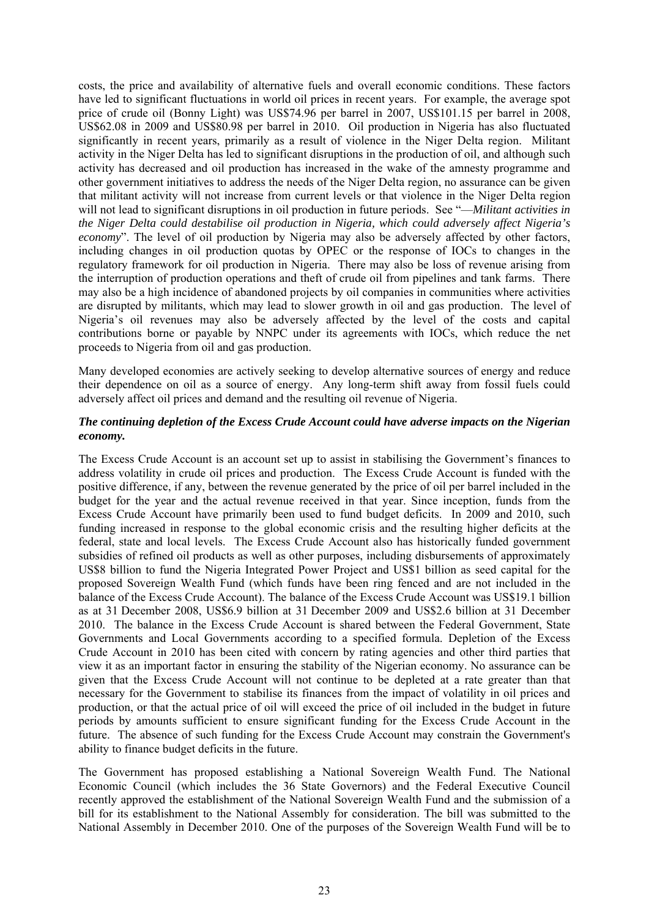costs, the price and availability of alternative fuels and overall economic conditions. These factors have led to significant fluctuations in world oil prices in recent years. For example, the average spot price of crude oil (Bonny Light) was US\$74.96 per barrel in 2007, US\$101.15 per barrel in 2008, US\$62.08 in 2009 and US\$80.98 per barrel in 2010. Oil production in Nigeria has also fluctuated significantly in recent years, primarily as a result of violence in the Niger Delta region. Militant activity in the Niger Delta has led to significant disruptions in the production of oil, and although such activity has decreased and oil production has increased in the wake of the amnesty programme and other government initiatives to address the needs of the Niger Delta region, no assurance can be given that militant activity will not increase from current levels or that violence in the Niger Delta region will not lead to significant disruptions in oil production in future periods. See "—*Militant activities in the Niger Delta could destabilise oil production in Nigeria, which could adversely affect Nigeria's economy*". The level of oil production by Nigeria may also be adversely affected by other factors, including changes in oil production quotas by OPEC or the response of IOCs to changes in the regulatory framework for oil production in Nigeria. There may also be loss of revenue arising from the interruption of production operations and theft of crude oil from pipelines and tank farms. There may also be a high incidence of abandoned projects by oil companies in communities where activities are disrupted by militants, which may lead to slower growth in oil and gas production. The level of Nigeria's oil revenues may also be adversely affected by the level of the costs and capital contributions borne or payable by NNPC under its agreements with IOCs, which reduce the net proceeds to Nigeria from oil and gas production.

Many developed economies are actively seeking to develop alternative sources of energy and reduce their dependence on oil as a source of energy. Any long-term shift away from fossil fuels could adversely affect oil prices and demand and the resulting oil revenue of Nigeria.

## *The continuing depletion of the Excess Crude Account could have adverse impacts on the Nigerian economy.*

The Excess Crude Account is an account set up to assist in stabilising the Government's finances to address volatility in crude oil prices and production. The Excess Crude Account is funded with the positive difference, if any, between the revenue generated by the price of oil per barrel included in the budget for the year and the actual revenue received in that year. Since inception, funds from the Excess Crude Account have primarily been used to fund budget deficits. In 2009 and 2010, such funding increased in response to the global economic crisis and the resulting higher deficits at the federal, state and local levels. The Excess Crude Account also has historically funded government subsidies of refined oil products as well as other purposes, including disbursements of approximately US\$8 billion to fund the Nigeria Integrated Power Project and US\$1 billion as seed capital for the proposed Sovereign Wealth Fund (which funds have been ring fenced and are not included in the balance of the Excess Crude Account). The balance of the Excess Crude Account was US\$19.1 billion as at 31 December 2008, US\$6.9 billion at 31 December 2009 and US\$2.6 billion at 31 December 2010. The balance in the Excess Crude Account is shared between the Federal Government, State Governments and Local Governments according to a specified formula. Depletion of the Excess Crude Account in 2010 has been cited with concern by rating agencies and other third parties that view it as an important factor in ensuring the stability of the Nigerian economy. No assurance can be given that the Excess Crude Account will not continue to be depleted at a rate greater than that necessary for the Government to stabilise its finances from the impact of volatility in oil prices and production, or that the actual price of oil will exceed the price of oil included in the budget in future periods by amounts sufficient to ensure significant funding for the Excess Crude Account in the future. The absence of such funding for the Excess Crude Account may constrain the Government's ability to finance budget deficits in the future.

The Government has proposed establishing a National Sovereign Wealth Fund. The National Economic Council (which includes the 36 State Governors) and the Federal Executive Council recently approved the establishment of the National Sovereign Wealth Fund and the submission of a bill for its establishment to the National Assembly for consideration. The bill was submitted to the National Assembly in December 2010. One of the purposes of the Sovereign Wealth Fund will be to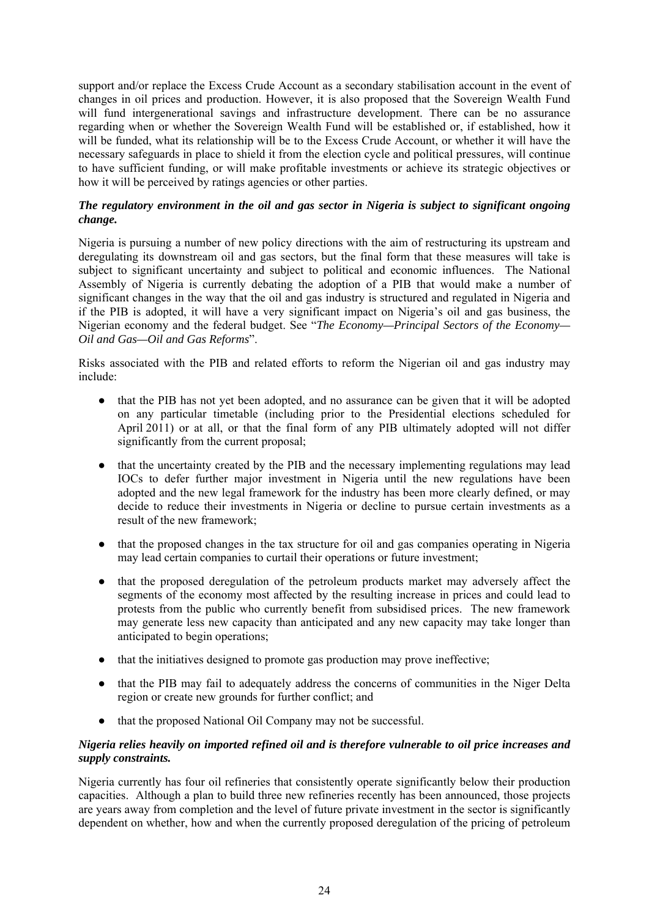support and/or replace the Excess Crude Account as a secondary stabilisation account in the event of changes in oil prices and production. However, it is also proposed that the Sovereign Wealth Fund will fund intergenerational savings and infrastructure development. There can be no assurance regarding when or whether the Sovereign Wealth Fund will be established or, if established, how it will be funded, what its relationship will be to the Excess Crude Account, or whether it will have the necessary safeguards in place to shield it from the election cycle and political pressures, will continue to have sufficient funding, or will make profitable investments or achieve its strategic objectives or how it will be perceived by ratings agencies or other parties.

## *The regulatory environment in the oil and gas sector in Nigeria is subject to significant ongoing change.*

Nigeria is pursuing a number of new policy directions with the aim of restructuring its upstream and deregulating its downstream oil and gas sectors, but the final form that these measures will take is subject to significant uncertainty and subject to political and economic influences. The National Assembly of Nigeria is currently debating the adoption of a PIB that would make a number of significant changes in the way that the oil and gas industry is structured and regulated in Nigeria and if the PIB is adopted, it will have a very significant impact on Nigeria's oil and gas business, the Nigerian economy and the federal budget. See "*The Economy—Principal Sectors of the Economy— Oil and Gas—Oil and Gas Reforms*".

Risks associated with the PIB and related efforts to reform the Nigerian oil and gas industry may include:

- that the PIB has not yet been adopted, and no assurance can be given that it will be adopted on any particular timetable (including prior to the Presidential elections scheduled for April 2011) or at all, or that the final form of any PIB ultimately adopted will not differ significantly from the current proposal;
- that the uncertainty created by the PIB and the necessary implementing regulations may lead IOCs to defer further major investment in Nigeria until the new regulations have been adopted and the new legal framework for the industry has been more clearly defined, or may decide to reduce their investments in Nigeria or decline to pursue certain investments as a result of the new framework;
- that the proposed changes in the tax structure for oil and gas companies operating in Nigeria may lead certain companies to curtail their operations or future investment;
- that the proposed deregulation of the petroleum products market may adversely affect the segments of the economy most affected by the resulting increase in prices and could lead to protests from the public who currently benefit from subsidised prices. The new framework may generate less new capacity than anticipated and any new capacity may take longer than anticipated to begin operations;
- that the initiatives designed to promote gas production may prove ineffective;
- that the PIB may fail to adequately address the concerns of communities in the Niger Delta region or create new grounds for further conflict; and
- that the proposed National Oil Company may not be successful.

## *Nigeria relies heavily on imported refined oil and is therefore vulnerable to oil price increases and supply constraints.*

Nigeria currently has four oil refineries that consistently operate significantly below their production capacities. Although a plan to build three new refineries recently has been announced, those projects are years away from completion and the level of future private investment in the sector is significantly dependent on whether, how and when the currently proposed deregulation of the pricing of petroleum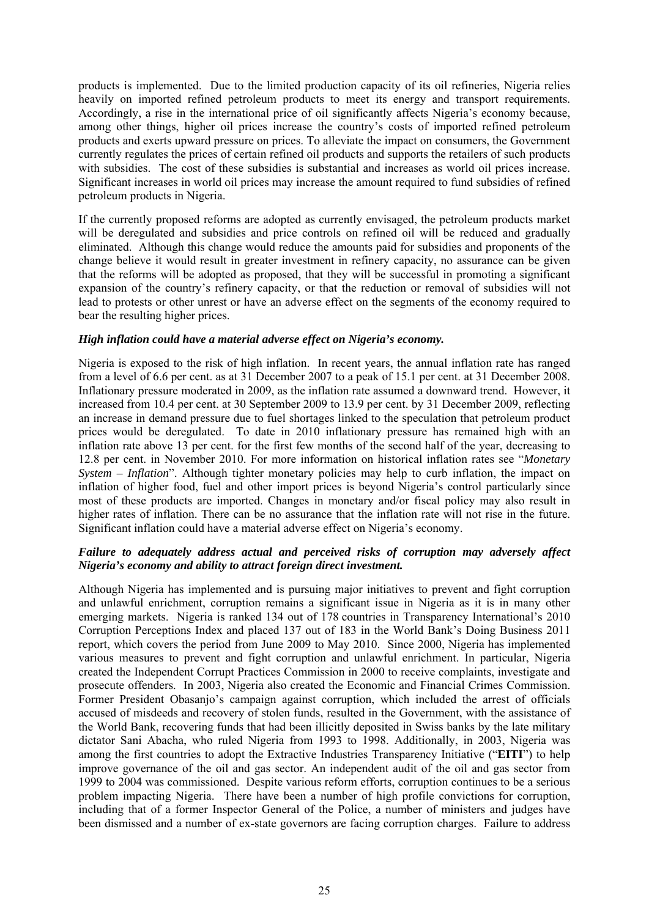products is implemented. Due to the limited production capacity of its oil refineries, Nigeria relies heavily on imported refined petroleum products to meet its energy and transport requirements. Accordingly, a rise in the international price of oil significantly affects Nigeria's economy because, among other things, higher oil prices increase the country's costs of imported refined petroleum products and exerts upward pressure on prices. To alleviate the impact on consumers, the Government currently regulates the prices of certain refined oil products and supports the retailers of such products with subsidies. The cost of these subsidies is substantial and increases as world oil prices increase. Significant increases in world oil prices may increase the amount required to fund subsidies of refined petroleum products in Nigeria.

If the currently proposed reforms are adopted as currently envisaged, the petroleum products market will be deregulated and subsidies and price controls on refined oil will be reduced and gradually eliminated. Although this change would reduce the amounts paid for subsidies and proponents of the change believe it would result in greater investment in refinery capacity, no assurance can be given that the reforms will be adopted as proposed, that they will be successful in promoting a significant expansion of the country's refinery capacity, or that the reduction or removal of subsidies will not lead to protests or other unrest or have an adverse effect on the segments of the economy required to bear the resulting higher prices.

#### *High inflation could have a material adverse effect on Nigeria's economy.*

Nigeria is exposed to the risk of high inflation. In recent years, the annual inflation rate has ranged from a level of 6.6 per cent. as at 31 December 2007 to a peak of 15.1 per cent. at 31 December 2008. Inflationary pressure moderated in 2009, as the inflation rate assumed a downward trend. However, it increased from 10.4 per cent. at 30 September 2009 to 13.9 per cent. by 31 December 2009, reflecting an increase in demand pressure due to fuel shortages linked to the speculation that petroleum product prices would be deregulated. To date in 2010 inflationary pressure has remained high with an inflation rate above 13 per cent. for the first few months of the second half of the year, decreasing to 12.8 per cent. in November 2010. For more information on historical inflation rates see "*Monetary System – Inflation*". Although tighter monetary policies may help to curb inflation, the impact on inflation of higher food, fuel and other import prices is beyond Nigeria's control particularly since most of these products are imported. Changes in monetary and/or fiscal policy may also result in higher rates of inflation. There can be no assurance that the inflation rate will not rise in the future. Significant inflation could have a material adverse effect on Nigeria's economy.

### *Failure to adequately address actual and perceived risks of corruption may adversely affect Nigeria's economy and ability to attract foreign direct investment.*

Although Nigeria has implemented and is pursuing major initiatives to prevent and fight corruption and unlawful enrichment, corruption remains a significant issue in Nigeria as it is in many other emerging markets. Nigeria is ranked 134 out of 178 countries in Transparency International's 2010 Corruption Perceptions Index and placed 137 out of 183 in the World Bank's Doing Business 2011 report, which covers the period from June 2009 to May 2010. Since 2000, Nigeria has implemented various measures to prevent and fight corruption and unlawful enrichment. In particular, Nigeria created the Independent Corrupt Practices Commission in 2000 to receive complaints, investigate and prosecute offenders*.* In 2003, Nigeria also created the Economic and Financial Crimes Commission. Former President Obasanjo's campaign against corruption, which included the arrest of officials accused of misdeeds and recovery of stolen funds, resulted in the Government, with the assistance of the World Bank, recovering funds that had been illicitly deposited in Swiss banks by the late military dictator Sani Abacha, who ruled Nigeria from 1993 to 1998. Additionally, in 2003, Nigeria was among the first countries to adopt the Extractive Industries Transparency Initiative ("**EITI**") to help improve governance of the oil and gas sector. An independent audit of the oil and gas sector from 1999 to 2004 was commissioned. Despite various reform efforts, corruption continues to be a serious problem impacting Nigeria. There have been a number of high profile convictions for corruption, including that of a former Inspector General of the Police, a number of ministers and judges have been dismissed and a number of ex-state governors are facing corruption charges. Failure to address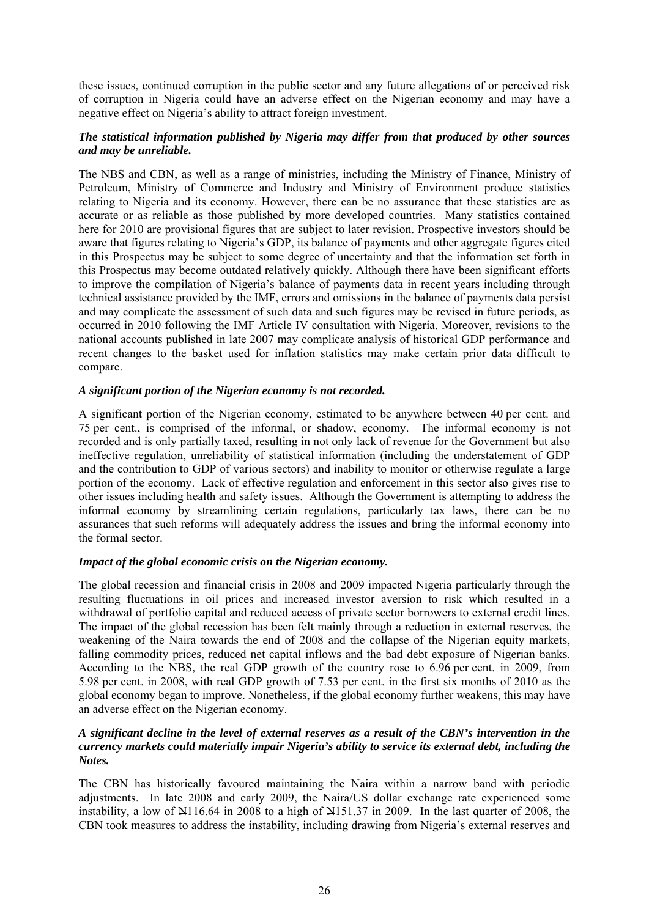these issues, continued corruption in the public sector and any future allegations of or perceived risk of corruption in Nigeria could have an adverse effect on the Nigerian economy and may have a negative effect on Nigeria's ability to attract foreign investment.

## *The statistical information published by Nigeria may differ from that produced by other sources and may be unreliable.*

The NBS and CBN, as well as a range of ministries, including the Ministry of Finance, Ministry of Petroleum, Ministry of Commerce and Industry and Ministry of Environment produce statistics relating to Nigeria and its economy. However, there can be no assurance that these statistics are as accurate or as reliable as those published by more developed countries. Many statistics contained here for 2010 are provisional figures that are subject to later revision. Prospective investors should be aware that figures relating to Nigeria's GDP, its balance of payments and other aggregate figures cited in this Prospectus may be subject to some degree of uncertainty and that the information set forth in this Prospectus may become outdated relatively quickly. Although there have been significant efforts to improve the compilation of Nigeria's balance of payments data in recent years including through technical assistance provided by the IMF, errors and omissions in the balance of payments data persist and may complicate the assessment of such data and such figures may be revised in future periods, as occurred in 2010 following the IMF Article IV consultation with Nigeria. Moreover, revisions to the national accounts published in late 2007 may complicate analysis of historical GDP performance and recent changes to the basket used for inflation statistics may make certain prior data difficult to compare.

### *A significant portion of the Nigerian economy is not recorded.*

A significant portion of the Nigerian economy, estimated to be anywhere between 40 per cent. and 75 per cent., is comprised of the informal, or shadow, economy. The informal economy is not recorded and is only partially taxed, resulting in not only lack of revenue for the Government but also ineffective regulation, unreliability of statistical information (including the understatement of GDP and the contribution to GDP of various sectors) and inability to monitor or otherwise regulate a large portion of the economy. Lack of effective regulation and enforcement in this sector also gives rise to other issues including health and safety issues. Although the Government is attempting to address the informal economy by streamlining certain regulations, particularly tax laws, there can be no assurances that such reforms will adequately address the issues and bring the informal economy into the formal sector.

### *Impact of the global economic crisis on the Nigerian economy.*

The global recession and financial crisis in 2008 and 2009 impacted Nigeria particularly through the resulting fluctuations in oil prices and increased investor aversion to risk which resulted in a withdrawal of portfolio capital and reduced access of private sector borrowers to external credit lines. The impact of the global recession has been felt mainly through a reduction in external reserves, the weakening of the Naira towards the end of 2008 and the collapse of the Nigerian equity markets, falling commodity prices, reduced net capital inflows and the bad debt exposure of Nigerian banks. According to the NBS, the real GDP growth of the country rose to 6.96 per cent. in 2009, from 5.98 per cent. in 2008, with real GDP growth of 7.53 per cent. in the first six months of 2010 as the global economy began to improve. Nonetheless, if the global economy further weakens, this may have an adverse effect on the Nigerian economy.

## *A significant decline in the level of external reserves as a result of the CBN's intervention in the currency markets could materially impair Nigeria's ability to service its external debt, including the Notes.*

The CBN has historically favoured maintaining the Naira within a narrow band with periodic adjustments. In late 2008 and early 2009, the Naira/US dollar exchange rate experienced some instability, a low of  $\frac{1116.64}{10}$  in 2008 to a high of  $\frac{1151.37}{10}$  in 2009. In the last quarter of 2008, the CBN took measures to address the instability, including drawing from Nigeria's external reserves and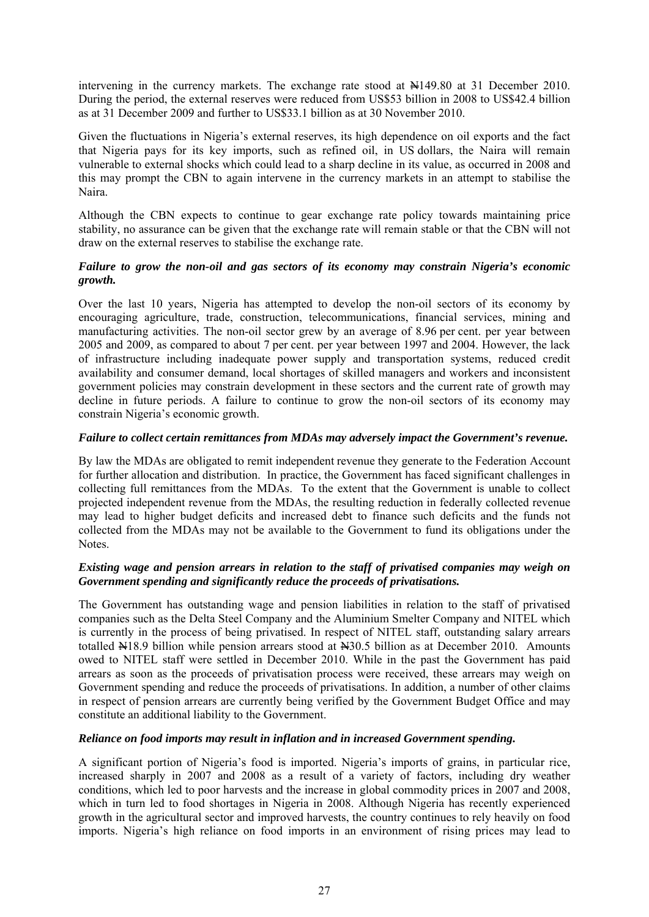intervening in the currency markets. The exchange rate stood at N149.80 at 31 December 2010. During the period, the external reserves were reduced from US\$53 billion in 2008 to US\$42.4 billion as at 31 December 2009 and further to US\$33.1 billion as at 30 November 2010.

Given the fluctuations in Nigeria's external reserves, its high dependence on oil exports and the fact that Nigeria pays for its key imports, such as refined oil, in US dollars, the Naira will remain vulnerable to external shocks which could lead to a sharp decline in its value, as occurred in 2008 and this may prompt the CBN to again intervene in the currency markets in an attempt to stabilise the Naira.

Although the CBN expects to continue to gear exchange rate policy towards maintaining price stability, no assurance can be given that the exchange rate will remain stable or that the CBN will not draw on the external reserves to stabilise the exchange rate.

## *Failure to grow the non-oil and gas sectors of its economy may constrain Nigeria's economic growth.*

Over the last 10 years, Nigeria has attempted to develop the non-oil sectors of its economy by encouraging agriculture, trade, construction, telecommunications, financial services, mining and manufacturing activities. The non-oil sector grew by an average of 8.96 per cent. per year between 2005 and 2009, as compared to about 7 per cent. per year between 1997 and 2004. However, the lack of infrastructure including inadequate power supply and transportation systems, reduced credit availability and consumer demand, local shortages of skilled managers and workers and inconsistent government policies may constrain development in these sectors and the current rate of growth may decline in future periods. A failure to continue to grow the non-oil sectors of its economy may constrain Nigeria's economic growth.

## *Failure to collect certain remittances from MDAs may adversely impact the Government's revenue.*

By law the MDAs are obligated to remit independent revenue they generate to the Federation Account for further allocation and distribution. In practice, the Government has faced significant challenges in collecting full remittances from the MDAs. To the extent that the Government is unable to collect projected independent revenue from the MDAs, the resulting reduction in federally collected revenue may lead to higher budget deficits and increased debt to finance such deficits and the funds not collected from the MDAs may not be available to the Government to fund its obligations under the Notes.

## *Existing wage and pension arrears in relation to the staff of privatised companies may weigh on Government spending and significantly reduce the proceeds of privatisations.*

The Government has outstanding wage and pension liabilities in relation to the staff of privatised companies such as the Delta Steel Company and the Aluminium Smelter Company and NITEL which is currently in the process of being privatised. In respect of NITEL staff, outstanding salary arrears totalled N<sub>18.9</sub> billion while pension arrears stood at N<sub>30.5</sub> billion as at December 2010. Amounts owed to NITEL staff were settled in December 2010. While in the past the Government has paid arrears as soon as the proceeds of privatisation process were received, these arrears may weigh on Government spending and reduce the proceeds of privatisations. In addition, a number of other claims in respect of pension arrears are currently being verified by the Government Budget Office and may constitute an additional liability to the Government.

### *Reliance on food imports may result in inflation and in increased Government spending.*

A significant portion of Nigeria's food is imported. Nigeria's imports of grains, in particular rice, increased sharply in 2007 and 2008 as a result of a variety of factors, including dry weather conditions, which led to poor harvests and the increase in global commodity prices in 2007 and 2008, which in turn led to food shortages in Nigeria in 2008. Although Nigeria has recently experienced growth in the agricultural sector and improved harvests, the country continues to rely heavily on food imports. Nigeria's high reliance on food imports in an environment of rising prices may lead to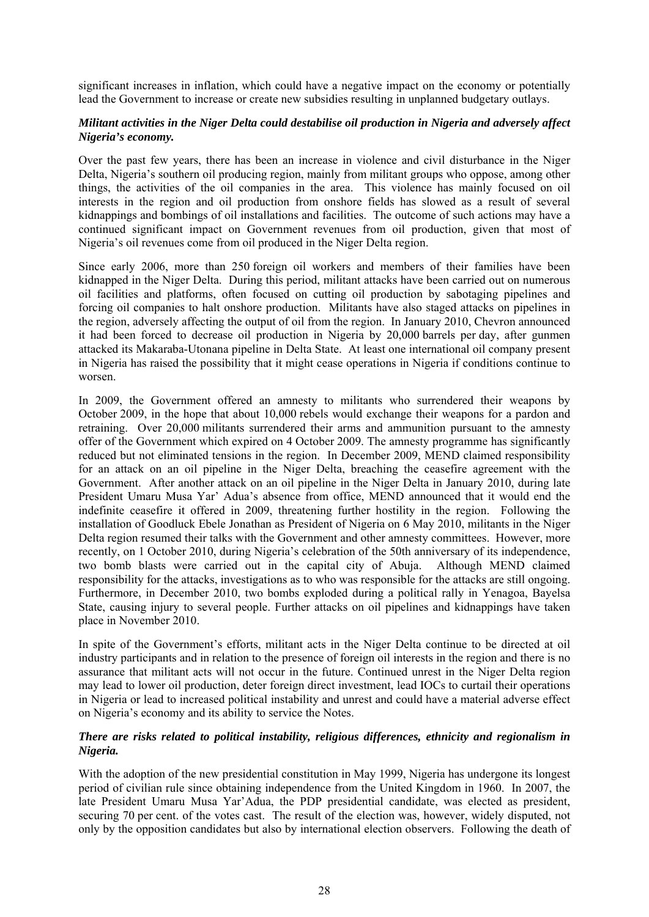significant increases in inflation, which could have a negative impact on the economy or potentially lead the Government to increase or create new subsidies resulting in unplanned budgetary outlays.

## *Militant activities in the Niger Delta could destabilise oil production in Nigeria and adversely affect Nigeria's economy.*

Over the past few years, there has been an increase in violence and civil disturbance in the Niger Delta, Nigeria's southern oil producing region, mainly from militant groups who oppose, among other things, the activities of the oil companies in the area. This violence has mainly focused on oil interests in the region and oil production from onshore fields has slowed as a result of several kidnappings and bombings of oil installations and facilities. The outcome of such actions may have a continued significant impact on Government revenues from oil production, given that most of Nigeria's oil revenues come from oil produced in the Niger Delta region.

Since early 2006, more than 250 foreign oil workers and members of their families have been kidnapped in the Niger Delta. During this period, militant attacks have been carried out on numerous oil facilities and platforms, often focused on cutting oil production by sabotaging pipelines and forcing oil companies to halt onshore production. Militants have also staged attacks on pipelines in the region, adversely affecting the output of oil from the region. In January 2010, Chevron announced it had been forced to decrease oil production in Nigeria by 20,000 barrels per day, after gunmen attacked its Makaraba-Utonana pipeline in Delta State. At least one international oil company present in Nigeria has raised the possibility that it might cease operations in Nigeria if conditions continue to worsen.

In 2009, the Government offered an amnesty to militants who surrendered their weapons by October 2009, in the hope that about 10,000 rebels would exchange their weapons for a pardon and retraining. Over 20,000 militants surrendered their arms and ammunition pursuant to the amnesty offer of the Government which expired on 4 October 2009. The amnesty programme has significantly reduced but not eliminated tensions in the region. In December 2009, MEND claimed responsibility for an attack on an oil pipeline in the Niger Delta, breaching the ceasefire agreement with the Government. After another attack on an oil pipeline in the Niger Delta in January 2010, during late President Umaru Musa Yar' Adua's absence from office, MEND announced that it would end the indefinite ceasefire it offered in 2009, threatening further hostility in the region. Following the installation of Goodluck Ebele Jonathan as President of Nigeria on 6 May 2010, militants in the Niger Delta region resumed their talks with the Government and other amnesty committees. However, more recently, on 1 October 2010, during Nigeria's celebration of the 50th anniversary of its independence, two bomb blasts were carried out in the capital city of Abuja. Although MEND claimed responsibility for the attacks, investigations as to who was responsible for the attacks are still ongoing. Furthermore, in December 2010, two bombs exploded during a political rally in Yenagoa, Bayelsa State, causing injury to several people. Further attacks on oil pipelines and kidnappings have taken place in November 2010.

In spite of the Government's efforts, militant acts in the Niger Delta continue to be directed at oil industry participants and in relation to the presence of foreign oil interests in the region and there is no assurance that militant acts will not occur in the future. Continued unrest in the Niger Delta region may lead to lower oil production, deter foreign direct investment, lead IOCs to curtail their operations in Nigeria or lead to increased political instability and unrest and could have a material adverse effect on Nigeria's economy and its ability to service the Notes.

## *There are risks related to political instability, religious differences, ethnicity and regionalism in Nigeria.*

With the adoption of the new presidential constitution in May 1999, Nigeria has undergone its longest period of civilian rule since obtaining independence from the United Kingdom in 1960. In 2007, the late President Umaru Musa Yar'Adua, the PDP presidential candidate, was elected as president, securing 70 per cent. of the votes cast. The result of the election was, however, widely disputed, not only by the opposition candidates but also by international election observers. Following the death of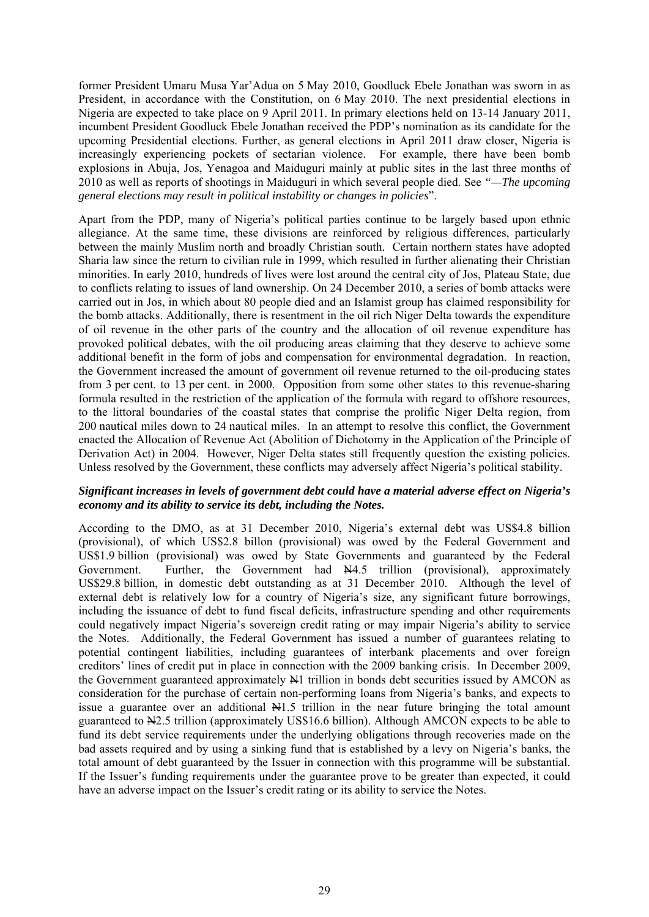former President Umaru Musa Yar'Adua on 5 May 2010, Goodluck Ebele Jonathan was sworn in as President, in accordance with the Constitution, on 6 May 2010. The next presidential elections in Nigeria are expected to take place on 9 April 2011. In primary elections held on 13-14 January 2011, incumbent President Goodluck Ebele Jonathan received the PDP's nomination as its candidate for the upcoming Presidential elections. Further, as general elections in April 2011 draw closer, Nigeria is increasingly experiencing pockets of sectarian violence. For example, there have been bomb explosions in Abuja, Jos, Yenagoa and Maiduguri mainly at public sites in the last three months of 2010 as well as reports of shootings in Maiduguri in which several people died. See *"—The upcoming general elections may result in political instability or changes in policies*".

Apart from the PDP, many of Nigeria's political parties continue to be largely based upon ethnic allegiance. At the same time, these divisions are reinforced by religious differences, particularly between the mainly Muslim north and broadly Christian south. Certain northern states have adopted Sharia law since the return to civilian rule in 1999, which resulted in further alienating their Christian minorities. In early 2010, hundreds of lives were lost around the central city of Jos, Plateau State, due to conflicts relating to issues of land ownership. On 24 December 2010, a series of bomb attacks were carried out in Jos, in which about 80 people died and an Islamist group has claimed responsibility for the bomb attacks. Additionally, there is resentment in the oil rich Niger Delta towards the expenditure of oil revenue in the other parts of the country and the allocation of oil revenue expenditure has provoked political debates, with the oil producing areas claiming that they deserve to achieve some additional benefit in the form of jobs and compensation for environmental degradation. In reaction, the Government increased the amount of government oil revenue returned to the oil-producing states from 3 per cent. to 13 per cent. in 2000. Opposition from some other states to this revenue-sharing formula resulted in the restriction of the application of the formula with regard to offshore resources, to the littoral boundaries of the coastal states that comprise the prolific Niger Delta region, from 200 nautical miles down to 24 nautical miles. In an attempt to resolve this conflict, the Government enacted the Allocation of Revenue Act (Abolition of Dichotomy in the Application of the Principle of Derivation Act) in 2004. However, Niger Delta states still frequently question the existing policies. Unless resolved by the Government, these conflicts may adversely affect Nigeria's political stability.

### *Significant increases in levels of government debt could have a material adverse effect on Nigeria's economy and its ability to service its debt, including the Notes.*

According to the DMO, as at 31 December 2010, Nigeria's external debt was US\$4.8 billion (provisional), of which US\$2.8 billon (provisional) was owed by the Federal Government and US\$1.9 billion (provisional) was owed by State Governments and guaranteed by the Federal Government. Further, the Government had  $\frac{144.5}{100}$  (provisional), approximately US\$29.8 billion, in domestic debt outstanding as at 31 December 2010. Although the level of external debt is relatively low for a country of Nigeria's size, any significant future borrowings, including the issuance of debt to fund fiscal deficits, infrastructure spending and other requirements could negatively impact Nigeria's sovereign credit rating or may impair Nigeria's ability to service the Notes. Additionally, the Federal Government has issued a number of guarantees relating to potential contingent liabilities, including guarantees of interbank placements and over foreign creditors' lines of credit put in place in connection with the 2009 banking crisis. In December 2009, the Government guaranteed approximately  $\mathbb{H}$ 1 trillion in bonds debt securities issued by AMCON as consideration for the purchase of certain non-performing loans from Nigeria's banks, and expects to issue a guarantee over an additional  $\frac{1}{2}$ . If illion in the near future bringing the total amount guaranteed to N2.5 trillion (approximately US\$16.6 billion). Although AMCON expects to be able to fund its debt service requirements under the underlying obligations through recoveries made on the bad assets required and by using a sinking fund that is established by a levy on Nigeria's banks, the total amount of debt guaranteed by the Issuer in connection with this programme will be substantial. If the Issuer's funding requirements under the guarantee prove to be greater than expected, it could have an adverse impact on the Issuer's credit rating or its ability to service the Notes.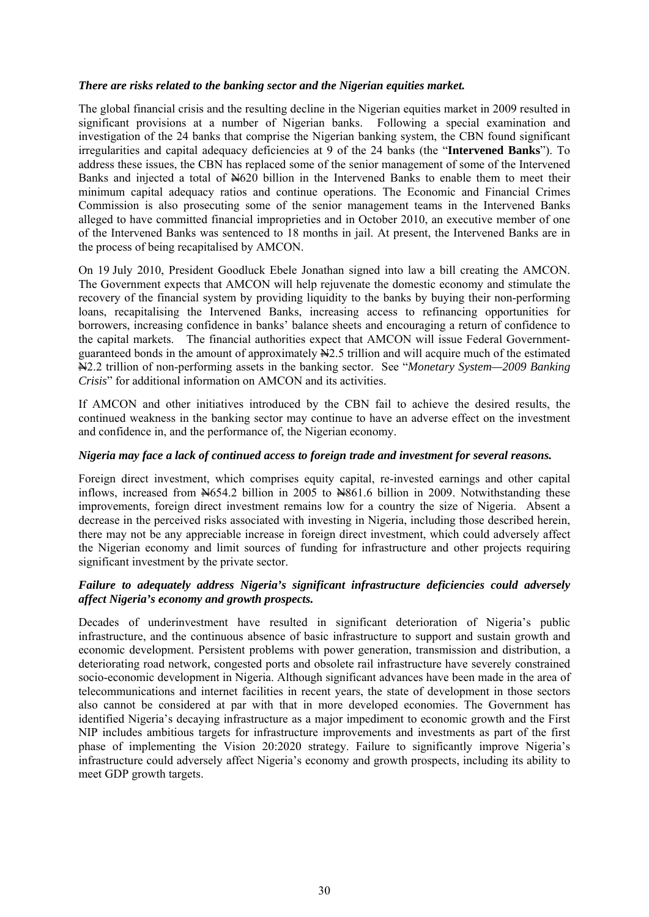### *There are risks related to the banking sector and the Nigerian equities market.*

The global financial crisis and the resulting decline in the Nigerian equities market in 2009 resulted in significant provisions at a number of Nigerian banks. Following a special examination and investigation of the 24 banks that comprise the Nigerian banking system, the CBN found significant irregularities and capital adequacy deficiencies at 9 of the 24 banks (the "**Intervened Banks**"). To address these issues, the CBN has replaced some of the senior management of some of the Intervened Banks and injected a total of  $\frac{N}{620}$  billion in the Intervened Banks to enable them to meet their minimum capital adequacy ratios and continue operations. The Economic and Financial Crimes Commission is also prosecuting some of the senior management teams in the Intervened Banks alleged to have committed financial improprieties and in October 2010, an executive member of one of the Intervened Banks was sentenced to 18 months in jail. At present, the Intervened Banks are in the process of being recapitalised by AMCON.

On 19 July 2010, President Goodluck Ebele Jonathan signed into law a bill creating the AMCON. The Government expects that AMCON will help rejuvenate the domestic economy and stimulate the recovery of the financial system by providing liquidity to the banks by buying their non-performing loans, recapitalising the Intervened Banks, increasing access to refinancing opportunities for borrowers, increasing confidence in banks' balance sheets and encouraging a return of confidence to the capital markets. The financial authorities expect that AMCON will issue Federal Governmentguaranteed bonds in the amount of approximately N2.5 trillion and will acquire much of the estimated N2.2 trillion of non-performing assets in the banking sector. See "*Monetary System—2009 Banking Crisis*" for additional information on AMCON and its activities.

If AMCON and other initiatives introduced by the CBN fail to achieve the desired results, the continued weakness in the banking sector may continue to have an adverse effect on the investment and confidence in, and the performance of, the Nigerian economy.

#### *Nigeria may face a lack of continued access to foreign trade and investment for several reasons.*

Foreign direct investment, which comprises equity capital, re-invested earnings and other capital inflows, increased from  $\frac{1654.2}{1000}$  billion in 2005 to  $\frac{18861.6}{1000}$  billion in 2009. Notwithstanding these improvements, foreign direct investment remains low for a country the size of Nigeria. Absent a decrease in the perceived risks associated with investing in Nigeria, including those described herein, there may not be any appreciable increase in foreign direct investment, which could adversely affect the Nigerian economy and limit sources of funding for infrastructure and other projects requiring significant investment by the private sector.

### *Failure to adequately address Nigeria's significant infrastructure deficiencies could adversely affect Nigeria's economy and growth prospects.*

Decades of underinvestment have resulted in significant deterioration of Nigeria's public infrastructure, and the continuous absence of basic infrastructure to support and sustain growth and economic development. Persistent problems with power generation, transmission and distribution, a deteriorating road network, congested ports and obsolete rail infrastructure have severely constrained socio-economic development in Nigeria. Although significant advances have been made in the area of telecommunications and internet facilities in recent years, the state of development in those sectors also cannot be considered at par with that in more developed economies. The Government has identified Nigeria's decaying infrastructure as a major impediment to economic growth and the First NIP includes ambitious targets for infrastructure improvements and investments as part of the first phase of implementing the Vision 20:2020 strategy. Failure to significantly improve Nigeria's infrastructure could adversely affect Nigeria's economy and growth prospects, including its ability to meet GDP growth targets.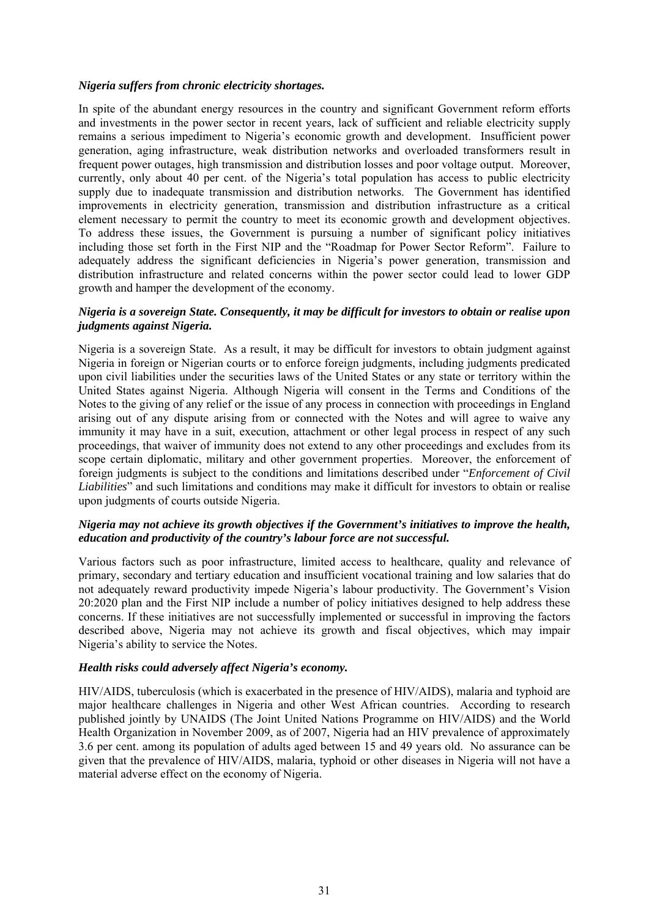#### *Nigeria suffers from chronic electricity shortages.*

In spite of the abundant energy resources in the country and significant Government reform efforts and investments in the power sector in recent years, lack of sufficient and reliable electricity supply remains a serious impediment to Nigeria's economic growth and development. Insufficient power generation, aging infrastructure, weak distribution networks and overloaded transformers result in frequent power outages, high transmission and distribution losses and poor voltage output. Moreover, currently, only about 40 per cent. of the Nigeria's total population has access to public electricity supply due to inadequate transmission and distribution networks. The Government has identified improvements in electricity generation, transmission and distribution infrastructure as a critical element necessary to permit the country to meet its economic growth and development objectives. To address these issues, the Government is pursuing a number of significant policy initiatives including those set forth in the First NIP and the "Roadmap for Power Sector Reform". Failure to adequately address the significant deficiencies in Nigeria's power generation, transmission and distribution infrastructure and related concerns within the power sector could lead to lower GDP growth and hamper the development of the economy.

### *Nigeria is a sovereign State. Consequently, it may be difficult for investors to obtain or realise upon judgments against Nigeria.*

Nigeria is a sovereign State. As a result, it may be difficult for investors to obtain judgment against Nigeria in foreign or Nigerian courts or to enforce foreign judgments, including judgments predicated upon civil liabilities under the securities laws of the United States or any state or territory within the United States against Nigeria. Although Nigeria will consent in the Terms and Conditions of the Notes to the giving of any relief or the issue of any process in connection with proceedings in England arising out of any dispute arising from or connected with the Notes and will agree to waive any immunity it may have in a suit, execution, attachment or other legal process in respect of any such proceedings, that waiver of immunity does not extend to any other proceedings and excludes from its scope certain diplomatic, military and other government properties. Moreover, the enforcement of foreign judgments is subject to the conditions and limitations described under "*Enforcement of Civil Liabilities*" and such limitations and conditions may make it difficult for investors to obtain or realise upon judgments of courts outside Nigeria.

### *Nigeria may not achieve its growth objectives if the Government's initiatives to improve the health, education and productivity of the country's labour force are not successful.*

Various factors such as poor infrastructure, limited access to healthcare, quality and relevance of primary, secondary and tertiary education and insufficient vocational training and low salaries that do not adequately reward productivity impede Nigeria's labour productivity. The Government's Vision 20:2020 plan and the First NIP include a number of policy initiatives designed to help address these concerns. If these initiatives are not successfully implemented or successful in improving the factors described above, Nigeria may not achieve its growth and fiscal objectives, which may impair Nigeria's ability to service the Notes.

### *Health risks could adversely affect Nigeria's economy.*

HIV/AIDS, tuberculosis (which is exacerbated in the presence of HIV/AIDS), malaria and typhoid are major healthcare challenges in Nigeria and other West African countries. According to research published jointly by UNAIDS (The Joint United Nations Programme on HIV/AIDS) and the World Health Organization in November 2009, as of 2007, Nigeria had an HIV prevalence of approximately 3.6 per cent. among its population of adults aged between 15 and 49 years old. No assurance can be given that the prevalence of HIV/AIDS, malaria, typhoid or other diseases in Nigeria will not have a material adverse effect on the economy of Nigeria.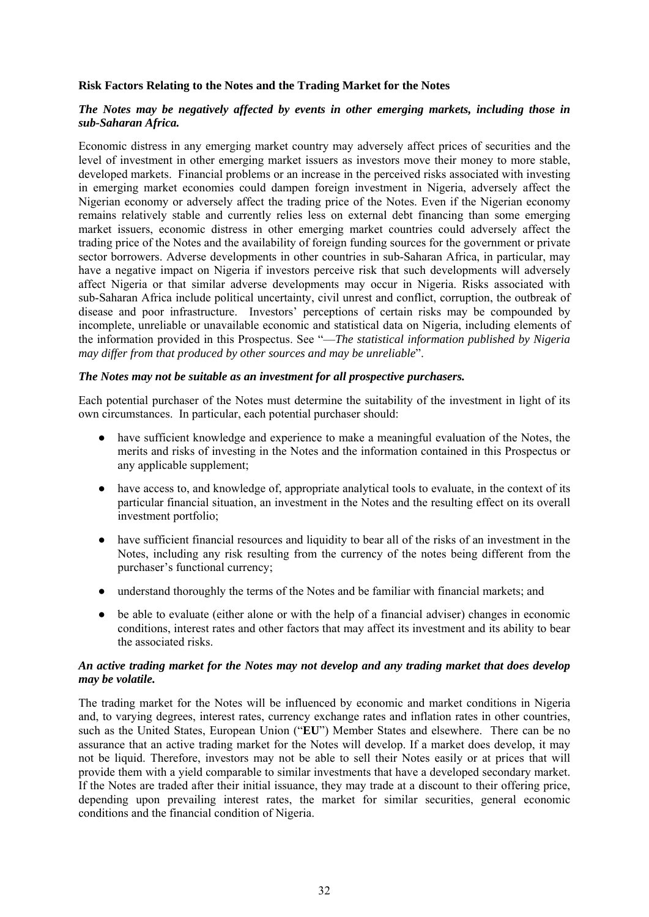## **Risk Factors Relating to the Notes and the Trading Market for the Notes**

## *The Notes may be negatively affected by events in other emerging markets, including those in sub-Saharan Africa.*

Economic distress in any emerging market country may adversely affect prices of securities and the level of investment in other emerging market issuers as investors move their money to more stable, developed markets. Financial problems or an increase in the perceived risks associated with investing in emerging market economies could dampen foreign investment in Nigeria, adversely affect the Nigerian economy or adversely affect the trading price of the Notes. Even if the Nigerian economy remains relatively stable and currently relies less on external debt financing than some emerging market issuers, economic distress in other emerging market countries could adversely affect the trading price of the Notes and the availability of foreign funding sources for the government or private sector borrowers. Adverse developments in other countries in sub-Saharan Africa, in particular, may have a negative impact on Nigeria if investors perceive risk that such developments will adversely affect Nigeria or that similar adverse developments may occur in Nigeria. Risks associated with sub-Saharan Africa include political uncertainty, civil unrest and conflict, corruption, the outbreak of disease and poor infrastructure. Investors' perceptions of certain risks may be compounded by incomplete, unreliable or unavailable economic and statistical data on Nigeria, including elements of the information provided in this Prospectus. See "—*The statistical information published by Nigeria may differ from that produced by other sources and may be unreliable*".

### *The Notes may not be suitable as an investment for all prospective purchasers.*

Each potential purchaser of the Notes must determine the suitability of the investment in light of its own circumstances. In particular, each potential purchaser should:

- have sufficient knowledge and experience to make a meaningful evaluation of the Notes, the merits and risks of investing in the Notes and the information contained in this Prospectus or any applicable supplement;
- have access to, and knowledge of, appropriate analytical tools to evaluate, in the context of its particular financial situation, an investment in the Notes and the resulting effect on its overall investment portfolio;
- have sufficient financial resources and liquidity to bear all of the risks of an investment in the Notes, including any risk resulting from the currency of the notes being different from the purchaser's functional currency;
- understand thoroughly the terms of the Notes and be familiar with financial markets; and
- be able to evaluate (either alone or with the help of a financial adviser) changes in economic conditions, interest rates and other factors that may affect its investment and its ability to bear the associated risks.

## *An active trading market for the Notes may not develop and any trading market that does develop may be volatile.*

The trading market for the Notes will be influenced by economic and market conditions in Nigeria and, to varying degrees, interest rates, currency exchange rates and inflation rates in other countries, such as the United States, European Union ("**EU**") Member States and elsewhere. There can be no assurance that an active trading market for the Notes will develop. If a market does develop, it may not be liquid. Therefore, investors may not be able to sell their Notes easily or at prices that will provide them with a yield comparable to similar investments that have a developed secondary market. If the Notes are traded after their initial issuance, they may trade at a discount to their offering price, depending upon prevailing interest rates, the market for similar securities, general economic conditions and the financial condition of Nigeria.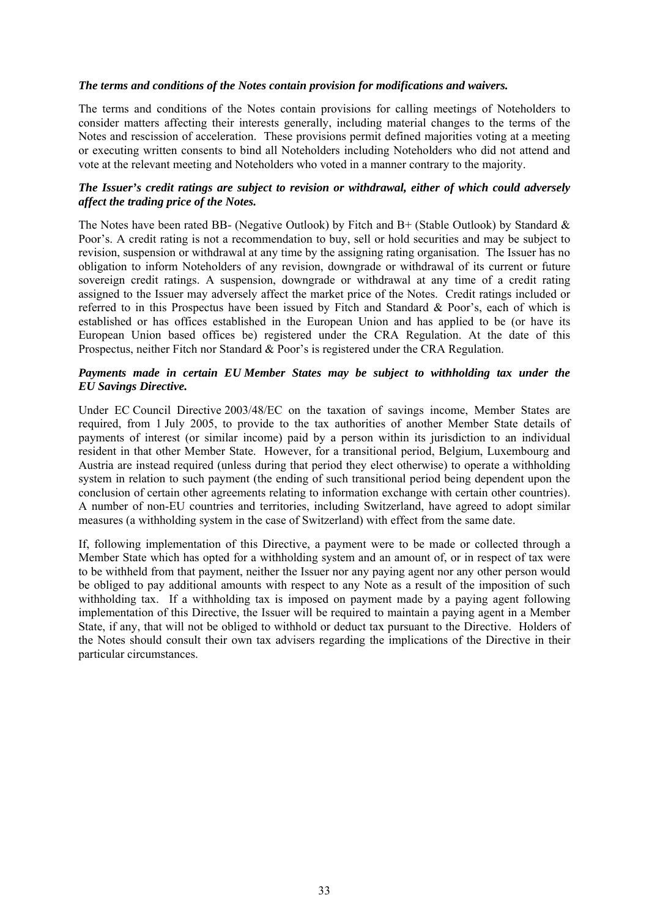#### *The terms and conditions of the Notes contain provision for modifications and waivers.*

The terms and conditions of the Notes contain provisions for calling meetings of Noteholders to consider matters affecting their interests generally, including material changes to the terms of the Notes and rescission of acceleration. These provisions permit defined majorities voting at a meeting or executing written consents to bind all Noteholders including Noteholders who did not attend and vote at the relevant meeting and Noteholders who voted in a manner contrary to the majority.

## *The Issuer's credit ratings are subject to revision or withdrawal, either of which could adversely affect the trading price of the Notes.*

The Notes have been rated BB- (Negative Outlook) by Fitch and B+ (Stable Outlook) by Standard  $\&$ Poor's. A credit rating is not a recommendation to buy, sell or hold securities and may be subject to revision, suspension or withdrawal at any time by the assigning rating organisation. The Issuer has no obligation to inform Noteholders of any revision, downgrade or withdrawal of its current or future sovereign credit ratings. A suspension, downgrade or withdrawal at any time of a credit rating assigned to the Issuer may adversely affect the market price of the Notes. Credit ratings included or referred to in this Prospectus have been issued by Fitch and Standard & Poor's, each of which is established or has offices established in the European Union and has applied to be (or have its European Union based offices be) registered under the CRA Regulation. At the date of this Prospectus, neither Fitch nor Standard & Poor's is registered under the CRA Regulation.

### *Payments made in certain EU Member States may be subject to withholding tax under the EU Savings Directive.*

Under EC Council Directive 2003/48/EC on the taxation of savings income, Member States are required, from 1 July 2005, to provide to the tax authorities of another Member State details of payments of interest (or similar income) paid by a person within its jurisdiction to an individual resident in that other Member State. However, for a transitional period, Belgium, Luxembourg and Austria are instead required (unless during that period they elect otherwise) to operate a withholding system in relation to such payment (the ending of such transitional period being dependent upon the conclusion of certain other agreements relating to information exchange with certain other countries). A number of non-EU countries and territories, including Switzerland, have agreed to adopt similar measures (a withholding system in the case of Switzerland) with effect from the same date.

If, following implementation of this Directive, a payment were to be made or collected through a Member State which has opted for a withholding system and an amount of, or in respect of tax were to be withheld from that payment, neither the Issuer nor any paying agent nor any other person would be obliged to pay additional amounts with respect to any Note as a result of the imposition of such withholding tax. If a withholding tax is imposed on payment made by a paying agent following implementation of this Directive, the Issuer will be required to maintain a paying agent in a Member State, if any, that will not be obliged to withhold or deduct tax pursuant to the Directive. Holders of the Notes should consult their own tax advisers regarding the implications of the Directive in their particular circumstances.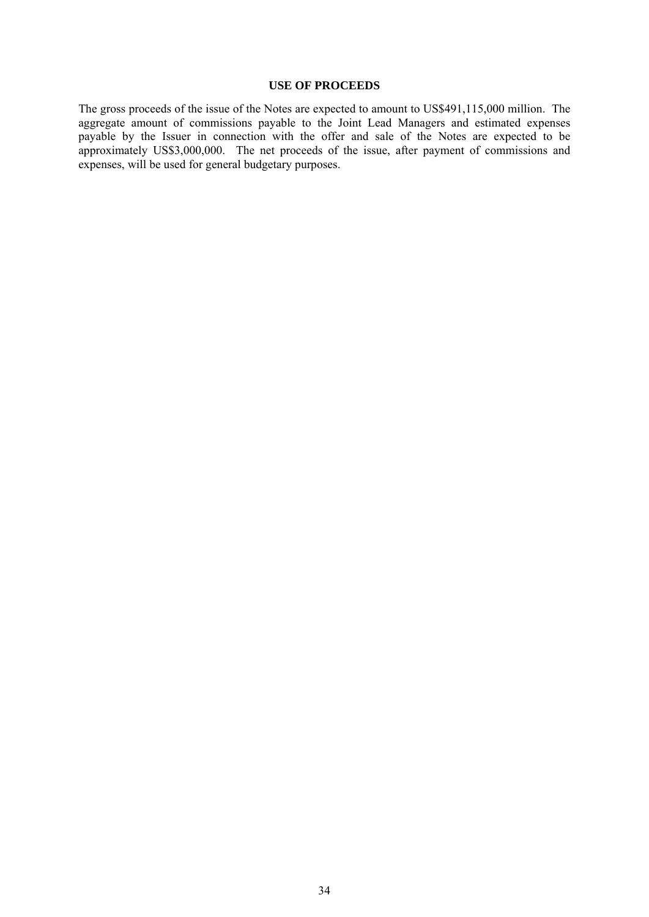#### **USE OF PROCEEDS**

The gross proceeds of the issue of the Notes are expected to amount to US\$491,115,000 million. The aggregate amount of commissions payable to the Joint Lead Managers and estimated expenses payable by the Issuer in connection with the offer and sale of the Notes are expected to be approximately US\$3,000,000. The net proceeds of the issue, after payment of commissions and expenses, will be used for general budgetary purposes.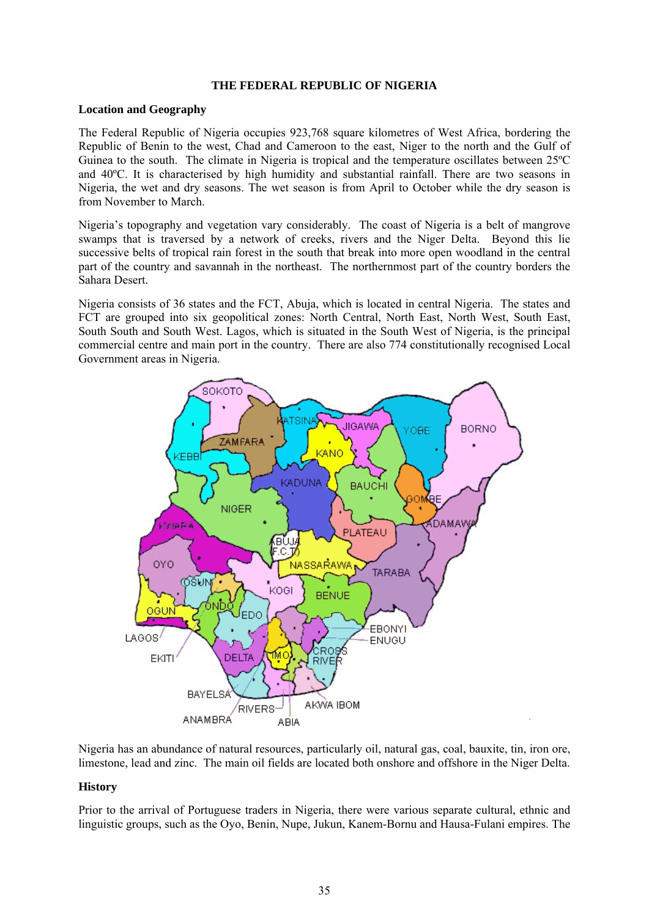## **THE FEDERAL REPUBLIC OF NIGERIA**

#### **Location and Geography**

The Federal Republic of Nigeria occupies 923,768 square kilometres of West Africa, bordering the Republic of Benin to the west, Chad and Cameroon to the east, Niger to the north and the Gulf of Guinea to the south. The climate in Nigeria is tropical and the temperature oscillates between 25ºC and 40ºC. It is characterised by high humidity and substantial rainfall. There are two seasons in Nigeria, the wet and dry seasons. The wet season is from April to October while the dry season is from November to March.

Nigeria's topography and vegetation vary considerably. The coast of Nigeria is a belt of mangrove swamps that is traversed by a network of creeks, rivers and the Niger Delta. Beyond this lie successive belts of tropical rain forest in the south that break into more open woodland in the central part of the country and savannah in the northeast. The northernmost part of the country borders the Sahara Desert.

Nigeria consists of 36 states and the FCT, Abuja, which is located in central Nigeria. The states and FCT are grouped into six geopolitical zones: North Central, North East, North West, South East, South South and South West. Lagos, which is situated in the South West of Nigeria, is the principal commercial centre and main port in the country. There are also 774 constitutionally recognised Local Government areas in Nigeria.



Nigeria has an abundance of natural resources, particularly oil, natural gas, coal, bauxite, tin, iron ore, limestone, lead and zinc. The main oil fields are located both onshore and offshore in the Niger Delta.

## **History**

Prior to the arrival of Portuguese traders in Nigeria, there were various separate cultural, ethnic and linguistic groups, such as the Oyo, Benin, Nupe, Jukun, Kanem-Bornu and Hausa-Fulani empires. The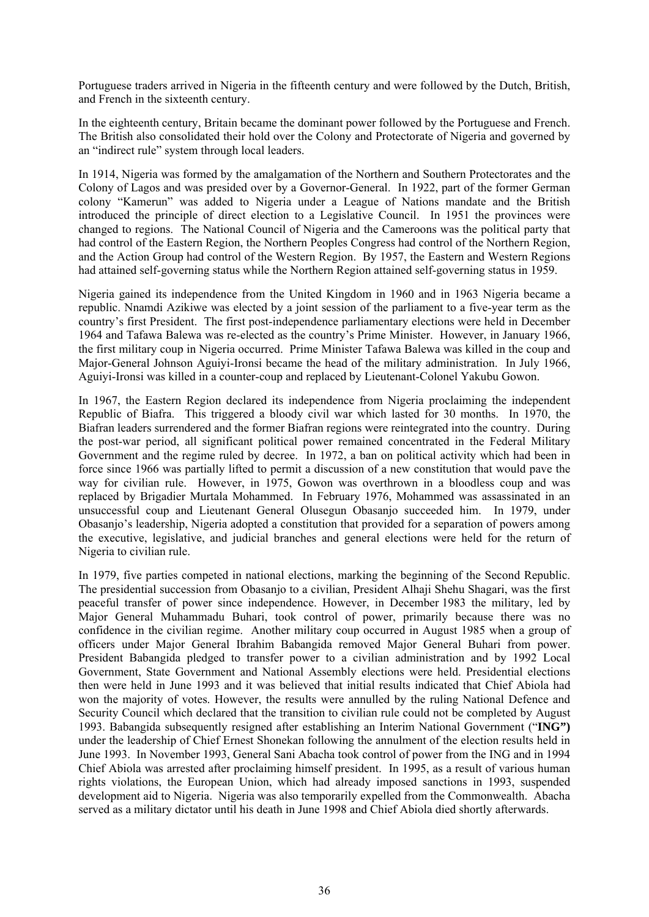Portuguese traders arrived in Nigeria in the fifteenth century and were followed by the Dutch, British, and French in the sixteenth century.

In the eighteenth century, Britain became the dominant power followed by the Portuguese and French. The British also consolidated their hold over the Colony and Protectorate of Nigeria and governed by an "indirect rule" system through local leaders.

In 1914, Nigeria was formed by the amalgamation of the Northern and Southern Protectorates and the Colony of Lagos and was presided over by a Governor-General. In 1922, part of the former German colony "Kamerun" was added to Nigeria under a League of Nations mandate and the British introduced the principle of direct election to a Legislative Council. In 1951 the provinces were changed to regions. The National Council of Nigeria and the Cameroons was the political party that had control of the Eastern Region, the Northern Peoples Congress had control of the Northern Region, and the Action Group had control of the Western Region. By 1957, the Eastern and Western Regions had attained self-governing status while the Northern Region attained self-governing status in 1959.

Nigeria gained its independence from the United Kingdom in 1960 and in 1963 Nigeria became a republic. Nnamdi Azikiwe was elected by a joint session of the parliament to a five-year term as the country's first President. The first post-independence parliamentary elections were held in December 1964 and Tafawa Balewa was re-elected as the country's Prime Minister. However, in January 1966, the first military coup in Nigeria occurred. Prime Minister Tafawa Balewa was killed in the coup and Major-General Johnson Aguiyi-Ironsi became the head of the military administration. In July 1966, Aguiyi-Ironsi was killed in a counter-coup and replaced by Lieutenant-Colonel Yakubu Gowon.

In 1967, the Eastern Region declared its independence from Nigeria proclaiming the independent Republic of Biafra. This triggered a bloody civil war which lasted for 30 months. In 1970, the Biafran leaders surrendered and the former Biafran regions were reintegrated into the country. During the post-war period, all significant political power remained concentrated in the Federal Military Government and the regime ruled by decree. In 1972, a ban on political activity which had been in force since 1966 was partially lifted to permit a discussion of a new constitution that would pave the way for civilian rule. However, in 1975, Gowon was overthrown in a bloodless coup and was replaced by Brigadier Murtala Mohammed. In February 1976, Mohammed was assassinated in an unsuccessful coup and Lieutenant General Olusegun Obasanjo succeeded him. In 1979, under Obasanjo's leadership, Nigeria adopted a constitution that provided for a separation of powers among the executive, legislative, and judicial branches and general elections were held for the return of Nigeria to civilian rule.

In 1979, five parties competed in national elections, marking the beginning of the Second Republic. The presidential succession from Obasanjo to a civilian, President Alhaji Shehu Shagari, was the first peaceful transfer of power since independence. However, in December 1983 the military, led by Major General Muhammadu Buhari, took control of power, primarily because there was no confidence in the civilian regime. Another military coup occurred in August 1985 when a group of officers under Major General Ibrahim Babangida removed Major General Buhari from power. President Babangida pledged to transfer power to a civilian administration and by 1992 Local Government, State Government and National Assembly elections were held. Presidential elections then were held in June 1993 and it was believed that initial results indicated that Chief Abiola had won the majority of votes. However, the results were annulled by the ruling National Defence and Security Council which declared that the transition to civilian rule could not be completed by August 1993. Babangida subsequently resigned after establishing an Interim National Government ("**ING")** under the leadership of Chief Ernest Shonekan following the annulment of the election results held in June 1993. In November 1993, General Sani Abacha took control of power from the ING and in 1994 Chief Abiola was arrested after proclaiming himself president. In 1995, as a result of various human rights violations, the European Union, which had already imposed sanctions in 1993, suspended development aid to Nigeria. Nigeria was also temporarily expelled from the Commonwealth. Abacha served as a military dictator until his death in June 1998 and Chief Abiola died shortly afterwards.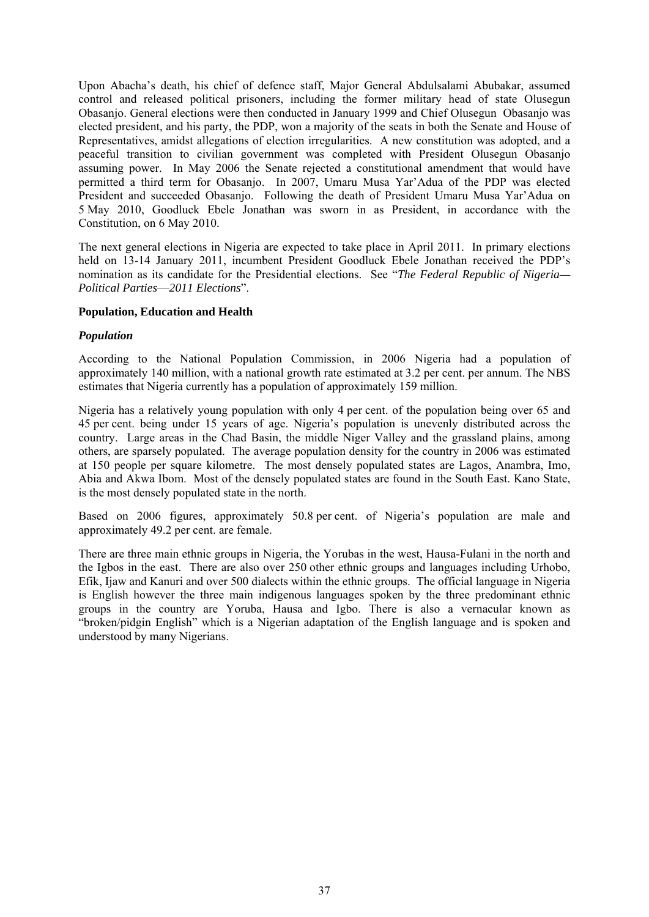Upon Abacha's death, his chief of defence staff, Major General Abdulsalami Abubakar, assumed control and released political prisoners, including the former military head of state Olusegun Obasanjo. General elections were then conducted in January 1999 and Chief Olusegun Obasanjo was elected president, and his party, the PDP, won a majority of the seats in both the Senate and House of Representatives, amidst allegations of election irregularities. A new constitution was adopted, and a peaceful transition to civilian government was completed with President Olusegun Obasanjo assuming power. In May 2006 the Senate rejected a constitutional amendment that would have permitted a third term for Obasanjo. In 2007, Umaru Musa Yar'Adua of the PDP was elected President and succeeded Obasanjo. Following the death of President Umaru Musa Yar'Adua on 5 May 2010, Goodluck Ebele Jonathan was sworn in as President, in accordance with the Constitution, on 6 May 2010.

The next general elections in Nigeria are expected to take place in April 2011. In primary elections held on 13-14 January 2011, incumbent President Goodluck Ebele Jonathan received the PDP's nomination as its candidate for the Presidential elections. See "*The Federal Republic of Nigeria— Political Parties*—*2011 Elections*".

## **Population, Education and Health**

## *Population*

According to the National Population Commission, in 2006 Nigeria had a population of approximately 140 million, with a national growth rate estimated at 3.2 per cent. per annum. The NBS estimates that Nigeria currently has a population of approximately 159 million.

Nigeria has a relatively young population with only 4 per cent. of the population being over 65 and 45 per cent. being under 15 years of age. Nigeria's population is unevenly distributed across the country. Large areas in the Chad Basin, the middle Niger Valley and the grassland plains, among others, are sparsely populated. The average population density for the country in 2006 was estimated at 150 people per square kilometre. The most densely populated states are Lagos, Anambra, Imo, Abia and Akwa Ibom. Most of the densely populated states are found in the South East. Kano State, is the most densely populated state in the north.

Based on 2006 figures, approximately 50.8 per cent. of Nigeria's population are male and approximately 49.2 per cent. are female.

There are three main ethnic groups in Nigeria, the Yorubas in the west, Hausa-Fulani in the north and the Igbos in the east. There are also over 250 other ethnic groups and languages including Urhobo, Efik, Ijaw and Kanuri and over 500 dialects within the ethnic groups. The official language in Nigeria is English however the three main indigenous languages spoken by the three predominant ethnic groups in the country are Yoruba, Hausa and Igbo. There is also a vernacular known as "broken/pidgin English" which is a Nigerian adaptation of the English language and is spoken and understood by many Nigerians.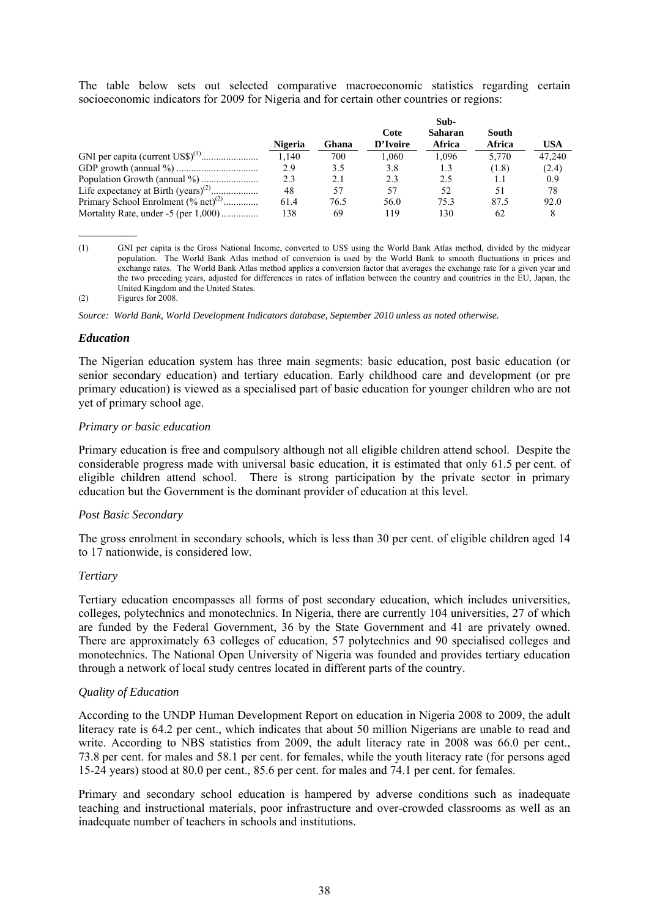The table below sets out selected comparative macroeconomic statistics regarding certain socioeconomic indicators for 2009 for Nigeria and for certain other countries or regions:

|                                              |                | Sub-  |                  |                          |                 |        |
|----------------------------------------------|----------------|-------|------------------|--------------------------|-----------------|--------|
|                                              | <b>Nigeria</b> | Ghana | Cote<br>D'Ivoire | <b>Saharan</b><br>Africa | South<br>Africa | USA    |
|                                              | 1,140          | 700   | 1.060            | 1.096                    | 5,770           | 47.240 |
|                                              | 2.9            | 3.5   | 3.8              | 1.3                      | (1.8)           | (2.4)  |
|                                              | 2.3            | 2.1   | 2.3              | 2.5                      | 1.1             | 0.9    |
| Life expectancy at Birth $(years)^{(2)}$     | 48             | 57    | 57               | 52                       | 51              | 78     |
| Primary School Enrolment $(\%$ net $)^{(2)}$ | 61.4           | 76.5  | 56.0             | 75.3                     | 87.5            | 92.0   |
| Mortality Rate, under -5 (per 1,000)         | 138            | 69    | 119              | 130                      | 62              | 8      |

<sup>(1)</sup> GNI per capita is the Gross National Income, converted to US\$ using the World Bank Atlas method, divided by the midyear population. The World Bank Atlas method of conversion is used by the World Bank to smooth fluctuations in prices and exchange rates. The World Bank Atlas method applies a conversion factor that averages the exchange rate for a given year and the two preceding years, adjusted for differences in rates of inflation between the country and countries in the EU, Japan, the United Kingdom and the United States.

(2) Figures for 2008.

*Source: World Bank, World Development Indicators database, September 2010 unless as noted otherwise.* 

#### *Education*

The Nigerian education system has three main segments: basic education, post basic education (or senior secondary education) and tertiary education. Early childhood care and development (or pre primary education) is viewed as a specialised part of basic education for younger children who are not yet of primary school age.

#### *Primary or basic education*

Primary education is free and compulsory although not all eligible children attend school. Despite the considerable progress made with universal basic education, it is estimated that only 61.5 per cent. of eligible children attend school. There is strong participation by the private sector in primary education but the Government is the dominant provider of education at this level.

#### *Post Basic Secondary*

The gross enrolment in secondary schools, which is less than 30 per cent. of eligible children aged 14 to 17 nationwide, is considered low.

#### *Tertiary*

Tertiary education encompasses all forms of post secondary education, which includes universities, colleges, polytechnics and monotechnics. In Nigeria, there are currently 104 universities, 27 of which are funded by the Federal Government, 36 by the State Government and 41 are privately owned. There are approximately 63 colleges of education, 57 polytechnics and 90 specialised colleges and monotechnics. The National Open University of Nigeria was founded and provides tertiary education through a network of local study centres located in different parts of the country.

#### *Quality of Education*

According to the UNDP Human Development Report on education in Nigeria 2008 to 2009, the adult literacy rate is 64.2 per cent., which indicates that about 50 million Nigerians are unable to read and write. According to NBS statistics from 2009, the adult literacy rate in 2008 was 66.0 per cent., 73.8 per cent. for males and 58.1 per cent. for females, while the youth literacy rate (for persons aged 15-24 years) stood at 80.0 per cent., 85.6 per cent. for males and 74.1 per cent. for females.

Primary and secondary school education is hampered by adverse conditions such as inadequate teaching and instructional materials, poor infrastructure and over-crowded classrooms as well as an inadequate number of teachers in schools and institutions.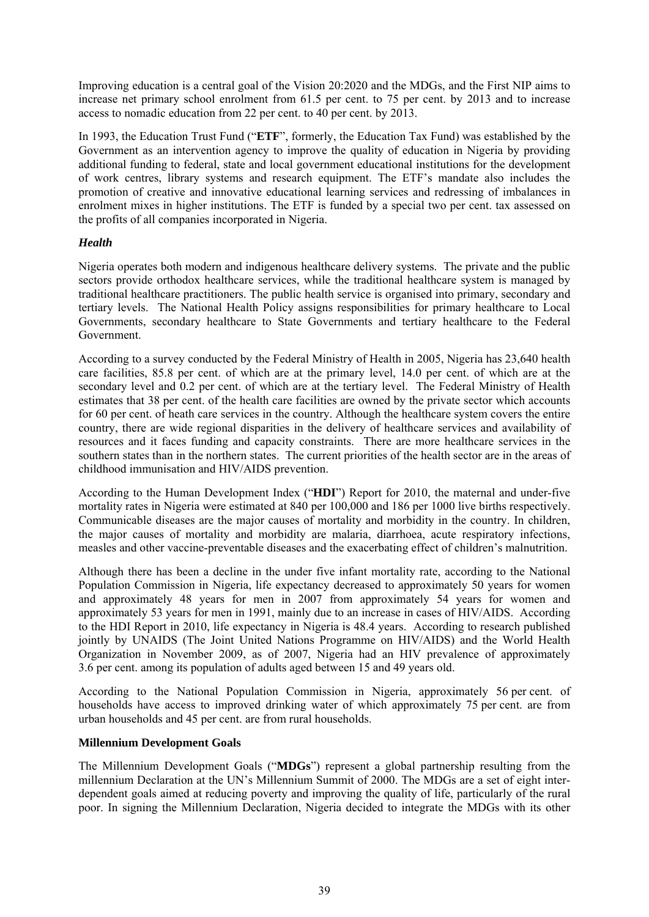Improving education is a central goal of the Vision 20:2020 and the MDGs, and the First NIP aims to increase net primary school enrolment from 61.5 per cent. to 75 per cent. by 2013 and to increase access to nomadic education from 22 per cent. to 40 per cent. by 2013.

In 1993, the Education Trust Fund ("**ETF**", formerly, the Education Tax Fund) was established by the Government as an intervention agency to improve the quality of education in Nigeria by providing additional funding to federal, state and local government educational institutions for the development of work centres, library systems and research equipment. The ETF's mandate also includes the promotion of creative and innovative educational learning services and redressing of imbalances in enrolment mixes in higher institutions. The ETF is funded by a special two per cent. tax assessed on the profits of all companies incorporated in Nigeria.

# *Health*

Nigeria operates both modern and indigenous healthcare delivery systems. The private and the public sectors provide orthodox healthcare services, while the traditional healthcare system is managed by traditional healthcare practitioners. The public health service is organised into primary, secondary and tertiary levels. The National Health Policy assigns responsibilities for primary healthcare to Local Governments, secondary healthcare to State Governments and tertiary healthcare to the Federal Government.

According to a survey conducted by the Federal Ministry of Health in 2005, Nigeria has 23,640 health care facilities, 85.8 per cent. of which are at the primary level, 14.0 per cent. of which are at the secondary level and 0.2 per cent. of which are at the tertiary level. The Federal Ministry of Health estimates that 38 per cent. of the health care facilities are owned by the private sector which accounts for 60 per cent. of heath care services in the country. Although the healthcare system covers the entire country, there are wide regional disparities in the delivery of healthcare services and availability of resources and it faces funding and capacity constraints. There are more healthcare services in the southern states than in the northern states. The current priorities of the health sector are in the areas of childhood immunisation and HIV/AIDS prevention.

According to the Human Development Index ("**HDI**") Report for 2010, the maternal and under-five mortality rates in Nigeria were estimated at 840 per 100,000 and 186 per 1000 live births respectively. Communicable diseases are the major causes of mortality and morbidity in the country. In children, the major causes of mortality and morbidity are malaria, diarrhoea, acute respiratory infections, measles and other vaccine-preventable diseases and the exacerbating effect of children's malnutrition.

Although there has been a decline in the under five infant mortality rate, according to the National Population Commission in Nigeria, life expectancy decreased to approximately 50 years for women and approximately 48 years for men in 2007 from approximately 54 years for women and approximately 53 years for men in 1991, mainly due to an increase in cases of HIV/AIDS. According to the HDI Report in 2010, life expectancy in Nigeria is 48.4 years. According to research published jointly by UNAIDS (The Joint United Nations Programme on HIV/AIDS) and the World Health Organization in November 2009, as of 2007, Nigeria had an HIV prevalence of approximately 3.6 per cent. among its population of adults aged between 15 and 49 years old.

According to the National Population Commission in Nigeria, approximately 56 per cent. of households have access to improved drinking water of which approximately 75 per cent. are from urban households and 45 per cent. are from rural households.

## **Millennium Development Goals**

The Millennium Development Goals ("**MDGs**") represent a global partnership resulting from the millennium Declaration at the UN's Millennium Summit of 2000. The MDGs are a set of eight interdependent goals aimed at reducing poverty and improving the quality of life, particularly of the rural poor. In signing the Millennium Declaration, Nigeria decided to integrate the MDGs with its other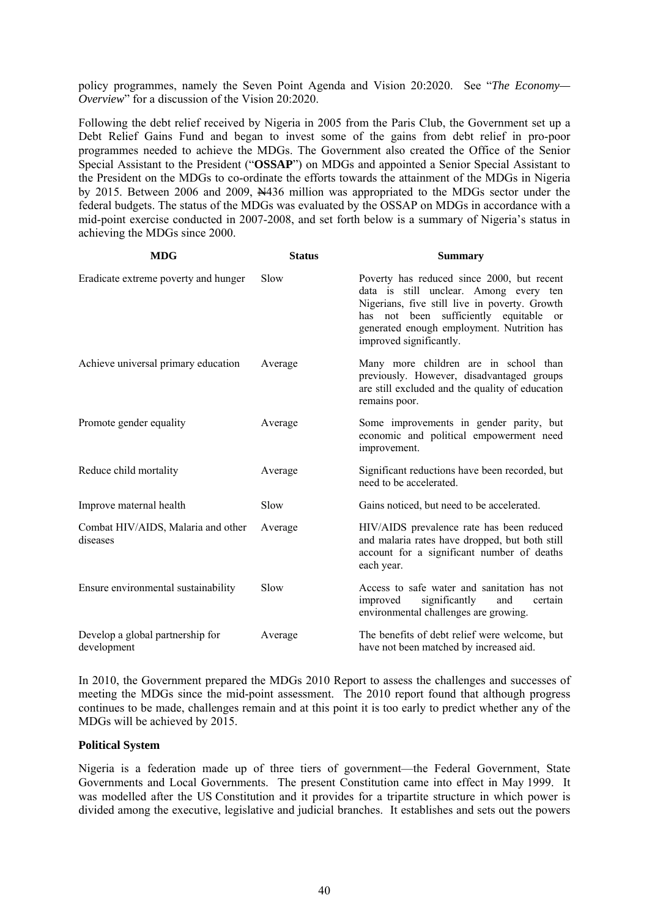policy programmes, namely the Seven Point Agenda and Vision 20:2020. See "*The Economy— Overview*" for a discussion of the Vision 20:2020.

Following the debt relief received by Nigeria in 2005 from the Paris Club, the Government set up a Debt Relief Gains Fund and began to invest some of the gains from debt relief in pro-poor programmes needed to achieve the MDGs. The Government also created the Office of the Senior Special Assistant to the President ("**OSSAP**") on MDGs and appointed a Senior Special Assistant to the President on the MDGs to co-ordinate the efforts towards the attainment of the MDGs in Nigeria by 2015. Between 2006 and 2009, N436 million was appropriated to the MDGs sector under the federal budgets. The status of the MDGs was evaluated by the OSSAP on MDGs in accordance with a mid-point exercise conducted in 2007-2008, and set forth below is a summary of Nigeria's status in achieving the MDGs since 2000.

| <b>MDG</b>                                      | <b>Status</b> | <b>Summary</b>                                                                                                                                                                                                                                           |
|-------------------------------------------------|---------------|----------------------------------------------------------------------------------------------------------------------------------------------------------------------------------------------------------------------------------------------------------|
| Eradicate extreme poverty and hunger            | Slow          | Poverty has reduced since 2000, but recent<br>data is still unclear. Among every ten<br>Nigerians, five still live in poverty. Growth<br>has not been sufficiently equitable or<br>generated enough employment. Nutrition has<br>improved significantly. |
| Achieve universal primary education             | Average       | Many more children are in school than<br>previously. However, disadvantaged groups<br>are still excluded and the quality of education<br>remains poor.                                                                                                   |
| Promote gender equality                         | Average       | Some improvements in gender parity, but<br>economic and political empowerment need<br>improvement.                                                                                                                                                       |
| Reduce child mortality                          | Average       | Significant reductions have been recorded, but<br>need to be accelerated.                                                                                                                                                                                |
| Improve maternal health                         | Slow          | Gains noticed, but need to be accelerated.                                                                                                                                                                                                               |
| Combat HIV/AIDS, Malaria and other<br>diseases  | Average       | HIV/AIDS prevalence rate has been reduced<br>and malaria rates have dropped, but both still<br>account for a significant number of deaths<br>each year.                                                                                                  |
| Ensure environmental sustainability             | Slow          | Access to safe water and sanitation has not<br>significantly<br>improved<br>and<br>certain<br>environmental challenges are growing.                                                                                                                      |
| Develop a global partnership for<br>development | Average       | The benefits of debt relief were welcome, but<br>have not been matched by increased aid.                                                                                                                                                                 |

In 2010, the Government prepared the MDGs 2010 Report to assess the challenges and successes of meeting the MDGs since the mid-point assessment. The 2010 report found that although progress continues to be made, challenges remain and at this point it is too early to predict whether any of the MDGs will be achieved by 2015.

#### **Political System**

Nigeria is a federation made up of three tiers of government—the Federal Government, State Governments and Local Governments. The present Constitution came into effect in May 1999. It was modelled after the US Constitution and it provides for a tripartite structure in which power is divided among the executive, legislative and judicial branches. It establishes and sets out the powers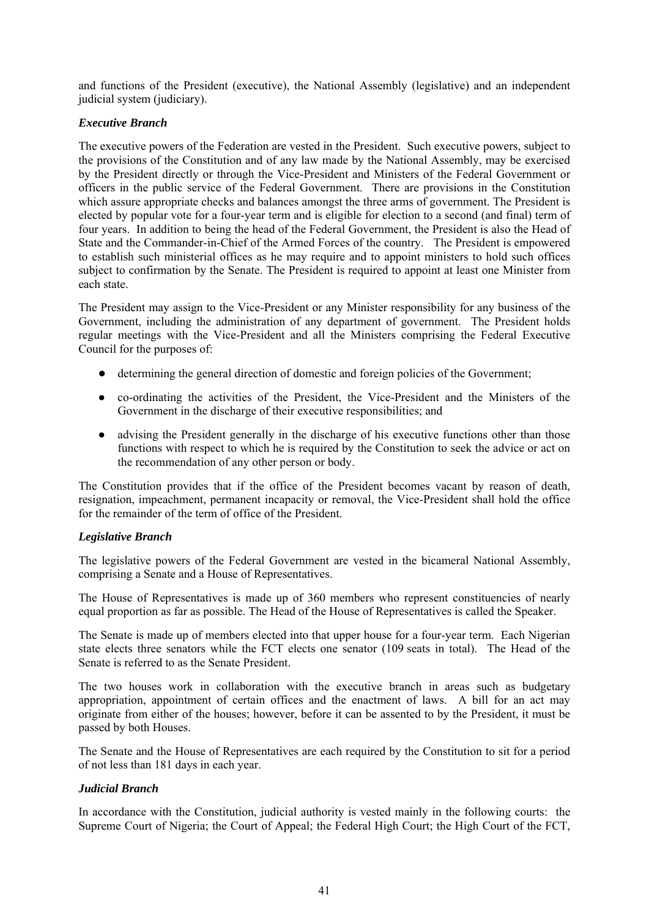and functions of the President (executive), the National Assembly (legislative) and an independent judicial system (judiciary).

# *Executive Branch*

The executive powers of the Federation are vested in the President. Such executive powers, subject to the provisions of the Constitution and of any law made by the National Assembly, may be exercised by the President directly or through the Vice-President and Ministers of the Federal Government or officers in the public service of the Federal Government. There are provisions in the Constitution which assure appropriate checks and balances amongst the three arms of government. The President is elected by popular vote for a four-year term and is eligible for election to a second (and final) term of four years. In addition to being the head of the Federal Government, the President is also the Head of State and the Commander-in-Chief of the Armed Forces of the country. The President is empowered to establish such ministerial offices as he may require and to appoint ministers to hold such offices subject to confirmation by the Senate. The President is required to appoint at least one Minister from each state.

The President may assign to the Vice-President or any Minister responsibility for any business of the Government, including the administration of any department of government. The President holds regular meetings with the Vice-President and all the Ministers comprising the Federal Executive Council for the purposes of:

- determining the general direction of domestic and foreign policies of the Government;
- co-ordinating the activities of the President, the Vice-President and the Ministers of the Government in the discharge of their executive responsibilities; and
- advising the President generally in the discharge of his executive functions other than those functions with respect to which he is required by the Constitution to seek the advice or act on the recommendation of any other person or body.

The Constitution provides that if the office of the President becomes vacant by reason of death, resignation, impeachment, permanent incapacity or removal, the Vice-President shall hold the office for the remainder of the term of office of the President.

## *Legislative Branch*

The legislative powers of the Federal Government are vested in the bicameral National Assembly, comprising a Senate and a House of Representatives.

The House of Representatives is made up of 360 members who represent constituencies of nearly equal proportion as far as possible. The Head of the House of Representatives is called the Speaker.

The Senate is made up of members elected into that upper house for a four-year term. Each Nigerian state elects three senators while the FCT elects one senator (109 seats in total). The Head of the Senate is referred to as the Senate President.

The two houses work in collaboration with the executive branch in areas such as budgetary appropriation, appointment of certain offices and the enactment of laws. A bill for an act may originate from either of the houses; however, before it can be assented to by the President, it must be passed by both Houses.

The Senate and the House of Representatives are each required by the Constitution to sit for a period of not less than 181 days in each year.

## *Judicial Branch*

In accordance with the Constitution, judicial authority is vested mainly in the following courts: the Supreme Court of Nigeria; the Court of Appeal; the Federal High Court; the High Court of the FCT,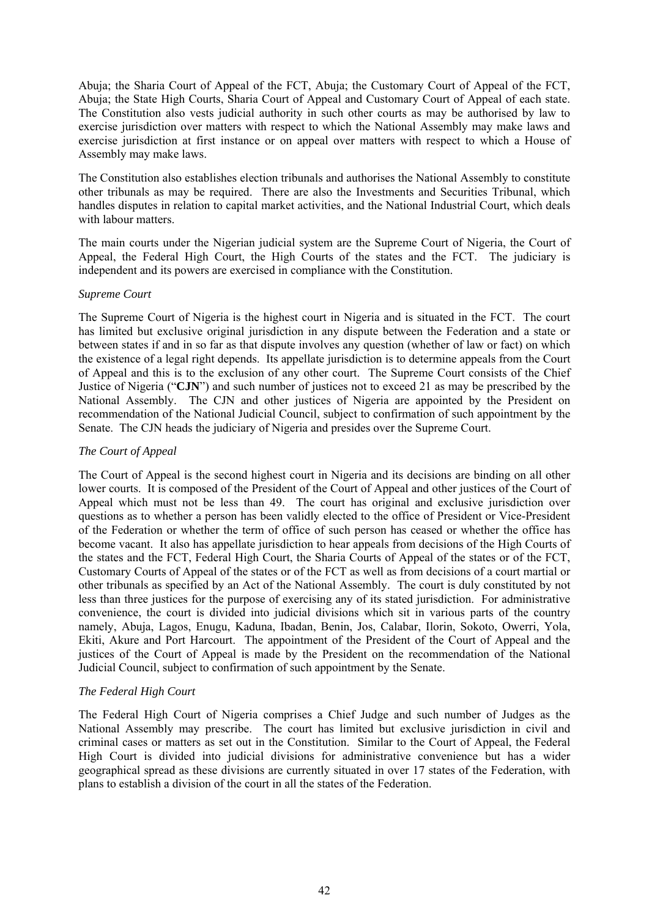Abuja; the Sharia Court of Appeal of the FCT, Abuja; the Customary Court of Appeal of the FCT, Abuja; the State High Courts, Sharia Court of Appeal and Customary Court of Appeal of each state. The Constitution also vests judicial authority in such other courts as may be authorised by law to exercise jurisdiction over matters with respect to which the National Assembly may make laws and exercise jurisdiction at first instance or on appeal over matters with respect to which a House of Assembly may make laws.

The Constitution also establishes election tribunals and authorises the National Assembly to constitute other tribunals as may be required. There are also the Investments and Securities Tribunal, which handles disputes in relation to capital market activities, and the National Industrial Court, which deals with labour matters.

The main courts under the Nigerian judicial system are the Supreme Court of Nigeria, the Court of Appeal, the Federal High Court, the High Courts of the states and the FCT. The judiciary is independent and its powers are exercised in compliance with the Constitution.

## *Supreme Court*

The Supreme Court of Nigeria is the highest court in Nigeria and is situated in the FCT. The court has limited but exclusive original jurisdiction in any dispute between the Federation and a state or between states if and in so far as that dispute involves any question (whether of law or fact) on which the existence of a legal right depends. Its appellate jurisdiction is to determine appeals from the Court of Appeal and this is to the exclusion of any other court. The Supreme Court consists of the Chief Justice of Nigeria ("**CJN**") and such number of justices not to exceed 21 as may be prescribed by the National Assembly. The CJN and other justices of Nigeria are appointed by the President on recommendation of the National Judicial Council, subject to confirmation of such appointment by the Senate. The CJN heads the judiciary of Nigeria and presides over the Supreme Court.

# *The Court of Appeal*

The Court of Appeal is the second highest court in Nigeria and its decisions are binding on all other lower courts. It is composed of the President of the Court of Appeal and other justices of the Court of Appeal which must not be less than 49. The court has original and exclusive jurisdiction over questions as to whether a person has been validly elected to the office of President or Vice-President of the Federation or whether the term of office of such person has ceased or whether the office has become vacant. It also has appellate jurisdiction to hear appeals from decisions of the High Courts of the states and the FCT, Federal High Court, the Sharia Courts of Appeal of the states or of the FCT, Customary Courts of Appeal of the states or of the FCT as well as from decisions of a court martial or other tribunals as specified by an Act of the National Assembly. The court is duly constituted by not less than three justices for the purpose of exercising any of its stated jurisdiction. For administrative convenience, the court is divided into judicial divisions which sit in various parts of the country namely, Abuja, Lagos, Enugu, Kaduna, Ibadan, Benin, Jos, Calabar, Ilorin, Sokoto, Owerri, Yola, Ekiti, Akure and Port Harcourt. The appointment of the President of the Court of Appeal and the justices of the Court of Appeal is made by the President on the recommendation of the National Judicial Council, subject to confirmation of such appointment by the Senate.

# *The Federal High Court*

The Federal High Court of Nigeria comprises a Chief Judge and such number of Judges as the National Assembly may prescribe. The court has limited but exclusive jurisdiction in civil and criminal cases or matters as set out in the Constitution. Similar to the Court of Appeal, the Federal High Court is divided into judicial divisions for administrative convenience but has a wider geographical spread as these divisions are currently situated in over 17 states of the Federation, with plans to establish a division of the court in all the states of the Federation.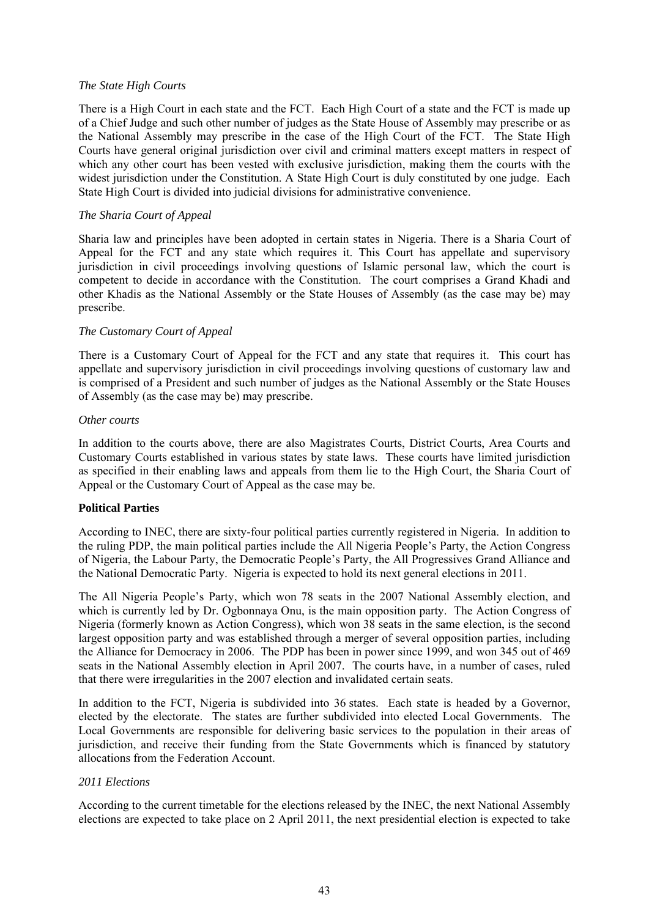## *The State High Courts*

There is a High Court in each state and the FCT. Each High Court of a state and the FCT is made up of a Chief Judge and such other number of judges as the State House of Assembly may prescribe or as the National Assembly may prescribe in the case of the High Court of the FCT. The State High Courts have general original jurisdiction over civil and criminal matters except matters in respect of which any other court has been vested with exclusive jurisdiction, making them the courts with the widest jurisdiction under the Constitution. A State High Court is duly constituted by one judge. Each State High Court is divided into judicial divisions for administrative convenience.

## *The Sharia Court of Appeal*

Sharia law and principles have been adopted in certain states in Nigeria. There is a Sharia Court of Appeal for the FCT and any state which requires it. This Court has appellate and supervisory jurisdiction in civil proceedings involving questions of Islamic personal law, which the court is competent to decide in accordance with the Constitution. The court comprises a Grand Khadi and other Khadis as the National Assembly or the State Houses of Assembly (as the case may be) may prescribe.

## *The Customary Court of Appeal*

There is a Customary Court of Appeal for the FCT and any state that requires it. This court has appellate and supervisory jurisdiction in civil proceedings involving questions of customary law and is comprised of a President and such number of judges as the National Assembly or the State Houses of Assembly (as the case may be) may prescribe.

#### *Other courts*

In addition to the courts above, there are also Magistrates Courts, District Courts, Area Courts and Customary Courts established in various states by state laws. These courts have limited jurisdiction as specified in their enabling laws and appeals from them lie to the High Court, the Sharia Court of Appeal or the Customary Court of Appeal as the case may be.

## **Political Parties**

According to INEC, there are sixty-four political parties currently registered in Nigeria. In addition to the ruling PDP, the main political parties include the All Nigeria People's Party, the Action Congress of Nigeria, the Labour Party, the Democratic People's Party, the All Progressives Grand Alliance and the National Democratic Party. Nigeria is expected to hold its next general elections in 2011.

The All Nigeria People's Party, which won 78 seats in the 2007 National Assembly election, and which is currently led by Dr. Ogbonnaya Onu, is the main opposition party. The Action Congress of Nigeria (formerly known as Action Congress), which won 38 seats in the same election, is the second largest opposition party and was established through a merger of several opposition parties, including the Alliance for Democracy in 2006. The PDP has been in power since 1999, and won 345 out of 469 seats in the National Assembly election in April 2007. The courts have, in a number of cases, ruled that there were irregularities in the 2007 election and invalidated certain seats.

In addition to the FCT, Nigeria is subdivided into 36 states. Each state is headed by a Governor, elected by the electorate. The states are further subdivided into elected Local Governments. The Local Governments are responsible for delivering basic services to the population in their areas of jurisdiction, and receive their funding from the State Governments which is financed by statutory allocations from the Federation Account.

## *2011 Elections*

According to the current timetable for the elections released by the INEC, the next National Assembly elections are expected to take place on 2 April 2011, the next presidential election is expected to take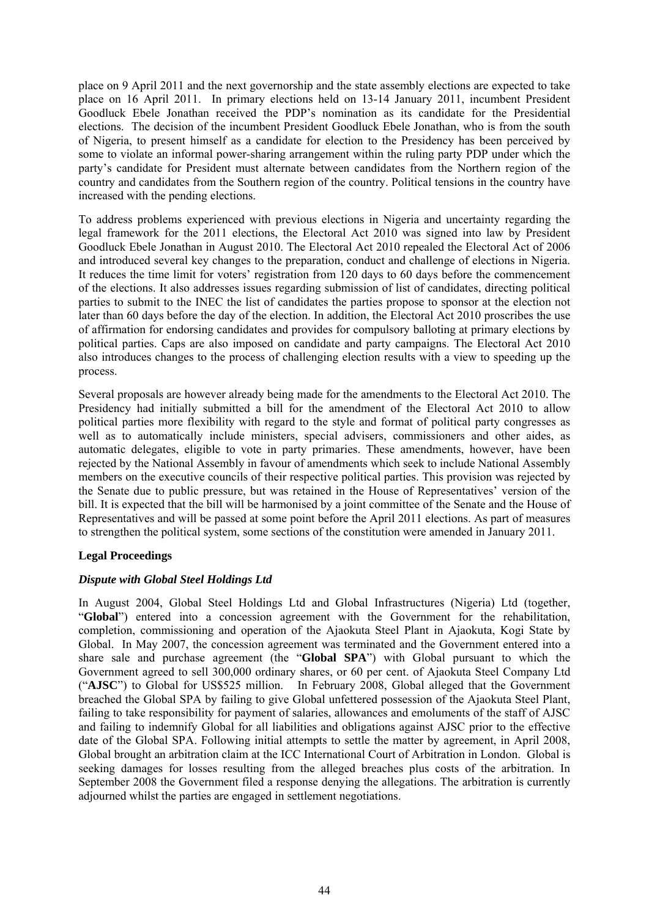place on 9 April 2011 and the next governorship and the state assembly elections are expected to take place on 16 April 2011. In primary elections held on 13-14 January 2011, incumbent President Goodluck Ebele Jonathan received the PDP's nomination as its candidate for the Presidential elections. The decision of the incumbent President Goodluck Ebele Jonathan, who is from the south of Nigeria, to present himself as a candidate for election to the Presidency has been perceived by some to violate an informal power-sharing arrangement within the ruling party PDP under which the party's candidate for President must alternate between candidates from the Northern region of the country and candidates from the Southern region of the country. Political tensions in the country have increased with the pending elections.

To address problems experienced with previous elections in Nigeria and uncertainty regarding the legal framework for the 2011 elections, the Electoral Act 2010 was signed into law by President Goodluck Ebele Jonathan in August 2010. The Electoral Act 2010 repealed the Electoral Act of 2006 and introduced several key changes to the preparation, conduct and challenge of elections in Nigeria. It reduces the time limit for voters' registration from 120 days to 60 days before the commencement of the elections. It also addresses issues regarding submission of list of candidates, directing political parties to submit to the INEC the list of candidates the parties propose to sponsor at the election not later than 60 days before the day of the election. In addition, the Electoral Act 2010 proscribes the use of affirmation for endorsing candidates and provides for compulsory balloting at primary elections by political parties. Caps are also imposed on candidate and party campaigns. The Electoral Act 2010 also introduces changes to the process of challenging election results with a view to speeding up the process.

Several proposals are however already being made for the amendments to the Electoral Act 2010. The Presidency had initially submitted a bill for the amendment of the Electoral Act 2010 to allow political parties more flexibility with regard to the style and format of political party congresses as well as to automatically include ministers, special advisers, commissioners and other aides, as automatic delegates, eligible to vote in party primaries. These amendments, however, have been rejected by the National Assembly in favour of amendments which seek to include National Assembly members on the executive councils of their respective political parties. This provision was rejected by the Senate due to public pressure, but was retained in the House of Representatives' version of the bill. It is expected that the bill will be harmonised by a joint committee of the Senate and the House of Representatives and will be passed at some point before the April 2011 elections. As part of measures to strengthen the political system, some sections of the constitution were amended in January 2011.

## **Legal Proceedings**

## *Dispute with Global Steel Holdings Ltd*

In August 2004, Global Steel Holdings Ltd and Global Infrastructures (Nigeria) Ltd (together, "**Global**") entered into a concession agreement with the Government for the rehabilitation, completion, commissioning and operation of the Ajaokuta Steel Plant in Ajaokuta, Kogi State by Global. In May 2007, the concession agreement was terminated and the Government entered into a share sale and purchase agreement (the "**Global SPA**") with Global pursuant to which the Government agreed to sell 300,000 ordinary shares, or 60 per cent. of Ajaokuta Steel Company Ltd ("**AJSC**") to Global for US\$525 million. In February 2008, Global alleged that the Government breached the Global SPA by failing to give Global unfettered possession of the Ajaokuta Steel Plant, failing to take responsibility for payment of salaries, allowances and emoluments of the staff of AJSC and failing to indemnify Global for all liabilities and obligations against AJSC prior to the effective date of the Global SPA. Following initial attempts to settle the matter by agreement, in April 2008, Global brought an arbitration claim at the ICC International Court of Arbitration in London. Global is seeking damages for losses resulting from the alleged breaches plus costs of the arbitration. In September 2008 the Government filed a response denying the allegations. The arbitration is currently adjourned whilst the parties are engaged in settlement negotiations.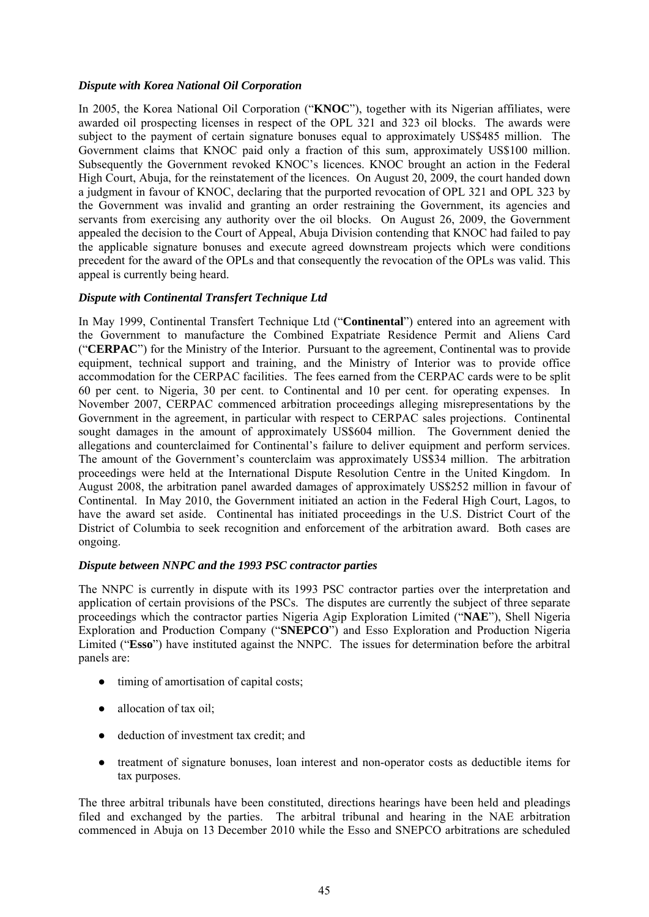# *Dispute with Korea National Oil Corporation*

In 2005, the Korea National Oil Corporation ("**KNOC**"), together with its Nigerian affiliates, were awarded oil prospecting licenses in respect of the OPL 321 and 323 oil blocks. The awards were subject to the payment of certain signature bonuses equal to approximately US\$485 million. The Government claims that KNOC paid only a fraction of this sum, approximately US\$100 million. Subsequently the Government revoked KNOC's licences. KNOC brought an action in the Federal High Court, Abuja, for the reinstatement of the licences. On August 20, 2009, the court handed down a judgment in favour of KNOC, declaring that the purported revocation of OPL 321 and OPL 323 by the Government was invalid and granting an order restraining the Government, its agencies and servants from exercising any authority over the oil blocks. On August 26, 2009, the Government appealed the decision to the Court of Appeal, Abuja Division contending that KNOC had failed to pay the applicable signature bonuses and execute agreed downstream projects which were conditions precedent for the award of the OPLs and that consequently the revocation of the OPLs was valid. This appeal is currently being heard.

# *Dispute with Continental Transfert Technique Ltd*

In May 1999, Continental Transfert Technique Ltd ("**Continental**") entered into an agreement with the Government to manufacture the Combined Expatriate Residence Permit and Aliens Card ("**CERPAC**") for the Ministry of the Interior. Pursuant to the agreement, Continental was to provide equipment, technical support and training, and the Ministry of Interior was to provide office accommodation for the CERPAC facilities. The fees earned from the CERPAC cards were to be split 60 per cent. to Nigeria, 30 per cent. to Continental and 10 per cent. for operating expenses. In November 2007, CERPAC commenced arbitration proceedings alleging misrepresentations by the Government in the agreement, in particular with respect to CERPAC sales projections. Continental sought damages in the amount of approximately US\$604 million. The Government denied the allegations and counterclaimed for Continental's failure to deliver equipment and perform services. The amount of the Government's counterclaim was approximately US\$34 million. The arbitration proceedings were held at the International Dispute Resolution Centre in the United Kingdom. In August 2008, the arbitration panel awarded damages of approximately US\$252 million in favour of Continental. In May 2010, the Government initiated an action in the Federal High Court, Lagos, to have the award set aside. Continental has initiated proceedings in the U.S. District Court of the District of Columbia to seek recognition and enforcement of the arbitration award. Both cases are ongoing.

## *Dispute between NNPC and the 1993 PSC contractor parties*

The NNPC is currently in dispute with its 1993 PSC contractor parties over the interpretation and application of certain provisions of the PSCs. The disputes are currently the subject of three separate proceedings which the contractor parties Nigeria Agip Exploration Limited ("**NAE**"), Shell Nigeria Exploration and Production Company ("**SNEPCO**") and Esso Exploration and Production Nigeria Limited ("**Esso**") have instituted against the NNPC. The issues for determination before the arbitral panels are:

- timing of amortisation of capital costs;
- allocation of tax oil;
- deduction of investment tax credit; and
- treatment of signature bonuses, loan interest and non-operator costs as deductible items for tax purposes.

The three arbitral tribunals have been constituted, directions hearings have been held and pleadings filed and exchanged by the parties. The arbitral tribunal and hearing in the NAE arbitration commenced in Abuja on 13 December 2010 while the Esso and SNEPCO arbitrations are scheduled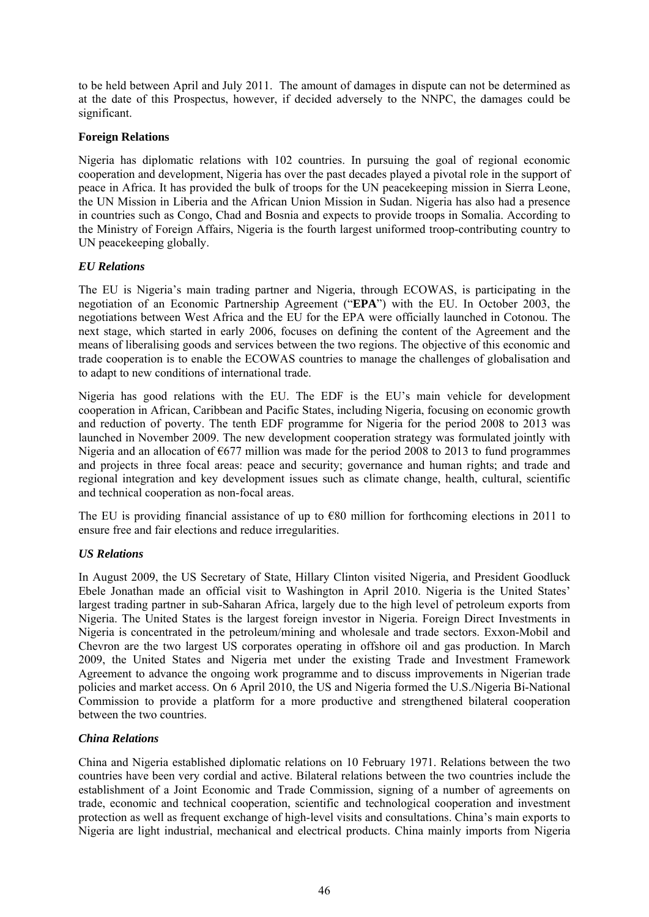to be held between April and July 2011. The amount of damages in dispute can not be determined as at the date of this Prospectus, however, if decided adversely to the NNPC, the damages could be significant.

## **Foreign Relations**

Nigeria has diplomatic relations with 102 countries. In pursuing the goal of regional economic cooperation and development, Nigeria has over the past decades played a pivotal role in the support of peace in Africa. It has provided the bulk of troops for the UN peacekeeping mission in Sierra Leone, the UN Mission in Liberia and the African Union Mission in Sudan. Nigeria has also had a presence in countries such as Congo, Chad and Bosnia and expects to provide troops in Somalia. According to the Ministry of Foreign Affairs, Nigeria is the fourth largest uniformed troop-contributing country to UN peacekeeping globally.

# *EU Relations*

The EU is Nigeria's main trading partner and Nigeria, through ECOWAS, is participating in the negotiation of an Economic Partnership Agreement ("**EPA**") with the EU. In October 2003, the negotiations between West Africa and the EU for the EPA were officially launched in Cotonou. The next stage, which started in early 2006, focuses on defining the content of the Agreement and the means of liberalising goods and services between the two regions. The objective of this economic and trade cooperation is to enable the ECOWAS countries to manage the challenges of globalisation and to adapt to new conditions of international trade.

Nigeria has good relations with the EU. The EDF is the EU's main vehicle for development cooperation in African, Caribbean and Pacific States, including Nigeria, focusing on economic growth and reduction of poverty. The tenth EDF programme for Nigeria for the period 2008 to 2013 was launched in November 2009. The new development cooperation strategy was formulated jointly with Nigeria and an allocation of  $\epsilon$ 677 million was made for the period 2008 to 2013 to fund programmes and projects in three focal areas: peace and security; governance and human rights; and trade and regional integration and key development issues such as climate change, health, cultural, scientific and technical cooperation as non-focal areas.

The EU is providing financial assistance of up to  $\epsilon$ 80 million for forthcoming elections in 2011 to ensure free and fair elections and reduce irregularities.

## *US Relations*

In August 2009, the US Secretary of State, Hillary Clinton visited Nigeria, and President Goodluck Ebele Jonathan made an official visit to Washington in April 2010. Nigeria is the United States' largest trading partner in sub-Saharan Africa, largely due to the high level of petroleum exports from Nigeria. The United States is the largest foreign investor in Nigeria. Foreign Direct Investments in Nigeria is concentrated in the petroleum/mining and wholesale and trade sectors. Exxon-Mobil and Chevron are the two largest US corporates operating in offshore oil and gas production. In March 2009, the United States and Nigeria met under the existing Trade and Investment Framework Agreement to advance the ongoing work programme and to discuss improvements in Nigerian trade policies and market access. On 6 April 2010, the US and Nigeria formed the U.S./Nigeria Bi-National Commission to provide a platform for a more productive and strengthened bilateral cooperation between the two countries.

## *China Relations*

China and Nigeria established diplomatic relations on 10 February 1971. Relations between the two countries have been very cordial and active. Bilateral relations between the two countries include the establishment of a Joint Economic and Trade Commission, signing of a number of agreements on trade, economic and technical cooperation, scientific and technological cooperation and investment protection as well as frequent exchange of high-level visits and consultations. China's main exports to Nigeria are light industrial, mechanical and electrical products. China mainly imports from Nigeria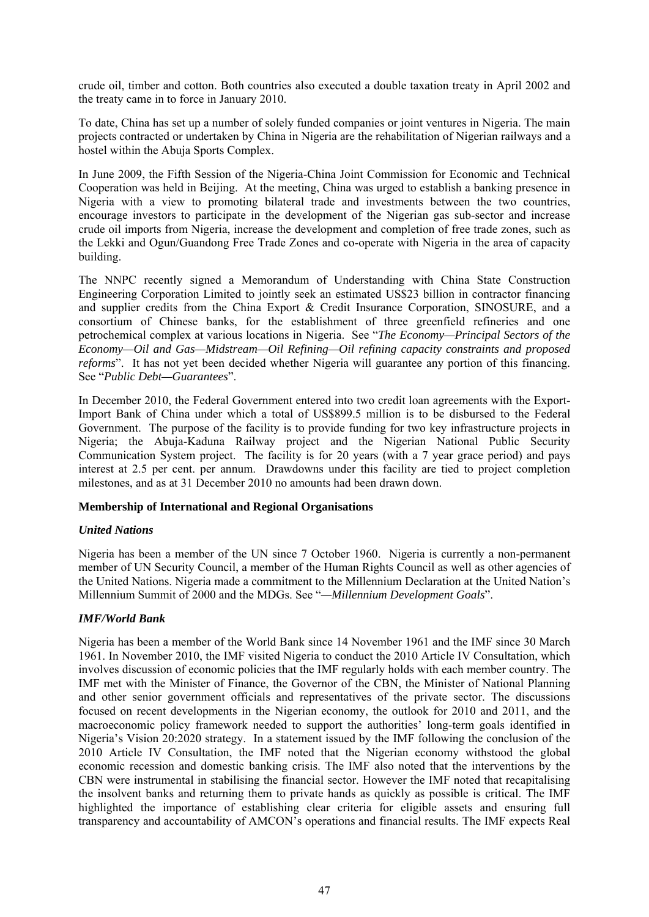crude oil, timber and cotton. Both countries also executed a double taxation treaty in April 2002 and the treaty came in to force in January 2010.

To date, China has set up a number of solely funded companies or joint ventures in Nigeria. The main projects contracted or undertaken by China in Nigeria are the rehabilitation of Nigerian railways and a hostel within the Abuja Sports Complex.

In June 2009, the Fifth Session of the Nigeria-China Joint Commission for Economic and Technical Cooperation was held in Beijing. At the meeting, China was urged to establish a banking presence in Nigeria with a view to promoting bilateral trade and investments between the two countries, encourage investors to participate in the development of the Nigerian gas sub-sector and increase crude oil imports from Nigeria, increase the development and completion of free trade zones, such as the Lekki and Ogun/Guandong Free Trade Zones and co-operate with Nigeria in the area of capacity building.

The NNPC recently signed a Memorandum of Understanding with China State Construction Engineering Corporation Limited to jointly seek an estimated US\$23 billion in contractor financing and supplier credits from the China Export & Credit Insurance Corporation, SINOSURE, and a consortium of Chinese banks, for the establishment of three greenfield refineries and one petrochemical complex at various locations in Nigeria. See "*The Economy—Principal Sectors of the Economy—Oil and Gas—Midstream—Oil Refining—Oil refining capacity constraints and proposed reforms*". It has not yet been decided whether Nigeria will guarantee any portion of this financing. See "*Public Debt—Guarantees*".

In December 2010, the Federal Government entered into two credit loan agreements with the Export-Import Bank of China under which a total of US\$899.5 million is to be disbursed to the Federal Government. The purpose of the facility is to provide funding for two key infrastructure projects in Nigeria; the Abuja-Kaduna Railway project and the Nigerian National Public Security Communication System project. The facility is for 20 years (with a 7 year grace period) and pays interest at 2.5 per cent. per annum. Drawdowns under this facility are tied to project completion milestones, and as at 31 December 2010 no amounts had been drawn down.

## **Membership of International and Regional Organisations**

# *United Nations*

Nigeria has been a member of the UN since 7 October 1960. Nigeria is currently a non-permanent member of UN Security Council, a member of the Human Rights Council as well as other agencies of the United Nations. Nigeria made a commitment to the Millennium Declaration at the United Nation's Millennium Summit of 2000 and the MDGs. See "*—Millennium Development Goals*".

## *IMF/World Bank*

Nigeria has been a member of the World Bank since 14 November 1961 and the IMF since 30 March 1961. In November 2010, the IMF visited Nigeria to conduct the 2010 Article IV Consultation, which involves discussion of economic policies that the IMF regularly holds with each member country. The IMF met with the Minister of Finance, the Governor of the CBN, the Minister of National Planning and other senior government officials and representatives of the private sector. The discussions focused on recent developments in the Nigerian economy, the outlook for 2010 and 2011, and the macroeconomic policy framework needed to support the authorities' long-term goals identified in Nigeria's Vision 20:2020 strategy. In a statement issued by the IMF following the conclusion of the 2010 Article IV Consultation, the IMF noted that the Nigerian economy withstood the global economic recession and domestic banking crisis. The IMF also noted that the interventions by the CBN were instrumental in stabilising the financial sector. However the IMF noted that recapitalising the insolvent banks and returning them to private hands as quickly as possible is critical. The IMF highlighted the importance of establishing clear criteria for eligible assets and ensuring full transparency and accountability of AMCON's operations and financial results. The IMF expects Real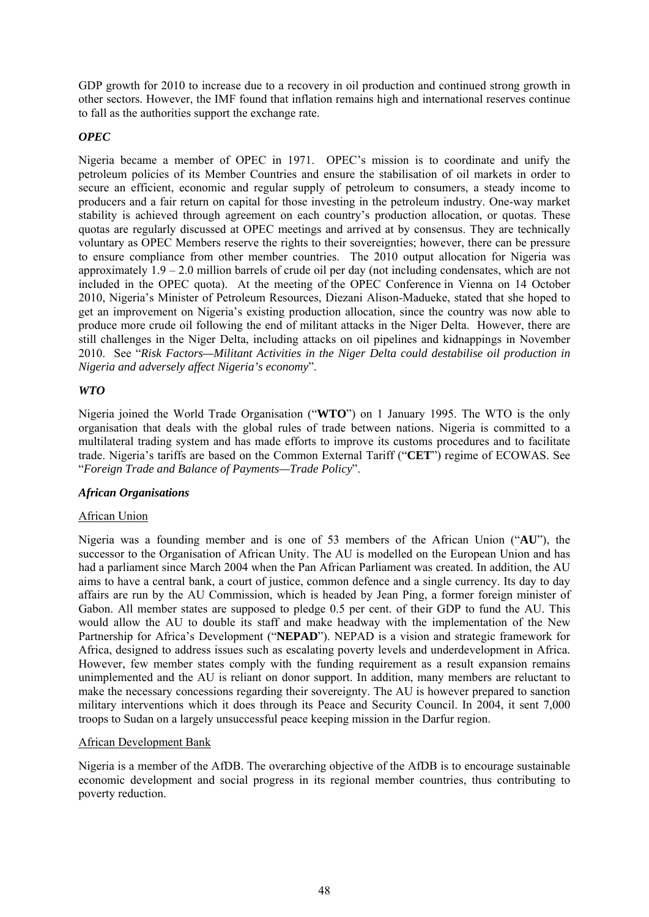GDP growth for 2010 to increase due to a recovery in oil production and continued strong growth in other sectors. However, the IMF found that inflation remains high and international reserves continue to fall as the authorities support the exchange rate.

# *OPEC*

Nigeria became a member of OPEC in 1971. OPEC's mission is to coordinate and unify the petroleum policies of its Member Countries and ensure the stabilisation of oil markets in order to secure an efficient, economic and regular supply of petroleum to consumers, a steady income to producers and a fair return on capital for those investing in the petroleum industry. One-way market stability is achieved through agreement on each country's production allocation, or quotas. These quotas are regularly discussed at OPEC meetings and arrived at by consensus. They are technically voluntary as OPEC Members reserve the rights to their sovereignties; however, there can be pressure to ensure compliance from other member countries. The 2010 output allocation for Nigeria was approximately 1.9 – 2.0 million barrels of crude oil per day (not including condensates, which are not included in the OPEC quota). At the meeting of the OPEC Conference in Vienna on 14 October 2010, Nigeria's Minister of Petroleum Resources, Diezani Alison-Madueke, stated that she hoped to get an improvement on Nigeria's existing production allocation, since the country was now able to produce more crude oil following the end of militant attacks in the Niger Delta. However, there are still challenges in the Niger Delta, including attacks on oil pipelines and kidnappings in November 2010. See "*Risk Factors—Militant Activities in the Niger Delta could destabilise oil production in Nigeria and adversely affect Nigeria's economy*".

# *WTO*

Nigeria joined the World Trade Organisation ("**WTO**") on 1 January 1995. The WTO is the only organisation that deals with the global rules of trade between nations. Nigeria is committed to a multilateral trading system and has made efforts to improve its customs procedures and to facilitate trade. Nigeria's tariffs are based on the Common External Tariff ("**CET**") regime of ECOWAS. See "*Foreign Trade and Balance of Payments—Trade Policy*".

## *African Organisations*

## African Union

Nigeria was a founding member and is one of 53 members of the African Union ("**AU**"), the successor to the Organisation of African Unity. The AU is modelled on the European Union and has had a parliament since March 2004 when the Pan African Parliament was created. In addition, the AU aims to have a central bank, a court of justice, common defence and a single currency. Its day to day affairs are run by the AU Commission, which is headed by Jean Ping, a former foreign minister of Gabon. All member states are supposed to pledge 0.5 per cent. of their GDP to fund the AU. This would allow the AU to double its staff and make headway with the implementation of the New Partnership for Africa's Development ("**NEPAD**"). NEPAD is a vision and strategic framework for Africa, designed to address issues such as escalating poverty levels and underdevelopment in Africa. However, few member states comply with the funding requirement as a result expansion remains unimplemented and the AU is reliant on donor support. In addition, many members are reluctant to make the necessary concessions regarding their sovereignty. The AU is however prepared to sanction military interventions which it does through its Peace and Security Council. In 2004, it sent 7,000 troops to Sudan on a largely unsuccessful peace keeping mission in the Darfur region.

## African Development Bank

Nigeria is a member of the AfDB. The overarching objective of the AfDB is to encourage sustainable economic development and social progress in its regional member countries, thus contributing to poverty reduction.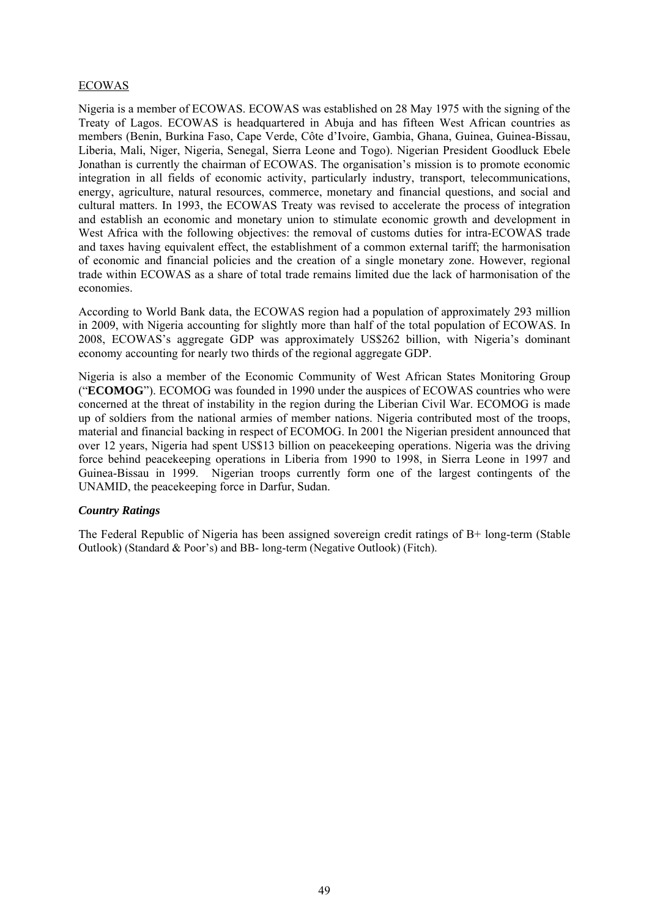# ECOWAS

Nigeria is a member of ECOWAS. ECOWAS was established on 28 May 1975 with the signing of the Treaty of Lagos. ECOWAS is headquartered in Abuja and has fifteen West African countries as members (Benin, Burkina Faso, Cape Verde, Côte d'Ivoire, Gambia, Ghana, Guinea, Guinea-Bissau, Liberia, Mali, Niger, Nigeria, Senegal, Sierra Leone and Togo). Nigerian President Goodluck Ebele Jonathan is currently the chairman of ECOWAS. The organisation's mission is to promote economic integration in all fields of economic activity, particularly industry, transport, telecommunications, energy, agriculture, natural resources, commerce, monetary and financial questions, and social and cultural matters. In 1993, the ECOWAS Treaty was revised to accelerate the process of integration and establish an economic and monetary union to stimulate economic growth and development in West Africa with the following objectives: the removal of customs duties for intra-ECOWAS trade and taxes having equivalent effect, the establishment of a common external tariff; the harmonisation of economic and financial policies and the creation of a single monetary zone. However, regional trade within ECOWAS as a share of total trade remains limited due the lack of harmonisation of the economies.

According to World Bank data, the ECOWAS region had a population of approximately 293 million in 2009, with Nigeria accounting for slightly more than half of the total population of ECOWAS. In 2008, ECOWAS's aggregate GDP was approximately US\$262 billion, with Nigeria's dominant economy accounting for nearly two thirds of the regional aggregate GDP.

Nigeria is also a member of the Economic Community of West African States Monitoring Group ("**ECOMOG**"). ECOMOG was founded in 1990 under the auspices of ECOWAS countries who were concerned at the threat of instability in the region during the Liberian Civil War. ECOMOG is made up of soldiers from the national armies of member nations. Nigeria contributed most of the troops, material and financial backing in respect of ECOMOG. In 2001 the Nigerian president announced that over 12 years, Nigeria had spent US\$13 billion on peacekeeping operations. Nigeria was the driving force behind peacekeeping operations in Liberia from 1990 to 1998, in Sierra Leone in 1997 and Guinea-Bissau in 1999. Nigerian troops currently form one of the largest contingents of the UNAMID, the peacekeeping force in Darfur, Sudan.

## *Country Ratings*

The Federal Republic of Nigeria has been assigned sovereign credit ratings of B+ long-term (Stable Outlook) (Standard & Poor's) and BB- long-term (Negative Outlook) (Fitch).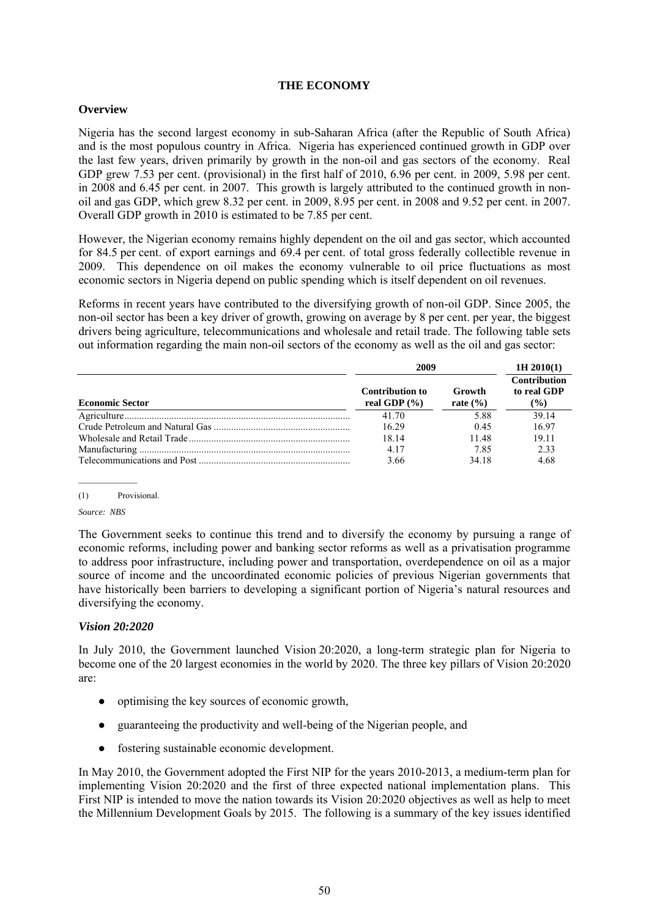## **THE ECONOMY**

## **Overview**

Nigeria has the second largest economy in sub-Saharan Africa (after the Republic of South Africa) and is the most populous country in Africa. Nigeria has experienced continued growth in GDP over the last few years, driven primarily by growth in the non-oil and gas sectors of the economy. Real GDP grew 7.53 per cent. (provisional) in the first half of 2010, 6.96 per cent. in 2009, 5.98 per cent. in 2008 and 6.45 per cent. in 2007. This growth is largely attributed to the continued growth in nonoil and gas GDP, which grew 8.32 per cent. in 2009, 8.95 per cent. in 2008 and 9.52 per cent. in 2007. Overall GDP growth in 2010 is estimated to be 7.85 per cent.

However, the Nigerian economy remains highly dependent on the oil and gas sector, which accounted for 84.5 per cent. of export earnings and 69.4 per cent. of total gross federally collectible revenue in 2009. This dependence on oil makes the economy vulnerable to oil price fluctuations as most economic sectors in Nigeria depend on public spending which is itself dependent on oil revenues.

Reforms in recent years have contributed to the diversifying growth of non-oil GDP. Since 2005, the non-oil sector has been a key driver of growth, growing on average by 8 per cent. per year, the biggest drivers being agriculture, telecommunications and wholesale and retail trade. The following table sets out information regarding the main non-oil sectors of the economy as well as the oil and gas sector:

|                        | 2009                                       | 1H 2010(1)             |                                              |
|------------------------|--------------------------------------------|------------------------|----------------------------------------------|
| <b>Economic Sector</b> | <b>Contribution to</b><br>real GDP $(\% )$ | Growth<br>rate $(\% )$ | <b>Contribution</b><br>to real GDP<br>$(\%)$ |
|                        | 41.70                                      | 5.88                   | 39 14                                        |
|                        | 16.29                                      | 0.45                   | 16.97                                        |
|                        | 18 14                                      | 1148                   | 19.11                                        |
|                        | 4.17                                       | 785                    | 2.33                                         |
|                        | 3.66                                       | 34 18                  | 4.68                                         |

(1) Provisional.

*Source: NBS* 

The Government seeks to continue this trend and to diversify the economy by pursuing a range of economic reforms, including power and banking sector reforms as well as a privatisation programme to address poor infrastructure, including power and transportation, overdependence on oil as a major source of income and the uncoordinated economic policies of previous Nigerian governments that have historically been barriers to developing a significant portion of Nigeria's natural resources and diversifying the economy.

## *Vision 20:2020*

In July 2010, the Government launched Vision 20:2020, a long-term strategic plan for Nigeria to become one of the 20 largest economies in the world by 2020. The three key pillars of Vision 20:2020 are:

- optimising the key sources of economic growth,
- guaranteeing the productivity and well-being of the Nigerian people, and
- fostering sustainable economic development.

In May 2010, the Government adopted the First NIP for the years 2010-2013, a medium-term plan for implementing Vision 20:2020 and the first of three expected national implementation plans. This First NIP is intended to move the nation towards its Vision 20:2020 objectives as well as help to meet the Millennium Development Goals by 2015. The following is a summary of the key issues identified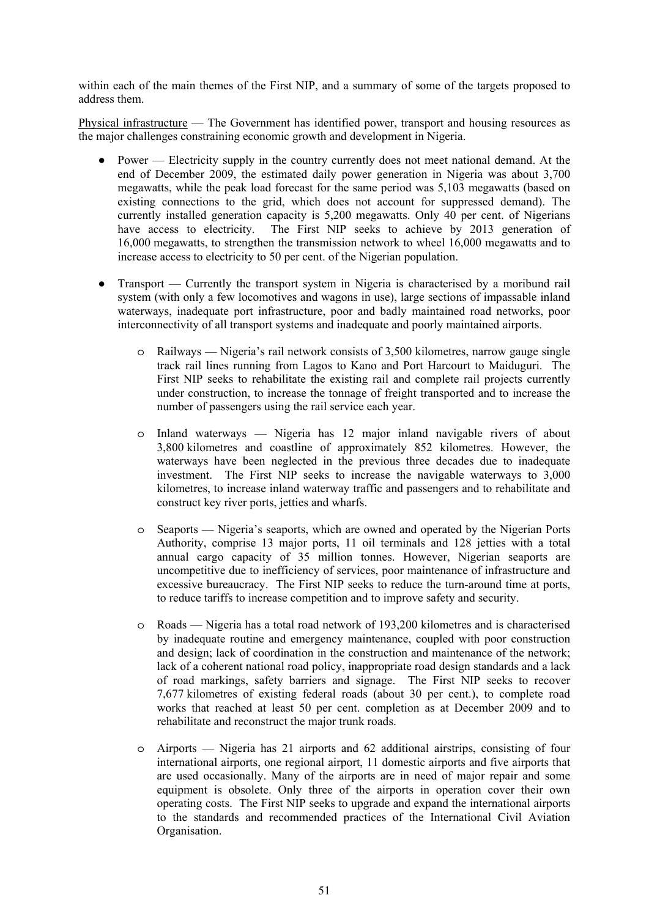within each of the main themes of the First NIP, and a summary of some of the targets proposed to address them.

Physical infrastructure — The Government has identified power, transport and housing resources as the major challenges constraining economic growth and development in Nigeria.

- Power Electricity supply in the country currently does not meet national demand. At the end of December 2009, the estimated daily power generation in Nigeria was about 3,700 megawatts, while the peak load forecast for the same period was 5,103 megawatts (based on existing connections to the grid, which does not account for suppressed demand). The currently installed generation capacity is 5,200 megawatts. Only 40 per cent. of Nigerians have access to electricity. The First NIP seeks to achieve by 2013 generation of 16,000 megawatts, to strengthen the transmission network to wheel 16,000 megawatts and to increase access to electricity to 50 per cent. of the Nigerian population.
- Transport Currently the transport system in Nigeria is characterised by a moribund rail system (with only a few locomotives and wagons in use), large sections of impassable inland waterways, inadequate port infrastructure, poor and badly maintained road networks, poor interconnectivity of all transport systems and inadequate and poorly maintained airports.
	- o Railways Nigeria's rail network consists of 3,500 kilometres, narrow gauge single track rail lines running from Lagos to Kano and Port Harcourt to Maiduguri. The First NIP seeks to rehabilitate the existing rail and complete rail projects currently under construction, to increase the tonnage of freight transported and to increase the number of passengers using the rail service each year.
	- o Inland waterways Nigeria has 12 major inland navigable rivers of about 3,800 kilometres and coastline of approximately 852 kilometres. However, the waterways have been neglected in the previous three decades due to inadequate investment. The First NIP seeks to increase the navigable waterways to 3,000 kilometres, to increase inland waterway traffic and passengers and to rehabilitate and construct key river ports, jetties and wharfs.
	- o Seaports Nigeria's seaports, which are owned and operated by the Nigerian Ports Authority, comprise 13 major ports, 11 oil terminals and 128 jetties with a total annual cargo capacity of 35 million tonnes. However, Nigerian seaports are uncompetitive due to inefficiency of services, poor maintenance of infrastructure and excessive bureaucracy. The First NIP seeks to reduce the turn-around time at ports, to reduce tariffs to increase competition and to improve safety and security.
	- o Roads Nigeria has a total road network of 193,200 kilometres and is characterised by inadequate routine and emergency maintenance, coupled with poor construction and design; lack of coordination in the construction and maintenance of the network; lack of a coherent national road policy, inappropriate road design standards and a lack of road markings, safety barriers and signage. The First NIP seeks to recover 7,677 kilometres of existing federal roads (about 30 per cent.), to complete road works that reached at least 50 per cent. completion as at December 2009 and to rehabilitate and reconstruct the major trunk roads.
	- o Airports Nigeria has 21 airports and 62 additional airstrips, consisting of four international airports, one regional airport, 11 domestic airports and five airports that are used occasionally. Many of the airports are in need of major repair and some equipment is obsolete. Only three of the airports in operation cover their own operating costs. The First NIP seeks to upgrade and expand the international airports to the standards and recommended practices of the International Civil Aviation Organisation.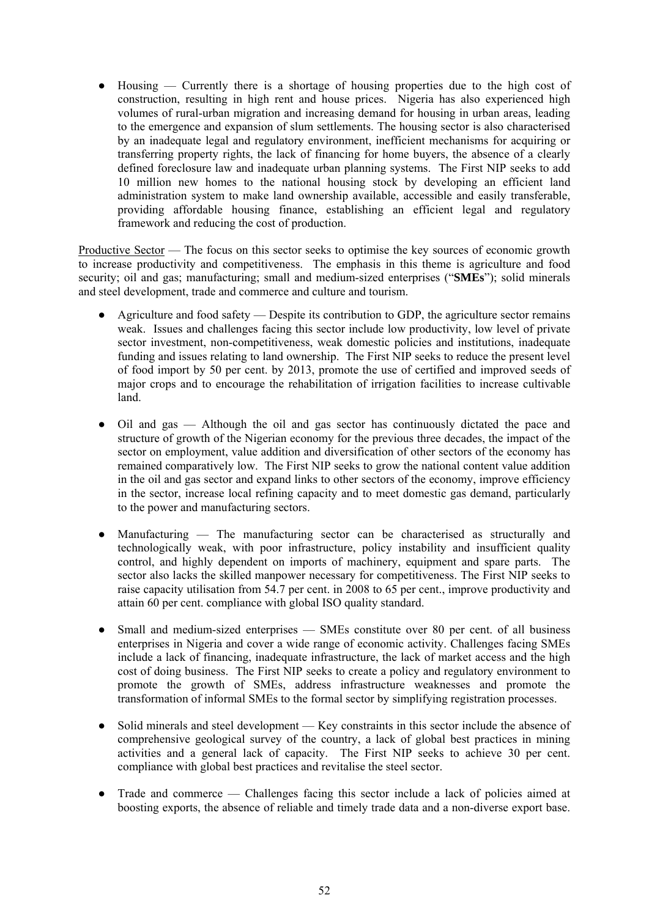$H_0$  Housing  $-$  Currently there is a shortage of housing properties due to the high cost of construction, resulting in high rent and house prices. Nigeria has also experienced high volumes of rural-urban migration and increasing demand for housing in urban areas, leading to the emergence and expansion of slum settlements. The housing sector is also characterised by an inadequate legal and regulatory environment, inefficient mechanisms for acquiring or transferring property rights, the lack of financing for home buyers, the absence of a clearly defined foreclosure law and inadequate urban planning systems. The First NIP seeks to add 10 million new homes to the national housing stock by developing an efficient land administration system to make land ownership available, accessible and easily transferable, providing affordable housing finance, establishing an efficient legal and regulatory framework and reducing the cost of production.

Productive Sector — The focus on this sector seeks to optimise the key sources of economic growth to increase productivity and competitiveness. The emphasis in this theme is agriculture and food security; oil and gas; manufacturing; small and medium-sized enterprises ("**SMEs**"); solid minerals and steel development, trade and commerce and culture and tourism.

- Agriculture and food safety  $-$  Despite its contribution to GDP, the agriculture sector remains weak. Issues and challenges facing this sector include low productivity, low level of private sector investment, non-competitiveness, weak domestic policies and institutions, inadequate funding and issues relating to land ownership. The First NIP seeks to reduce the present level of food import by 50 per cent. by 2013, promote the use of certified and improved seeds of major crops and to encourage the rehabilitation of irrigation facilities to increase cultivable land.
- Oil and gas Although the oil and gas sector has continuously dictated the pace and structure of growth of the Nigerian economy for the previous three decades, the impact of the sector on employment, value addition and diversification of other sectors of the economy has remained comparatively low. The First NIP seeks to grow the national content value addition in the oil and gas sector and expand links to other sectors of the economy, improve efficiency in the sector, increase local refining capacity and to meet domestic gas demand, particularly to the power and manufacturing sectors.
- Manufacturing The manufacturing sector can be characterised as structurally and technologically weak, with poor infrastructure, policy instability and insufficient quality control, and highly dependent on imports of machinery, equipment and spare parts. The sector also lacks the skilled manpower necessary for competitiveness. The First NIP seeks to raise capacity utilisation from 54.7 per cent. in 2008 to 65 per cent., improve productivity and attain 60 per cent. compliance with global ISO quality standard.
- Small and medium-sized enterprises SMEs constitute over 80 per cent. of all business enterprises in Nigeria and cover a wide range of economic activity. Challenges facing SMEs include a lack of financing, inadequate infrastructure, the lack of market access and the high cost of doing business. The First NIP seeks to create a policy and regulatory environment to promote the growth of SMEs, address infrastructure weaknesses and promote the transformation of informal SMEs to the formal sector by simplifying registration processes.
- Solid minerals and steel development Key constraints in this sector include the absence of comprehensive geological survey of the country, a lack of global best practices in mining activities and a general lack of capacity. The First NIP seeks to achieve 30 per cent. compliance with global best practices and revitalise the steel sector.
- Trade and commerce Challenges facing this sector include a lack of policies aimed at boosting exports, the absence of reliable and timely trade data and a non-diverse export base.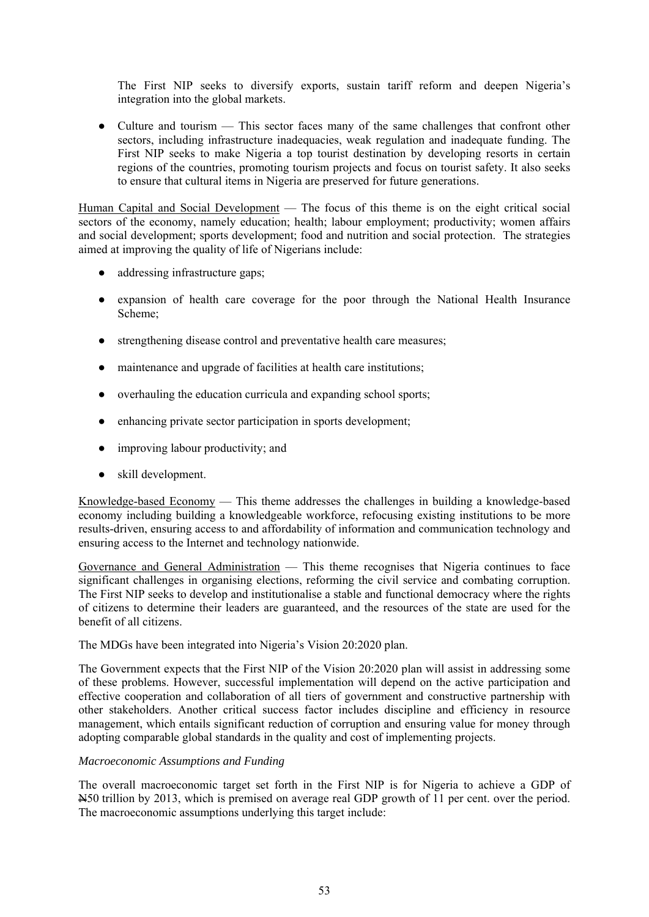The First NIP seeks to diversify exports, sustain tariff reform and deepen Nigeria's integration into the global markets.

• Culture and tourism — This sector faces many of the same challenges that confront other sectors, including infrastructure inadequacies, weak regulation and inadequate funding. The First NIP seeks to make Nigeria a top tourist destination by developing resorts in certain regions of the countries, promoting tourism projects and focus on tourist safety. It also seeks to ensure that cultural items in Nigeria are preserved for future generations.

Human Capital and Social Development — The focus of this theme is on the eight critical social sectors of the economy, namely education; health; labour employment; productivity; women affairs and social development; sports development; food and nutrition and social protection. The strategies aimed at improving the quality of life of Nigerians include:

- addressing infrastructure gaps;
- expansion of health care coverage for the poor through the National Health Insurance Scheme;
- strengthening disease control and preventative health care measures;
- maintenance and upgrade of facilities at health care institutions;
- overhauling the education curricula and expanding school sports;
- enhancing private sector participation in sports development;
- improving labour productivity; and
- skill development.

Knowledge-based Economy — This theme addresses the challenges in building a knowledge-based economy including building a knowledgeable workforce, refocusing existing institutions to be more results-driven, ensuring access to and affordability of information and communication technology and ensuring access to the Internet and technology nationwide.

Governance and General Administration — This theme recognises that Nigeria continues to face significant challenges in organising elections, reforming the civil service and combating corruption. The First NIP seeks to develop and institutionalise a stable and functional democracy where the rights of citizens to determine their leaders are guaranteed, and the resources of the state are used for the benefit of all citizens.

## The MDGs have been integrated into Nigeria's Vision 20:2020 plan.

The Government expects that the First NIP of the Vision 20:2020 plan will assist in addressing some of these problems. However, successful implementation will depend on the active participation and effective cooperation and collaboration of all tiers of government and constructive partnership with other stakeholders. Another critical success factor includes discipline and efficiency in resource management, which entails significant reduction of corruption and ensuring value for money through adopting comparable global standards in the quality and cost of implementing projects.

## *Macroeconomic Assumptions and Funding*

The overall macroeconomic target set forth in the First NIP is for Nigeria to achieve a GDP of N50 trillion by 2013, which is premised on average real GDP growth of 11 per cent. over the period. The macroeconomic assumptions underlying this target include: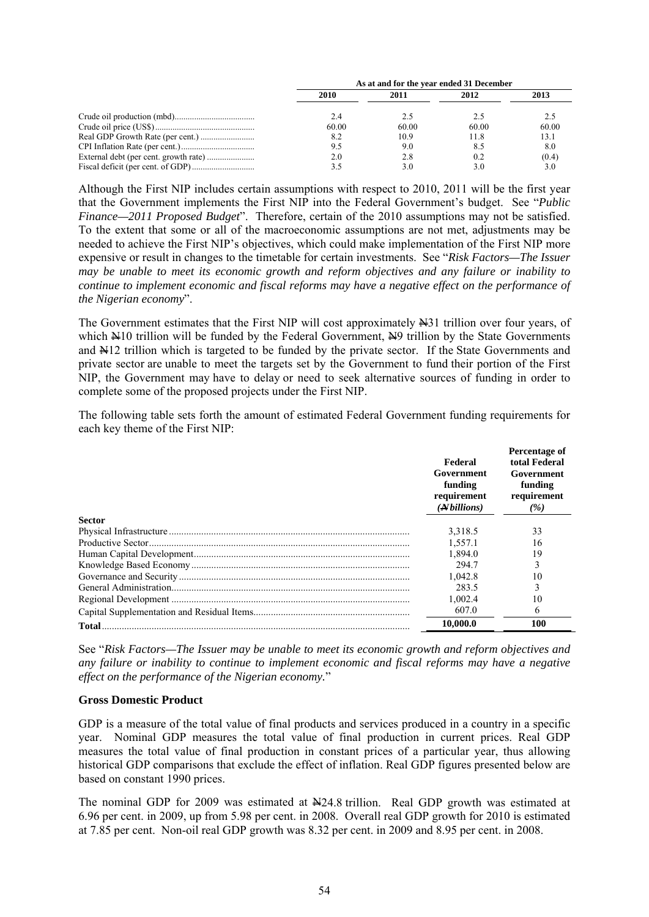| As at and for the year ended 31 December |       |       |       |  |  |
|------------------------------------------|-------|-------|-------|--|--|
| 2010                                     | 2011  | 2012  | 2013  |  |  |
| 2.4                                      |       | 2.5   |       |  |  |
| 60.00                                    | 60.00 | 60.00 | 60.00 |  |  |
| 8.2                                      | 10.9  | 11.8  | 13.1  |  |  |
| 9.5                                      | 9.0   | 8.5   | 8.0   |  |  |
| 2.0                                      | 2.8   | 0.2   | (0.4) |  |  |
|                                          | 3.0   | 3.0   | 3.0   |  |  |

Although the First NIP includes certain assumptions with respect to 2010, 2011 will be the first year that the Government implements the First NIP into the Federal Government's budget. See "*Public Finance—2011 Proposed Budget*". Therefore, certain of the 2010 assumptions may not be satisfied. To the extent that some or all of the macroeconomic assumptions are not met, adjustments may be needed to achieve the First NIP's objectives, which could make implementation of the First NIP more expensive or result in changes to the timetable for certain investments. See "*Risk Factors—The Issuer may be unable to meet its economic growth and reform objectives and any failure or inability to continue to implement economic and fiscal reforms may have a negative effect on the performance of the Nigerian economy*".

The Government estimates that the First NIP will cost approximately  $\#31$  trillion over four years, of which  $\text{Al}10$  trillion will be funded by the Federal Government,  $\text{Al}9$  trillion by the State Governments and  $\frac{M12}{N12}$  trillion which is targeted to be funded by the private sector. If the State Governments and private sector are unable to meet the targets set by the Government to fund their portion of the First NIP, the Government may have to delay or need to seek alternative sources of funding in order to complete some of the proposed projects under the First NIP.

The following table sets forth the amount of estimated Federal Government funding requirements for each key theme of the First NIP:

|               | Federal<br>Government<br>funding<br>requirement<br>$(A\rightarrow B\rightarrow B)$ | Percentage of<br>total Federal<br>Government<br>funding<br>requirement<br>(%) |
|---------------|------------------------------------------------------------------------------------|-------------------------------------------------------------------------------|
| <b>Sector</b> |                                                                                    |                                                                               |
|               | 3,318.5                                                                            | 33                                                                            |
|               | 1,557.1                                                                            | 16                                                                            |
|               | 1.894.0                                                                            | 19                                                                            |
|               | 294.7                                                                              |                                                                               |
|               | 1.042.8                                                                            | 10                                                                            |
|               | 283.5                                                                              |                                                                               |
|               | 1,002.4                                                                            | 10                                                                            |
|               | 607.0                                                                              | 6                                                                             |
| Total         | 10.000.0                                                                           | 100                                                                           |

See "*Risk Factors—The Issuer may be unable to meet its economic growth and reform objectives and any failure or inability to continue to implement economic and fiscal reforms may have a negative effect on the performance of the Nigerian economy.*"

#### **Gross Domestic Product**

GDP is a measure of the total value of final products and services produced in a country in a specific year. Nominal GDP measures the total value of final production in current prices. Real GDP measures the total value of final production in constant prices of a particular year, thus allowing historical GDP comparisons that exclude the effect of inflation. Real GDP figures presented below are based on constant 1990 prices.

The nominal GDP for 2009 was estimated at  $\frac{N}{24.8}$  trillion. Real GDP growth was estimated at 6.96 per cent. in 2009, up from 5.98 per cent. in 2008. Overall real GDP growth for 2010 is estimated at 7.85 per cent. Non-oil real GDP growth was 8.32 per cent. in 2009 and 8.95 per cent. in 2008.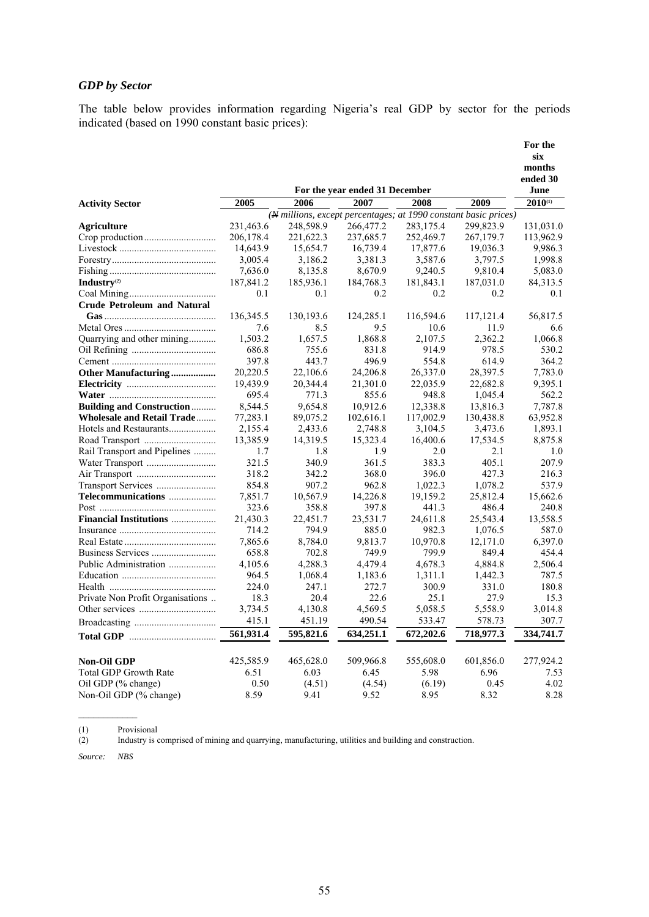# *GDP by Sector*

The table below provides information regarding Nigeria's real GDP by sector for the periods indicated (based on 1990 constant basic prices):

|                                    |           |                                                                 |                                |           |           | For the       |
|------------------------------------|-----------|-----------------------------------------------------------------|--------------------------------|-----------|-----------|---------------|
|                                    |           |                                                                 |                                |           |           | six<br>months |
|                                    |           |                                                                 |                                |           |           | ended 30      |
|                                    |           |                                                                 | For the year ended 31 December |           |           | June          |
| <b>Activity Sector</b>             | 2005      | 2006                                                            | 2007                           | 2008      | 2009      | $2010^{(1)}$  |
|                                    |           | (# millions, except percentages; at 1990 constant basic prices) |                                |           |           |               |
| Agriculture                        | 231,463.6 | 248,598.9                                                       | 266,477.2                      | 283,175.4 | 299,823.9 | 131,031.0     |
|                                    | 206,178.4 | 221,622.3                                                       | 237,685.7                      | 252,469.7 | 267,179.7 | 113,962.9     |
|                                    | 14,643.9  | 15,654.7                                                        | 16,739.4                       | 17,877.6  | 19,036.3  | 9,986.3       |
|                                    | 3,005.4   | 3,186.2                                                         | 3,381.3                        | 3,587.6   | 3,797.5   | 1,998.8       |
|                                    | 7,636.0   | 8,135.8                                                         | 8,670.9                        | 9,240.5   | 9,810.4   | 5,083.0       |
| Industry <sup>(2)</sup>            | 187,841.2 | 185,936.1                                                       | 184,768.3                      | 181,843.1 | 187,031.0 | 84, 313. 5    |
|                                    | 0.1       | 0.1                                                             | 0.2                            | 0.2       | 0.2       | 0.1           |
| <b>Crude Petroleum and Natural</b> |           |                                                                 |                                |           |           |               |
|                                    | 136,345.5 | 130,193.6                                                       | 124,285.1                      | 116,594.6 | 117,121.4 | 56,817.5      |
|                                    | 7.6       | 8.5                                                             | 9.5                            | 10.6      | 11.9      | 6.6           |
| Quarrying and other mining         | 1,503.2   | 1,657.5                                                         | 1,868.8                        | 2.107.5   | 2.362.2   | 1.066.8       |
|                                    | 686.8     | 755.6                                                           | 831.8                          | 914.9     | 978.5     | 530.2         |
|                                    | 397.8     | 443.7                                                           | 496.9                          | 554.8     | 614.9     | 364.2         |
| Other Manufacturing                | 20,220.5  | 22,106.6                                                        | 24,206.8                       | 26,337.0  | 28,397.5  | 7,783.0       |
|                                    | 19,439.9  | 20,344.4                                                        | 21,301.0                       | 22,035.9  | 22,682.8  | 9,395.1       |
|                                    | 695.4     | 771.3                                                           | 855.6                          | 948.8     | 1,045.4   | 562.2         |
| <b>Building and Construction</b>   | 8,544.5   | 9,654.8                                                         | 10,912.6                       | 12,338.8  | 13,816.3  | 7,787.8       |
| <b>Wholesale and Retail Trade</b>  | 77,283.1  | 89,075.2                                                        | 102,616.1                      | 117,002.9 | 130,438.8 | 63,952.8      |
| Hotels and Restaurants             | 2,155.4   | 2,433.6                                                         | 2,748.8                        | 3,104.5   | 3,473.6   | 1,893.1       |
|                                    | 13,385.9  | 14,319.5                                                        | 15,323.4                       | 16,400.6  | 17,534.5  | 8,875.8       |
| Rail Transport and Pipelines       | 1.7       | 1.8                                                             | 1.9                            | 2.0       | 2.1       | 1.0           |
|                                    | 321.5     | 340.9                                                           | 361.5                          | 383.3     | 405.1     | 207.9         |
|                                    | 318.2     | 342.2                                                           | 368.0                          | 396.0     | 427.3     | 216.3         |
|                                    | 854.8     | 907.2                                                           | 962.8                          | 1,022.3   | 1,078.2   | 537.9         |
| Telecommunications                 | 7,851.7   | 10,567.9                                                        | 14,226.8                       | 19,159.2  | 25,812.4  | 15,662.6      |
|                                    | 323.6     | 358.8                                                           | 397.8                          | 441.3     | 486.4     | 240.8         |
| <b>Financial Institutions</b>      | 21,430.3  | 22,451.7                                                        | 23,531.7                       | 24,611.8  | 25,543.4  | 13,558.5      |
|                                    | 714.2     | 794.9                                                           | 885.0                          | 982.3     |           | 587.0         |
|                                    |           |                                                                 |                                |           | 1,076.5   |               |
|                                    | 7,865.6   | 8,784.0                                                         | 9,813.7                        | 10,970.8  | 12,171.0  | 6,397.0       |
|                                    | 658.8     | 702.8                                                           | 749.9                          | 799.9     | 849.4     | 454.4         |
| Public Administration              | 4,105.6   | 4,288.3                                                         | 4,479.4                        | 4,678.3   | 4,884.8   | 2,506.4       |
|                                    | 964.5     | 1,068.4                                                         | 1,183.6                        | 1,311.1   | 1,442.3   | 787.5         |
|                                    | 224.0     | 247.1                                                           | 272.7                          | 300.9     | 331.0     | 180.8         |
| Private Non Profit Organisations   | 18.3      | 20.4                                                            | 22.6                           | 25.1      | 27.9      | 15.3          |
|                                    | 3,734.5   | 4,130.8                                                         | 4,569.5                        | 5,058.5   | 5,558.9   | 3,014.8       |
|                                    | 415.1     | 451.19                                                          | 490.54                         | 533.47    | 578.73    | 307.7         |
|                                    | 561,931.4 | 595,821.6                                                       | 634,251.1                      | 672,202.6 | 718,977.3 | 334,741.7     |
| <b>Non-Oil GDP</b>                 | 425,585.9 | 465,628.0                                                       | 509,966.8                      | 555,608.0 | 601,856.0 | 277,924.2     |
| <b>Total GDP Growth Rate</b>       | 6.51      | 6.03                                                            | 6.45                           | 5.98      | 6.96      | 7.53          |
| Oil GDP (% change)                 | 0.50      | (4.51)                                                          | (4.54)                         | (6.19)    | 0.45      | 4.02          |
| Non-Oil GDP (% change)             | 8.59      | 9.41                                                            | 9.52                           | 8.95      | 8.32      | 8.28          |
|                                    |           |                                                                 |                                |           |           |               |

(1) Provisional<br>(2) Industry is o Industry is comprised of mining and quarrying, manufacturing, utilities and building and construction.

*Source: NBS*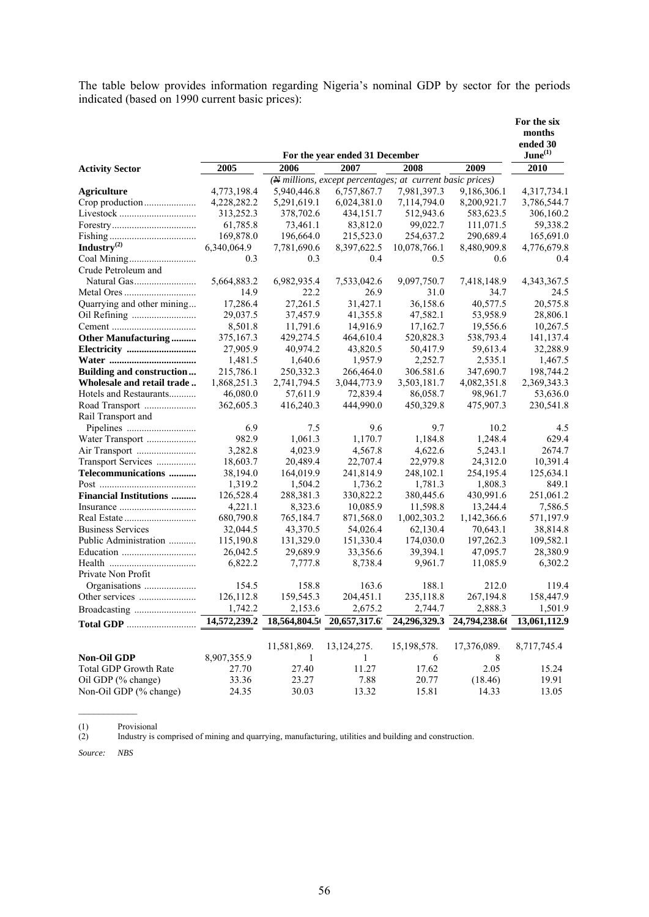The table below provides information regarding Nigeria's nominal GDP by sector for the periods indicated (based on 1990 current basic prices):

|                                |              |             | For the year ended 31 December                            |              |                            | For the six<br>months<br>ended 30<br>$June^{(1)}$ |
|--------------------------------|--------------|-------------|-----------------------------------------------------------|--------------|----------------------------|---------------------------------------------------|
| <b>Activity Sector</b>         | 2005         | 2006        | 2007                                                      | 2008         | 2009                       | 2010                                              |
|                                |              |             | (N millions, except percentages; at current basic prices) |              |                            |                                                   |
| <b>Agriculture</b>             | 4,773,198.4  | 5,940,446.8 | 6,757,867.7                                               | 7,981,397.3  | 9,186,306.1                | 4,317,734.1                                       |
|                                | 4,228,282.2  | 5,291,619.1 | 6,024,381.0                                               | 7,114,794.0  | 8,200,921.7                | 3,786,544.7                                       |
|                                | 313,252.3    | 378,702.6   | 434,151.7                                                 | 512,943.6    | 583,623.5                  | 306,160.2                                         |
|                                | 61,785.8     | 73,461.1    | 83,812.0                                                  | 99,022.7     | 111,071.5                  | 59,338.2                                          |
|                                | 169,878.0    | 196,664.0   | 215,523.0                                                 | 254,637.2    | 290,689.4                  | 165,691.0                                         |
| Industry $^{(2)}$              | 6,340,064.9  | 7,781,690.6 | 8,397,622.5                                               | 10,078,766.1 | 8,480,909.8                | 4,776,679.8                                       |
|                                | 0.3          | 0.3         | 0.4                                                       | 0.5          | 0.6                        | 0.4                                               |
| Crude Petroleum and            |              |             |                                                           |              |                            |                                                   |
|                                | 5,664,883.2  | 6,982,935.4 | 7,533,042.6                                               | 9,097,750.7  | 7,418,148.9                | 4, 343, 367. 5                                    |
|                                | 14.9         | 22.2        | 26.9                                                      | 31.0         | 34.7                       | 24.5                                              |
| Quarrying and other mining     | 17,286.4     | 27,261.5    | 31,427.1                                                  | 36,158.6     | 40,577.5                   | 20,575.8                                          |
|                                | 29,037.5     | 37,457.9    | 41,355.8                                                  | 47,582.1     | 53,958.9                   | 28,806.1                                          |
|                                | 8,501.8      | 11,791.6    | 14,916.9                                                  | 17,162.7     | 19,556.6                   | 10,267.5                                          |
| <b>Other Manufacturing </b>    | 375,167.3    | 429,274.5   | 464,610.4                                                 | 520,828.3    | 538,793.4                  | 141,137.4                                         |
| Electricity                    | 27,905.9     | 40,974.2    | 43,820.5                                                  | 50,417.9     | 59,613.4                   | 32,288.9                                          |
|                                | 1,481.5      | 1,640.6     | 1,957.9                                                   | 2,252.7      | 2,535.1                    | 1,467.5                                           |
| Building and construction      | 215,786.1    | 250,332.3   | 266,464.0                                                 | 306.581.6    | 347,690.7                  | 198,744.2                                         |
| Wholesale and retail trade     | 1,868,251.3  | 2,741,794.5 | 3,044,773.9                                               | 3,503,181.7  | 4,082,351.8                | 2,369,343.3                                       |
| Hotels and Restaurants         | 46,080.0     | 57,611.9    | 72,839.4                                                  | 86,058.7     | 98,961.7                   | 53,636.0                                          |
| Road Transport                 | 362,605.3    | 416,240.3   | 444,990.0                                                 | 450,329.8    | 475,907.3                  | 230,541.8                                         |
| Rail Transport and             |              |             |                                                           |              |                            |                                                   |
|                                | 6.9          | 7.5         | 9.6                                                       | 9.7          | 10.2                       | 4.5                                               |
| Water Transport                | 982.9        | 1,061.3     | 1,170.7                                                   | 1,184.8      | 1,248.4                    | 629.4                                             |
|                                | 3,282.8      | 4,023.9     | 4,567.8                                                   | 4,622.6      | 5,243.1                    | 2674.7                                            |
| Transport Services             | 18,603.7     | 20,489.4    | 22,707.4                                                  | 22,979.8     | 24,312.0                   | 10,391.4                                          |
| Telecommunications             | 38,194.0     | 164,019.9   | 241,814.9                                                 | 248,102.1    | 254,195.4                  | 125,634.1                                         |
|                                | 1,319.2      | 1,504.2     | 1,736.2                                                   | 1,781.3      | 1,808.3                    | 849.1                                             |
| <b>Financial Institutions </b> | 126,528.4    | 288,381.3   | 330,822.2                                                 | 380,445.6    | 430,991.6                  | 251,061.2                                         |
|                                | 4,221.1      | 8,323.6     | 10,085.9                                                  | 11,598.8     | 13,244.4                   | 7,586.5                                           |
|                                | 680,790.8    | 765,184.7   | 871,568.0                                                 | 1,002,303.2  | 1,142,366.6                | 571,197.9                                         |
| <b>Business Services</b>       | 32,044.5     | 43,370.5    | 54,026.4                                                  | 62,130.4     | 70,643.1                   | 38,814.8                                          |
| Public Administration          | 115,190.8    | 131,329.0   | 151,330.4                                                 | 174,030.0    | 197,262.3                  | 109,582.1                                         |
|                                | 26,042.5     | 29,689.9    | 33,356.6                                                  | 39,394.1     | 47,095.7                   | 28,380.9                                          |
|                                | 6,822.2      | 7,777.8     | 8,738.4                                                   | 9,961.7      | 11,085.9                   | 6,302.2                                           |
| Private Non Profit             |              |             |                                                           |              |                            |                                                   |
|                                | 154.5        | 158.8       | 163.6                                                     | 188.1        | 212.0                      | 119.4                                             |
|                                | 126,112.8    | 159,545.3   | 204,451.1                                                 | 235,118.8    | 267,194.8                  | 158,447.9                                         |
|                                | 1,742.2      | 2,153.6     | 2,675.2                                                   | 2,744.7      | 2,888.3                    | 1,501.9                                           |
|                                | 14,572,239.2 |             | 18,564,804.5 20,657,317.6                                 |              | 24,296,329.3 24,794,238.60 | 13,061,112.9                                      |
|                                |              | 11,581,869. | 13, 124, 275.                                             | 15,198,578.  | 17,376,089.                | 8,717,745.4                                       |
| <b>Non-Oil GDP</b>             | 8,907,355.9  | 1           | 1                                                         | 6            | 8                          |                                                   |
| Total GDP Growth Rate          | 27.70        | 27.40       | 11.27                                                     | 17.62        | 2.05                       | 15.24                                             |
| Oil GDP (% change)             | 33.36        | 23.27       | 7.88                                                      | 20.77        | (18.46)                    | 19.91                                             |
| Non-Oil GDP (% change)         | 24.35        | 30.03       | 13.32                                                     | 15.81        | 14.33                      | 13.05                                             |

(1) Provisional<br>(2) Industry is o Industry is comprised of mining and quarrying, manufacturing, utilities and building and construction.

*Source: NBS*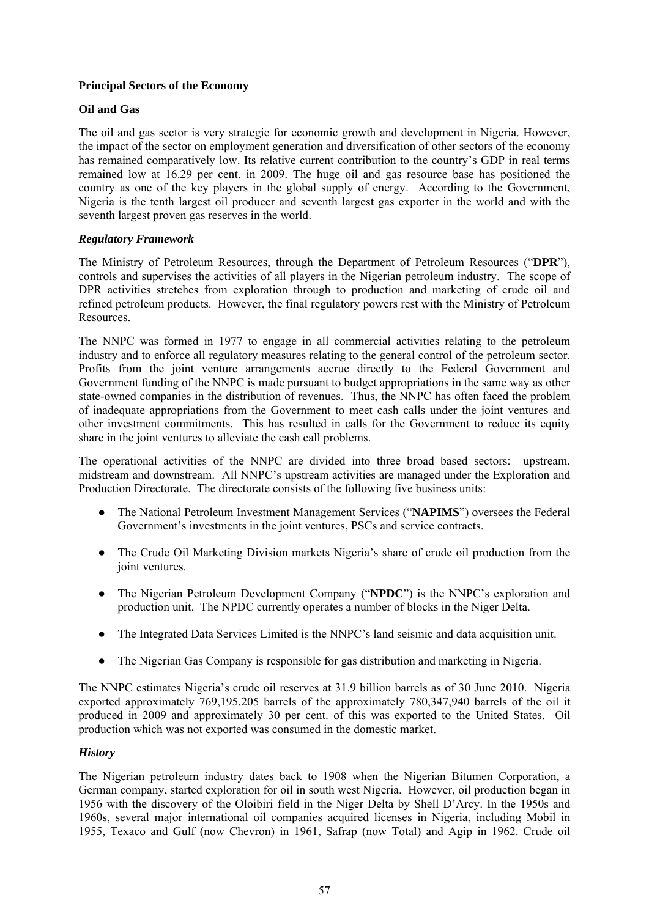# **Principal Sectors of the Economy**

# **Oil and Gas**

The oil and gas sector is very strategic for economic growth and development in Nigeria. However, the impact of the sector on employment generation and diversification of other sectors of the economy has remained comparatively low. Its relative current contribution to the country's GDP in real terms remained low at 16.29 per cent. in 2009. The huge oil and gas resource base has positioned the country as one of the key players in the global supply of energy. According to the Government, Nigeria is the tenth largest oil producer and seventh largest gas exporter in the world and with the seventh largest proven gas reserves in the world.

# *Regulatory Framework*

The Ministry of Petroleum Resources, through the Department of Petroleum Resources ("**DPR**"), controls and supervises the activities of all players in the Nigerian petroleum industry. The scope of DPR activities stretches from exploration through to production and marketing of crude oil and refined petroleum products. However, the final regulatory powers rest with the Ministry of Petroleum Resources.

The NNPC was formed in 1977 to engage in all commercial activities relating to the petroleum industry and to enforce all regulatory measures relating to the general control of the petroleum sector. Profits from the joint venture arrangements accrue directly to the Federal Government and Government funding of the NNPC is made pursuant to budget appropriations in the same way as other state-owned companies in the distribution of revenues. Thus, the NNPC has often faced the problem of inadequate appropriations from the Government to meet cash calls under the joint ventures and other investment commitments. This has resulted in calls for the Government to reduce its equity share in the joint ventures to alleviate the cash call problems.

The operational activities of the NNPC are divided into three broad based sectors: upstream, midstream and downstream. All NNPC's upstream activities are managed under the Exploration and Production Directorate. The directorate consists of the following five business units:

- The National Petroleum Investment Management Services ("**NAPIMS**") oversees the Federal Government's investments in the joint ventures, PSCs and service contracts.
- The Crude Oil Marketing Division markets Nigeria's share of crude oil production from the joint ventures.
- The Nigerian Petroleum Development Company ("**NPDC**") is the NNPC's exploration and production unit. The NPDC currently operates a number of blocks in the Niger Delta.
- The Integrated Data Services Limited is the NNPC's land seismic and data acquisition unit.
- The Nigerian Gas Company is responsible for gas distribution and marketing in Nigeria.

The NNPC estimates Nigeria's crude oil reserves at 31.9 billion barrels as of 30 June 2010. Nigeria exported approximately 769,195,205 barrels of the approximately 780,347,940 barrels of the oil it produced in 2009 and approximately 30 per cent. of this was exported to the United States. Oil production which was not exported was consumed in the domestic market.

# *History*

The Nigerian petroleum industry dates back to 1908 when the Nigerian Bitumen Corporation, a German company, started exploration for oil in south west Nigeria. However, oil production began in 1956 with the discovery of the Oloibiri field in the Niger Delta by Shell D'Arcy. In the 1950s and 1960s, several major international oil companies acquired licenses in Nigeria, including Mobil in 1955, Texaco and Gulf (now Chevron) in 1961, Safrap (now Total) and Agip in 1962. Crude oil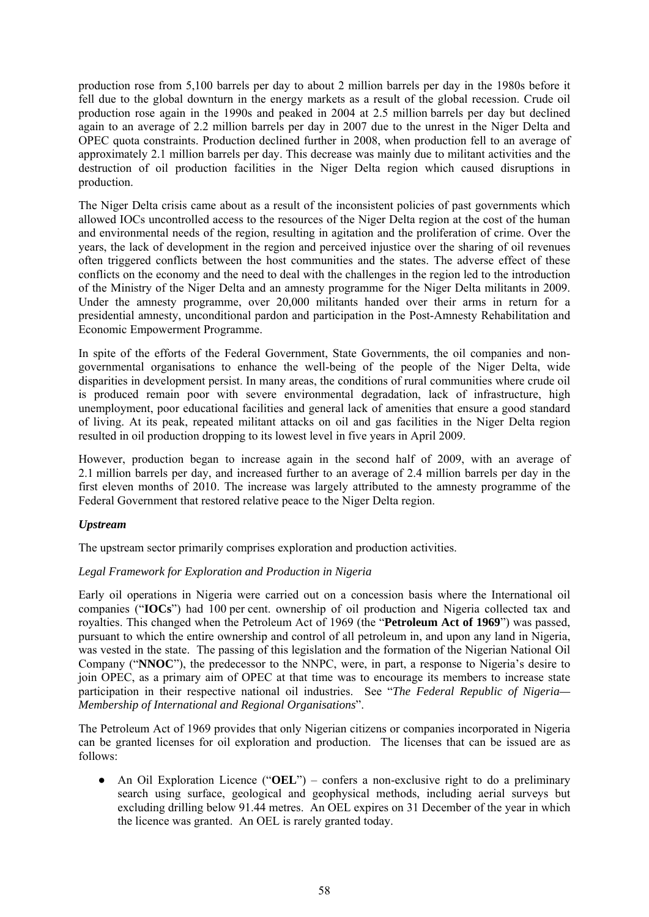production rose from 5,100 barrels per day to about 2 million barrels per day in the 1980s before it fell due to the global downturn in the energy markets as a result of the global recession. Crude oil production rose again in the 1990s and peaked in 2004 at 2.5 million barrels per day but declined again to an average of 2.2 million barrels per day in 2007 due to the unrest in the Niger Delta and OPEC quota constraints. Production declined further in 2008, when production fell to an average of approximately 2.1 million barrels per day. This decrease was mainly due to militant activities and the destruction of oil production facilities in the Niger Delta region which caused disruptions in production.

The Niger Delta crisis came about as a result of the inconsistent policies of past governments which allowed IOCs uncontrolled access to the resources of the Niger Delta region at the cost of the human and environmental needs of the region, resulting in agitation and the proliferation of crime. Over the years, the lack of development in the region and perceived injustice over the sharing of oil revenues often triggered conflicts between the host communities and the states. The adverse effect of these conflicts on the economy and the need to deal with the challenges in the region led to the introduction of the Ministry of the Niger Delta and an amnesty programme for the Niger Delta militants in 2009. Under the amnesty programme, over 20,000 militants handed over their arms in return for a presidential amnesty, unconditional pardon and participation in the Post-Amnesty Rehabilitation and Economic Empowerment Programme.

In spite of the efforts of the Federal Government, State Governments, the oil companies and nongovernmental organisations to enhance the well-being of the people of the Niger Delta, wide disparities in development persist. In many areas, the conditions of rural communities where crude oil is produced remain poor with severe environmental degradation, lack of infrastructure, high unemployment, poor educational facilities and general lack of amenities that ensure a good standard of living. At its peak, repeated militant attacks on oil and gas facilities in the Niger Delta region resulted in oil production dropping to its lowest level in five years in April 2009.

However, production began to increase again in the second half of 2009, with an average of 2.1 million barrels per day, and increased further to an average of 2.4 million barrels per day in the first eleven months of 2010. The increase was largely attributed to the amnesty programme of the Federal Government that restored relative peace to the Niger Delta region.

## *Upstream*

The upstream sector primarily comprises exploration and production activities.

# *Legal Framework for Exploration and Production in Nigeria*

Early oil operations in Nigeria were carried out on a concession basis where the International oil companies ("**IOCs**") had 100 per cent. ownership of oil production and Nigeria collected tax and royalties. This changed when the Petroleum Act of 1969 (the "**Petroleum Act of 1969**") was passed, pursuant to which the entire ownership and control of all petroleum in, and upon any land in Nigeria, was vested in the state. The passing of this legislation and the formation of the Nigerian National Oil Company ("**NNOC**"), the predecessor to the NNPC, were, in part, a response to Nigeria's desire to join OPEC, as a primary aim of OPEC at that time was to encourage its members to increase state participation in their respective national oil industries. See "*The Federal Republic of Nigeria— Membership of International and Regional Organisations*".

The Petroleum Act of 1969 provides that only Nigerian citizens or companies incorporated in Nigeria can be granted licenses for oil exploration and production. The licenses that can be issued are as follows:

An Oil Exploration Licence ("**OEL**") – confers a non-exclusive right to do a preliminary search using surface, geological and geophysical methods, including aerial surveys but excluding drilling below 91.44 metres. An OEL expires on 31 December of the year in which the licence was granted. An OEL is rarely granted today.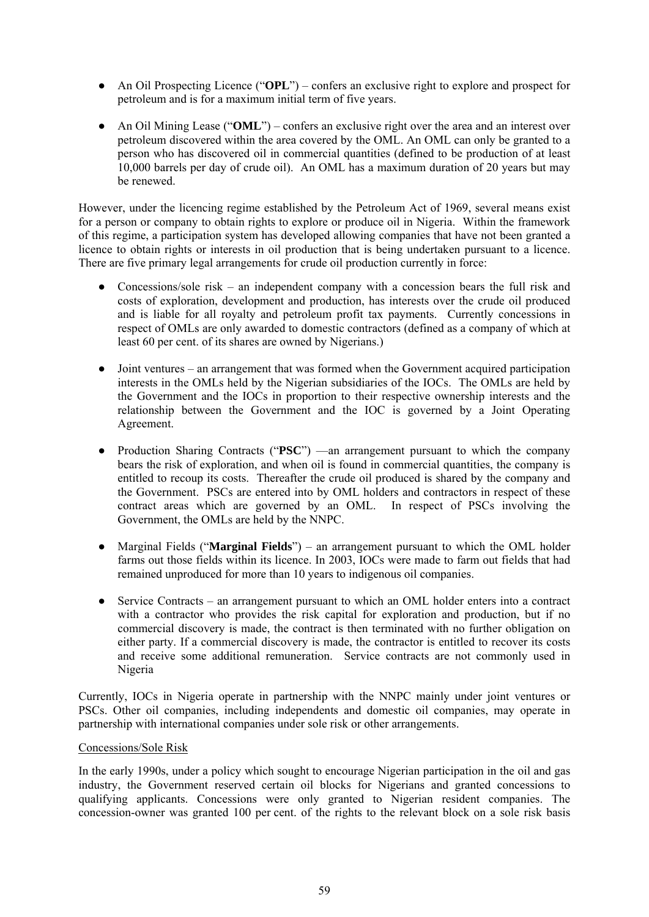- An Oil Prospecting Licence ("**OPL**") confers an exclusive right to explore and prospect for petroleum and is for a maximum initial term of five years.
- An Oil Mining Lease ("**OML**") confers an exclusive right over the area and an interest over petroleum discovered within the area covered by the OML. An OML can only be granted to a person who has discovered oil in commercial quantities (defined to be production of at least 10,000 barrels per day of crude oil). An OML has a maximum duration of 20 years but may be renewed.

However, under the licencing regime established by the Petroleum Act of 1969, several means exist for a person or company to obtain rights to explore or produce oil in Nigeria. Within the framework of this regime, a participation system has developed allowing companies that have not been granted a licence to obtain rights or interests in oil production that is being undertaken pursuant to a licence. There are five primary legal arrangements for crude oil production currently in force:

- Concessions/sole risk an independent company with a concession bears the full risk and costs of exploration, development and production, has interests over the crude oil produced and is liable for all royalty and petroleum profit tax payments. Currently concessions in respect of OMLs are only awarded to domestic contractors (defined as a company of which at least 60 per cent. of its shares are owned by Nigerians.)
- Joint ventures an arrangement that was formed when the Government acquired participation interests in the OMLs held by the Nigerian subsidiaries of the IOCs. The OMLs are held by the Government and the IOCs in proportion to their respective ownership interests and the relationship between the Government and the IOC is governed by a Joint Operating Agreement.
- Production Sharing Contracts ("PSC") —an arrangement pursuant to which the company bears the risk of exploration, and when oil is found in commercial quantities, the company is entitled to recoup its costs. Thereafter the crude oil produced is shared by the company and the Government. PSCs are entered into by OML holders and contractors in respect of these contract areas which are governed by an OML. In respect of PSCs involving the Government, the OMLs are held by the NNPC.
- Marginal Fields ("**Marginal Fields**") an arrangement pursuant to which the OML holder farms out those fields within its licence. In 2003, IOCs were made to farm out fields that had remained unproduced for more than 10 years to indigenous oil companies.
- Service Contracts an arrangement pursuant to which an OML holder enters into a contract with a contractor who provides the risk capital for exploration and production, but if no commercial discovery is made, the contract is then terminated with no further obligation on either party. If a commercial discovery is made, the contractor is entitled to recover its costs and receive some additional remuneration. Service contracts are not commonly used in Nigeria

Currently, IOCs in Nigeria operate in partnership with the NNPC mainly under joint ventures or PSCs. Other oil companies, including independents and domestic oil companies, may operate in partnership with international companies under sole risk or other arrangements.

## Concessions/Sole Risk

In the early 1990s, under a policy which sought to encourage Nigerian participation in the oil and gas industry, the Government reserved certain oil blocks for Nigerians and granted concessions to qualifying applicants. Concessions were only granted to Nigerian resident companies. The concession-owner was granted 100 per cent. of the rights to the relevant block on a sole risk basis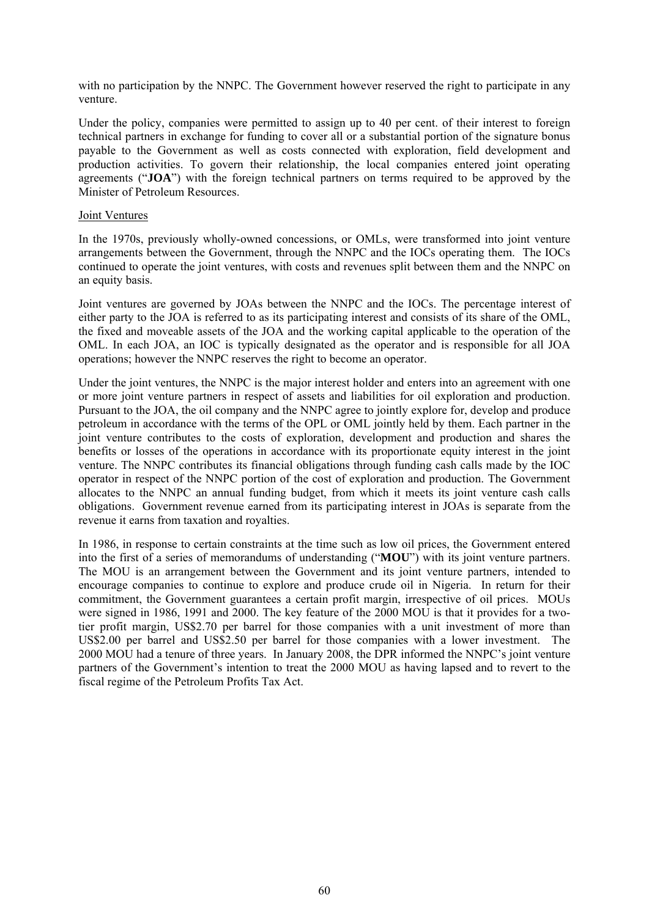with no participation by the NNPC. The Government however reserved the right to participate in any venture.

Under the policy, companies were permitted to assign up to 40 per cent. of their interest to foreign technical partners in exchange for funding to cover all or a substantial portion of the signature bonus payable to the Government as well as costs connected with exploration, field development and production activities. To govern their relationship, the local companies entered joint operating agreements ("**JOA**") with the foreign technical partners on terms required to be approved by the Minister of Petroleum Resources.

#### Joint Ventures

In the 1970s, previously wholly-owned concessions, or OMLs, were transformed into joint venture arrangements between the Government, through the NNPC and the IOCs operating them. The IOCs continued to operate the joint ventures, with costs and revenues split between them and the NNPC on an equity basis.

Joint ventures are governed by JOAs between the NNPC and the IOCs. The percentage interest of either party to the JOA is referred to as its participating interest and consists of its share of the OML, the fixed and moveable assets of the JOA and the working capital applicable to the operation of the OML. In each JOA, an IOC is typically designated as the operator and is responsible for all JOA operations; however the NNPC reserves the right to become an operator.

Under the joint ventures, the NNPC is the major interest holder and enters into an agreement with one or more joint venture partners in respect of assets and liabilities for oil exploration and production. Pursuant to the JOA, the oil company and the NNPC agree to jointly explore for, develop and produce petroleum in accordance with the terms of the OPL or OML jointly held by them. Each partner in the joint venture contributes to the costs of exploration, development and production and shares the benefits or losses of the operations in accordance with its proportionate equity interest in the joint venture. The NNPC contributes its financial obligations through funding cash calls made by the IOC operator in respect of the NNPC portion of the cost of exploration and production. The Government allocates to the NNPC an annual funding budget, from which it meets its joint venture cash calls obligations. Government revenue earned from its participating interest in JOAs is separate from the revenue it earns from taxation and royalties.

In 1986, in response to certain constraints at the time such as low oil prices, the Government entered into the first of a series of memorandums of understanding ("**MOU**") with its joint venture partners. The MOU is an arrangement between the Government and its joint venture partners, intended to encourage companies to continue to explore and produce crude oil in Nigeria. In return for their commitment, the Government guarantees a certain profit margin, irrespective of oil prices. MOUs were signed in 1986, 1991 and 2000. The key feature of the 2000 MOU is that it provides for a twotier profit margin, US\$2.70 per barrel for those companies with a unit investment of more than US\$2.00 per barrel and US\$2.50 per barrel for those companies with a lower investment. The 2000 MOU had a tenure of three years. In January 2008, the DPR informed the NNPC's joint venture partners of the Government's intention to treat the 2000 MOU as having lapsed and to revert to the fiscal regime of the Petroleum Profits Tax Act.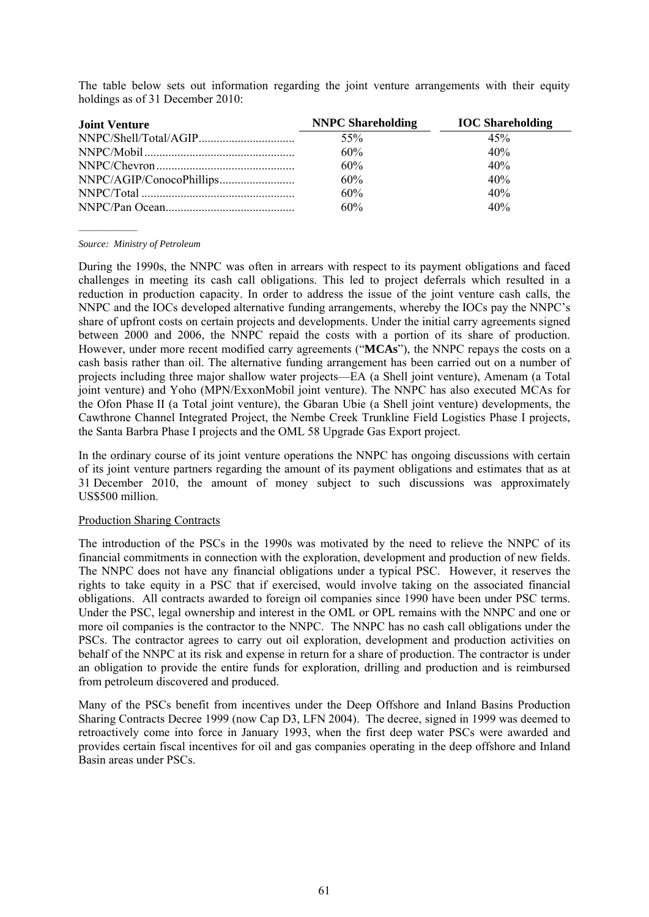| <b>Joint Venture</b> | <b>NNPC Shareholding</b> | <b>IOC</b> Shareholding |
|----------------------|--------------------------|-------------------------|
|                      | 55%                      | 45%                     |
|                      | 60%                      | 40%                     |
|                      | 60%                      | 40%                     |
|                      | 60%                      | 40%                     |
|                      | 60%                      | 40%                     |
|                      | 60%                      | 40%                     |

The table below sets out information regarding the joint venture arrangements with their equity holdings as of 31 December 2010:

*Source: Ministry of Petroleum* 

During the 1990s, the NNPC was often in arrears with respect to its payment obligations and faced challenges in meeting its cash call obligations. This led to project deferrals which resulted in a reduction in production capacity. In order to address the issue of the joint venture cash calls, the NNPC and the IOCs developed alternative funding arrangements, whereby the IOCs pay the NNPC's share of upfront costs on certain projects and developments. Under the initial carry agreements signed between 2000 and 2006, the NNPC repaid the costs with a portion of its share of production. However, under more recent modified carry agreements ("**MCAs**"), the NNPC repays the costs on a cash basis rather than oil. The alternative funding arrangement has been carried out on a number of projects including three major shallow water projects—EA (a Shell joint venture), Amenam (a Total joint venture) and Yoho (MPN/ExxonMobil joint venture). The NNPC has also executed MCAs for the Ofon Phase II (a Total joint venture), the Gbaran Ubie (a Shell joint venture) developments, the Cawthrone Channel Integrated Project, the Nembe Creek Trunkline Field Logistics Phase I projects, the Santa Barbra Phase I projects and the OML 58 Upgrade Gas Export project.

In the ordinary course of its joint venture operations the NNPC has ongoing discussions with certain of its joint venture partners regarding the amount of its payment obligations and estimates that as at 31 December 2010, the amount of money subject to such discussions was approximately US\$500 million.

# Production Sharing Contracts

The introduction of the PSCs in the 1990s was motivated by the need to relieve the NNPC of its financial commitments in connection with the exploration, development and production of new fields. The NNPC does not have any financial obligations under a typical PSC. However, it reserves the rights to take equity in a PSC that if exercised, would involve taking on the associated financial obligations. All contracts awarded to foreign oil companies since 1990 have been under PSC terms. Under the PSC, legal ownership and interest in the OML or OPL remains with the NNPC and one or more oil companies is the contractor to the NNPC. The NNPC has no cash call obligations under the PSCs. The contractor agrees to carry out oil exploration, development and production activities on behalf of the NNPC at its risk and expense in return for a share of production. The contractor is under an obligation to provide the entire funds for exploration, drilling and production and is reimbursed from petroleum discovered and produced.

Many of the PSCs benefit from incentives under the Deep Offshore and Inland Basins Production Sharing Contracts Decree 1999 (now Cap D3, LFN 2004). The decree, signed in 1999 was deemed to retroactively come into force in January 1993, when the first deep water PSCs were awarded and provides certain fiscal incentives for oil and gas companies operating in the deep offshore and Inland Basin areas under PSCs.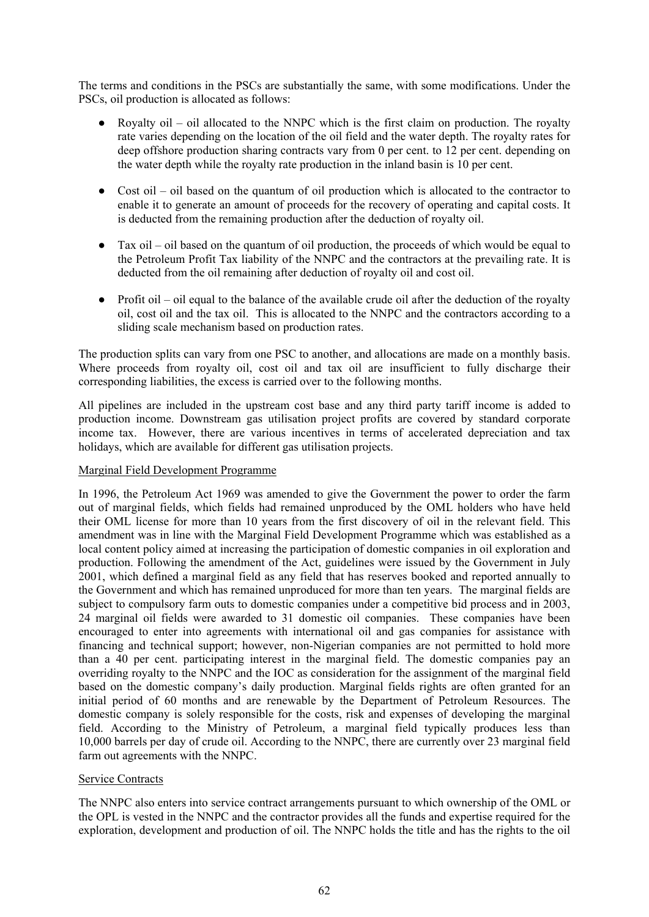The terms and conditions in the PSCs are substantially the same, with some modifications. Under the PSCs, oil production is allocated as follows:

- Royalty oil oil allocated to the NNPC which is the first claim on production. The royalty rate varies depending on the location of the oil field and the water depth. The royalty rates for deep offshore production sharing contracts vary from 0 per cent. to 12 per cent. depending on the water depth while the royalty rate production in the inland basin is 10 per cent.
- Cost oil oil based on the quantum of oil production which is allocated to the contractor to enable it to generate an amount of proceeds for the recovery of operating and capital costs. It is deducted from the remaining production after the deduction of royalty oil.
- $\bullet$  Tax oil oil based on the quantum of oil production, the proceeds of which would be equal to the Petroleum Profit Tax liability of the NNPC and the contractors at the prevailing rate. It is deducted from the oil remaining after deduction of royalty oil and cost oil.
- $\bullet$  Profit oil oil equal to the balance of the available crude oil after the deduction of the royalty oil, cost oil and the tax oil. This is allocated to the NNPC and the contractors according to a sliding scale mechanism based on production rates.

The production splits can vary from one PSC to another, and allocations are made on a monthly basis. Where proceeds from royalty oil, cost oil and tax oil are insufficient to fully discharge their corresponding liabilities, the excess is carried over to the following months.

All pipelines are included in the upstream cost base and any third party tariff income is added to production income. Downstream gas utilisation project profits are covered by standard corporate income tax. However, there are various incentives in terms of accelerated depreciation and tax holidays, which are available for different gas utilisation projects.

## Marginal Field Development Programme

In 1996, the Petroleum Act 1969 was amended to give the Government the power to order the farm out of marginal fields, which fields had remained unproduced by the OML holders who have held their OML license for more than 10 years from the first discovery of oil in the relevant field. This amendment was in line with the Marginal Field Development Programme which was established as a local content policy aimed at increasing the participation of domestic companies in oil exploration and production. Following the amendment of the Act, guidelines were issued by the Government in July 2001, which defined a marginal field as any field that has reserves booked and reported annually to the Government and which has remained unproduced for more than ten years. The marginal fields are subject to compulsory farm outs to domestic companies under a competitive bid process and in 2003, 24 marginal oil fields were awarded to 31 domestic oil companies. These companies have been encouraged to enter into agreements with international oil and gas companies for assistance with financing and technical support; however, non-Nigerian companies are not permitted to hold more than a 40 per cent. participating interest in the marginal field. The domestic companies pay an overriding royalty to the NNPC and the IOC as consideration for the assignment of the marginal field based on the domestic company's daily production. Marginal fields rights are often granted for an initial period of 60 months and are renewable by the Department of Petroleum Resources. The domestic company is solely responsible for the costs, risk and expenses of developing the marginal field. According to the Ministry of Petroleum, a marginal field typically produces less than 10,000 barrels per day of crude oil. According to the NNPC, there are currently over 23 marginal field farm out agreements with the NNPC.

## Service Contracts

The NNPC also enters into service contract arrangements pursuant to which ownership of the OML or the OPL is vested in the NNPC and the contractor provides all the funds and expertise required for the exploration, development and production of oil. The NNPC holds the title and has the rights to the oil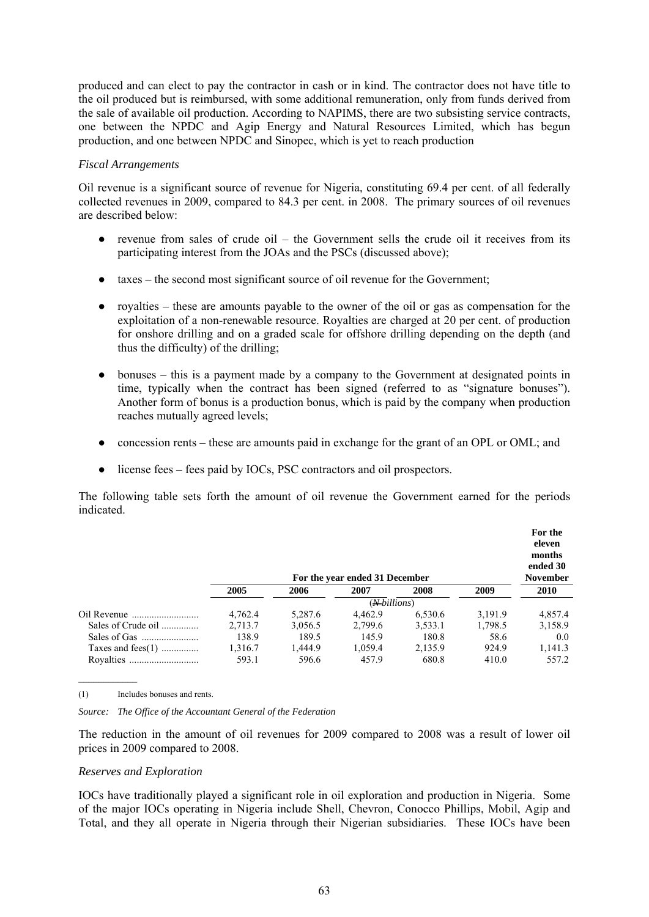produced and can elect to pay the contractor in cash or in kind. The contractor does not have title to the oil produced but is reimbursed, with some additional remuneration, only from funds derived from the sale of available oil production. According to NAPIMS, there are two subsisting service contracts, one between the NPDC and Agip Energy and Natural Resources Limited, which has begun production, and one between NPDC and Sinopec, which is yet to reach production

#### *Fiscal Arrangements*

Oil revenue is a significant source of revenue for Nigeria, constituting 69.4 per cent. of all federally collected revenues in 2009, compared to 84.3 per cent. in 2008. The primary sources of oil revenues are described below:

- revenue from sales of crude oil the Government sells the crude oil it receives from its participating interest from the JOAs and the PSCs (discussed above);
- taxes the second most significant source of oil revenue for the Government;
- royalties these are amounts payable to the owner of the oil or gas as compensation for the exploitation of a non-renewable resource. Royalties are charged at 20 per cent. of production for onshore drilling and on a graded scale for offshore drilling depending on the depth (and thus the difficulty) of the drilling;
- bonuses this is a payment made by a company to the Government at designated points in time, typically when the contract has been signed (referred to as "signature bonuses"). Another form of bonus is a production bonus, which is paid by the company when production reaches mutually agreed levels;
- concession rents these are amounts paid in exchange for the grant of an OPL or OML; and
- license fees fees paid by IOCs, PSC contractors and oil prospectors.

The following table sets forth the amount of oil revenue the Government earned for the periods indicated.

|                      |         |         | For the year ended 31 December |         |         | For the<br>eleven<br>months<br>ended 30<br><b>November</b> |
|----------------------|---------|---------|--------------------------------|---------|---------|------------------------------------------------------------|
|                      | 2005    | 2006    | 2007                           | 2008    | 2009    | <b>2010</b>                                                |
|                      |         |         |                                |         |         |                                                            |
|                      | 4.762.4 | 5,287.6 | 4.462.9                        | 6,530.6 | 3.191.9 | 4,857.4                                                    |
| Sales of Crude oil   | 2.713.7 | 3,056.5 | 2.799.6                        | 3,533.1 | 1,798.5 | 3,158.9                                                    |
|                      | 138.9   | 189.5   | 145.9                          | 180.8   | 58.6    | 0.0                                                        |
| Taxes and fees $(1)$ | 1.316.7 | 1.444.9 | 1.059.4                        | 2.135.9 | 924.9   | 1,141.3                                                    |
|                      | 593.1   | 596.6   | 457.9                          | 680.8   | 410.0   | 557.2                                                      |

(1) Includes bonuses and rents.

 $\mathcal{L}_\text{max}$ 

*Source: The Office of the Accountant General of the Federation* 

The reduction in the amount of oil revenues for 2009 compared to 2008 was a result of lower oil prices in 2009 compared to 2008.

## *Reserves and Exploration*

IOCs have traditionally played a significant role in oil exploration and production in Nigeria. Some of the major IOCs operating in Nigeria include Shell, Chevron, Conocco Phillips, Mobil, Agip and Total, and they all operate in Nigeria through their Nigerian subsidiaries. These IOCs have been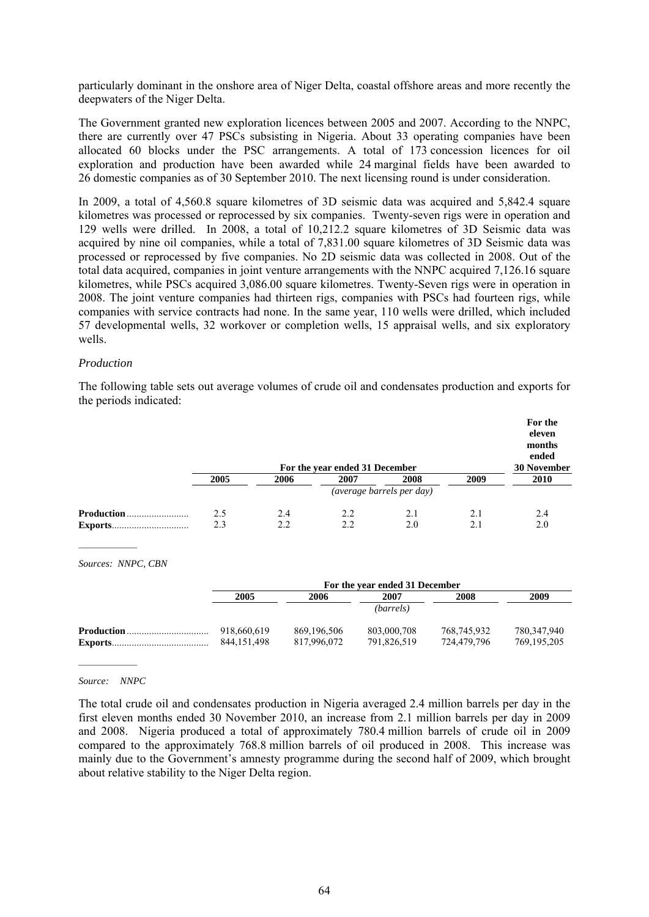particularly dominant in the onshore area of Niger Delta, coastal offshore areas and more recently the deepwaters of the Niger Delta.

The Government granted new exploration licences between 2005 and 2007. According to the NNPC, there are currently over 47 PSCs subsisting in Nigeria. About 33 operating companies have been allocated 60 blocks under the PSC arrangements. A total of 173 concession licences for oil exploration and production have been awarded while 24 marginal fields have been awarded to 26 domestic companies as of 30 September 2010. The next licensing round is under consideration.

In 2009, a total of 4,560.8 square kilometres of 3D seismic data was acquired and 5,842.4 square kilometres was processed or reprocessed by six companies. Twenty-seven rigs were in operation and 129 wells were drilled. In 2008, a total of 10,212.2 square kilometres of 3D Seismic data was acquired by nine oil companies, while a total of 7,831.00 square kilometres of 3D Seismic data was processed or reprocessed by five companies. No 2D seismic data was collected in 2008. Out of the total data acquired, companies in joint venture arrangements with the NNPC acquired 7,126.16 square kilometres, while PSCs acquired 3,086.00 square kilometres. Twenty-Seven rigs were in operation in 2008. The joint venture companies had thirteen rigs, companies with PSCs had fourteen rigs, while companies with service contracts had none. In the same year, 110 wells were drilled, which included 57 developmental wells, 32 workover or completion wells, 15 appraisal wells, and six exploratory wells.

#### *Production*

The following table sets out average volumes of crude oil and condensates production and exports for the periods indicated:

|                   |      |      | For the year ended 31 December |                           |      | For the<br>eleven<br>months<br>ended<br><b>30 November</b> |
|-------------------|------|------|--------------------------------|---------------------------|------|------------------------------------------------------------|
|                   | 2005 | 2006 | 2007                           | 2008                      | 2009 | <b>2010</b>                                                |
|                   |      |      |                                | (average barrels per day) |      |                                                            |
| <b>Production</b> | 2.5  | 2.4  | 2.2                            | 2.1                       | 2.1  | 2.4                                                        |
| <b>Exports</b>    | 2.3  | 2.2  | 2.2                            | 2.0                       | 2.1  | 2.0                                                        |

*Sources: NNPC, CBN* 

|                   | For the year ended 31 December |               |             |             |               |  |
|-------------------|--------------------------------|---------------|-------------|-------------|---------------|--|
|                   | 2005                           | 2006          | 2007        | 2008        | 2009          |  |
|                   |                                |               | (barrels)   |             |               |  |
| <b>Production</b> | 918,660,619                    | 869, 196, 506 | 803,000,708 | 768,745,932 | 780,347,940   |  |
|                   | 844.151.498                    | 817.996.072   | 791.826.519 | 724.479.796 | 769, 195, 205 |  |

#### *Source: NNPC*

 $\mathcal{L}_\text{max}$ 

The total crude oil and condensates production in Nigeria averaged 2.4 million barrels per day in the first eleven months ended 30 November 2010, an increase from 2.1 million barrels per day in 2009 and 2008. Nigeria produced a total of approximately 780.4 million barrels of crude oil in 2009 compared to the approximately 768.8 million barrels of oil produced in 2008. This increase was mainly due to the Government's amnesty programme during the second half of 2009, which brought about relative stability to the Niger Delta region.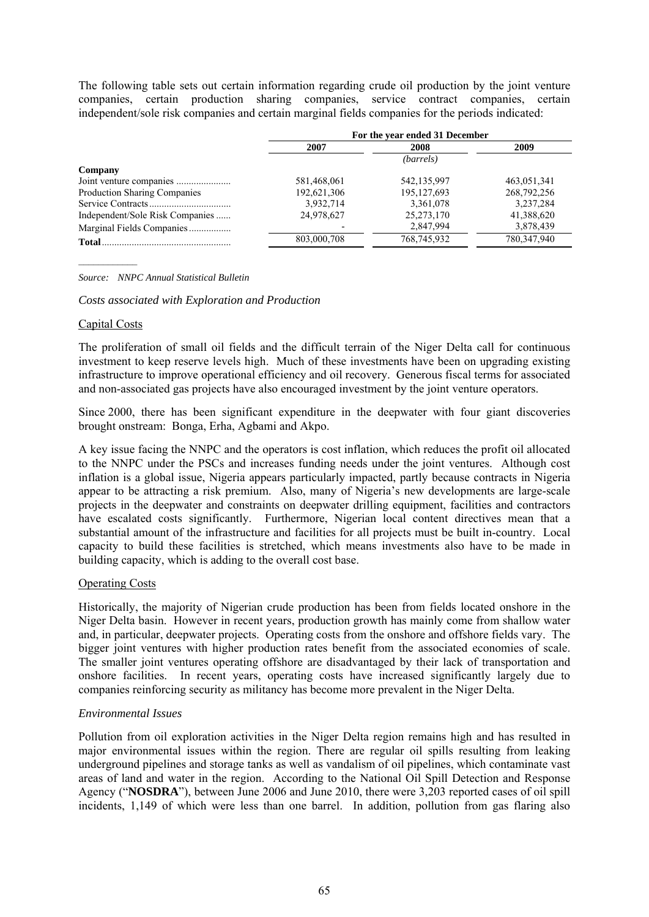The following table sets out certain information regarding crude oil production by the joint venture companies, certain production sharing companies, service contract companies, certain independent/sole risk companies and certain marginal fields companies for the periods indicated:

|                                 | For the year ended 31 December |               |             |  |  |
|---------------------------------|--------------------------------|---------------|-------------|--|--|
|                                 | 2007                           | 2008          | 2009        |  |  |
|                                 |                                | (barrels)     |             |  |  |
| Company                         |                                |               |             |  |  |
|                                 | 581,468,061                    | 542,135,997   | 463,051,341 |  |  |
| Production Sharing Companies    | 192,621,306                    | 195, 127, 693 | 268,792,256 |  |  |
|                                 | 3,932,714                      | 3,361,078     | 3,237,284   |  |  |
| Independent/Sole Risk Companies | 24,978,627                     | 25, 273, 170  | 41,388,620  |  |  |
| Marginal Fields Companies       |                                | 2,847,994     | 3,878,439   |  |  |
|                                 | 803,000,708                    | 768,745,932   | 780,347,940 |  |  |

*Source: NNPC Annual Statistical Bulletin* 

*Costs associated with Exploration and Production* 

#### Capital Costs

 $\mathcal{L}_\text{max}$ 

The proliferation of small oil fields and the difficult terrain of the Niger Delta call for continuous investment to keep reserve levels high. Much of these investments have been on upgrading existing infrastructure to improve operational efficiency and oil recovery. Generous fiscal terms for associated and non-associated gas projects have also encouraged investment by the joint venture operators.

Since 2000, there has been significant expenditure in the deepwater with four giant discoveries brought onstream: Bonga, Erha, Agbami and Akpo.

A key issue facing the NNPC and the operators is cost inflation, which reduces the profit oil allocated to the NNPC under the PSCs and increases funding needs under the joint ventures. Although cost inflation is a global issue, Nigeria appears particularly impacted, partly because contracts in Nigeria appear to be attracting a risk premium. Also, many of Nigeria's new developments are large-scale projects in the deepwater and constraints on deepwater drilling equipment, facilities and contractors have escalated costs significantly. Furthermore, Nigerian local content directives mean that a substantial amount of the infrastructure and facilities for all projects must be built in-country. Local capacity to build these facilities is stretched, which means investments also have to be made in building capacity, which is adding to the overall cost base.

## Operating Costs

Historically, the majority of Nigerian crude production has been from fields located onshore in the Niger Delta basin. However in recent years, production growth has mainly come from shallow water and, in particular, deepwater projects. Operating costs from the onshore and offshore fields vary. The bigger joint ventures with higher production rates benefit from the associated economies of scale. The smaller joint ventures operating offshore are disadvantaged by their lack of transportation and onshore facilities. In recent years, operating costs have increased significantly largely due to companies reinforcing security as militancy has become more prevalent in the Niger Delta.

## *Environmental Issues*

Pollution from oil exploration activities in the Niger Delta region remains high and has resulted in major environmental issues within the region. There are regular oil spills resulting from leaking underground pipelines and storage tanks as well as vandalism of oil pipelines, which contaminate vast areas of land and water in the region. According to the National Oil Spill Detection and Response Agency ("**NOSDRA**"), between June 2006 and June 2010, there were 3,203 reported cases of oil spill incidents, 1,149 of which were less than one barrel. In addition, pollution from gas flaring also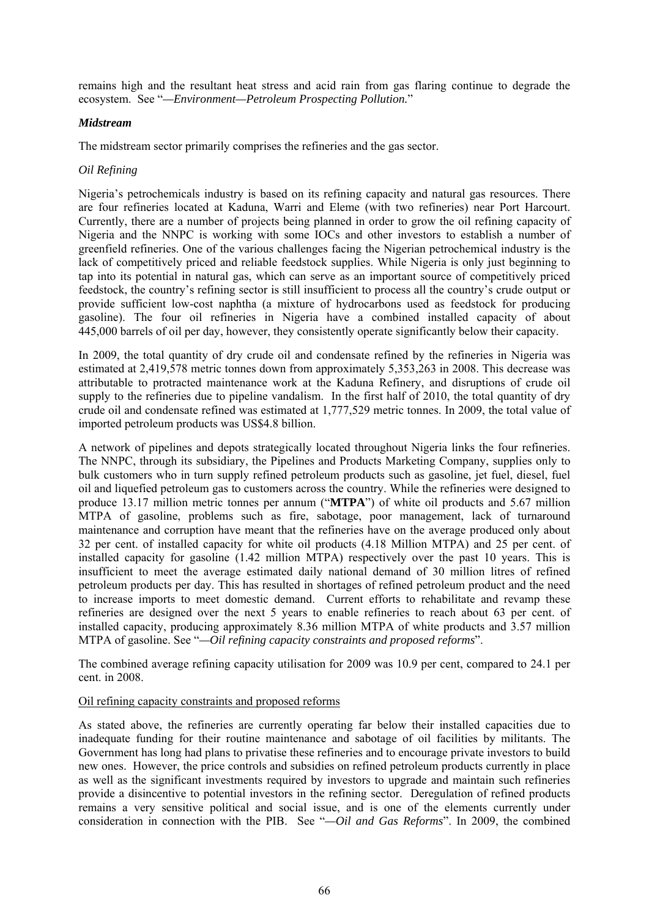remains high and the resultant heat stress and acid rain from gas flaring continue to degrade the ecosystem. See "*—Environment—Petroleum Prospecting Pollution.*"

## *Midstream*

The midstream sector primarily comprises the refineries and the gas sector.

#### *Oil Refining*

Nigeria's petrochemicals industry is based on its refining capacity and natural gas resources. There are four refineries located at Kaduna, Warri and Eleme (with two refineries) near Port Harcourt. Currently, there are a number of projects being planned in order to grow the oil refining capacity of Nigeria and the NNPC is working with some IOCs and other investors to establish a number of greenfield refineries. One of the various challenges facing the Nigerian petrochemical industry is the lack of competitively priced and reliable feedstock supplies. While Nigeria is only just beginning to tap into its potential in natural gas, which can serve as an important source of competitively priced feedstock, the country's refining sector is still insufficient to process all the country's crude output or provide sufficient low-cost naphtha (a mixture of hydrocarbons used as feedstock for producing gasoline). The four oil refineries in Nigeria have a combined installed capacity of about 445,000 barrels of oil per day, however, they consistently operate significantly below their capacity.

In 2009, the total quantity of dry crude oil and condensate refined by the refineries in Nigeria was estimated at 2,419,578 metric tonnes down from approximately 5,353,263 in 2008. This decrease was attributable to protracted maintenance work at the Kaduna Refinery, and disruptions of crude oil supply to the refineries due to pipeline vandalism. In the first half of 2010, the total quantity of dry crude oil and condensate refined was estimated at 1,777,529 metric tonnes. In 2009, the total value of imported petroleum products was US\$4.8 billion.

A network of pipelines and depots strategically located throughout Nigeria links the four refineries. The NNPC, through its subsidiary, the Pipelines and Products Marketing Company, supplies only to bulk customers who in turn supply refined petroleum products such as gasoline, jet fuel, diesel, fuel oil and liquefied petroleum gas to customers across the country. While the refineries were designed to produce 13.17 million metric tonnes per annum ("**MTPA**") of white oil products and 5.67 million MTPA of gasoline, problems such as fire, sabotage, poor management, lack of turnaround maintenance and corruption have meant that the refineries have on the average produced only about 32 per cent. of installed capacity for white oil products (4.18 Million MTPA) and 25 per cent. of installed capacity for gasoline (1.42 million MTPA) respectively over the past 10 years. This is insufficient to meet the average estimated daily national demand of 30 million litres of refined petroleum products per day. This has resulted in shortages of refined petroleum product and the need to increase imports to meet domestic demand. Current efforts to rehabilitate and revamp these refineries are designed over the next 5 years to enable refineries to reach about 63 per cent. of installed capacity, producing approximately 8.36 million MTPA of white products and 3.57 million MTPA of gasoline. See "*—Oil refining capacity constraints and proposed reforms*".

The combined average refining capacity utilisation for 2009 was 10.9 per cent, compared to 24.1 per cent. in 2008.

#### Oil refining capacity constraints and proposed reforms

As stated above, the refineries are currently operating far below their installed capacities due to inadequate funding for their routine maintenance and sabotage of oil facilities by militants. The Government has long had plans to privatise these refineries and to encourage private investors to build new ones. However, the price controls and subsidies on refined petroleum products currently in place as well as the significant investments required by investors to upgrade and maintain such refineries provide a disincentive to potential investors in the refining sector. Deregulation of refined products remains a very sensitive political and social issue, and is one of the elements currently under consideration in connection with the PIB. See "*—Oil and Gas Reforms*". In 2009, the combined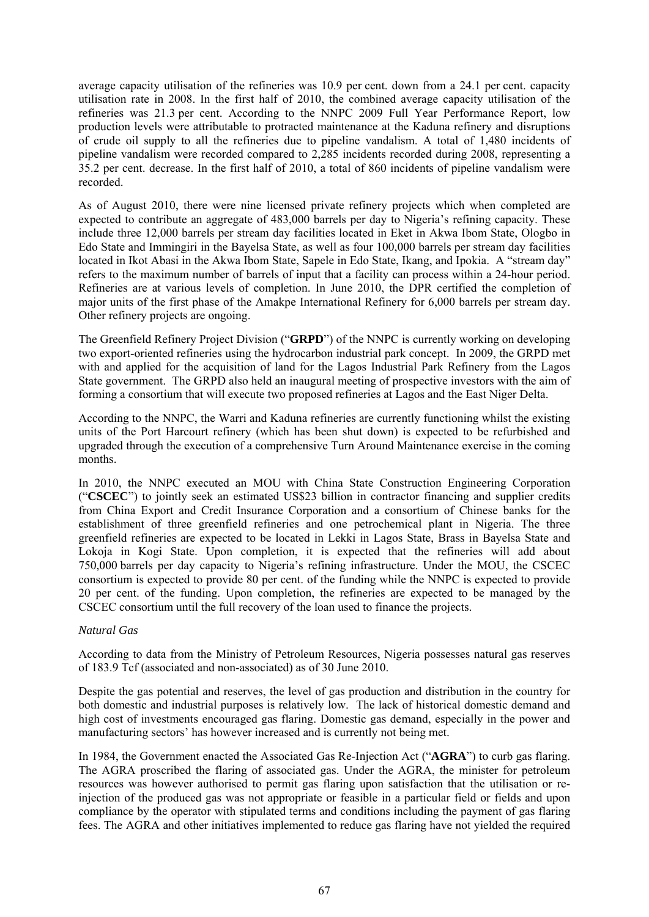average capacity utilisation of the refineries was 10.9 per cent. down from a 24.1 per cent. capacity utilisation rate in 2008. In the first half of 2010, the combined average capacity utilisation of the refineries was 21.3 per cent. According to the NNPC 2009 Full Year Performance Report, low production levels were attributable to protracted maintenance at the Kaduna refinery and disruptions of crude oil supply to all the refineries due to pipeline vandalism. A total of 1,480 incidents of pipeline vandalism were recorded compared to 2,285 incidents recorded during 2008, representing a 35.2 per cent. decrease. In the first half of 2010, a total of 860 incidents of pipeline vandalism were recorded.

As of August 2010, there were nine licensed private refinery projects which when completed are expected to contribute an aggregate of 483,000 barrels per day to Nigeria's refining capacity. These include three 12,000 barrels per stream day facilities located in Eket in Akwa Ibom State, Ologbo in Edo State and Immingiri in the Bayelsa State, as well as four 100,000 barrels per stream day facilities located in Ikot Abasi in the Akwa Ibom State, Sapele in Edo State, Ikang, and Ipokia. A "stream day" refers to the maximum number of barrels of input that a facility can process within a 24-hour period. Refineries are at various levels of completion. In June 2010, the DPR certified the completion of major units of the first phase of the Amakpe International Refinery for 6,000 barrels per stream day. Other refinery projects are ongoing.

The Greenfield Refinery Project Division ("**GRPD**") of the NNPC is currently working on developing two export-oriented refineries using the hydrocarbon industrial park concept. In 2009, the GRPD met with and applied for the acquisition of land for the Lagos Industrial Park Refinery from the Lagos State government. The GRPD also held an inaugural meeting of prospective investors with the aim of forming a consortium that will execute two proposed refineries at Lagos and the East Niger Delta.

According to the NNPC, the Warri and Kaduna refineries are currently functioning whilst the existing units of the Port Harcourt refinery (which has been shut down) is expected to be refurbished and upgraded through the execution of a comprehensive Turn Around Maintenance exercise in the coming months.

In 2010, the NNPC executed an MOU with China State Construction Engineering Corporation ("**CSCEC**") to jointly seek an estimated US\$23 billion in contractor financing and supplier credits from China Export and Credit Insurance Corporation and a consortium of Chinese banks for the establishment of three greenfield refineries and one petrochemical plant in Nigeria. The three greenfield refineries are expected to be located in Lekki in Lagos State, Brass in Bayelsa State and Lokoja in Kogi State. Upon completion, it is expected that the refineries will add about 750,000 barrels per day capacity to Nigeria's refining infrastructure. Under the MOU, the CSCEC consortium is expected to provide 80 per cent. of the funding while the NNPC is expected to provide 20 per cent. of the funding. Upon completion, the refineries are expected to be managed by the CSCEC consortium until the full recovery of the loan used to finance the projects.

## *Natural Gas*

According to data from the Ministry of Petroleum Resources, Nigeria possesses natural gas reserves of 183.9 Tcf (associated and non-associated) as of 30 June 2010.

Despite the gas potential and reserves, the level of gas production and distribution in the country for both domestic and industrial purposes is relatively low. The lack of historical domestic demand and high cost of investments encouraged gas flaring. Domestic gas demand, especially in the power and manufacturing sectors' has however increased and is currently not being met.

In 1984, the Government enacted the Associated Gas Re-Injection Act ("**AGRA**") to curb gas flaring. The AGRA proscribed the flaring of associated gas. Under the AGRA, the minister for petroleum resources was however authorised to permit gas flaring upon satisfaction that the utilisation or reinjection of the produced gas was not appropriate or feasible in a particular field or fields and upon compliance by the operator with stipulated terms and conditions including the payment of gas flaring fees. The AGRA and other initiatives implemented to reduce gas flaring have not yielded the required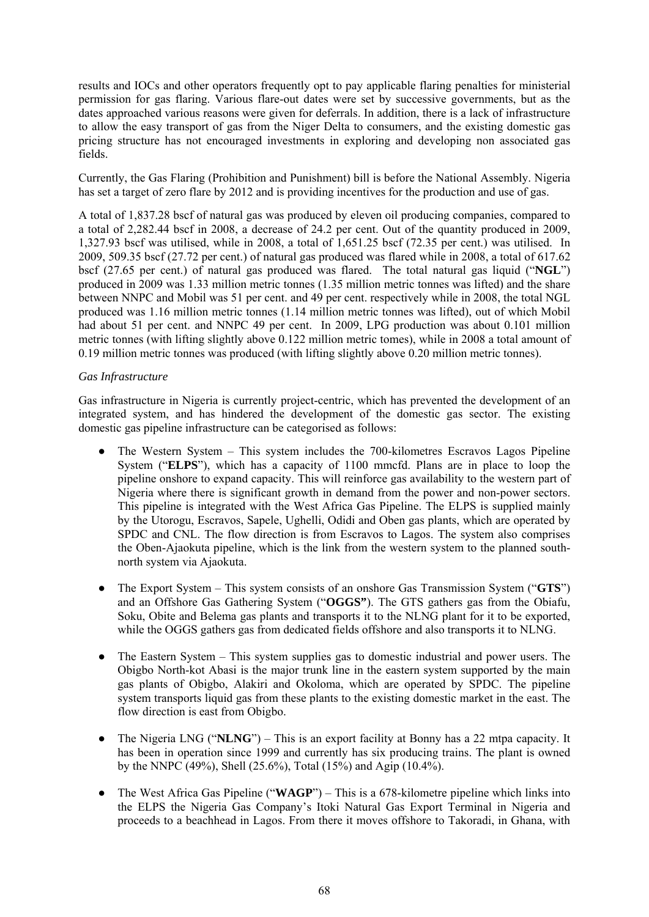results and IOCs and other operators frequently opt to pay applicable flaring penalties for ministerial permission for gas flaring. Various flare-out dates were set by successive governments, but as the dates approached various reasons were given for deferrals. In addition, there is a lack of infrastructure to allow the easy transport of gas from the Niger Delta to consumers, and the existing domestic gas pricing structure has not encouraged investments in exploring and developing non associated gas fields.

Currently, the Gas Flaring (Prohibition and Punishment) bill is before the National Assembly. Nigeria has set a target of zero flare by 2012 and is providing incentives for the production and use of gas.

A total of 1,837.28 bscf of natural gas was produced by eleven oil producing companies, compared to a total of 2,282.44 bscf in 2008, a decrease of 24.2 per cent. Out of the quantity produced in 2009, 1,327.93 bscf was utilised, while in 2008, a total of 1,651.25 bscf (72.35 per cent.) was utilised. In 2009, 509.35 bscf (27.72 per cent.) of natural gas produced was flared while in 2008, a total of 617.62 bscf (27.65 per cent.) of natural gas produced was flared. The total natural gas liquid ("**NGL**") produced in 2009 was 1.33 million metric tonnes (1.35 million metric tonnes was lifted) and the share between NNPC and Mobil was 51 per cent. and 49 per cent. respectively while in 2008, the total NGL produced was 1.16 million metric tonnes (1.14 million metric tonnes was lifted), out of which Mobil had about 51 per cent. and NNPC 49 per cent. In 2009, LPG production was about 0.101 million metric tonnes (with lifting slightly above 0.122 million metric tomes), while in 2008 a total amount of 0.19 million metric tonnes was produced (with lifting slightly above 0.20 million metric tonnes).

# *Gas Infrastructure*

Gas infrastructure in Nigeria is currently project-centric, which has prevented the development of an integrated system, and has hindered the development of the domestic gas sector. The existing domestic gas pipeline infrastructure can be categorised as follows:

- The Western System This system includes the 700-kilometres Escravos Lagos Pipeline System ("**ELPS**"), which has a capacity of 1100 mmcfd. Plans are in place to loop the pipeline onshore to expand capacity. This will reinforce gas availability to the western part of Nigeria where there is significant growth in demand from the power and non-power sectors. This pipeline is integrated with the West Africa Gas Pipeline. The ELPS is supplied mainly by the Utorogu, Escravos, Sapele, Ughelli, Odidi and Oben gas plants, which are operated by SPDC and CNL. The flow direction is from Escravos to Lagos. The system also comprises the Oben-Ajaokuta pipeline, which is the link from the western system to the planned southnorth system via Ajaokuta.
- The Export System This system consists of an onshore Gas Transmission System ("**GTS**") and an Offshore Gas Gathering System ("**OGGS"**). The GTS gathers gas from the Obiafu, Soku, Obite and Belema gas plants and transports it to the NLNG plant for it to be exported, while the OGGS gathers gas from dedicated fields offshore and also transports it to NLNG.
- The Eastern System This system supplies gas to domestic industrial and power users. The Obigbo North-kot Abasi is the major trunk line in the eastern system supported by the main gas plants of Obigbo, Alakiri and Okoloma, which are operated by SPDC. The pipeline system transports liquid gas from these plants to the existing domestic market in the east. The flow direction is east from Obigbo.
- The Nigeria LNG ("**NLNG**") This is an export facility at Bonny has a 22 mtpa capacity. It has been in operation since 1999 and currently has six producing trains. The plant is owned by the NNPC (49%), Shell (25.6%), Total (15%) and Agip (10.4%).
- The West Africa Gas Pipeline ("**WAGP**") This is a 678-kilometre pipeline which links into the ELPS the Nigeria Gas Company's Itoki Natural Gas Export Terminal in Nigeria and proceeds to a beachhead in Lagos. From there it moves offshore to Takoradi, in Ghana, with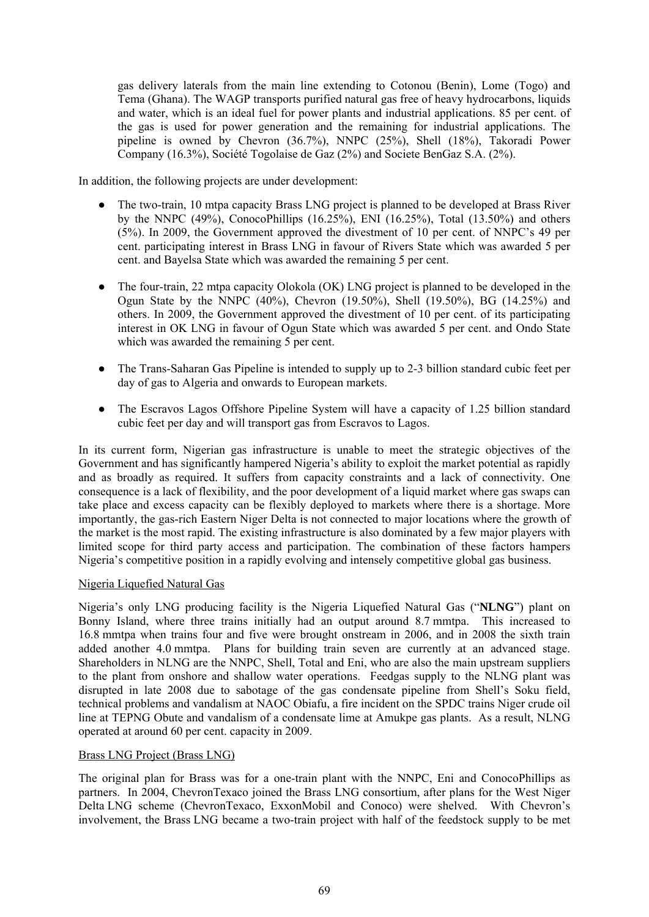gas delivery laterals from the main line extending to Cotonou (Benin), Lome (Togo) and Tema (Ghana). The WAGP transports purified natural gas free of heavy hydrocarbons, liquids and water, which is an ideal fuel for power plants and industrial applications. 85 per cent. of the gas is used for power generation and the remaining for industrial applications. The pipeline is owned by Chevron (36.7%), NNPC (25%), Shell (18%), Takoradi Power Company (16.3%), Société Togolaise de Gaz (2%) and Societe BenGaz S.A. (2%).

In addition, the following projects are under development:

- The two-train, 10 mtpa capacity Brass LNG project is planned to be developed at Brass River by the NNPC  $(49\%)$ , ConocoPhillips  $(16.25\%)$ , ENI  $(16.25\%)$ , Total  $(13.50\%)$  and others (5%). In 2009, the Government approved the divestment of 10 per cent. of NNPC's 49 per cent. participating interest in Brass LNG in favour of Rivers State which was awarded 5 per cent. and Bayelsa State which was awarded the remaining 5 per cent.
- The four-train, 22 mtpa capacity Olokola (OK) LNG project is planned to be developed in the Ogun State by the NNPC (40%), Chevron (19.50%), Shell (19.50%), BG (14.25%) and others. In 2009, the Government approved the divestment of 10 per cent. of its participating interest in OK LNG in favour of Ogun State which was awarded 5 per cent. and Ondo State which was awarded the remaining 5 per cent.
- The Trans-Saharan Gas Pipeline is intended to supply up to 2-3 billion standard cubic feet per day of gas to Algeria and onwards to European markets.
- The Escravos Lagos Offshore Pipeline System will have a capacity of 1.25 billion standard cubic feet per day and will transport gas from Escravos to Lagos.

In its current form, Nigerian gas infrastructure is unable to meet the strategic objectives of the Government and has significantly hampered Nigeria's ability to exploit the market potential as rapidly and as broadly as required. It suffers from capacity constraints and a lack of connectivity. One consequence is a lack of flexibility, and the poor development of a liquid market where gas swaps can take place and excess capacity can be flexibly deployed to markets where there is a shortage. More importantly, the gas-rich Eastern Niger Delta is not connected to major locations where the growth of the market is the most rapid. The existing infrastructure is also dominated by a few major players with limited scope for third party access and participation. The combination of these factors hampers Nigeria's competitive position in a rapidly evolving and intensely competitive global gas business.

## Nigeria Liquefied Natural Gas

Nigeria's only LNG producing facility is the Nigeria Liquefied Natural Gas ("**NLNG**") plant on Bonny Island, where three trains initially had an output around 8.7 mmtpa. This increased to 16.8 mmtpa when trains four and five were brought onstream in 2006, and in 2008 the sixth train added another 4.0 mmtpa. Plans for building train seven are currently at an advanced stage. Shareholders in NLNG are the NNPC, Shell, Total and Eni, who are also the main upstream suppliers to the plant from onshore and shallow water operations. Feedgas supply to the NLNG plant was disrupted in late 2008 due to sabotage of the gas condensate pipeline from Shell's Soku field, technical problems and vandalism at NAOC Obiafu, a fire incident on the SPDC trains Niger crude oil line at TEPNG Obute and vandalism of a condensate lime at Amukpe gas plants. As a result, NLNG operated at around 60 per cent. capacity in 2009.

# Brass LNG Project (Brass LNG)

The original plan for Brass was for a one-train plant with the NNPC, Eni and ConocoPhillips as partners. In 2004, ChevronTexaco joined the Brass LNG consortium, after plans for the West Niger Delta LNG scheme (ChevronTexaco, ExxonMobil and Conoco) were shelved. With Chevron's involvement, the Brass LNG became a two-train project with half of the feedstock supply to be met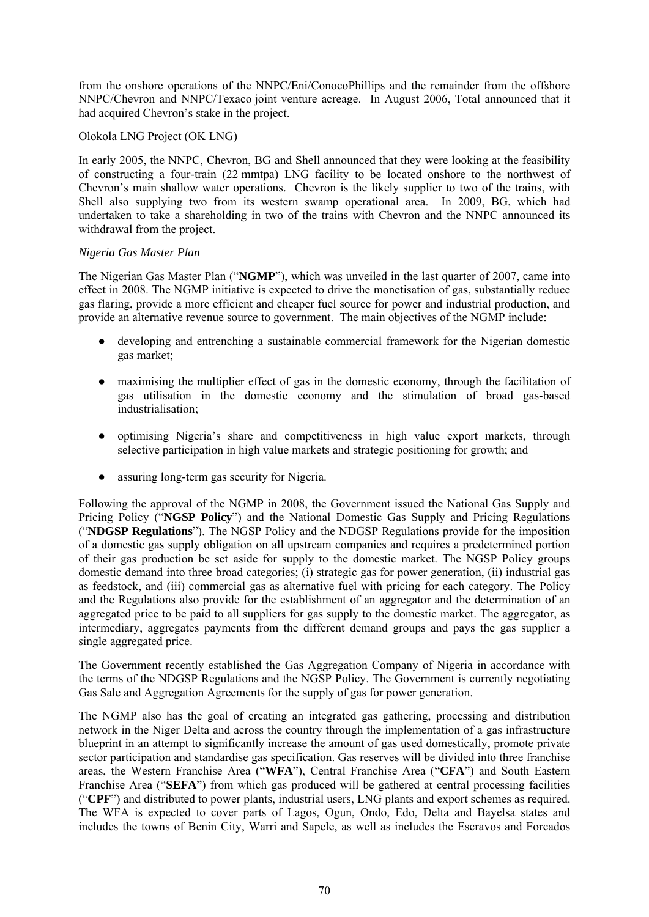from the onshore operations of the NNPC/Eni/ConocoPhillips and the remainder from the offshore NNPC/Chevron and NNPC/Texaco joint venture acreage. In August 2006, Total announced that it had acquired Chevron's stake in the project.

## Olokola LNG Project (OK LNG)

In early 2005, the NNPC, Chevron, BG and Shell announced that they were looking at the feasibility of constructing a four-train (22 mmtpa) LNG facility to be located onshore to the northwest of Chevron's main shallow water operations. Chevron is the likely supplier to two of the trains, with Shell also supplying two from its western swamp operational area. In 2009, BG, which had undertaken to take a shareholding in two of the trains with Chevron and the NNPC announced its withdrawal from the project.

## *Nigeria Gas Master Plan*

The Nigerian Gas Master Plan ("**NGMP**"), which was unveiled in the last quarter of 2007, came into effect in 2008. The NGMP initiative is expected to drive the monetisation of gas, substantially reduce gas flaring, provide a more efficient and cheaper fuel source for power and industrial production, and provide an alternative revenue source to government. The main objectives of the NGMP include:

- developing and entrenching a sustainable commercial framework for the Nigerian domestic gas market;
- maximising the multiplier effect of gas in the domestic economy, through the facilitation of gas utilisation in the domestic economy and the stimulation of broad gas-based industrialisation;
- optimising Nigeria's share and competitiveness in high value export markets, through selective participation in high value markets and strategic positioning for growth; and
- assuring long-term gas security for Nigeria.

Following the approval of the NGMP in 2008, the Government issued the National Gas Supply and Pricing Policy ("**NGSP Policy**") and the National Domestic Gas Supply and Pricing Regulations ("**NDGSP Regulations**"). The NGSP Policy and the NDGSP Regulations provide for the imposition of a domestic gas supply obligation on all upstream companies and requires a predetermined portion of their gas production be set aside for supply to the domestic market. The NGSP Policy groups domestic demand into three broad categories; (i) strategic gas for power generation, (ii) industrial gas as feedstock, and (iii) commercial gas as alternative fuel with pricing for each category. The Policy and the Regulations also provide for the establishment of an aggregator and the determination of an aggregated price to be paid to all suppliers for gas supply to the domestic market. The aggregator, as intermediary, aggregates payments from the different demand groups and pays the gas supplier a single aggregated price.

The Government recently established the Gas Aggregation Company of Nigeria in accordance with the terms of the NDGSP Regulations and the NGSP Policy. The Government is currently negotiating Gas Sale and Aggregation Agreements for the supply of gas for power generation.

The NGMP also has the goal of creating an integrated gas gathering, processing and distribution network in the Niger Delta and across the country through the implementation of a gas infrastructure blueprint in an attempt to significantly increase the amount of gas used domestically, promote private sector participation and standardise gas specification. Gas reserves will be divided into three franchise areas, the Western Franchise Area ("**WFA**"), Central Franchise Area ("**CFA**") and South Eastern Franchise Area ("**SEFA**") from which gas produced will be gathered at central processing facilities ("**CPF**") and distributed to power plants, industrial users, LNG plants and export schemes as required. The WFA is expected to cover parts of Lagos, Ogun, Ondo, Edo, Delta and Bayelsa states and includes the towns of Benin City, Warri and Sapele, as well as includes the Escravos and Forcados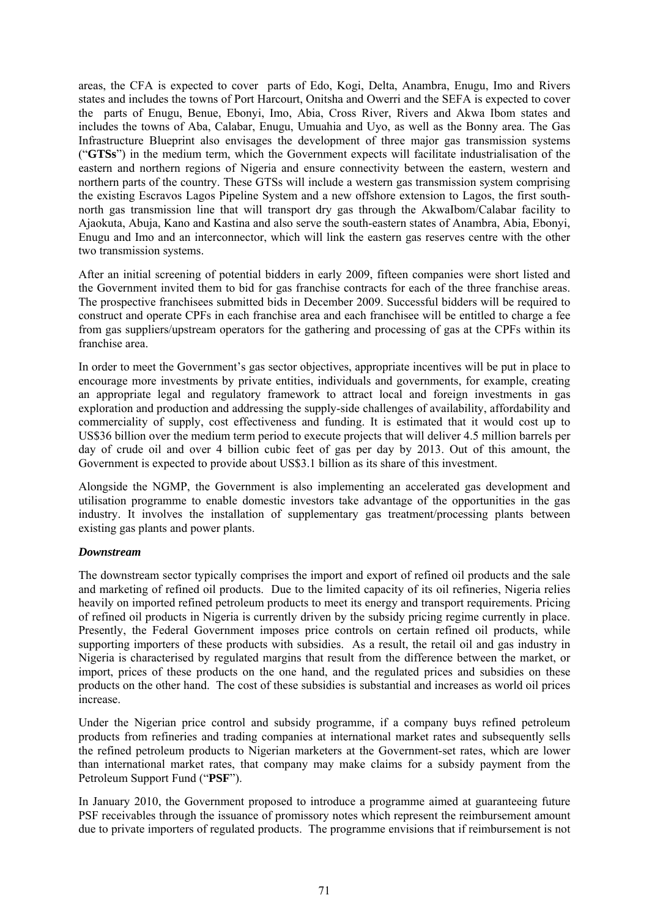areas, the CFA is expected to cover parts of Edo, Kogi, Delta, Anambra, Enugu, Imo and Rivers states and includes the towns of Port Harcourt, Onitsha and Owerri and the SEFA is expected to cover the parts of Enugu, Benue, Ebonyi, Imo, Abia, Cross River, Rivers and Akwa Ibom states and includes the towns of Aba, Calabar, Enugu, Umuahia and Uyo, as well as the Bonny area. The Gas Infrastructure Blueprint also envisages the development of three major gas transmission systems ("**GTSs**") in the medium term, which the Government expects will facilitate industrialisation of the eastern and northern regions of Nigeria and ensure connectivity between the eastern, western and northern parts of the country. These GTSs will include a western gas transmission system comprising the existing Escravos Lagos Pipeline System and a new offshore extension to Lagos, the first southnorth gas transmission line that will transport dry gas through the AkwaIbom/Calabar facility to Ajaokuta, Abuja, Kano and Kastina and also serve the south-eastern states of Anambra, Abia, Ebonyi, Enugu and Imo and an interconnector, which will link the eastern gas reserves centre with the other two transmission systems.

After an initial screening of potential bidders in early 2009, fifteen companies were short listed and the Government invited them to bid for gas franchise contracts for each of the three franchise areas. The prospective franchisees submitted bids in December 2009. Successful bidders will be required to construct and operate CPFs in each franchise area and each franchisee will be entitled to charge a fee from gas suppliers/upstream operators for the gathering and processing of gas at the CPFs within its franchise area.

In order to meet the Government's gas sector objectives, appropriate incentives will be put in place to encourage more investments by private entities, individuals and governments, for example, creating an appropriate legal and regulatory framework to attract local and foreign investments in gas exploration and production and addressing the supply-side challenges of availability, affordability and commerciality of supply, cost effectiveness and funding. It is estimated that it would cost up to US\$36 billion over the medium term period to execute projects that will deliver 4.5 million barrels per day of crude oil and over 4 billion cubic feet of gas per day by 2013. Out of this amount, the Government is expected to provide about US\$3.1 billion as its share of this investment.

Alongside the NGMP, the Government is also implementing an accelerated gas development and utilisation programme to enable domestic investors take advantage of the opportunities in the gas industry. It involves the installation of supplementary gas treatment/processing plants between existing gas plants and power plants.

### *Downstream*

The downstream sector typically comprises the import and export of refined oil products and the sale and marketing of refined oil products. Due to the limited capacity of its oil refineries, Nigeria relies heavily on imported refined petroleum products to meet its energy and transport requirements. Pricing of refined oil products in Nigeria is currently driven by the subsidy pricing regime currently in place. Presently, the Federal Government imposes price controls on certain refined oil products, while supporting importers of these products with subsidies. As a result, the retail oil and gas industry in Nigeria is characterised by regulated margins that result from the difference between the market, or import, prices of these products on the one hand, and the regulated prices and subsidies on these products on the other hand. The cost of these subsidies is substantial and increases as world oil prices increase.

Under the Nigerian price control and subsidy programme, if a company buys refined petroleum products from refineries and trading companies at international market rates and subsequently sells the refined petroleum products to Nigerian marketers at the Government-set rates, which are lower than international market rates, that company may make claims for a subsidy payment from the Petroleum Support Fund ("**PSF**").

In January 2010, the Government proposed to introduce a programme aimed at guaranteeing future PSF receivables through the issuance of promissory notes which represent the reimbursement amount due to private importers of regulated products. The programme envisions that if reimbursement is not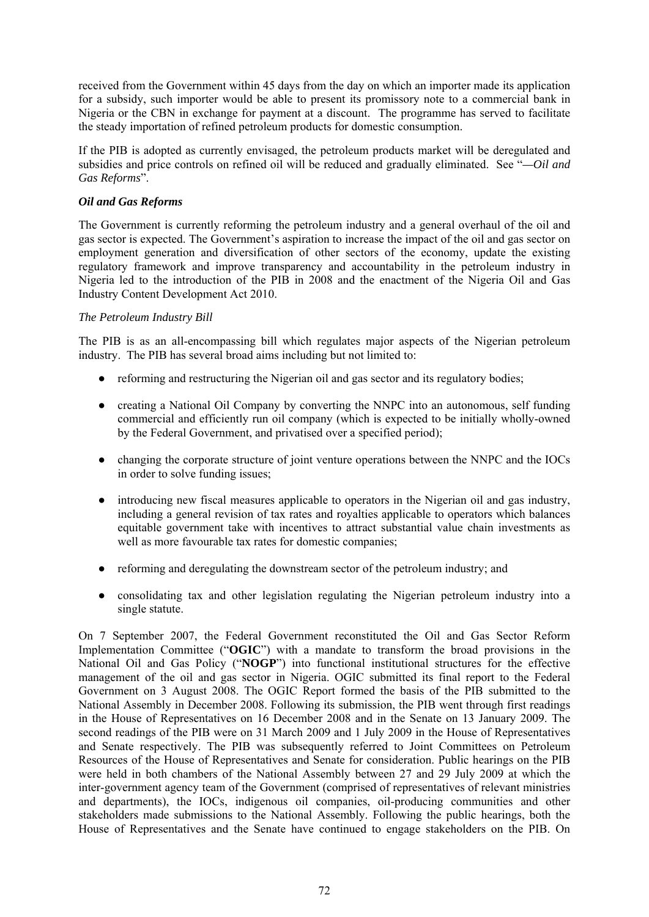received from the Government within 45 days from the day on which an importer made its application for a subsidy, such importer would be able to present its promissory note to a commercial bank in Nigeria or the CBN in exchange for payment at a discount. The programme has served to facilitate the steady importation of refined petroleum products for domestic consumption.

If the PIB is adopted as currently envisaged, the petroleum products market will be deregulated and subsidies and price controls on refined oil will be reduced and gradually eliminated. See "*—Oil and Gas Reforms*".

# *Oil and Gas Reforms*

The Government is currently reforming the petroleum industry and a general overhaul of the oil and gas sector is expected. The Government's aspiration to increase the impact of the oil and gas sector on employment generation and diversification of other sectors of the economy, update the existing regulatory framework and improve transparency and accountability in the petroleum industry in Nigeria led to the introduction of the PIB in 2008 and the enactment of the Nigeria Oil and Gas Industry Content Development Act 2010.

## *The Petroleum Industry Bill*

The PIB is as an all-encompassing bill which regulates major aspects of the Nigerian petroleum industry. The PIB has several broad aims including but not limited to:

- reforming and restructuring the Nigerian oil and gas sector and its regulatory bodies;
- creating a National Oil Company by converting the NNPC into an autonomous, self funding commercial and efficiently run oil company (which is expected to be initially wholly-owned by the Federal Government, and privatised over a specified period);
- changing the corporate structure of joint venture operations between the NNPC and the IOCs in order to solve funding issues;
- introducing new fiscal measures applicable to operators in the Nigerian oil and gas industry, including a general revision of tax rates and royalties applicable to operators which balances equitable government take with incentives to attract substantial value chain investments as well as more favourable tax rates for domestic companies;
- reforming and deregulating the downstream sector of the petroleum industry; and
- consolidating tax and other legislation regulating the Nigerian petroleum industry into a single statute.

On 7 September 2007, the Federal Government reconstituted the Oil and Gas Sector Reform Implementation Committee ("**OGIC**") with a mandate to transform the broad provisions in the National Oil and Gas Policy ("**NOGP**") into functional institutional structures for the effective management of the oil and gas sector in Nigeria. OGIC submitted its final report to the Federal Government on 3 August 2008. The OGIC Report formed the basis of the PIB submitted to the National Assembly in December 2008. Following its submission, the PIB went through first readings in the House of Representatives on 16 December 2008 and in the Senate on 13 January 2009. The second readings of the PIB were on 31 March 2009 and 1 July 2009 in the House of Representatives and Senate respectively. The PIB was subsequently referred to Joint Committees on Petroleum Resources of the House of Representatives and Senate for consideration. Public hearings on the PIB were held in both chambers of the National Assembly between 27 and 29 July 2009 at which the inter-government agency team of the Government (comprised of representatives of relevant ministries and departments), the IOCs, indigenous oil companies, oil-producing communities and other stakeholders made submissions to the National Assembly. Following the public hearings, both the House of Representatives and the Senate have continued to engage stakeholders on the PIB. On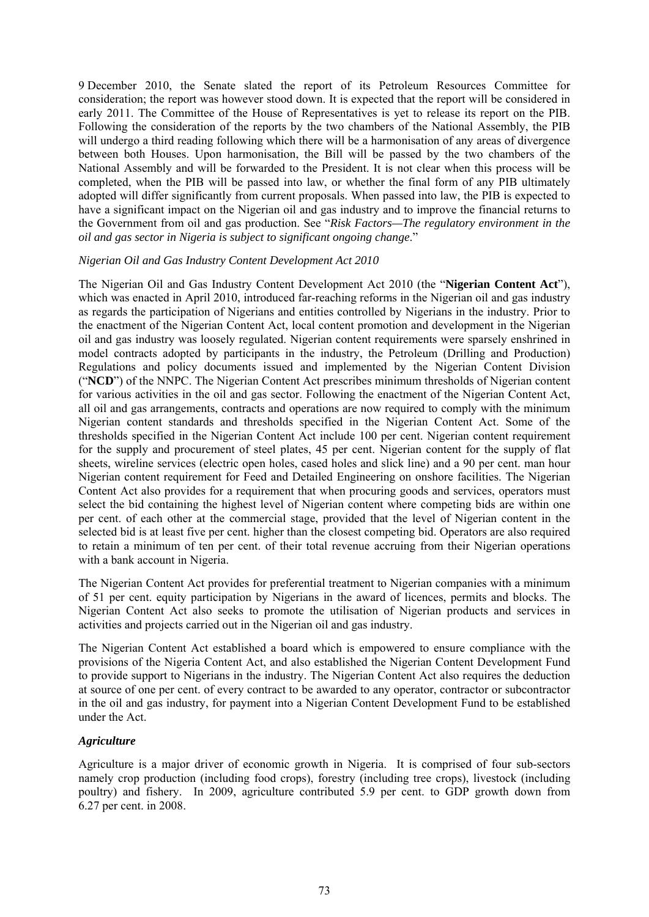9 December 2010, the Senate slated the report of its Petroleum Resources Committee for consideration; the report was however stood down. It is expected that the report will be considered in early 2011. The Committee of the House of Representatives is yet to release its report on the PIB. Following the consideration of the reports by the two chambers of the National Assembly, the PIB will undergo a third reading following which there will be a harmonisation of any areas of divergence between both Houses. Upon harmonisation, the Bill will be passed by the two chambers of the National Assembly and will be forwarded to the President. It is not clear when this process will be completed, when the PIB will be passed into law, or whether the final form of any PIB ultimately adopted will differ significantly from current proposals. When passed into law, the PIB is expected to have a significant impact on the Nigerian oil and gas industry and to improve the financial returns to the Government from oil and gas production. See "*Risk Factors—The regulatory environment in the oil and gas sector in Nigeria is subject to significant ongoing change*."

#### *Nigerian Oil and Gas Industry Content Development Act 2010*

The Nigerian Oil and Gas Industry Content Development Act 2010 (the "**Nigerian Content Act**"), which was enacted in April 2010, introduced far-reaching reforms in the Nigerian oil and gas industry as regards the participation of Nigerians and entities controlled by Nigerians in the industry. Prior to the enactment of the Nigerian Content Act, local content promotion and development in the Nigerian oil and gas industry was loosely regulated. Nigerian content requirements were sparsely enshrined in model contracts adopted by participants in the industry, the Petroleum (Drilling and Production) Regulations and policy documents issued and implemented by the Nigerian Content Division ("**NCD**") of the NNPC. The Nigerian Content Act prescribes minimum thresholds of Nigerian content for various activities in the oil and gas sector. Following the enactment of the Nigerian Content Act, all oil and gas arrangements, contracts and operations are now required to comply with the minimum Nigerian content standards and thresholds specified in the Nigerian Content Act. Some of the thresholds specified in the Nigerian Content Act include 100 per cent. Nigerian content requirement for the supply and procurement of steel plates, 45 per cent. Nigerian content for the supply of flat sheets, wireline services (electric open holes, cased holes and slick line) and a 90 per cent. man hour Nigerian content requirement for Feed and Detailed Engineering on onshore facilities. The Nigerian Content Act also provides for a requirement that when procuring goods and services, operators must select the bid containing the highest level of Nigerian content where competing bids are within one per cent. of each other at the commercial stage, provided that the level of Nigerian content in the selected bid is at least five per cent. higher than the closest competing bid. Operators are also required to retain a minimum of ten per cent. of their total revenue accruing from their Nigerian operations with a bank account in Nigeria.

The Nigerian Content Act provides for preferential treatment to Nigerian companies with a minimum of 51 per cent. equity participation by Nigerians in the award of licences, permits and blocks. The Nigerian Content Act also seeks to promote the utilisation of Nigerian products and services in activities and projects carried out in the Nigerian oil and gas industry.

The Nigerian Content Act established a board which is empowered to ensure compliance with the provisions of the Nigeria Content Act, and also established the Nigerian Content Development Fund to provide support to Nigerians in the industry. The Nigerian Content Act also requires the deduction at source of one per cent. of every contract to be awarded to any operator, contractor or subcontractor in the oil and gas industry, for payment into a Nigerian Content Development Fund to be established under the Act.

### *Agriculture*

Agriculture is a major driver of economic growth in Nigeria. It is comprised of four sub-sectors namely crop production (including food crops), forestry (including tree crops), livestock (including poultry) and fishery. In 2009, agriculture contributed 5.9 per cent. to GDP growth down from 6.27 per cent. in 2008.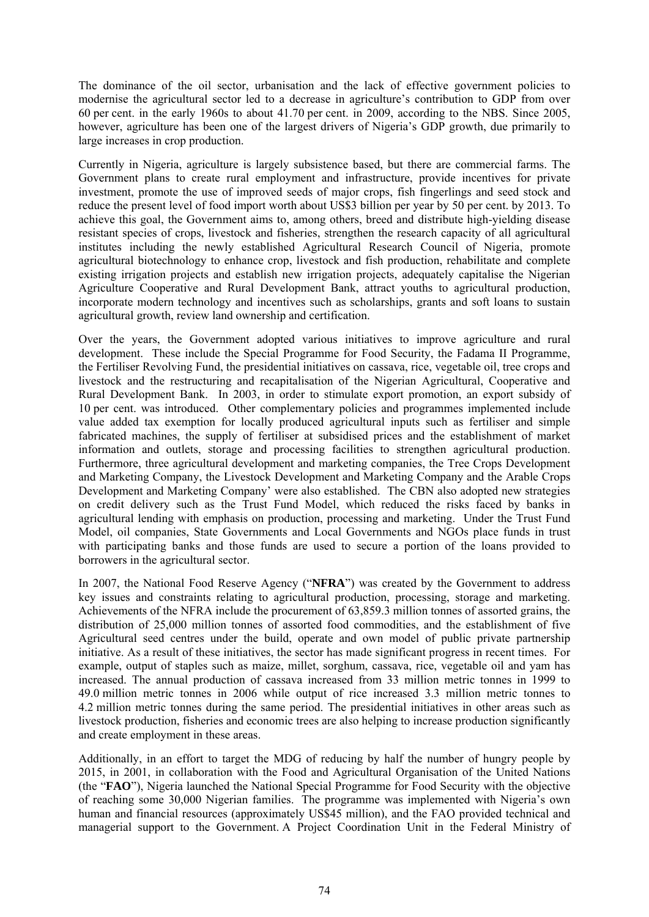The dominance of the oil sector, urbanisation and the lack of effective government policies to modernise the agricultural sector led to a decrease in agriculture's contribution to GDP from over 60 per cent. in the early 1960s to about 41.70 per cent. in 2009, according to the NBS. Since 2005, however, agriculture has been one of the largest drivers of Nigeria's GDP growth, due primarily to large increases in crop production.

Currently in Nigeria, agriculture is largely subsistence based, but there are commercial farms. The Government plans to create rural employment and infrastructure, provide incentives for private investment, promote the use of improved seeds of major crops, fish fingerlings and seed stock and reduce the present level of food import worth about US\$3 billion per year by 50 per cent. by 2013. To achieve this goal, the Government aims to, among others, breed and distribute high-yielding disease resistant species of crops, livestock and fisheries, strengthen the research capacity of all agricultural institutes including the newly established Agricultural Research Council of Nigeria, promote agricultural biotechnology to enhance crop, livestock and fish production, rehabilitate and complete existing irrigation projects and establish new irrigation projects, adequately capitalise the Nigerian Agriculture Cooperative and Rural Development Bank, attract youths to agricultural production, incorporate modern technology and incentives such as scholarships, grants and soft loans to sustain agricultural growth, review land ownership and certification.

Over the years, the Government adopted various initiatives to improve agriculture and rural development. These include the Special Programme for Food Security, the Fadama II Programme, the Fertiliser Revolving Fund, the presidential initiatives on cassava, rice, vegetable oil, tree crops and livestock and the restructuring and recapitalisation of the Nigerian Agricultural, Cooperative and Rural Development Bank. In 2003, in order to stimulate export promotion, an export subsidy of 10 per cent. was introduced. Other complementary policies and programmes implemented include value added tax exemption for locally produced agricultural inputs such as fertiliser and simple fabricated machines, the supply of fertiliser at subsidised prices and the establishment of market information and outlets, storage and processing facilities to strengthen agricultural production. Furthermore, three agricultural development and marketing companies, the Tree Crops Development and Marketing Company, the Livestock Development and Marketing Company and the Arable Crops Development and Marketing Company' were also established. The CBN also adopted new strategies on credit delivery such as the Trust Fund Model, which reduced the risks faced by banks in agricultural lending with emphasis on production, processing and marketing. Under the Trust Fund Model, oil companies, State Governments and Local Governments and NGOs place funds in trust with participating banks and those funds are used to secure a portion of the loans provided to borrowers in the agricultural sector.

In 2007, the National Food Reserve Agency ("**NFRA**") was created by the Government to address key issues and constraints relating to agricultural production, processing, storage and marketing. Achievements of the NFRA include the procurement of 63,859.3 million tonnes of assorted grains, the distribution of 25,000 million tonnes of assorted food commodities, and the establishment of five Agricultural seed centres under the build, operate and own model of public private partnership initiative. As a result of these initiatives, the sector has made significant progress in recent times. For example, output of staples such as maize, millet, sorghum, cassava, rice, vegetable oil and yam has increased. The annual production of cassava increased from 33 million metric tonnes in 1999 to 49.0 million metric tonnes in 2006 while output of rice increased 3.3 million metric tonnes to 4.2 million metric tonnes during the same period. The presidential initiatives in other areas such as livestock production, fisheries and economic trees are also helping to increase production significantly and create employment in these areas.

Additionally, in an effort to target the MDG of reducing by half the number of hungry people by 2015, in 2001, in collaboration with the Food and Agricultural Organisation of the United Nations (the "**FAO**"), Nigeria launched the National Special Programme for Food Security with the objective of reaching some 30,000 Nigerian families. The programme was implemented with Nigeria's own human and financial resources (approximately US\$45 million), and the FAO provided technical and managerial support to the Government. A Project Coordination Unit in the Federal Ministry of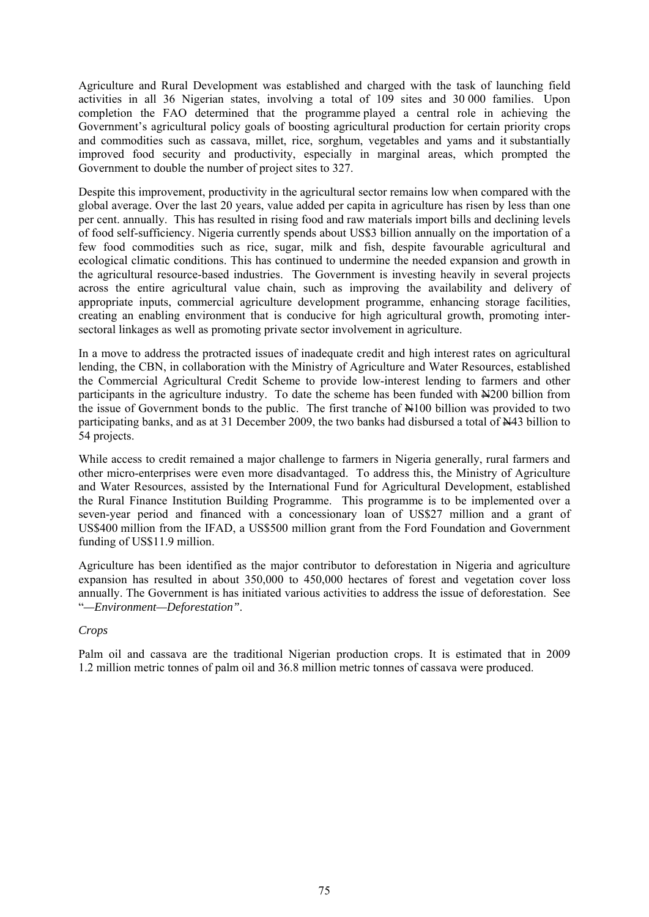Agriculture and Rural Development was established and charged with the task of launching field activities in all 36 Nigerian states, involving a total of 109 sites and 30 000 families. Upon completion the FAO determined that the programme played a central role in achieving the Government's agricultural policy goals of boosting agricultural production for certain priority crops and commodities such as cassava, millet, rice, sorghum, vegetables and yams and it substantially improved food security and productivity, especially in marginal areas, which prompted the Government to double the number of project sites to 327.

Despite this improvement, productivity in the agricultural sector remains low when compared with the global average. Over the last 20 years, value added per capita in agriculture has risen by less than one per cent. annually. This has resulted in rising food and raw materials import bills and declining levels of food self-sufficiency. Nigeria currently spends about US\$3 billion annually on the importation of a few food commodities such as rice, sugar, milk and fish, despite favourable agricultural and ecological climatic conditions. This has continued to undermine the needed expansion and growth in the agricultural resource-based industries. The Government is investing heavily in several projects across the entire agricultural value chain, such as improving the availability and delivery of appropriate inputs, commercial agriculture development programme, enhancing storage facilities, creating an enabling environment that is conducive for high agricultural growth, promoting intersectoral linkages as well as promoting private sector involvement in agriculture.

In a move to address the protracted issues of inadequate credit and high interest rates on agricultural lending, the CBN, in collaboration with the Ministry of Agriculture and Water Resources, established the Commercial Agricultural Credit Scheme to provide low-interest lending to farmers and other participants in the agriculture industry. To date the scheme has been funded with  $\mathbb{H}200$  billion from the issue of Government bonds to the public. The first tranche of  $\frac{N}{100}$  billion was provided to two participating banks, and as at 31 December 2009, the two banks had disbursed a total of N43 billion to 54 projects.

While access to credit remained a major challenge to farmers in Nigeria generally, rural farmers and other micro-enterprises were even more disadvantaged. To address this, the Ministry of Agriculture and Water Resources, assisted by the International Fund for Agricultural Development, established the Rural Finance Institution Building Programme. This programme is to be implemented over a seven-year period and financed with a concessionary loan of US\$27 million and a grant of US\$400 million from the IFAD, a US\$500 million grant from the Ford Foundation and Government funding of US\$11.9 million.

Agriculture has been identified as the major contributor to deforestation in Nigeria and agriculture expansion has resulted in about 350,000 to 450,000 hectares of forest and vegetation cover loss annually. The Government is has initiated various activities to address the issue of deforestation. See "*—Environment—Deforestation"*.

### *Crops*

Palm oil and cassava are the traditional Nigerian production crops. It is estimated that in 2009 1.2 million metric tonnes of palm oil and 36.8 million metric tonnes of cassava were produced.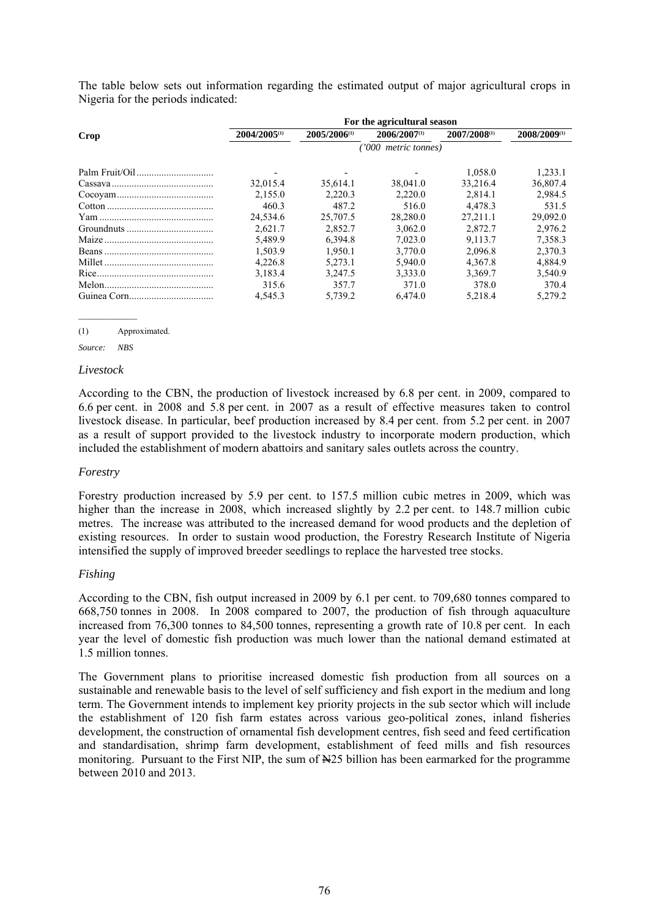The table below sets out information regarding the estimated output of major agricultural crops in Nigeria for the periods indicated:

|      | For the agricultural season |                   |                   |              |              |  |  |  |
|------|-----------------------------|-------------------|-------------------|--------------|--------------|--|--|--|
| Crop | $2004/2005^{(1)}$           | $2005/2006^{(1)}$ | $2006/2007^{(1)}$ | 2007/2008(1) | 2008/2009(1) |  |  |  |
|      | ('000 metric tonnes)        |                   |                   |              |              |  |  |  |
|      |                             |                   |                   | 1.058.0      | 1.233.1      |  |  |  |
|      | 32,015.4                    | 35,614.1          | 38,041.0          | 33.216.4     | 36,807.4     |  |  |  |
|      | 2.155.0                     | 2.220.3           | 2.220.0           | 2.814.1      | 2.984.5      |  |  |  |
|      | 460.3                       | 487.2             | 516.0             | 4.478.3      | 531.5        |  |  |  |
|      | 24.534.6                    | 25,707.5          | 28,280.0          | 27.211.1     | 29,092.0     |  |  |  |
|      | 2.621.7                     | 2.852.7           | 3.062.0           | 2.872.7      | 2.976.2      |  |  |  |
|      | 5.489.9                     | 6.394.8           | 7.023.0           | 9.113.7      | 7.358.3      |  |  |  |
|      | 1,503.9                     | 1.950.1           | 3.770.0           | 2,096.8      | 2.370.3      |  |  |  |
|      | 4.226.8                     | 5.273.1           | 5.940.0           | 4.367.8      | 4.884.9      |  |  |  |
|      | 3,183.4                     | 3.247.5           | 3,333.0           | 3,369.7      | 3,540.9      |  |  |  |
|      | 315.6                       | 357.7             | 371.0             | 378.0        | 370.4        |  |  |  |
|      | 4.545.3                     | 5.739.2           | 6.474.0           | 5.218.4      | 5.279.2      |  |  |  |

#### (1) Approximated.

*Source: NBS* 

#### *Livestock*

According to the CBN, the production of livestock increased by 6.8 per cent. in 2009, compared to 6.6 per cent. in 2008 and 5.8 per cent. in 2007 as a result of effective measures taken to control livestock disease. In particular, beef production increased by 8.4 per cent. from 5.2 per cent. in 2007 as a result of support provided to the livestock industry to incorporate modern production, which included the establishment of modern abattoirs and sanitary sales outlets across the country.

#### *Forestry*

Forestry production increased by 5.9 per cent. to 157.5 million cubic metres in 2009, which was higher than the increase in 2008, which increased slightly by 2.2 per cent. to 148.7 million cubic metres. The increase was attributed to the increased demand for wood products and the depletion of existing resources. In order to sustain wood production, the Forestry Research Institute of Nigeria intensified the supply of improved breeder seedlings to replace the harvested tree stocks.

### *Fishing*

According to the CBN, fish output increased in 2009 by 6.1 per cent. to 709,680 tonnes compared to 668,750 tonnes in 2008. In 2008 compared to 2007, the production of fish through aquaculture increased from 76,300 tonnes to 84,500 tonnes, representing a growth rate of 10.8 per cent. In each year the level of domestic fish production was much lower than the national demand estimated at 1.5 million tonnes.

The Government plans to prioritise increased domestic fish production from all sources on a sustainable and renewable basis to the level of self sufficiency and fish export in the medium and long term. The Government intends to implement key priority projects in the sub sector which will include the establishment of 120 fish farm estates across various geo-political zones, inland fisheries development, the construction of ornamental fish development centres, fish seed and feed certification and standardisation, shrimp farm development, establishment of feed mills and fish resources monitoring. Pursuant to the First NIP, the sum of  $\frac{125}{120}$  billion has been earmarked for the programme between 2010 and 2013.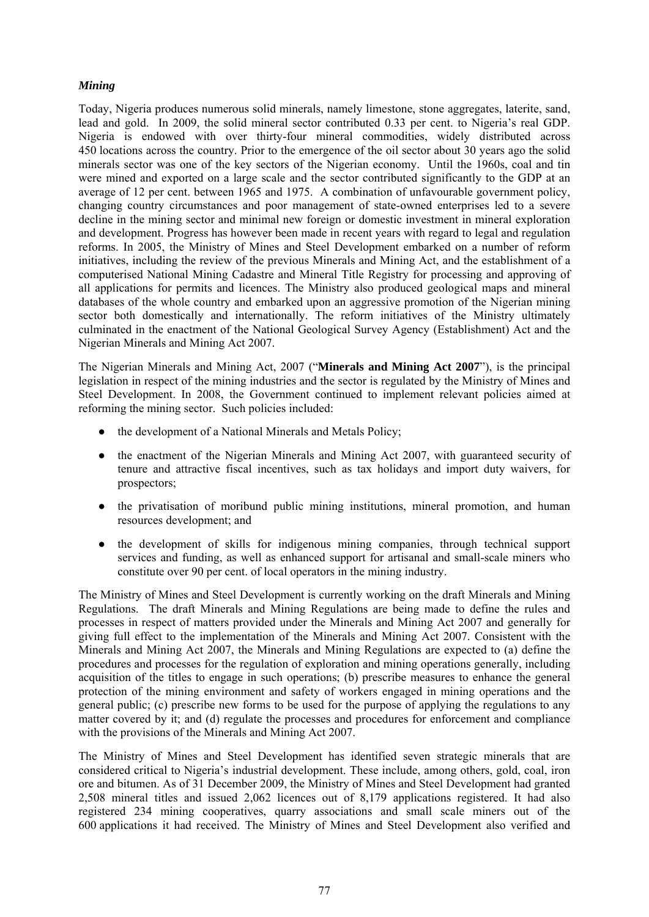## *Mining*

Today, Nigeria produces numerous solid minerals, namely limestone, stone aggregates, laterite, sand, lead and gold. In 2009, the solid mineral sector contributed 0.33 per cent. to Nigeria's real GDP. Nigeria is endowed with over thirty-four mineral commodities, widely distributed across 450 locations across the country. Prior to the emergence of the oil sector about 30 years ago the solid minerals sector was one of the key sectors of the Nigerian economy. Until the 1960s, coal and tin were mined and exported on a large scale and the sector contributed significantly to the GDP at an average of 12 per cent. between 1965 and 1975. A combination of unfavourable government policy, changing country circumstances and poor management of state-owned enterprises led to a severe decline in the mining sector and minimal new foreign or domestic investment in mineral exploration and development. Progress has however been made in recent years with regard to legal and regulation reforms. In 2005, the Ministry of Mines and Steel Development embarked on a number of reform initiatives, including the review of the previous Minerals and Mining Act, and the establishment of a computerised National Mining Cadastre and Mineral Title Registry for processing and approving of all applications for permits and licences. The Ministry also produced geological maps and mineral databases of the whole country and embarked upon an aggressive promotion of the Nigerian mining sector both domestically and internationally. The reform initiatives of the Ministry ultimately culminated in the enactment of the National Geological Survey Agency (Establishment) Act and the Nigerian Minerals and Mining Act 2007.

The Nigerian Minerals and Mining Act, 2007 ("**Minerals and Mining Act 2007**"), is the principal legislation in respect of the mining industries and the sector is regulated by the Ministry of Mines and Steel Development. In 2008, the Government continued to implement relevant policies aimed at reforming the mining sector. Such policies included:

- the development of a National Minerals and Metals Policy;
- the enactment of the Nigerian Minerals and Mining Act 2007, with guaranteed security of tenure and attractive fiscal incentives, such as tax holidays and import duty waivers, for prospectors;
- the privatisation of moribund public mining institutions, mineral promotion, and human resources development; and
- the development of skills for indigenous mining companies, through technical support services and funding, as well as enhanced support for artisanal and small-scale miners who constitute over 90 per cent. of local operators in the mining industry.

The Ministry of Mines and Steel Development is currently working on the draft Minerals and Mining Regulations. The draft Minerals and Mining Regulations are being made to define the rules and processes in respect of matters provided under the Minerals and Mining Act 2007 and generally for giving full effect to the implementation of the Minerals and Mining Act 2007. Consistent with the Minerals and Mining Act 2007, the Minerals and Mining Regulations are expected to (a) define the procedures and processes for the regulation of exploration and mining operations generally, including acquisition of the titles to engage in such operations; (b) prescribe measures to enhance the general protection of the mining environment and safety of workers engaged in mining operations and the general public; (c) prescribe new forms to be used for the purpose of applying the regulations to any matter covered by it; and (d) regulate the processes and procedures for enforcement and compliance with the provisions of the Minerals and Mining Act 2007.

The Ministry of Mines and Steel Development has identified seven strategic minerals that are considered critical to Nigeria's industrial development. These include, among others, gold, coal, iron ore and bitumen. As of 31 December 2009, the Ministry of Mines and Steel Development had granted 2,508 mineral titles and issued 2,062 licences out of 8,179 applications registered. It had also registered 234 mining cooperatives, quarry associations and small scale miners out of the 600 applications it had received. The Ministry of Mines and Steel Development also verified and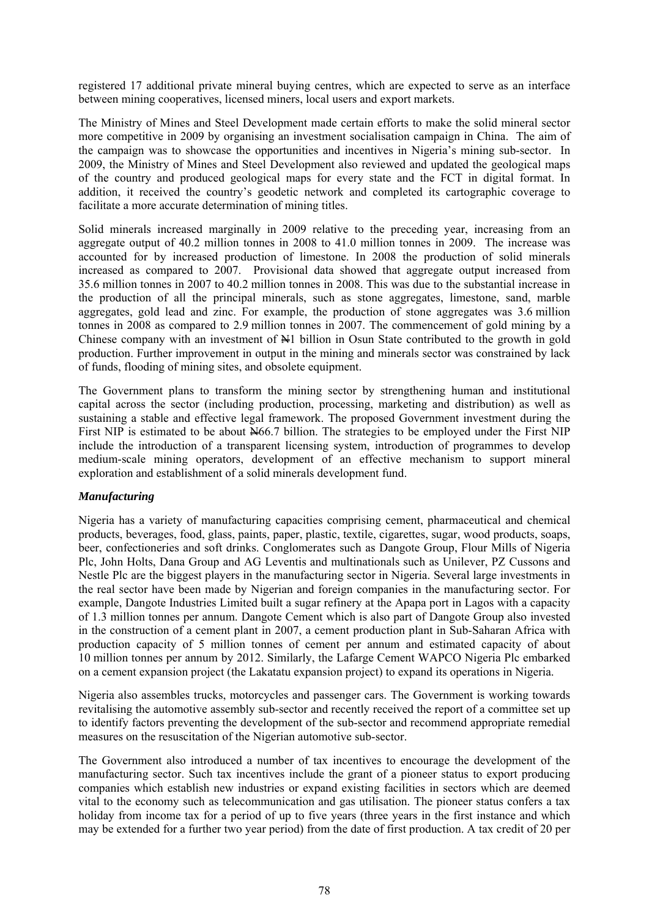registered 17 additional private mineral buying centres, which are expected to serve as an interface between mining cooperatives, licensed miners, local users and export markets.

The Ministry of Mines and Steel Development made certain efforts to make the solid mineral sector more competitive in 2009 by organising an investment socialisation campaign in China. The aim of the campaign was to showcase the opportunities and incentives in Nigeria's mining sub-sector. In 2009, the Ministry of Mines and Steel Development also reviewed and updated the geological maps of the country and produced geological maps for every state and the FCT in digital format. In addition, it received the country's geodetic network and completed its cartographic coverage to facilitate a more accurate determination of mining titles.

Solid minerals increased marginally in 2009 relative to the preceding year, increasing from an aggregate output of 40.2 million tonnes in 2008 to 41.0 million tonnes in 2009. The increase was accounted for by increased production of limestone. In 2008 the production of solid minerals increased as compared to 2007. Provisional data showed that aggregate output increased from 35.6 million tonnes in 2007 to 40.2 million tonnes in 2008. This was due to the substantial increase in the production of all the principal minerals, such as stone aggregates, limestone, sand, marble aggregates, gold lead and zinc. For example, the production of stone aggregates was 3.6 million tonnes in 2008 as compared to 2.9 million tonnes in 2007. The commencement of gold mining by a Chinese company with an investment of  $H_1$  billion in Osun State contributed to the growth in gold production. Further improvement in output in the mining and minerals sector was constrained by lack of funds, flooding of mining sites, and obsolete equipment.

The Government plans to transform the mining sector by strengthening human and institutional capital across the sector (including production, processing, marketing and distribution) as well as sustaining a stable and effective legal framework. The proposed Government investment during the First NIP is estimated to be about  $\frac{N}{66}$ . billion. The strategies to be employed under the First NIP include the introduction of a transparent licensing system, introduction of programmes to develop medium-scale mining operators, development of an effective mechanism to support mineral exploration and establishment of a solid minerals development fund.

### *Manufacturing*

Nigeria has a variety of manufacturing capacities comprising cement, pharmaceutical and chemical products, beverages, food, glass, paints, paper, plastic, textile, cigarettes, sugar, wood products, soaps, beer, confectioneries and soft drinks. Conglomerates such as Dangote Group, Flour Mills of Nigeria Plc, John Holts, Dana Group and AG Leventis and multinationals such as Unilever, PZ Cussons and Nestle Plc are the biggest players in the manufacturing sector in Nigeria. Several large investments in the real sector have been made by Nigerian and foreign companies in the manufacturing sector. For example, Dangote Industries Limited built a sugar refinery at the Apapa port in Lagos with a capacity of 1.3 million tonnes per annum. Dangote Cement which is also part of Dangote Group also invested in the construction of a cement plant in 2007, a cement production plant in Sub-Saharan Africa with production capacity of 5 million tonnes of cement per annum and estimated capacity of about 10 million tonnes per annum by 2012. Similarly, the Lafarge Cement WAPCO Nigeria Plc embarked on a cement expansion project (the Lakatatu expansion project) to expand its operations in Nigeria.

Nigeria also assembles trucks, motorcycles and passenger cars. The Government is working towards revitalising the automotive assembly sub-sector and recently received the report of a committee set up to identify factors preventing the development of the sub-sector and recommend appropriate remedial measures on the resuscitation of the Nigerian automotive sub-sector.

The Government also introduced a number of tax incentives to encourage the development of the manufacturing sector. Such tax incentives include the grant of a pioneer status to export producing companies which establish new industries or expand existing facilities in sectors which are deemed vital to the economy such as telecommunication and gas utilisation. The pioneer status confers a tax holiday from income tax for a period of up to five years (three years in the first instance and which may be extended for a further two year period) from the date of first production. A tax credit of 20 per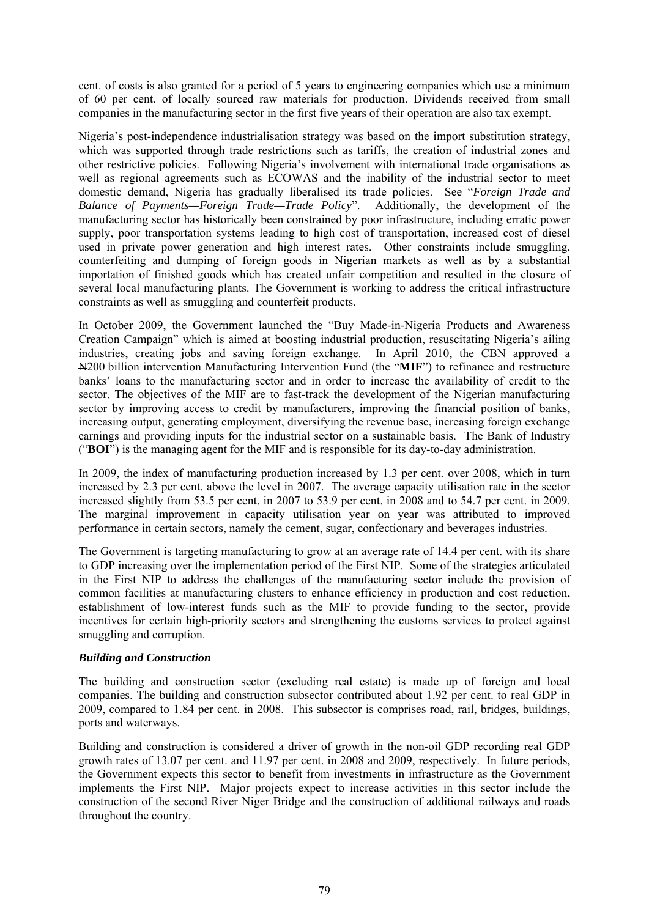cent. of costs is also granted for a period of 5 years to engineering companies which use a minimum of 60 per cent. of locally sourced raw materials for production. Dividends received from small companies in the manufacturing sector in the first five years of their operation are also tax exempt.

Nigeria's post-independence industrialisation strategy was based on the import substitution strategy, which was supported through trade restrictions such as tariffs, the creation of industrial zones and other restrictive policies. Following Nigeria's involvement with international trade organisations as well as regional agreements such as ECOWAS and the inability of the industrial sector to meet domestic demand, Nigeria has gradually liberalised its trade policies. See "*Foreign Trade and Balance of Payments—Foreign Trade—Trade Policy*". Additionally, the development of the manufacturing sector has historically been constrained by poor infrastructure, including erratic power supply, poor transportation systems leading to high cost of transportation, increased cost of diesel used in private power generation and high interest rates. Other constraints include smuggling, counterfeiting and dumping of foreign goods in Nigerian markets as well as by a substantial importation of finished goods which has created unfair competition and resulted in the closure of several local manufacturing plants. The Government is working to address the critical infrastructure constraints as well as smuggling and counterfeit products.

In October 2009, the Government launched the "Buy Made-in-Nigeria Products and Awareness Creation Campaign" which is aimed at boosting industrial production, resuscitating Nigeria's ailing industries, creating jobs and saving foreign exchange. In April 2010, the CBN approved a N200 billion intervention Manufacturing Intervention Fund (the "**MIF**") to refinance and restructure banks' loans to the manufacturing sector and in order to increase the availability of credit to the sector. The objectives of the MIF are to fast-track the development of the Nigerian manufacturing sector by improving access to credit by manufacturers, improving the financial position of banks, increasing output, generating employment, diversifying the revenue base, increasing foreign exchange earnings and providing inputs for the industrial sector on a sustainable basis. The Bank of Industry ("**BOI**") is the managing agent for the MIF and is responsible for its day-to-day administration.

In 2009, the index of manufacturing production increased by 1.3 per cent. over 2008, which in turn increased by 2.3 per cent. above the level in 2007. The average capacity utilisation rate in the sector increased slightly from 53.5 per cent. in 2007 to 53.9 per cent. in 2008 and to 54.7 per cent. in 2009. The marginal improvement in capacity utilisation year on year was attributed to improved performance in certain sectors, namely the cement, sugar, confectionary and beverages industries.

The Government is targeting manufacturing to grow at an average rate of 14.4 per cent. with its share to GDP increasing over the implementation period of the First NIP. Some of the strategies articulated in the First NIP to address the challenges of the manufacturing sector include the provision of common facilities at manufacturing clusters to enhance efficiency in production and cost reduction, establishment of low-interest funds such as the MIF to provide funding to the sector, provide incentives for certain high-priority sectors and strengthening the customs services to protect against smuggling and corruption.

### *Building and Construction*

The building and construction sector (excluding real estate) is made up of foreign and local companies. The building and construction subsector contributed about 1.92 per cent. to real GDP in 2009, compared to 1.84 per cent. in 2008. This subsector is comprises road, rail, bridges, buildings, ports and waterways.

Building and construction is considered a driver of growth in the non-oil GDP recording real GDP growth rates of 13.07 per cent. and 11.97 per cent. in 2008 and 2009, respectively. In future periods, the Government expects this sector to benefit from investments in infrastructure as the Government implements the First NIP. Major projects expect to increase activities in this sector include the construction of the second River Niger Bridge and the construction of additional railways and roads throughout the country.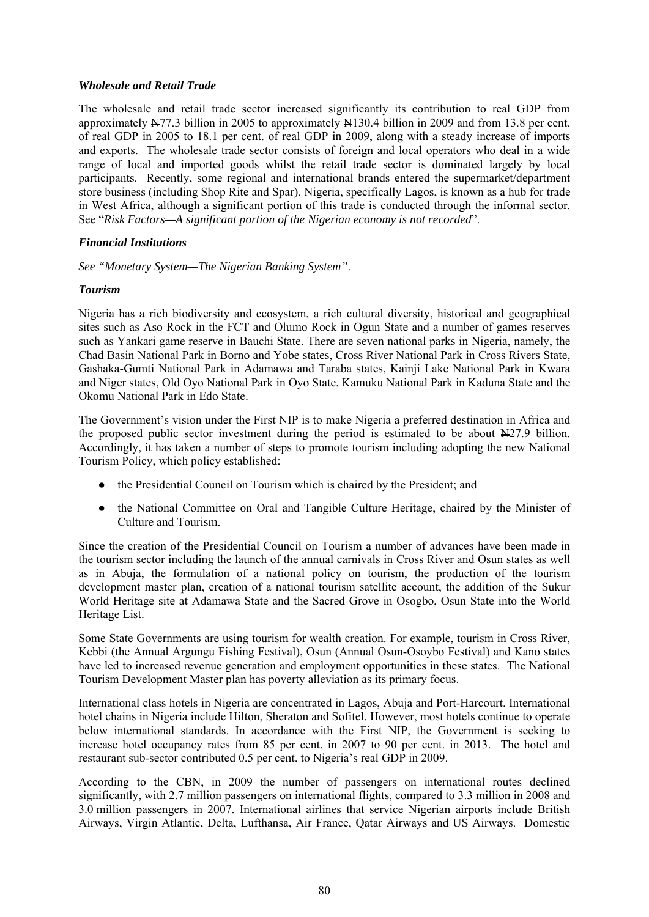## *Wholesale and Retail Trade*

The wholesale and retail trade sector increased significantly its contribution to real GDP from approximately  $\frac{N}{7}$ . 3 billion in 2005 to approximately  $\frac{N}{130}$ . 4 billion in 2009 and from 13.8 per cent. of real GDP in 2005 to 18.1 per cent. of real GDP in 2009, along with a steady increase of imports and exports. The wholesale trade sector consists of foreign and local operators who deal in a wide range of local and imported goods whilst the retail trade sector is dominated largely by local participants. Recently, some regional and international brands entered the supermarket/department store business (including Shop Rite and Spar). Nigeria, specifically Lagos, is known as a hub for trade in West Africa, although a significant portion of this trade is conducted through the informal sector. See "*Risk Factors—A significant portion of the Nigerian economy is not recorded*".

## *Financial Institutions*

*See "Monetary System—The Nigerian Banking System"*.

## *Tourism*

Nigeria has a rich biodiversity and ecosystem, a rich cultural diversity, historical and geographical sites such as Aso Rock in the FCT and Olumo Rock in Ogun State and a number of games reserves such as Yankari game reserve in Bauchi State. There are seven national parks in Nigeria, namely, the Chad Basin National Park in Borno and Yobe states, Cross River National Park in Cross Rivers State, Gashaka-Gumti National Park in Adamawa and Taraba states, Kainji Lake National Park in Kwara and Niger states, Old Oyo National Park in Oyo State, Kamuku National Park in Kaduna State and the Okomu National Park in Edo State.

The Government's vision under the First NIP is to make Nigeria a preferred destination in Africa and the proposed public sector investment during the period is estimated to be about  $\frac{N}{27.9}$  billion. Accordingly, it has taken a number of steps to promote tourism including adopting the new National Tourism Policy, which policy established:

- the Presidential Council on Tourism which is chaired by the President; and
- the National Committee on Oral and Tangible Culture Heritage, chaired by the Minister of Culture and Tourism.

Since the creation of the Presidential Council on Tourism a number of advances have been made in the tourism sector including the launch of the annual carnivals in Cross River and Osun states as well as in Abuja, the formulation of a national policy on tourism, the production of the tourism development master plan, creation of a national tourism satellite account, the addition of the Sukur World Heritage site at Adamawa State and the Sacred Grove in Osogbo, Osun State into the World Heritage List.

Some State Governments are using tourism for wealth creation. For example, tourism in Cross River, Kebbi (the Annual Argungu Fishing Festival), Osun (Annual Osun-Osoybo Festival) and Kano states have led to increased revenue generation and employment opportunities in these states. The National Tourism Development Master plan has poverty alleviation as its primary focus.

International class hotels in Nigeria are concentrated in Lagos, Abuja and Port-Harcourt. International hotel chains in Nigeria include Hilton, Sheraton and Sofitel. However, most hotels continue to operate below international standards. In accordance with the First NIP, the Government is seeking to increase hotel occupancy rates from 85 per cent. in 2007 to 90 per cent. in 2013. The hotel and restaurant sub-sector contributed 0.5 per cent. to Nigeria's real GDP in 2009.

According to the CBN, in 2009 the number of passengers on international routes declined significantly, with 2.7 million passengers on international flights, compared to 3.3 million in 2008 and 3.0 million passengers in 2007. International airlines that service Nigerian airports include British Airways, Virgin Atlantic, Delta, Lufthansa, Air France, Qatar Airways and US Airways. Domestic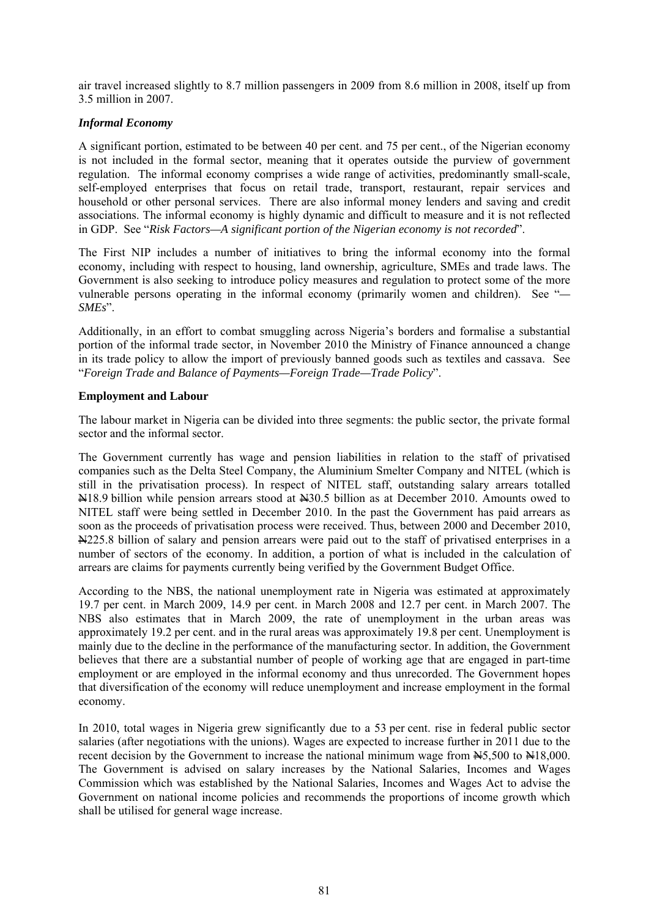air travel increased slightly to 8.7 million passengers in 2009 from 8.6 million in 2008, itself up from 3.5 million in 2007.

## *Informal Economy*

A significant portion, estimated to be between 40 per cent. and 75 per cent., of the Nigerian economy is not included in the formal sector, meaning that it operates outside the purview of government regulation. The informal economy comprises a wide range of activities, predominantly small-scale, self-employed enterprises that focus on retail trade, transport, restaurant, repair services and household or other personal services. There are also informal money lenders and saving and credit associations. The informal economy is highly dynamic and difficult to measure and it is not reflected in GDP. See "*Risk Factors—A significant portion of the Nigerian economy is not recorded*".

The First NIP includes a number of initiatives to bring the informal economy into the formal economy, including with respect to housing, land ownership, agriculture, SMEs and trade laws. The Government is also seeking to introduce policy measures and regulation to protect some of the more vulnerable persons operating in the informal economy (primarily women and children). See "*— SMEs*".

Additionally, in an effort to combat smuggling across Nigeria's borders and formalise a substantial portion of the informal trade sector, in November 2010 the Ministry of Finance announced a change in its trade policy to allow the import of previously banned goods such as textiles and cassava. See "*Foreign Trade and Balance of Payments—Foreign Trade—Trade Policy*".

### **Employment and Labour**

The labour market in Nigeria can be divided into three segments: the public sector, the private formal sector and the informal sector.

The Government currently has wage and pension liabilities in relation to the staff of privatised companies such as the Delta Steel Company, the Aluminium Smelter Company and NITEL (which is still in the privatisation process). In respect of NITEL staff, outstanding salary arrears totalled  $\frac{1}{2}$ 18.9 billion while pension arrears stood at  $\frac{1}{2}30.5$  billion as at December 2010. Amounts owed to NITEL staff were being settled in December 2010. In the past the Government has paid arrears as soon as the proceeds of privatisation process were received. Thus, between 2000 and December 2010, N225.8 billion of salary and pension arrears were paid out to the staff of privatised enterprises in a number of sectors of the economy. In addition, a portion of what is included in the calculation of arrears are claims for payments currently being verified by the Government Budget Office.

According to the NBS, the national unemployment rate in Nigeria was estimated at approximately 19.7 per cent. in March 2009, 14.9 per cent. in March 2008 and 12.7 per cent. in March 2007. The NBS also estimates that in March 2009, the rate of unemployment in the urban areas was approximately 19.2 per cent. and in the rural areas was approximately 19.8 per cent. Unemployment is mainly due to the decline in the performance of the manufacturing sector. In addition, the Government believes that there are a substantial number of people of working age that are engaged in part-time employment or are employed in the informal economy and thus unrecorded. The Government hopes that diversification of the economy will reduce unemployment and increase employment in the formal economy.

In 2010, total wages in Nigeria grew significantly due to a 53 per cent. rise in federal public sector salaries (after negotiations with the unions). Wages are expected to increase further in 2011 due to the recent decision by the Government to increase the national minimum wage from  $\text{\&}5,500$  to  $\text{\&}18,000$ . The Government is advised on salary increases by the National Salaries, Incomes and Wages Commission which was established by the National Salaries, Incomes and Wages Act to advise the Government on national income policies and recommends the proportions of income growth which shall be utilised for general wage increase.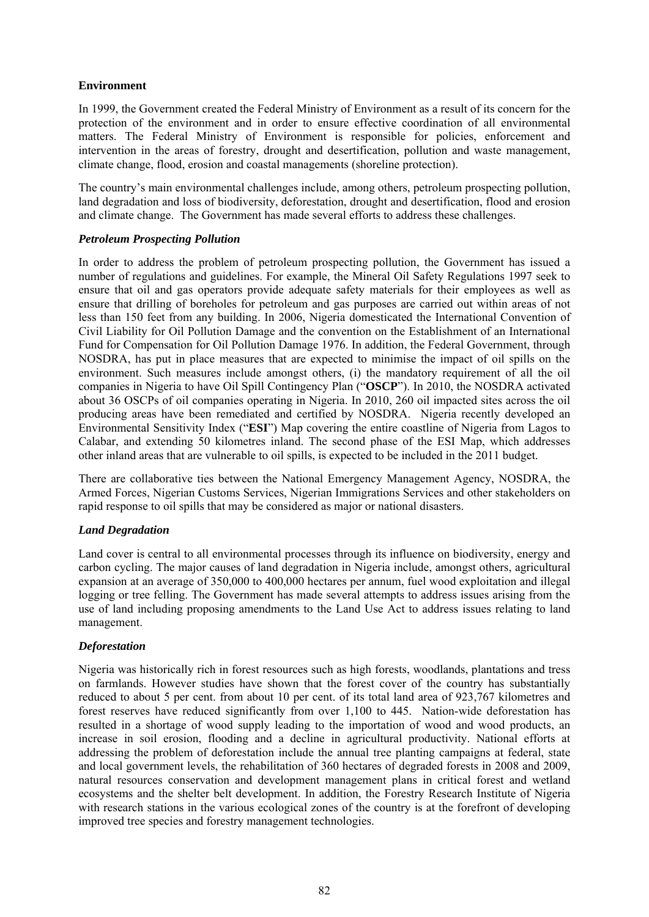## **Environment**

In 1999, the Government created the Federal Ministry of Environment as a result of its concern for the protection of the environment and in order to ensure effective coordination of all environmental matters. The Federal Ministry of Environment is responsible for policies, enforcement and intervention in the areas of forestry, drought and desertification, pollution and waste management, climate change, flood, erosion and coastal managements (shoreline protection).

The country's main environmental challenges include, among others, petroleum prospecting pollution, land degradation and loss of biodiversity, deforestation, drought and desertification, flood and erosion and climate change. The Government has made several efforts to address these challenges.

## *Petroleum Prospecting Pollution*

In order to address the problem of petroleum prospecting pollution, the Government has issued a number of regulations and guidelines. For example, the Mineral Oil Safety Regulations 1997 seek to ensure that oil and gas operators provide adequate safety materials for their employees as well as ensure that drilling of boreholes for petroleum and gas purposes are carried out within areas of not less than 150 feet from any building. In 2006, Nigeria domesticated the International Convention of Civil Liability for Oil Pollution Damage and the convention on the Establishment of an International Fund for Compensation for Oil Pollution Damage 1976. In addition, the Federal Government, through NOSDRA, has put in place measures that are expected to minimise the impact of oil spills on the environment. Such measures include amongst others, (i) the mandatory requirement of all the oil companies in Nigeria to have Oil Spill Contingency Plan ("**OSCP**"). In 2010, the NOSDRA activated about 36 OSCPs of oil companies operating in Nigeria. In 2010, 260 oil impacted sites across the oil producing areas have been remediated and certified by NOSDRA. Nigeria recently developed an Environmental Sensitivity Index ("**ESI**") Map covering the entire coastline of Nigeria from Lagos to Calabar, and extending 50 kilometres inland. The second phase of the ESI Map, which addresses other inland areas that are vulnerable to oil spills, is expected to be included in the 2011 budget.

There are collaborative ties between the National Emergency Management Agency, NOSDRA, the Armed Forces, Nigerian Customs Services, Nigerian Immigrations Services and other stakeholders on rapid response to oil spills that may be considered as major or national disasters.

### *Land Degradation*

Land cover is central to all environmental processes through its influence on biodiversity, energy and carbon cycling. The major causes of land degradation in Nigeria include, amongst others, agricultural expansion at an average of 350,000 to 400,000 hectares per annum, fuel wood exploitation and illegal logging or tree felling. The Government has made several attempts to address issues arising from the use of land including proposing amendments to the Land Use Act to address issues relating to land management.

### *Deforestation*

Nigeria was historically rich in forest resources such as high forests, woodlands, plantations and tress on farmlands. However studies have shown that the forest cover of the country has substantially reduced to about 5 per cent. from about 10 per cent. of its total land area of 923,767 kilometres and forest reserves have reduced significantly from over 1,100 to 445. Nation-wide deforestation has resulted in a shortage of wood supply leading to the importation of wood and wood products, an increase in soil erosion, flooding and a decline in agricultural productivity. National efforts at addressing the problem of deforestation include the annual tree planting campaigns at federal, state and local government levels, the rehabilitation of 360 hectares of degraded forests in 2008 and 2009, natural resources conservation and development management plans in critical forest and wetland ecosystems and the shelter belt development. In addition, the Forestry Research Institute of Nigeria with research stations in the various ecological zones of the country is at the forefront of developing improved tree species and forestry management technologies.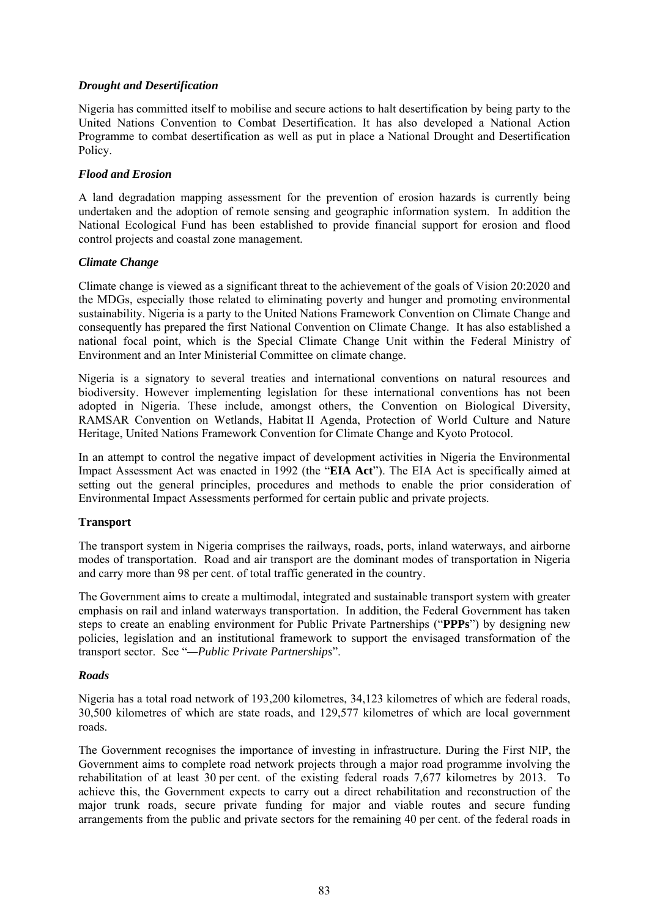## *Drought and Desertification*

Nigeria has committed itself to mobilise and secure actions to halt desertification by being party to the United Nations Convention to Combat Desertification. It has also developed a National Action Programme to combat desertification as well as put in place a National Drought and Desertification Policy.

## *Flood and Erosion*

A land degradation mapping assessment for the prevention of erosion hazards is currently being undertaken and the adoption of remote sensing and geographic information system. In addition the National Ecological Fund has been established to provide financial support for erosion and flood control projects and coastal zone management.

## *Climate Change*

Climate change is viewed as a significant threat to the achievement of the goals of Vision 20:2020 and the MDGs, especially those related to eliminating poverty and hunger and promoting environmental sustainability. Nigeria is a party to the United Nations Framework Convention on Climate Change and consequently has prepared the first National Convention on Climate Change. It has also established a national focal point, which is the Special Climate Change Unit within the Federal Ministry of Environment and an Inter Ministerial Committee on climate change.

Nigeria is a signatory to several treaties and international conventions on natural resources and biodiversity. However implementing legislation for these international conventions has not been adopted in Nigeria. These include, amongst others, the Convention on Biological Diversity, RAMSAR Convention on Wetlands, Habitat II Agenda, Protection of World Culture and Nature Heritage, United Nations Framework Convention for Climate Change and Kyoto Protocol.

In an attempt to control the negative impact of development activities in Nigeria the Environmental Impact Assessment Act was enacted in 1992 (the "**EIA Act**"). The EIA Act is specifically aimed at setting out the general principles, procedures and methods to enable the prior consideration of Environmental Impact Assessments performed for certain public and private projects.

### **Transport**

The transport system in Nigeria comprises the railways, roads, ports, inland waterways, and airborne modes of transportation. Road and air transport are the dominant modes of transportation in Nigeria and carry more than 98 per cent. of total traffic generated in the country.

The Government aims to create a multimodal, integrated and sustainable transport system with greater emphasis on rail and inland waterways transportation. In addition, the Federal Government has taken steps to create an enabling environment for Public Private Partnerships ("**PPPs**") by designing new policies, legislation and an institutional framework to support the envisaged transformation of the transport sector. See "*—Public Private Partnerships*".

### *Roads*

Nigeria has a total road network of 193,200 kilometres, 34,123 kilometres of which are federal roads, 30,500 kilometres of which are state roads, and 129,577 kilometres of which are local government roads.

The Government recognises the importance of investing in infrastructure. During the First NIP, the Government aims to complete road network projects through a major road programme involving the rehabilitation of at least 30 per cent. of the existing federal roads 7,677 kilometres by 2013. To achieve this, the Government expects to carry out a direct rehabilitation and reconstruction of the major trunk roads, secure private funding for major and viable routes and secure funding arrangements from the public and private sectors for the remaining 40 per cent. of the federal roads in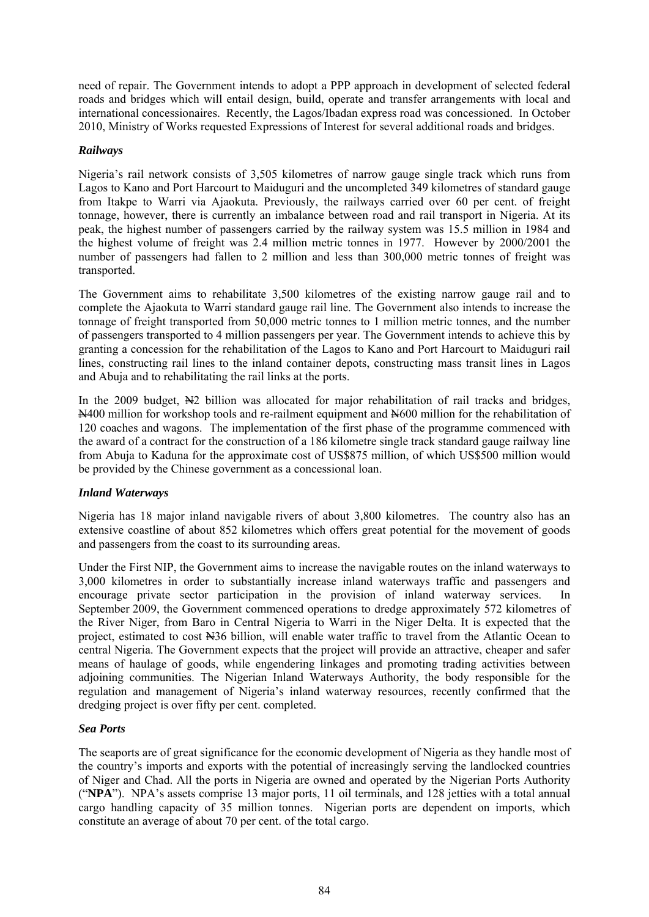need of repair. The Government intends to adopt a PPP approach in development of selected federal roads and bridges which will entail design, build, operate and transfer arrangements with local and international concessionaires. Recently, the Lagos/Ibadan express road was concessioned. In October 2010, Ministry of Works requested Expressions of Interest for several additional roads and bridges.

## *Railways*

Nigeria's rail network consists of 3,505 kilometres of narrow gauge single track which runs from Lagos to Kano and Port Harcourt to Maiduguri and the uncompleted 349 kilometres of standard gauge from Itakpe to Warri via Ajaokuta. Previously, the railways carried over 60 per cent. of freight tonnage, however, there is currently an imbalance between road and rail transport in Nigeria. At its peak, the highest number of passengers carried by the railway system was 15.5 million in 1984 and the highest volume of freight was 2.4 million metric tonnes in 1977. However by 2000/2001 the number of passengers had fallen to 2 million and less than 300,000 metric tonnes of freight was transported.

The Government aims to rehabilitate 3,500 kilometres of the existing narrow gauge rail and to complete the Ajaokuta to Warri standard gauge rail line. The Government also intends to increase the tonnage of freight transported from 50,000 metric tonnes to 1 million metric tonnes, and the number of passengers transported to 4 million passengers per year. The Government intends to achieve this by granting a concession for the rehabilitation of the Lagos to Kano and Port Harcourt to Maiduguri rail lines, constructing rail lines to the inland container depots, constructing mass transit lines in Lagos and Abuja and to rehabilitating the rail links at the ports.

In the 2009 budget,  $\frac{N}{2}$  billion was allocated for major rehabilitation of rail tracks and bridges. N400 million for workshop tools and re-railment equipment and N600 million for the rehabilitation of 120 coaches and wagons. The implementation of the first phase of the programme commenced with the award of a contract for the construction of a 186 kilometre single track standard gauge railway line from Abuja to Kaduna for the approximate cost of US\$875 million, of which US\$500 million would be provided by the Chinese government as a concessional loan.

### *Inland Waterways*

Nigeria has 18 major inland navigable rivers of about 3,800 kilometres. The country also has an extensive coastline of about 852 kilometres which offers great potential for the movement of goods and passengers from the coast to its surrounding areas.

Under the First NIP, the Government aims to increase the navigable routes on the inland waterways to 3,000 kilometres in order to substantially increase inland waterways traffic and passengers and encourage private sector participation in the provision of inland waterway services. In September 2009, the Government commenced operations to dredge approximately 572 kilometres of the River Niger, from Baro in Central Nigeria to Warri in the Niger Delta. It is expected that the project, estimated to cost N36 billion, will enable water traffic to travel from the Atlantic Ocean to central Nigeria. The Government expects that the project will provide an attractive, cheaper and safer means of haulage of goods, while engendering linkages and promoting trading activities between adjoining communities. The Nigerian Inland Waterways Authority, the body responsible for the regulation and management of Nigeria's inland waterway resources, recently confirmed that the dredging project is over fifty per cent. completed.

### *Sea Ports*

The seaports are of great significance for the economic development of Nigeria as they handle most of the country's imports and exports with the potential of increasingly serving the landlocked countries of Niger and Chad. All the ports in Nigeria are owned and operated by the Nigerian Ports Authority ("**NPA**"). NPA's assets comprise 13 major ports, 11 oil terminals, and 128 jetties with a total annual cargo handling capacity of 35 million tonnes. Nigerian ports are dependent on imports, which constitute an average of about 70 per cent. of the total cargo.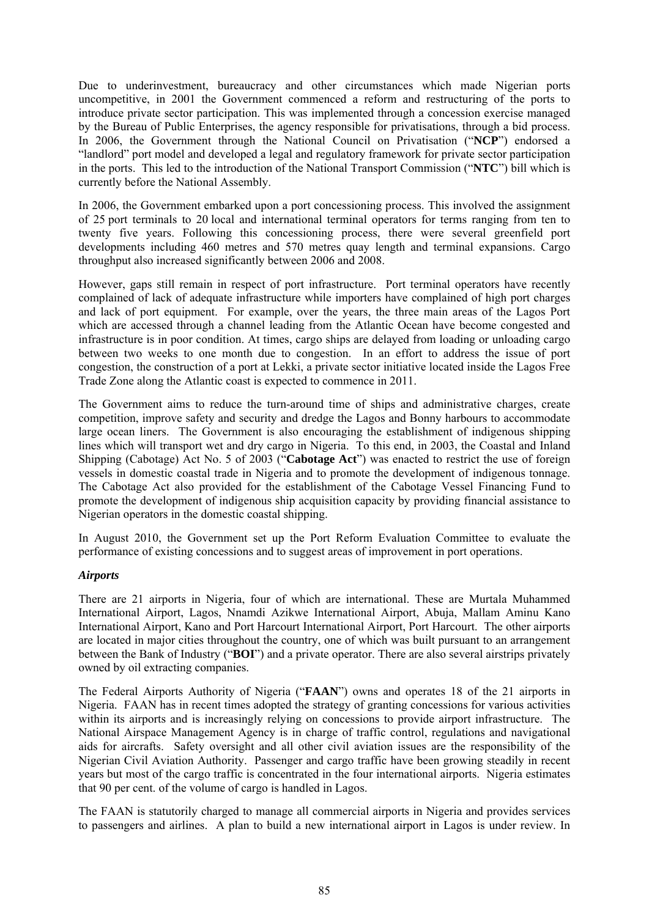Due to underinvestment, bureaucracy and other circumstances which made Nigerian ports uncompetitive, in 2001 the Government commenced a reform and restructuring of the ports to introduce private sector participation. This was implemented through a concession exercise managed by the Bureau of Public Enterprises, the agency responsible for privatisations, through a bid process. In 2006, the Government through the National Council on Privatisation ("**NCP**") endorsed a "landlord" port model and developed a legal and regulatory framework for private sector participation in the ports. This led to the introduction of the National Transport Commission ("**NTC**") bill which is currently before the National Assembly.

In 2006, the Government embarked upon a port concessioning process. This involved the assignment of 25 port terminals to 20 local and international terminal operators for terms ranging from ten to twenty five years. Following this concessioning process, there were several greenfield port developments including 460 metres and 570 metres quay length and terminal expansions. Cargo throughput also increased significantly between 2006 and 2008.

However, gaps still remain in respect of port infrastructure. Port terminal operators have recently complained of lack of adequate infrastructure while importers have complained of high port charges and lack of port equipment. For example, over the years, the three main areas of the Lagos Port which are accessed through a channel leading from the Atlantic Ocean have become congested and infrastructure is in poor condition. At times, cargo ships are delayed from loading or unloading cargo between two weeks to one month due to congestion. In an effort to address the issue of port congestion, the construction of a port at Lekki, a private sector initiative located inside the Lagos Free Trade Zone along the Atlantic coast is expected to commence in 2011.

The Government aims to reduce the turn-around time of ships and administrative charges, create competition, improve safety and security and dredge the Lagos and Bonny harbours to accommodate large ocean liners. The Government is also encouraging the establishment of indigenous shipping lines which will transport wet and dry cargo in Nigeria. To this end, in 2003, the Coastal and Inland Shipping (Cabotage) Act No. 5 of 2003 ("**Cabotage Act**") was enacted to restrict the use of foreign vessels in domestic coastal trade in Nigeria and to promote the development of indigenous tonnage. The Cabotage Act also provided for the establishment of the Cabotage Vessel Financing Fund to promote the development of indigenous ship acquisition capacity by providing financial assistance to Nigerian operators in the domestic coastal shipping.

In August 2010, the Government set up the Port Reform Evaluation Committee to evaluate the performance of existing concessions and to suggest areas of improvement in port operations.

### *Airports*

There are 21 airports in Nigeria, four of which are international. These are Murtala Muhammed International Airport, Lagos, Nnamdi Azikwe International Airport, Abuja, Mallam Aminu Kano International Airport, Kano and Port Harcourt International Airport, Port Harcourt. The other airports are located in major cities throughout the country, one of which was built pursuant to an arrangement between the Bank of Industry ("**BOI**") and a private operator. There are also several airstrips privately owned by oil extracting companies.

The Federal Airports Authority of Nigeria ("**FAAN**") owns and operates 18 of the 21 airports in Nigeria. FAAN has in recent times adopted the strategy of granting concessions for various activities within its airports and is increasingly relying on concessions to provide airport infrastructure. The National Airspace Management Agency is in charge of traffic control, regulations and navigational aids for aircrafts. Safety oversight and all other civil aviation issues are the responsibility of the Nigerian Civil Aviation Authority. Passenger and cargo traffic have been growing steadily in recent years but most of the cargo traffic is concentrated in the four international airports. Nigeria estimates that 90 per cent. of the volume of cargo is handled in Lagos.

The FAAN is statutorily charged to manage all commercial airports in Nigeria and provides services to passengers and airlines. A plan to build a new international airport in Lagos is under review. In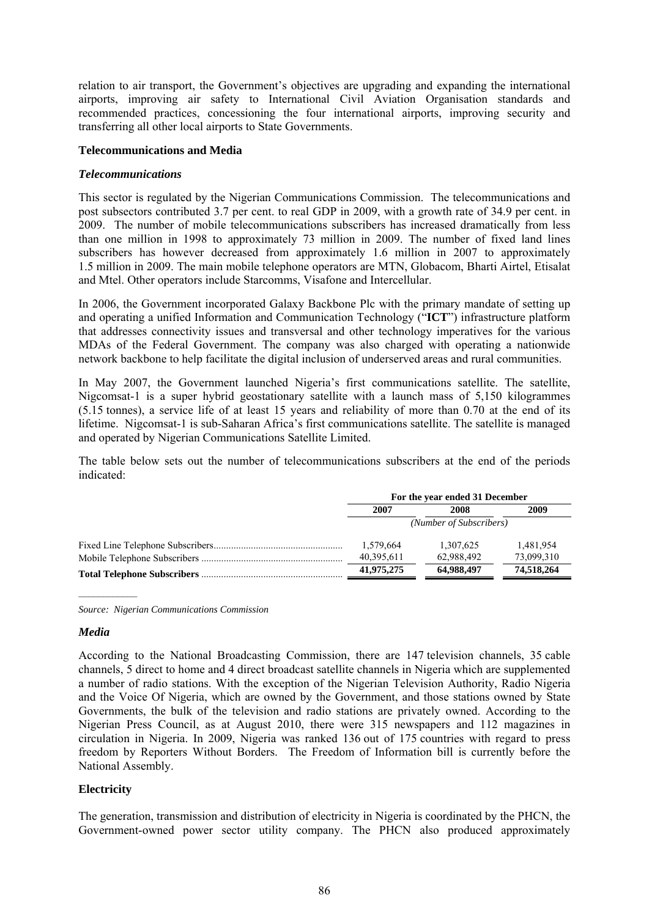relation to air transport, the Government's objectives are upgrading and expanding the international airports, improving air safety to International Civil Aviation Organisation standards and recommended practices, concessioning the four international airports, improving security and transferring all other local airports to State Governments.

### **Telecommunications and Media**

## *Telecommunications*

This sector is regulated by the Nigerian Communications Commission. The telecommunications and post subsectors contributed 3.7 per cent. to real GDP in 2009, with a growth rate of 34.9 per cent. in 2009. The number of mobile telecommunications subscribers has increased dramatically from less than one million in 1998 to approximately 73 million in 2009. The number of fixed land lines subscribers has however decreased from approximately 1.6 million in 2007 to approximately 1.5 million in 2009. The main mobile telephone operators are MTN, Globacom, Bharti Airtel, Etisalat and Mtel. Other operators include Starcomms, Visafone and Intercellular.

In 2006, the Government incorporated Galaxy Backbone Plc with the primary mandate of setting up and operating a unified Information and Communication Technology ("**ICT**") infrastructure platform that addresses connectivity issues and transversal and other technology imperatives for the various MDAs of the Federal Government. The company was also charged with operating a nationwide network backbone to help facilitate the digital inclusion of underserved areas and rural communities.

In May 2007, the Government launched Nigeria's first communications satellite. The satellite, Nigcomsat-1 is a super hybrid geostationary satellite with a launch mass of 5,150 kilogrammes (5.15 tonnes), a service life of at least 15 years and reliability of more than 0.70 at the end of its lifetime. Nigcomsat-1 is sub-Saharan Africa's first communications satellite. The satellite is managed and operated by Nigerian Communications Satellite Limited.

The table below sets out the number of telecommunications subscribers at the end of the periods indicated:

| For the year ended 31 December |            |            |  |  |
|--------------------------------|------------|------------|--|--|
| 2007                           | 2008       | 2009       |  |  |
| (Number of Subscribers)        |            |            |  |  |
| 1,579,664                      | 1,307,625  | 1,481,954  |  |  |
| 40,395,611                     | 62,988,492 | 73,099,310 |  |  |
| 41,975,275                     | 64,988,497 | 74,518,264 |  |  |

*Source: Nigerian Communications Commission* 

### *Media*

According to the National Broadcasting Commission, there are 147 television channels, 35 cable channels, 5 direct to home and 4 direct broadcast satellite channels in Nigeria which are supplemented a number of radio stations. With the exception of the Nigerian Television Authority, Radio Nigeria and the Voice Of Nigeria, which are owned by the Government, and those stations owned by State Governments, the bulk of the television and radio stations are privately owned. According to the Nigerian Press Council, as at August 2010, there were 315 newspapers and 112 magazines in circulation in Nigeria. In 2009, Nigeria was ranked 136 out of 175 countries with regard to press freedom by Reporters Without Borders. The Freedom of Information bill is currently before the National Assembly.

# **Electricity**

The generation, transmission and distribution of electricity in Nigeria is coordinated by the PHCN, the Government-owned power sector utility company. The PHCN also produced approximately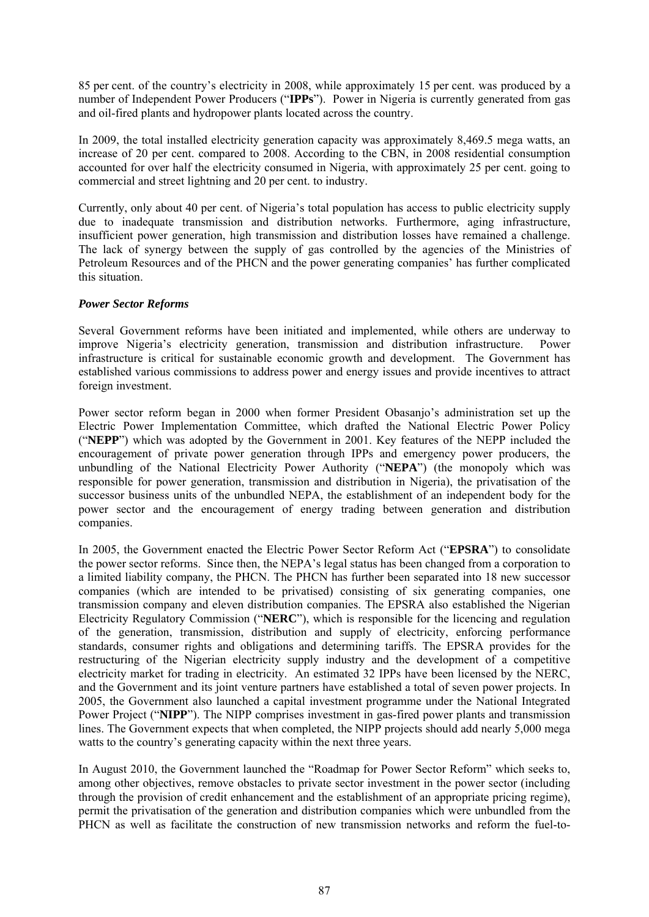85 per cent. of the country's electricity in 2008, while approximately 15 per cent. was produced by a number of Independent Power Producers ("**IPPs**"). Power in Nigeria is currently generated from gas and oil-fired plants and hydropower plants located across the country.

In 2009, the total installed electricity generation capacity was approximately 8,469.5 mega watts, an increase of 20 per cent. compared to 2008. According to the CBN, in 2008 residential consumption accounted for over half the electricity consumed in Nigeria, with approximately 25 per cent. going to commercial and street lightning and 20 per cent. to industry.

Currently, only about 40 per cent. of Nigeria's total population has access to public electricity supply due to inadequate transmission and distribution networks. Furthermore, aging infrastructure, insufficient power generation, high transmission and distribution losses have remained a challenge. The lack of synergy between the supply of gas controlled by the agencies of the Ministries of Petroleum Resources and of the PHCN and the power generating companies' has further complicated this situation.

## *Power Sector Reforms*

Several Government reforms have been initiated and implemented, while others are underway to improve Nigeria's electricity generation, transmission and distribution infrastructure. Power infrastructure is critical for sustainable economic growth and development. The Government has established various commissions to address power and energy issues and provide incentives to attract foreign investment.

Power sector reform began in 2000 when former President Obasanjo's administration set up the Electric Power Implementation Committee, which drafted the National Electric Power Policy ("**NEPP**") which was adopted by the Government in 2001. Key features of the NEPP included the encouragement of private power generation through IPPs and emergency power producers, the unbundling of the National Electricity Power Authority ("**NEPA**") (the monopoly which was responsible for power generation, transmission and distribution in Nigeria), the privatisation of the successor business units of the unbundled NEPA, the establishment of an independent body for the power sector and the encouragement of energy trading between generation and distribution companies.

In 2005, the Government enacted the Electric Power Sector Reform Act ("**EPSRA**") to consolidate the power sector reforms. Since then, the NEPA's legal status has been changed from a corporation to a limited liability company, the PHCN. The PHCN has further been separated into 18 new successor companies (which are intended to be privatised) consisting of six generating companies, one transmission company and eleven distribution companies. The EPSRA also established the Nigerian Electricity Regulatory Commission ("**NERC**"), which is responsible for the licencing and regulation of the generation, transmission, distribution and supply of electricity, enforcing performance standards, consumer rights and obligations and determining tariffs. The EPSRA provides for the restructuring of the Nigerian electricity supply industry and the development of a competitive electricity market for trading in electricity. An estimated 32 IPPs have been licensed by the NERC, and the Government and its joint venture partners have established a total of seven power projects. In 2005, the Government also launched a capital investment programme under the National Integrated Power Project ("**NIPP**"). The NIPP comprises investment in gas-fired power plants and transmission lines. The Government expects that when completed, the NIPP projects should add nearly 5,000 mega watts to the country's generating capacity within the next three years.

In August 2010, the Government launched the "Roadmap for Power Sector Reform" which seeks to, among other objectives, remove obstacles to private sector investment in the power sector (including through the provision of credit enhancement and the establishment of an appropriate pricing regime), permit the privatisation of the generation and distribution companies which were unbundled from the PHCN as well as facilitate the construction of new transmission networks and reform the fuel-to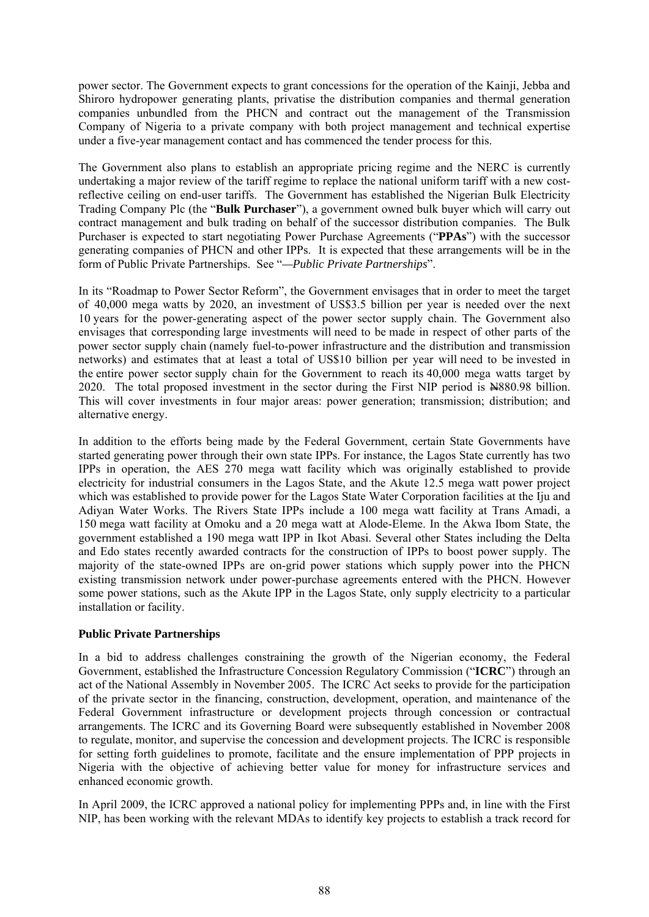power sector. The Government expects to grant concessions for the operation of the Kainji, Jebba and Shiroro hydropower generating plants, privatise the distribution companies and thermal generation companies unbundled from the PHCN and contract out the management of the Transmission Company of Nigeria to a private company with both project management and technical expertise under a five-year management contact and has commenced the tender process for this.

The Government also plans to establish an appropriate pricing regime and the NERC is currently undertaking a major review of the tariff regime to replace the national uniform tariff with a new costreflective ceiling on end-user tariffs. The Government has established the Nigerian Bulk Electricity Trading Company Plc (the "**Bulk Purchaser**"), a government owned bulk buyer which will carry out contract management and bulk trading on behalf of the successor distribution companies. The Bulk Purchaser is expected to start negotiating Power Purchase Agreements ("**PPAs**") with the successor generating companies of PHCN and other IPPs. It is expected that these arrangements will be in the form of Public Private Partnerships. See "*—Public Private Partnerships*".

In its "Roadmap to Power Sector Reform", the Government envisages that in order to meet the target of 40,000 mega watts by 2020, an investment of US\$3.5 billion per year is needed over the next 10 years for the power-generating aspect of the power sector supply chain. The Government also envisages that corresponding large investments will need to be made in respect of other parts of the power sector supply chain (namely fuel-to-power infrastructure and the distribution and transmission networks) and estimates that at least a total of US\$10 billion per year will need to be invested in the entire power sector supply chain for the Government to reach its 40,000 mega watts target by 2020. The total proposed investment in the sector during the First NIP period is N880.98 billion. This will cover investments in four major areas: power generation; transmission; distribution; and alternative energy.

In addition to the efforts being made by the Federal Government, certain State Governments have started generating power through their own state IPPs. For instance, the Lagos State currently has two IPPs in operation, the AES 270 mega watt facility which was originally established to provide electricity for industrial consumers in the Lagos State, and the Akute 12.5 mega watt power project which was established to provide power for the Lagos State Water Corporation facilities at the Iju and Adiyan Water Works. The Rivers State IPPs include a 100 mega watt facility at Trans Amadi, a 150 mega watt facility at Omoku and a 20 mega watt at Alode-Eleme. In the Akwa Ibom State, the government established a 190 mega watt IPP in Ikot Abasi. Several other States including the Delta and Edo states recently awarded contracts for the construction of IPPs to boost power supply. The majority of the state-owned IPPs are on-grid power stations which supply power into the PHCN existing transmission network under power-purchase agreements entered with the PHCN. However some power stations, such as the Akute IPP in the Lagos State, only supply electricity to a particular installation or facility.

# **Public Private Partnerships**

In a bid to address challenges constraining the growth of the Nigerian economy, the Federal Government, established the Infrastructure Concession Regulatory Commission ("**ICRC**") through an act of the National Assembly in November 2005. The ICRC Act seeks to provide for the participation of the private sector in the financing, construction, development, operation, and maintenance of the Federal Government infrastructure or development projects through concession or contractual arrangements. The ICRC and its Governing Board were subsequently established in November 2008 to regulate, monitor, and supervise the concession and development projects. The ICRC is responsible for setting forth guidelines to promote, facilitate and the ensure implementation of PPP projects in Nigeria with the objective of achieving better value for money for infrastructure services and enhanced economic growth.

In April 2009, the ICRC approved a national policy for implementing PPPs and, in line with the First NIP, has been working with the relevant MDAs to identify key projects to establish a track record for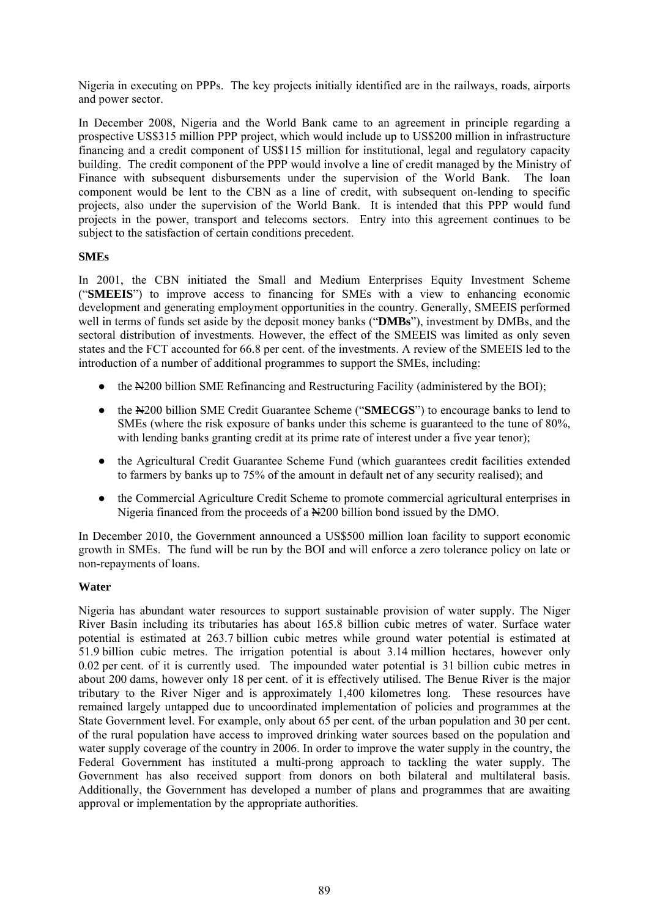Nigeria in executing on PPPs. The key projects initially identified are in the railways, roads, airports and power sector.

In December 2008, Nigeria and the World Bank came to an agreement in principle regarding a prospective US\$315 million PPP project, which would include up to US\$200 million in infrastructure financing and a credit component of US\$115 million for institutional, legal and regulatory capacity building. The credit component of the PPP would involve a line of credit managed by the Ministry of Finance with subsequent disbursements under the supervision of the World Bank. The loan component would be lent to the CBN as a line of credit, with subsequent on-lending to specific projects, also under the supervision of the World Bank. It is intended that this PPP would fund projects in the power, transport and telecoms sectors. Entry into this agreement continues to be subject to the satisfaction of certain conditions precedent.

## **SMEs**

In 2001, the CBN initiated the Small and Medium Enterprises Equity Investment Scheme ("**SMEEIS**") to improve access to financing for SMEs with a view to enhancing economic development and generating employment opportunities in the country. Generally, SMEEIS performed well in terms of funds set aside by the deposit money banks ("**DMBs**"), investment by DMBs, and the sectoral distribution of investments. However, the effect of the SMEEIS was limited as only seven states and the FCT accounted for 66.8 per cent. of the investments. A review of the SMEEIS led to the introduction of a number of additional programmes to support the SMEs, including:

- the  $\frac{N}{200}$  billion SME Refinancing and Restructuring Facility (administered by the BOI);
- the N200 billion SME Credit Guarantee Scheme ("**SMECGS**") to encourage banks to lend to SMEs (where the risk exposure of banks under this scheme is guaranteed to the tune of 80%, with lending banks granting credit at its prime rate of interest under a five year tenor);
- the Agricultural Credit Guarantee Scheme Fund (which guarantees credit facilities extended to farmers by banks up to 75% of the amount in default net of any security realised); and
- the Commercial Agriculture Credit Scheme to promote commercial agricultural enterprises in Nigeria financed from the proceeds of a  $\frac{N}{200}$  billion bond issued by the DMO.

In December 2010, the Government announced a US\$500 million loan facility to support economic growth in SMEs. The fund will be run by the BOI and will enforce a zero tolerance policy on late or non-repayments of loans.

# **Water**

Nigeria has abundant water resources to support sustainable provision of water supply. The Niger River Basin including its tributaries has about 165.8 billion cubic metres of water. Surface water potential is estimated at 263.7 billion cubic metres while ground water potential is estimated at 51.9 billion cubic metres. The irrigation potential is about 3.14 million hectares, however only 0.02 per cent. of it is currently used. The impounded water potential is 31 billion cubic metres in about 200 dams, however only 18 per cent. of it is effectively utilised. The Benue River is the major tributary to the River Niger and is approximately 1,400 kilometres long. These resources have remained largely untapped due to uncoordinated implementation of policies and programmes at the State Government level. For example, only about 65 per cent. of the urban population and 30 per cent. of the rural population have access to improved drinking water sources based on the population and water supply coverage of the country in 2006. In order to improve the water supply in the country, the Federal Government has instituted a multi-prong approach to tackling the water supply. The Government has also received support from donors on both bilateral and multilateral basis. Additionally, the Government has developed a number of plans and programmes that are awaiting approval or implementation by the appropriate authorities.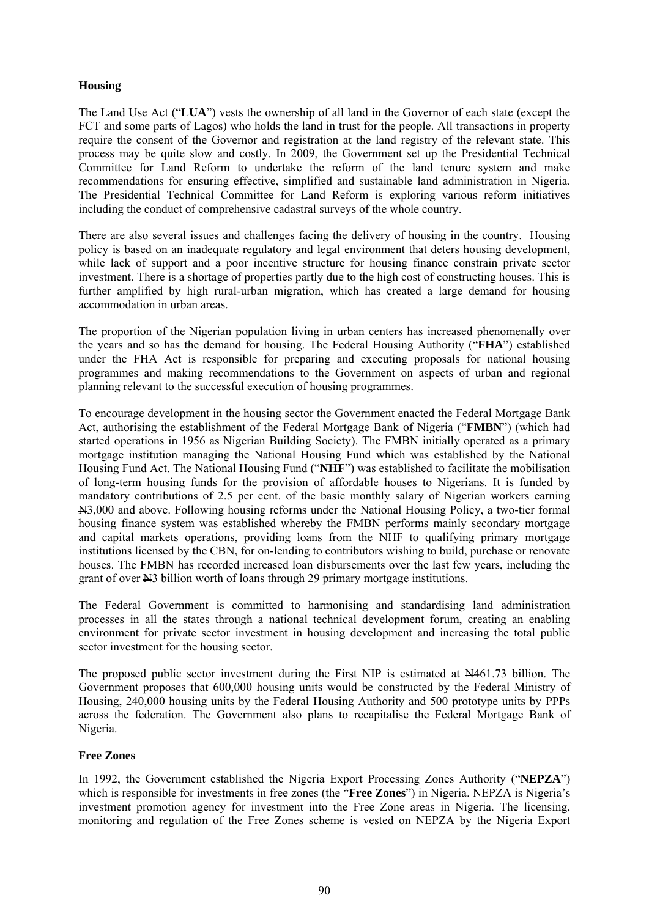## **Housing**

The Land Use Act ("**LUA**") vests the ownership of all land in the Governor of each state (except the FCT and some parts of Lagos) who holds the land in trust for the people. All transactions in property require the consent of the Governor and registration at the land registry of the relevant state. This process may be quite slow and costly. In 2009, the Government set up the Presidential Technical Committee for Land Reform to undertake the reform of the land tenure system and make recommendations for ensuring effective, simplified and sustainable land administration in Nigeria. The Presidential Technical Committee for Land Reform is exploring various reform initiatives including the conduct of comprehensive cadastral surveys of the whole country.

There are also several issues and challenges facing the delivery of housing in the country. Housing policy is based on an inadequate regulatory and legal environment that deters housing development, while lack of support and a poor incentive structure for housing finance constrain private sector investment. There is a shortage of properties partly due to the high cost of constructing houses. This is further amplified by high rural-urban migration, which has created a large demand for housing accommodation in urban areas.

The proportion of the Nigerian population living in urban centers has increased phenomenally over the years and so has the demand for housing. The Federal Housing Authority ("**FHA**") established under the FHA Act is responsible for preparing and executing proposals for national housing programmes and making recommendations to the Government on aspects of urban and regional planning relevant to the successful execution of housing programmes.

To encourage development in the housing sector the Government enacted the Federal Mortgage Bank Act, authorising the establishment of the Federal Mortgage Bank of Nigeria ("**FMBN**") (which had started operations in 1956 as Nigerian Building Society). The FMBN initially operated as a primary mortgage institution managing the National Housing Fund which was established by the National Housing Fund Act. The National Housing Fund ("**NHF**") was established to facilitate the mobilisation of long-term housing funds for the provision of affordable houses to Nigerians. It is funded by mandatory contributions of 2.5 per cent. of the basic monthly salary of Nigerian workers earning N3,000 and above. Following housing reforms under the National Housing Policy, a two-tier formal housing finance system was established whereby the FMBN performs mainly secondary mortgage and capital markets operations, providing loans from the NHF to qualifying primary mortgage institutions licensed by the CBN, for on-lending to contributors wishing to build, purchase or renovate houses. The FMBN has recorded increased loan disbursements over the last few years, including the grant of over N3 billion worth of loans through 29 primary mortgage institutions.

The Federal Government is committed to harmonising and standardising land administration processes in all the states through a national technical development forum, creating an enabling environment for private sector investment in housing development and increasing the total public sector investment for the housing sector.

The proposed public sector investment during the First NIP is estimated at N461.73 billion. The Government proposes that 600,000 housing units would be constructed by the Federal Ministry of Housing, 240,000 housing units by the Federal Housing Authority and 500 prototype units by PPPs across the federation. The Government also plans to recapitalise the Federal Mortgage Bank of Nigeria.

# **Free Zones**

In 1992, the Government established the Nigeria Export Processing Zones Authority ("**NEPZA**") which is responsible for investments in free zones (the "**Free Zones**") in Nigeria. NEPZA is Nigeria's investment promotion agency for investment into the Free Zone areas in Nigeria. The licensing, monitoring and regulation of the Free Zones scheme is vested on NEPZA by the Nigeria Export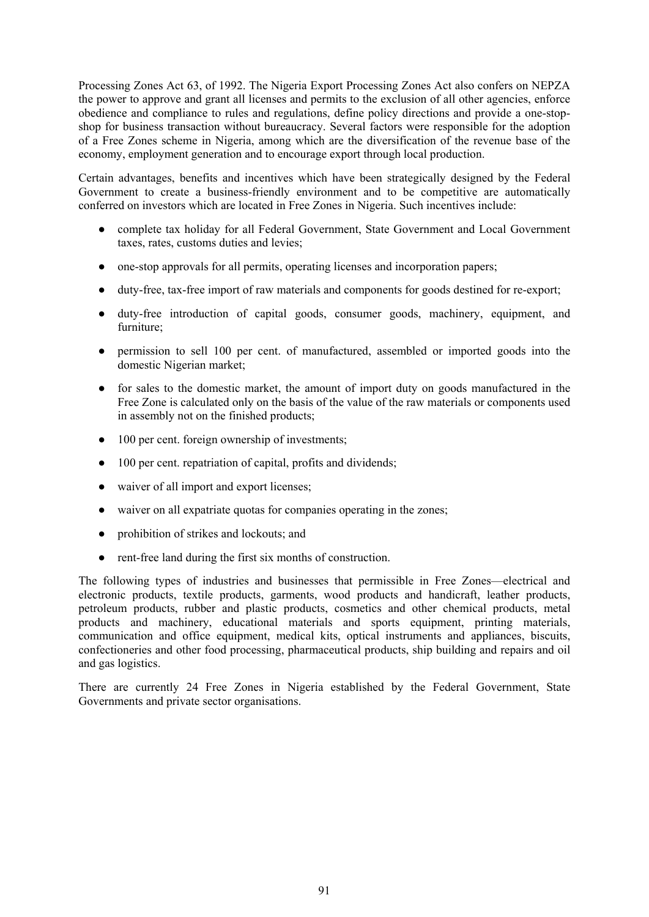Processing Zones Act 63, of 1992. The Nigeria Export Processing Zones Act also confers on NEPZA the power to approve and grant all licenses and permits to the exclusion of all other agencies, enforce obedience and compliance to rules and regulations, define policy directions and provide a one-stopshop for business transaction without bureaucracy. Several factors were responsible for the adoption of a Free Zones scheme in Nigeria, among which are the diversification of the revenue base of the economy, employment generation and to encourage export through local production.

Certain advantages, benefits and incentives which have been strategically designed by the Federal Government to create a business-friendly environment and to be competitive are automatically conferred on investors which are located in Free Zones in Nigeria. Such incentives include:

- complete tax holiday for all Federal Government, State Government and Local Government taxes, rates, customs duties and levies;
- one-stop approvals for all permits, operating licenses and incorporation papers;
- duty-free, tax-free import of raw materials and components for goods destined for re-export;
- duty-free introduction of capital goods, consumer goods, machinery, equipment, and furniture;
- permission to sell 100 per cent. of manufactured, assembled or imported goods into the domestic Nigerian market;
- for sales to the domestic market, the amount of import duty on goods manufactured in the Free Zone is calculated only on the basis of the value of the raw materials or components used in assembly not on the finished products;
- 100 per cent. foreign ownership of investments;
- 100 per cent. repatriation of capital, profits and dividends;
- waiver of all import and export licenses;
- waiver on all expatriate quotas for companies operating in the zones;
- prohibition of strikes and lockouts; and
- rent-free land during the first six months of construction.

The following types of industries and businesses that permissible in Free Zones—electrical and electronic products, textile products, garments, wood products and handicraft, leather products, petroleum products, rubber and plastic products, cosmetics and other chemical products, metal products and machinery, educational materials and sports equipment, printing materials, communication and office equipment, medical kits, optical instruments and appliances, biscuits, confectioneries and other food processing, pharmaceutical products, ship building and repairs and oil and gas logistics.

There are currently 24 Free Zones in Nigeria established by the Federal Government, State Governments and private sector organisations.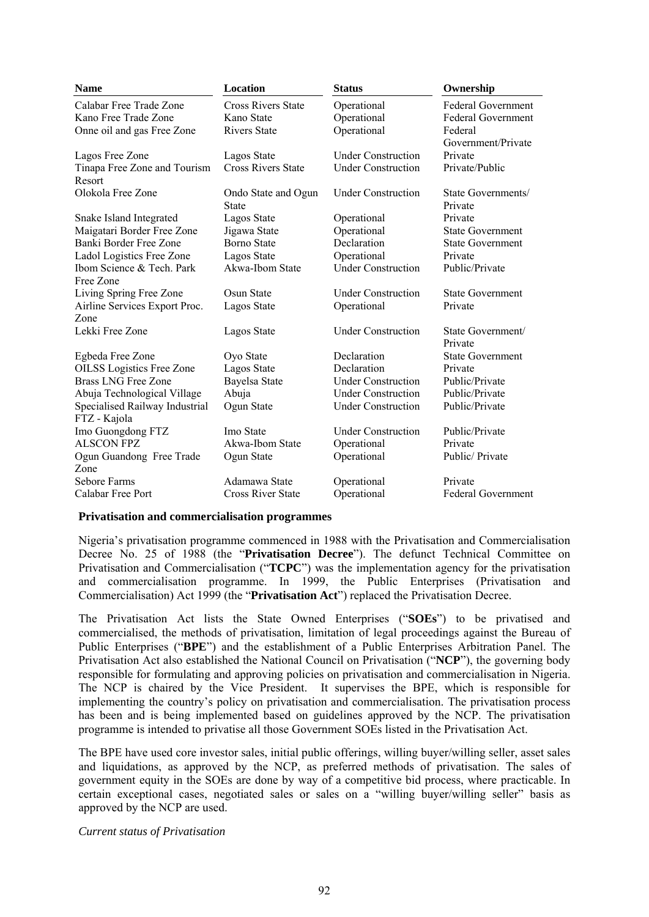| <b>Name</b>                            | <b>Location</b>                     | <b>Status</b>             |                               |
|----------------------------------------|-------------------------------------|---------------------------|-------------------------------|
| Calabar Free Trade Zone                | <b>Cross Rivers State</b>           | Operational               | <b>Federal Government</b>     |
| Kano Free Trade Zone                   | Kano State                          | Operational               | <b>Federal Government</b>     |
| Onne oil and gas Free Zone             | <b>Rivers State</b>                 | Operational               | Federal                       |
|                                        |                                     |                           | Government/Private            |
| Lagos Free Zone                        | Lagos State                         | <b>Under Construction</b> | Private                       |
| Tinapa Free Zone and Tourism<br>Resort | <b>Cross Rivers State</b>           | <b>Under Construction</b> | Private/Public                |
| Olokola Free Zone                      | Ondo State and Ogun<br><b>State</b> | <b>Under Construction</b> | State Governments/<br>Private |
| Snake Island Integrated                | Lagos State                         | Operational               | Private                       |
| Maigatari Border Free Zone             | Jigawa State                        | Operational               | <b>State Government</b>       |
| Banki Border Free Zone                 | <b>Borno State</b>                  | Declaration               | <b>State Government</b>       |
| Ladol Logistics Free Zone              | Lagos State                         | Operational               | Private                       |
| Ibom Science & Tech. Park              | Akwa-Ibom State                     | <b>Under Construction</b> | Public/Private                |
| Free Zone                              |                                     |                           |                               |
| Living Spring Free Zone                | Osun State                          | <b>Under Construction</b> | <b>State Government</b>       |
| Airline Services Export Proc.          | Lagos State                         | Operational               | Private                       |
| Zone                                   |                                     |                           |                               |
| Lekki Free Zone                        | Lagos State                         | <b>Under Construction</b> | State Government/<br>Private  |
| Egbeda Free Zone                       | Oyo State                           | Declaration               | <b>State Government</b>       |
| <b>OILSS</b> Logistics Free Zone       | Lagos State                         | Declaration               | Private                       |
| <b>Brass LNG Free Zone</b>             | Bayelsa State                       | <b>Under Construction</b> | Public/Private                |
| Abuja Technological Village            | Abuja                               | <b>Under Construction</b> | Public/Private                |
| Specialised Railway Industrial         | Ogun State                          | <b>Under Construction</b> | Public/Private                |
| FTZ - Kajola                           |                                     |                           |                               |
| Imo Guongdong FTZ                      | Imo State                           | <b>Under Construction</b> | Public/Private                |
| <b>ALSCON FPZ</b>                      | Akwa-Ibom State                     | Operational               | Private                       |
| Ogun Guandong Free Trade               | Ogun State                          | Operational               | Public/ Private               |
| Zone                                   |                                     |                           |                               |
| Sebore Farms                           | Adamawa State                       | Operational               | Private                       |
| Calabar Free Port                      | <b>Cross River State</b>            | Operational               | <b>Federal Government</b>     |

#### **Privatisation and commercialisation programmes**

Nigeria's privatisation programme commenced in 1988 with the Privatisation and Commercialisation Decree No. 25 of 1988 (the "**Privatisation Decree**"). The defunct Technical Committee on Privatisation and Commercialisation ("**TCPC**") was the implementation agency for the privatisation and commercialisation programme. In 1999, the Public Enterprises (Privatisation and Commercialisation) Act 1999 (the "**Privatisation Act**") replaced the Privatisation Decree.

The Privatisation Act lists the State Owned Enterprises ("**SOEs**") to be privatised and commercialised, the methods of privatisation, limitation of legal proceedings against the Bureau of Public Enterprises ("**BPE**") and the establishment of a Public Enterprises Arbitration Panel. The Privatisation Act also established the National Council on Privatisation ("**NCP**"), the governing body responsible for formulating and approving policies on privatisation and commercialisation in Nigeria. The NCP is chaired by the Vice President. It supervises the BPE, which is responsible for implementing the country's policy on privatisation and commercialisation. The privatisation process has been and is being implemented based on guidelines approved by the NCP. The privatisation programme is intended to privatise all those Government SOEs listed in the Privatisation Act.

The BPE have used core investor sales, initial public offerings, willing buyer/willing seller, asset sales and liquidations, as approved by the NCP, as preferred methods of privatisation. The sales of government equity in the SOEs are done by way of a competitive bid process, where practicable. In certain exceptional cases, negotiated sales or sales on a "willing buyer/willing seller" basis as approved by the NCP are used.

*Current status of Privatisation*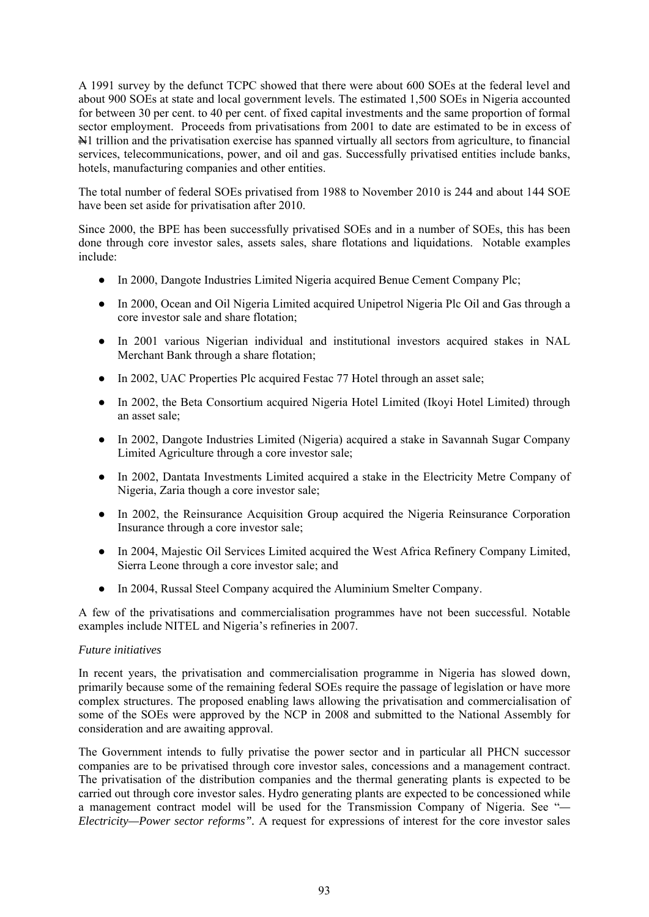A 1991 survey by the defunct TCPC showed that there were about 600 SOEs at the federal level and about 900 SOEs at state and local government levels. The estimated 1,500 SOEs in Nigeria accounted for between 30 per cent. to 40 per cent. of fixed capital investments and the same proportion of formal sector employment. Proceeds from privatisations from 2001 to date are estimated to be in excess of N1 trillion and the privatisation exercise has spanned virtually all sectors from agriculture, to financial services, telecommunications, power, and oil and gas. Successfully privatised entities include banks, hotels, manufacturing companies and other entities.

The total number of federal SOEs privatised from 1988 to November 2010 is 244 and about 144 SOE have been set aside for privatisation after 2010.

Since 2000, the BPE has been successfully privatised SOEs and in a number of SOEs, this has been done through core investor sales, assets sales, share flotations and liquidations. Notable examples include:

- In 2000, Dangote Industries Limited Nigeria acquired Benue Cement Company Plc;
- In 2000, Ocean and Oil Nigeria Limited acquired Unipetrol Nigeria Plc Oil and Gas through a core investor sale and share flotation;
- In 2001 various Nigerian individual and institutional investors acquired stakes in NAL Merchant Bank through a share flotation;
- In 2002, UAC Properties Plc acquired Festac 77 Hotel through an asset sale;
- In 2002, the Beta Consortium acquired Nigeria Hotel Limited (Ikovi Hotel Limited) through an asset sale;
- In 2002, Dangote Industries Limited (Nigeria) acquired a stake in Savannah Sugar Company Limited Agriculture through a core investor sale;
- In 2002, Dantata Investments Limited acquired a stake in the Electricity Metre Company of Nigeria, Zaria though a core investor sale;
- In 2002, the Reinsurance Acquisition Group acquired the Nigeria Reinsurance Corporation Insurance through a core investor sale;
- In 2004, Majestic Oil Services Limited acquired the West Africa Refinery Company Limited, Sierra Leone through a core investor sale; and
- In 2004, Russal Steel Company acquired the Aluminium Smelter Company.

A few of the privatisations and commercialisation programmes have not been successful. Notable examples include NITEL and Nigeria's refineries in 2007.

### *Future initiatives*

In recent years, the privatisation and commercialisation programme in Nigeria has slowed down, primarily because some of the remaining federal SOEs require the passage of legislation or have more complex structures. The proposed enabling laws allowing the privatisation and commercialisation of some of the SOEs were approved by the NCP in 2008 and submitted to the National Assembly for consideration and are awaiting approval.

The Government intends to fully privatise the power sector and in particular all PHCN successor companies are to be privatised through core investor sales, concessions and a management contract. The privatisation of the distribution companies and the thermal generating plants is expected to be carried out through core investor sales. Hydro generating plants are expected to be concessioned while a management contract model will be used for the Transmission Company of Nigeria. See "*— Electricity—Power sector reforms".* A request for expressions of interest for the core investor sales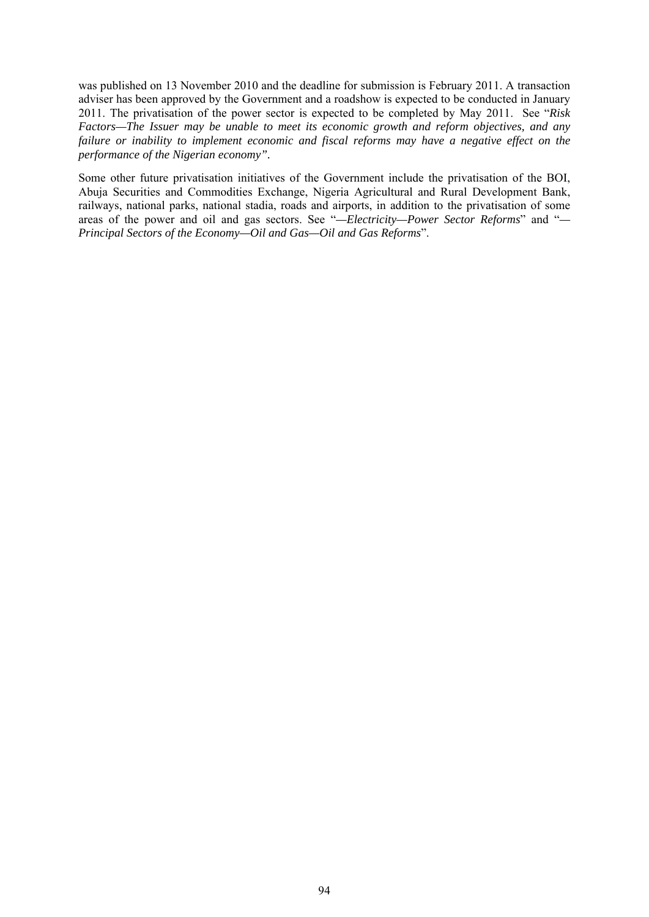was published on 13 November 2010 and the deadline for submission is February 2011. A transaction adviser has been approved by the Government and a roadshow is expected to be conducted in January 2011. The privatisation of the power sector is expected to be completed by May 2011. See "*Risk Factors—The Issuer may be unable to meet its economic growth and reform objectives, and any failure or inability to implement economic and fiscal reforms may have a negative effect on the performance of the Nigerian economy".*

Some other future privatisation initiatives of the Government include the privatisation of the BOI, Abuja Securities and Commodities Exchange, Nigeria Agricultural and Rural Development Bank, railways, national parks, national stadia, roads and airports, in addition to the privatisation of some areas of the power and oil and gas sectors. See "*—Electricity—Power Sector Reforms*" and "*— Principal Sectors of the Economy—Oil and Gas—Oil and Gas Reforms*".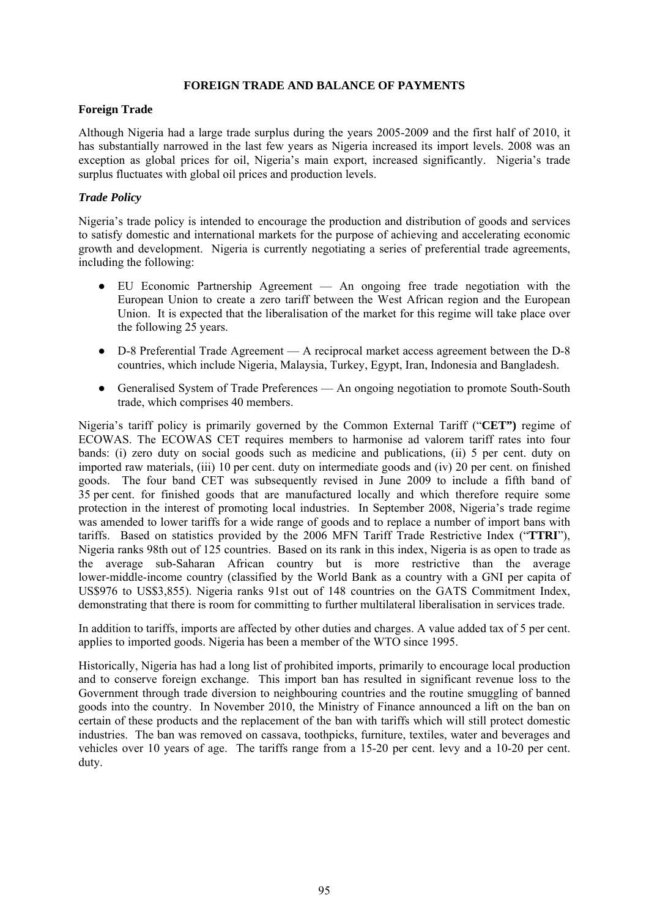## **FOREIGN TRADE AND BALANCE OF PAYMENTS**

### **Foreign Trade**

Although Nigeria had a large trade surplus during the years 2005-2009 and the first half of 2010, it has substantially narrowed in the last few years as Nigeria increased its import levels. 2008 was an exception as global prices for oil, Nigeria's main export, increased significantly. Nigeria's trade surplus fluctuates with global oil prices and production levels.

## *Trade Policy*

Nigeria's trade policy is intended to encourage the production and distribution of goods and services to satisfy domestic and international markets for the purpose of achieving and accelerating economic growth and development. Nigeria is currently negotiating a series of preferential trade agreements, including the following:

- EU Economic Partnership Agreement An ongoing free trade negotiation with the European Union to create a zero tariff between the West African region and the European Union. It is expected that the liberalisation of the market for this regime will take place over the following 25 years.
- D-8 Preferential Trade Agreement A reciprocal market access agreement between the D-8 countries, which include Nigeria, Malaysia, Turkey, Egypt, Iran, Indonesia and Bangladesh.
- Generalised System of Trade Preferences An ongoing negotiation to promote South-South trade, which comprises 40 members.

Nigeria's tariff policy is primarily governed by the Common External Tariff ("**CET")** regime of ECOWAS. The ECOWAS CET requires members to harmonise ad valorem tariff rates into four bands: (i) zero duty on social goods such as medicine and publications, (ii) 5 per cent. duty on imported raw materials, (iii) 10 per cent. duty on intermediate goods and (iv) 20 per cent. on finished goods. The four band CET was subsequently revised in June 2009 to include a fifth band of 35 per cent. for finished goods that are manufactured locally and which therefore require some protection in the interest of promoting local industries. In September 2008, Nigeria's trade regime was amended to lower tariffs for a wide range of goods and to replace a number of import bans with tariffs. Based on statistics provided by the 2006 MFN Tariff Trade Restrictive Index ("**TTRI**"), Nigeria ranks 98th out of 125 countries. Based on its rank in this index, Nigeria is as open to trade as the average sub-Saharan African country but is more restrictive than the average lower-middle-income country (classified by the World Bank as a country with a GNI per capita of US\$976 to US\$3,855). Nigeria ranks 91st out of 148 countries on the GATS Commitment Index, demonstrating that there is room for committing to further multilateral liberalisation in services trade.

In addition to tariffs, imports are affected by other duties and charges. A value added tax of 5 per cent. applies to imported goods. Nigeria has been a member of the WTO since 1995.

Historically, Nigeria has had a long list of prohibited imports, primarily to encourage local production and to conserve foreign exchange. This import ban has resulted in significant revenue loss to the Government through trade diversion to neighbouring countries and the routine smuggling of banned goods into the country. In November 2010, the Ministry of Finance announced a lift on the ban on certain of these products and the replacement of the ban with tariffs which will still protect domestic industries. The ban was removed on cassava, toothpicks, furniture, textiles, water and beverages and vehicles over 10 years of age. The tariffs range from a 15-20 per cent. levy and a 10-20 per cent. duty.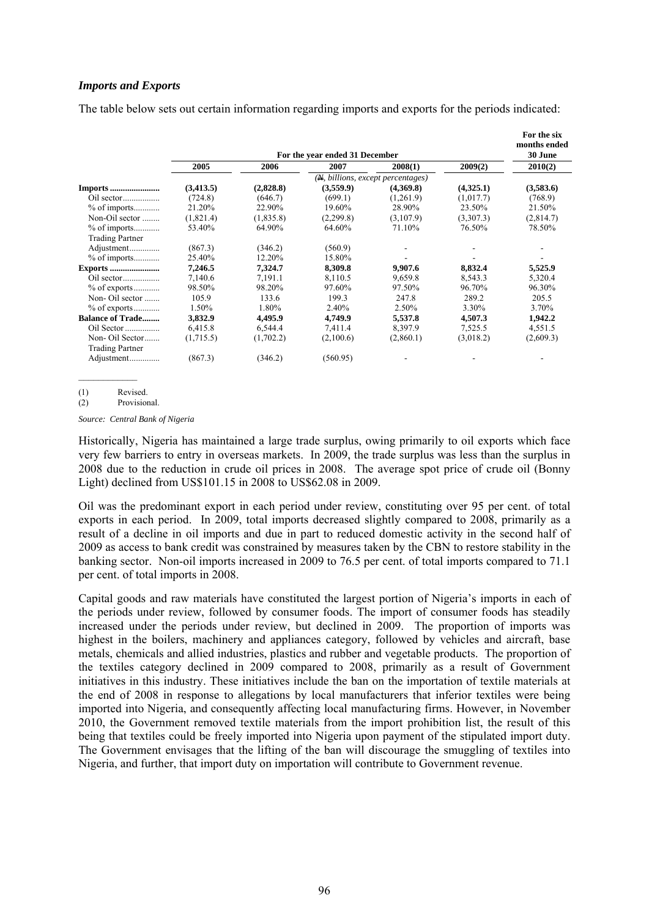#### *Imports and Exports*

The table below sets out certain information regarding imports and exports for the periods indicated:

|                         |            |            | For the year ended 31 December |                                   |           | For the six<br>months ended<br>30 June |
|-------------------------|------------|------------|--------------------------------|-----------------------------------|-----------|----------------------------------------|
|                         | 2005       | 2006       | 2007                           | 2008(1)                           | 2009(2)   | 2010(2)                                |
|                         |            |            |                                | (N, billions, except percentages) |           |                                        |
| <b>Imports</b>          | (3, 413.5) | (2,828.8)  | (3,559.9)                      | (4,369.8)                         | (4,325.1) | (3,583.6)                              |
|                         | (724.8)    | (646.7)    | (699.1)                        | (1,261.9)                         | (1,017.7) | (768.9)                                |
| $%$ of imports          | 21.20%     | 22.90%     | 19.60%                         | 28.90%                            | 23.50%    | 21.50%                                 |
| Non-Oil sector          | (1,821.4)  | (1, 835.8) | (2,299.8)                      | (3,107.9)                         | (3,307.3) | (2,814.7)                              |
| $%$ of imports          | 53.40%     | 64.90%     | 64.60%                         | 71.10%                            | 76.50%    | 78.50%                                 |
| <b>Trading Partner</b>  |            |            |                                |                                   |           |                                        |
| Adjustment              | (867.3)    | (346.2)    | (560.9)                        |                                   |           |                                        |
| $%$ of imports          | 25.40%     | 12.20%     | 15.80%                         |                                   |           | $\overline{\phantom{a}}$               |
| <b>Exports </b>         | 7,246.5    | 7,324.7    | 8,309.8                        | 9,907.6                           | 8,832.4   | 5,525.9                                |
| $Oil$ sector            | 7,140.6    | 7,191.1    | 8,110.5                        | 9,659.8                           | 8,543.3   | 5,320.4                                |
| $%$ of exports          | 98.50%     | 98.20%     | 97.60%                         | 97.50%                            | 96.70%    | 96.30%                                 |
| Non-Oil sector          | 105.9      | 133.6      | 199.3                          | 247.8                             | 289.2     | 205.5                                  |
| $%$ of exports          | 1.50%      | 1.80%      | 2.40%                          | 2.50%                             | 3.30%     | 3.70%                                  |
| <b>Balance of Trade</b> | 3,832.9    | 4,495.9    | 4,749.9                        | 5,537.8                           | 4,507.3   | 1,942.2                                |
| Oil Sector              | 6,415.8    | 6,544.4    | 7.411.4                        | 8,397.9                           | 7,525.5   | 4,551.5                                |
| Non-Oil Sector          | (1,715.5)  | (1,702.2)  | (2,100.6)                      | (2,860.1)                         | (3,018.2) | (2,609.3)                              |
| <b>Trading Partner</b>  |            |            |                                |                                   |           |                                        |
| Adjustment              | (867.3)    | (346.2)    | (560.95)                       |                                   |           |                                        |

(1) Revised.

(2) Provisional.

*Source: Central Bank of Nigeria*

Historically, Nigeria has maintained a large trade surplus, owing primarily to oil exports which face very few barriers to entry in overseas markets. In 2009, the trade surplus was less than the surplus in 2008 due to the reduction in crude oil prices in 2008. The average spot price of crude oil (Bonny Light) declined from US\$101.15 in 2008 to US\$62.08 in 2009.

Oil was the predominant export in each period under review, constituting over 95 per cent. of total exports in each period. In 2009, total imports decreased slightly compared to 2008, primarily as a result of a decline in oil imports and due in part to reduced domestic activity in the second half of 2009 as access to bank credit was constrained by measures taken by the CBN to restore stability in the banking sector. Non-oil imports increased in 2009 to 76.5 per cent. of total imports compared to 71.1 per cent. of total imports in 2008.

Capital goods and raw materials have constituted the largest portion of Nigeria's imports in each of the periods under review, followed by consumer foods. The import of consumer foods has steadily increased under the periods under review, but declined in 2009. The proportion of imports was highest in the boilers, machinery and appliances category, followed by vehicles and aircraft, base metals, chemicals and allied industries, plastics and rubber and vegetable products. The proportion of the textiles category declined in 2009 compared to 2008, primarily as a result of Government initiatives in this industry. These initiatives include the ban on the importation of textile materials at the end of 2008 in response to allegations by local manufacturers that inferior textiles were being imported into Nigeria, and consequently affecting local manufacturing firms. However, in November 2010, the Government removed textile materials from the import prohibition list, the result of this being that textiles could be freely imported into Nigeria upon payment of the stipulated import duty. The Government envisages that the lifting of the ban will discourage the smuggling of textiles into Nigeria, and further, that import duty on importation will contribute to Government revenue.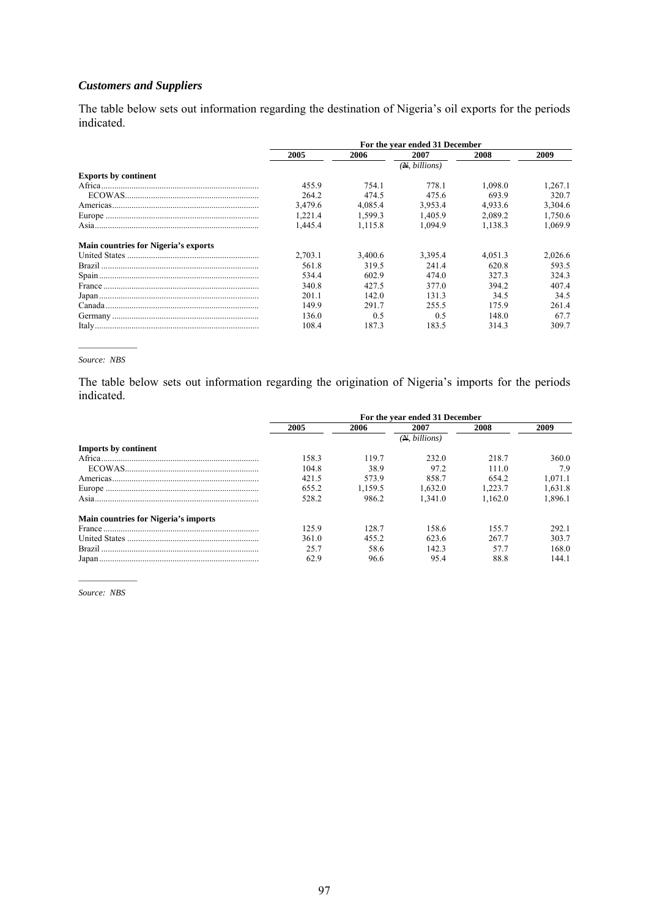# *Customers and Suppliers*

The table below sets out information regarding the destination of Nigeria's oil exports for the periods indicated.

|                                             | For the year ended 31 December |         |               |         |         |
|---------------------------------------------|--------------------------------|---------|---------------|---------|---------|
|                                             | 2005                           | 2006    | 2007          | 2008    | 2009    |
|                                             |                                |         | (N, billions) |         |         |
| <b>Exports by continent</b>                 |                                |         |               |         |         |
|                                             | 455.9                          | 754.1   | 778.1         | 1,098.0 | 1.267.1 |
|                                             | 264.2                          | 474.5   | 475.6         | 693.9   | 320.7   |
|                                             | 3.479.6                        | 4.085.4 | 3.953.4       | 4.933.6 | 3,304.6 |
|                                             | 1.221.4                        | 1,599.3 | 1.405.9       | 2.089.2 | 1,750.6 |
|                                             | 1.445.4                        | 1.115.8 | 1.094.9       | 1.138.3 | 1.069.9 |
| <b>Main countries for Nigeria's exports</b> |                                |         |               |         |         |
|                                             | 2.703.1                        | 3.400.6 | 3.395.4       | 4.051.3 | 2.026.6 |
|                                             | 561.8                          | 319.5   | 2414          | 620.8   | 593.5   |
|                                             | 534.4                          | 602.9   | 474.0         | 3273    | 324.3   |
|                                             | 340.8                          | 42.7.5  | 377.0         | 394.2   | 407.4   |
|                                             | 201.1                          | 142.0   | 131.3         | 34.5    | 34.5    |
|                                             | 149.9                          | 291.7   | 255.5         | 175.9   | 261.4   |
|                                             | 136.0                          | 0.5     | 0.5           | 148.0   | 67.7    |
|                                             | 108.4                          | 187.3   | 183.5         | 314.3   | 309.7   |

#### *Source: NBS*

The table below sets out information regarding the origination of Nigeria's imports for the periods indicated.

|                                             | For the year ended 31 December |         |              |          |         |  |
|---------------------------------------------|--------------------------------|---------|--------------|----------|---------|--|
|                                             | 2005                           | 2006    | 2007         | 2008     | 2009    |  |
|                                             |                                |         | (M, billion) |          |         |  |
| <b>Imports by continent</b>                 |                                |         |              |          |         |  |
|                                             | 158.3                          | 1197    | 232.0        | 218.7    | 360.0   |  |
|                                             | 104.8                          | 38.9    | 97.2         | 111.0    | 7.9     |  |
|                                             | 421.5                          | 573.9   | 858.7        | 654.2    | 1.071.1 |  |
|                                             | 655.2                          | 1.159.5 | 1.632.0      | $-223.7$ | 1.631.8 |  |
| Asia.                                       | 528.2                          | 986.2   | 1.341.0      | 1.162.0  | 1.896.1 |  |
| <b>Main countries for Nigeria's imports</b> |                                |         |              |          |         |  |
|                                             | 125.9                          | 128.7   | 158.6        | 155.7    | 292.1   |  |
|                                             | 361.0                          | 455.2   | 623.6        | 267.7    | 303.7   |  |
|                                             | 25.7                           | 58.6    | 142.3        | 577      | 168.0   |  |
|                                             | 62.9                           | 96.6    | 95.4         | 88.8     | 144.1   |  |

 $\frac{1}{2}$ *Source: NBS*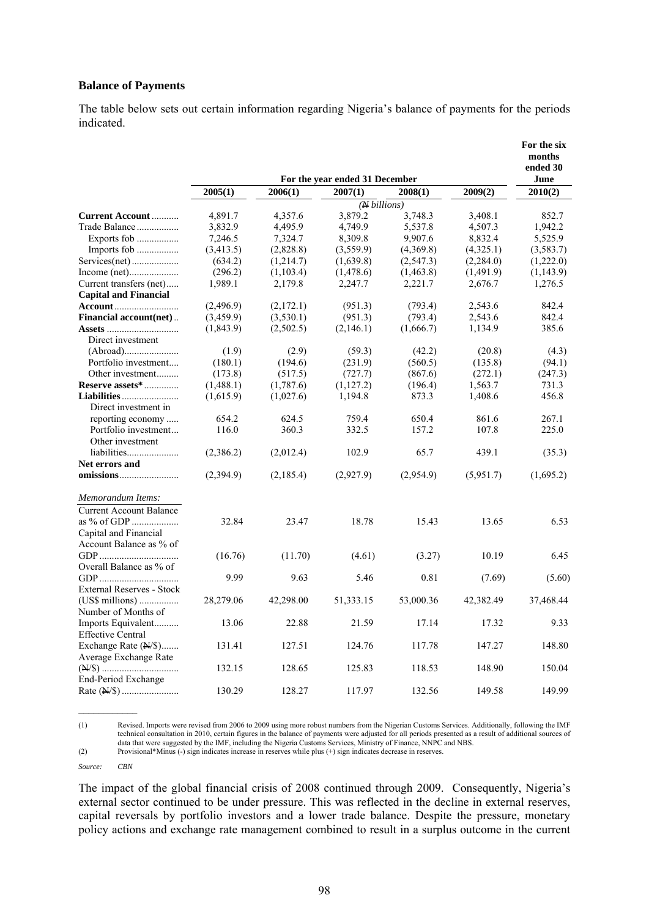#### **Balance of Payments**

The table below sets out certain information regarding Nigeria's balance of payments for the periods indicated.

|                                                                      |                                |                    |                            |                    |                    | For the six<br>months<br>ended 30 |  |  |  |
|----------------------------------------------------------------------|--------------------------------|--------------------|----------------------------|--------------------|--------------------|-----------------------------------|--|--|--|
|                                                                      | For the year ended 31 December |                    |                            |                    |                    |                                   |  |  |  |
|                                                                      | 2005(1)                        | 2006(1)            | 2007(1)                    | 2008(1)            | 2009(2)            | 2010(2)                           |  |  |  |
|                                                                      |                                |                    | $\overline{(N\,billions)}$ |                    |                    |                                   |  |  |  |
| <b>Current Account </b><br>Trade Balance                             | 4,891.7<br>3,832.9             | 4,357.6<br>4,495.9 | 3,879.2<br>4,749.9         | 3,748.3<br>5,537.8 | 3,408.1<br>4,507.3 | 852.7<br>1,942.2                  |  |  |  |
|                                                                      | 7,246.5                        | 7,324.7            | 8,309.8                    | 9,907.6            | 8,832.4            | 5,525.9                           |  |  |  |
| Imports fob                                                          | (3,413.5)                      | (2,828.8)          | (3,559.9)                  | (4,369.8)          | (4,325.1)          | (3,583.7)                         |  |  |  |
| Services(net)                                                        | (634.2)                        | (1,214.7)          | (1,639.8)                  | (2, 547.3)         | (2,284.0)          | (1,222.0)                         |  |  |  |
|                                                                      | (296.2)                        | (1,103.4)          | (1,478.6)                  | (1,463.8)          | (1,491.9)          | (1,143.9)                         |  |  |  |
| Current transfers (net)                                              | 1,989.1                        | 2,179.8            | 2,247.7                    | 2,221.7            | 2,676.7            | 1,276.5                           |  |  |  |
| <b>Capital and Financial</b>                                         |                                |                    |                            |                    |                    |                                   |  |  |  |
| <b>Account</b>                                                       | (2,496.9)                      | (2,172.1)          | (951.3)                    | (793.4)            | 2,543.6            | 842.4                             |  |  |  |
| <b>Financial account(net)</b>                                        | (3,459.9)                      | (3,530.1)          | (951.3)                    | (793.4)            | 2,543.6            | 842.4                             |  |  |  |
| Direct investment                                                    | (1,843.9)                      | (2,502.5)          | (2,146.1)                  | (1,666.7)          | 1,134.9            | 385.6                             |  |  |  |
|                                                                      | (1.9)                          | (2.9)              | (59.3)                     | (42.2)             | (20.8)             | (4.3)                             |  |  |  |
| Portfolio investment                                                 | (180.1)                        | (194.6)            | (231.9)                    | (560.5)            | (135.8)            | (94.1)                            |  |  |  |
| Other investment                                                     | (173.8)                        | (517.5)            | (727.7)                    | (867.6)            | (272.1)            | (247.3)                           |  |  |  |
| Reserve assets*                                                      | (1,488.1)                      | (1,787.6)          | (1,127.2)                  | (196.4)            | 1,563.7            | 731.3                             |  |  |  |
|                                                                      | (1,615.9)                      | (1,027.6)          | 1,194.8                    | 873.3              | 1,408.6            | 456.8                             |  |  |  |
| Direct investment in                                                 |                                |                    |                            |                    |                    |                                   |  |  |  |
| reporting economy                                                    | 654.2                          | 624.5              | 759.4                      | 650.4              | 861.6              | 267.1                             |  |  |  |
| Portfolio investment                                                 | 116.0                          | 360.3              | 332.5                      | 157.2              | 107.8              | 225.0                             |  |  |  |
| Other investment                                                     |                                |                    |                            |                    |                    |                                   |  |  |  |
| liabilities                                                          | (2,386.2)                      | (2,012.4)          | 102.9                      | 65.7               | 439.1              | (35.3)                            |  |  |  |
| Net errors and                                                       |                                |                    |                            |                    |                    |                                   |  |  |  |
| $\mathbf{omissions} \dots \dots \dots \dots \dots \dots \dots \dots$ | (2,394.9)                      | (2,185.4)          | (2,927.9)                  | (2,954.9)          | (5,951.7)          | (1,695.2)                         |  |  |  |
| Memorandum Items:                                                    |                                |                    |                            |                    |                    |                                   |  |  |  |
| <b>Current Account Balance</b>                                       |                                |                    |                            |                    |                    |                                   |  |  |  |
| as % of GDP<br>Capital and Financial                                 | 32.84                          | 23.47              | 18.78                      | 15.43              | 13.65              | 6.53                              |  |  |  |
| Account Balance as % of                                              |                                |                    |                            |                    |                    |                                   |  |  |  |
|                                                                      | (16.76)                        | (11.70)            | (4.61)                     | (3.27)             | 10.19              | 6.45                              |  |  |  |
| Overall Balance as % of                                              |                                |                    |                            |                    |                    |                                   |  |  |  |
|                                                                      | 9.99                           | 9.63               | 5.46                       | 0.81               | (7.69)             | (5.60)                            |  |  |  |
| <b>External Reserves - Stock</b>                                     |                                |                    |                            |                    |                    |                                   |  |  |  |
|                                                                      | 28,279.06                      | 42,298.00          | 51,333.15                  | 53,000.36          | 42,382.49          | 37,468.44                         |  |  |  |
| Number of Months of                                                  |                                |                    |                            |                    |                    |                                   |  |  |  |
| Imports Equivalent<br><b>Effective Central</b>                       | 13.06                          | 22.88              | 21.59                      | 17.14              | 17.32              | 9.33                              |  |  |  |
| Exchange Rate (N/\$)                                                 | 131.41                         | 127.51             | 124.76                     | 117.78             | 147.27             | 148.80                            |  |  |  |
| Average Exchange Rate                                                | 132.15                         | 128.65             | 125.83                     | 118.53             | 148.90             | 150.04                            |  |  |  |
| End-Period Exchange                                                  | 130.29                         | 128.27             | 117.97                     | 132.56             | 149.58             | 149.99                            |  |  |  |
|                                                                      |                                |                    |                            |                    |                    |                                   |  |  |  |

(1) Revised. Imports were revised from 2006 to 2009 using more robust numbers from the Nigerian Customs Services. Additionally, following the IMF technical consultation in 2010, certain figures in the balance of payments were adjusted for all periods presented as a result of additional sources of data that were suggested by the IMF, including the Nigeria Customs Services, Ministry of Finance, NNPC and NBS.

*Source: CBN* 

The impact of the global financial crisis of 2008 continued through 2009. Consequently, Nigeria's external sector continued to be under pressure. This was reflected in the decline in external reserves, capital reversals by portfolio investors and a lower trade balance. Despite the pressure, monetary policy actions and exchange rate management combined to result in a surplus outcome in the current

<sup>(2)</sup> Provisional\*Minus (-) sign indicates increase in reserves while plus (+) sign indicates decrease in reserves.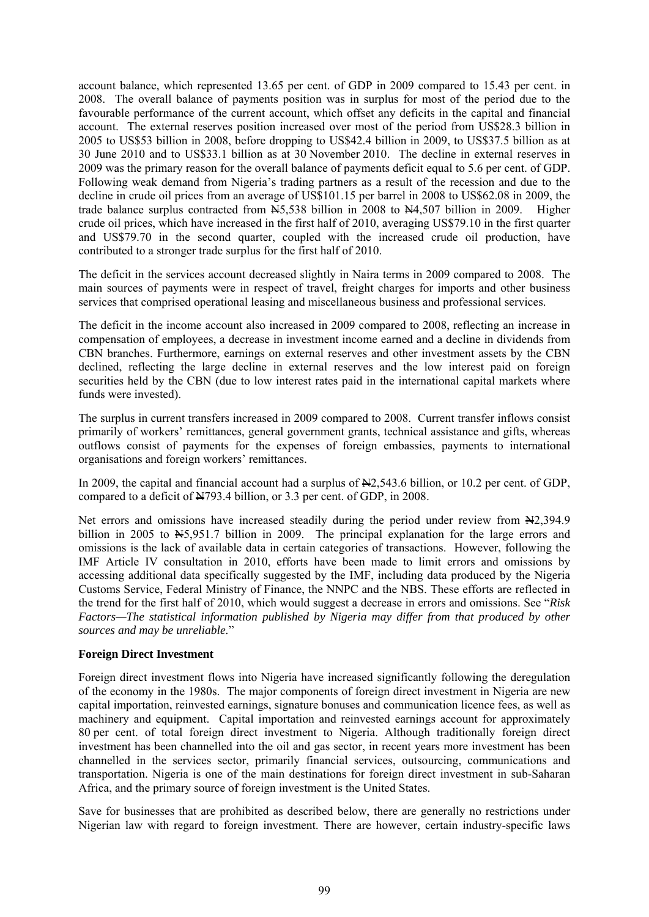account balance, which represented 13.65 per cent. of GDP in 2009 compared to 15.43 per cent. in 2008. The overall balance of payments position was in surplus for most of the period due to the favourable performance of the current account, which offset any deficits in the capital and financial account. The external reserves position increased over most of the period from US\$28.3 billion in 2005 to US\$53 billion in 2008, before dropping to US\$42.4 billion in 2009, to US\$37.5 billion as at 30 June 2010 and to US\$33.1 billion as at 30 November 2010. The decline in external reserves in 2009 was the primary reason for the overall balance of payments deficit equal to 5.6 per cent. of GDP. Following weak demand from Nigeria's trading partners as a result of the recession and due to the decline in crude oil prices from an average of US\$101.15 per barrel in 2008 to US\$62.08 in 2009, the trade balance surplus contracted from  $\overline{M}$ 5,538 billion in 2008 to  $\overline{M}$ 4,507 billion in 2009. Higher crude oil prices, which have increased in the first half of 2010, averaging US\$79.10 in the first quarter and US\$79.70 in the second quarter, coupled with the increased crude oil production, have contributed to a stronger trade surplus for the first half of 2010.

The deficit in the services account decreased slightly in Naira terms in 2009 compared to 2008. The main sources of payments were in respect of travel, freight charges for imports and other business services that comprised operational leasing and miscellaneous business and professional services.

The deficit in the income account also increased in 2009 compared to 2008, reflecting an increase in compensation of employees, a decrease in investment income earned and a decline in dividends from CBN branches. Furthermore, earnings on external reserves and other investment assets by the CBN declined, reflecting the large decline in external reserves and the low interest paid on foreign securities held by the CBN (due to low interest rates paid in the international capital markets where funds were invested).

The surplus in current transfers increased in 2009 compared to 2008. Current transfer inflows consist primarily of workers' remittances, general government grants, technical assistance and gifts, whereas outflows consist of payments for the expenses of foreign embassies, payments to international organisations and foreign workers' remittances.

In 2009, the capital and financial account had a surplus of  $\frac{12543.6 \text{ billion}}{10.2 \text{ per cent. of GDP}}$ , compared to a deficit of N793.4 billion, or 3.3 per cent. of GDP, in 2008.

Net errors and omissions have increased steadily during the period under review from  $\frac{N}{2}$ , 394.9 billion in 2005 to  $\frac{15,951.7}{2}$  billion in 2009. The principal explanation for the large errors and omissions is the lack of available data in certain categories of transactions. However, following the IMF Article IV consultation in 2010, efforts have been made to limit errors and omissions by accessing additional data specifically suggested by the IMF, including data produced by the Nigeria Customs Service, Federal Ministry of Finance, the NNPC and the NBS. These efforts are reflected in the trend for the first half of 2010, which would suggest a decrease in errors and omissions. See "*Risk Factors—The statistical information published by Nigeria may differ from that produced by other sources and may be unreliable.*"

### **Foreign Direct Investment**

Foreign direct investment flows into Nigeria have increased significantly following the deregulation of the economy in the 1980s. The major components of foreign direct investment in Nigeria are new capital importation, reinvested earnings, signature bonuses and communication licence fees, as well as machinery and equipment. Capital importation and reinvested earnings account for approximately 80 per cent. of total foreign direct investment to Nigeria. Although traditionally foreign direct investment has been channelled into the oil and gas sector, in recent years more investment has been channelled in the services sector, primarily financial services, outsourcing, communications and transportation. Nigeria is one of the main destinations for foreign direct investment in sub-Saharan Africa, and the primary source of foreign investment is the United States.

Save for businesses that are prohibited as described below, there are generally no restrictions under Nigerian law with regard to foreign investment. There are however, certain industry-specific laws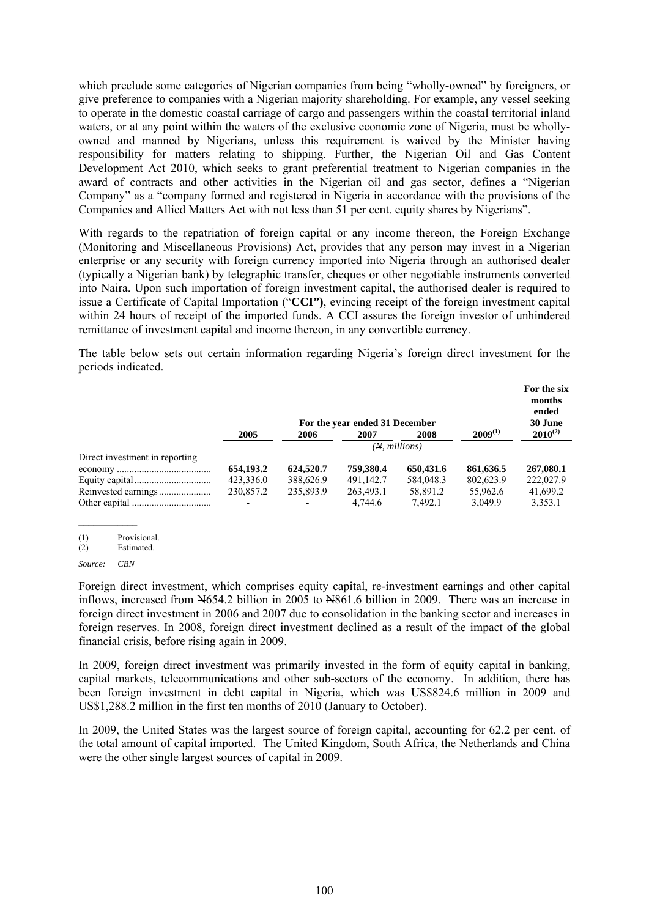which preclude some categories of Nigerian companies from being "wholly-owned" by foreigners, or give preference to companies with a Nigerian majority shareholding. For example, any vessel seeking to operate in the domestic coastal carriage of cargo and passengers within the coastal territorial inland waters, or at any point within the waters of the exclusive economic zone of Nigeria, must be whollyowned and manned by Nigerians, unless this requirement is waived by the Minister having responsibility for matters relating to shipping. Further, the Nigerian Oil and Gas Content Development Act 2010, which seeks to grant preferential treatment to Nigerian companies in the award of contracts and other activities in the Nigerian oil and gas sector, defines a "Nigerian Company" as a "company formed and registered in Nigeria in accordance with the provisions of the Companies and Allied Matters Act with not less than 51 per cent. equity shares by Nigerians".

With regards to the repatriation of foreign capital or any income thereon, the Foreign Exchange (Monitoring and Miscellaneous Provisions) Act, provides that any person may invest in a Nigerian enterprise or any security with foreign currency imported into Nigeria through an authorised dealer (typically a Nigerian bank) by telegraphic transfer, cheques or other negotiable instruments converted into Naira. Upon such importation of foreign investment capital, the authorised dealer is required to issue a Certificate of Capital Importation ("**CCI")**, evincing receipt of the foreign investment capital within 24 hours of receipt of the imported funds. A CCI assures the foreign investor of unhindered remittance of investment capital and income thereon, in any convertible currency.

The table below sets out certain information regarding Nigeria's foreign direct investment for the periods indicated.

|                                |               |           | For the year ended 31 December |           |              | For the six<br>months<br>ended<br>30 June |
|--------------------------------|---------------|-----------|--------------------------------|-----------|--------------|-------------------------------------------|
|                                | 2005          | 2006      | 2007                           | 2008      | $2009^{(1)}$ | $2010^{(2)}$                              |
|                                | (N, millions) |           |                                |           |              |                                           |
| Direct investment in reporting |               |           |                                |           |              |                                           |
|                                | 654,193.2     | 624,520.7 | 759,380.4                      | 650.431.6 | 861,636.5    | 267,080.1                                 |
|                                | 423,336.0     | 388,626.9 | 491,142.7                      | 584,048.3 | 802,623.9    | 222,027.9                                 |
|                                | 230,857.2     | 235,893.9 | 263,493.1                      | 58.891.2  | 55.962.6     | 41,699.2                                  |
|                                |               |           | 4.744.6                        | 7.492.1   | 3.049.9      | 3,353.1                                   |

(1) Provisional.<br>(2) Estimated.

Estimated.

*Source: CBN*

 $\mathcal{L}_\text{max}$ 

Foreign direct investment, which comprises equity capital, re-investment earnings and other capital inflows, increased from N654.2 billion in 2005 to N861.6 billion in 2009. There was an increase in foreign direct investment in 2006 and 2007 due to consolidation in the banking sector and increases in foreign reserves. In 2008, foreign direct investment declined as a result of the impact of the global financial crisis, before rising again in 2009.

In 2009, foreign direct investment was primarily invested in the form of equity capital in banking, capital markets, telecommunications and other sub-sectors of the economy. In addition, there has been foreign investment in debt capital in Nigeria, which was US\$824.6 million in 2009 and US\$1,288.2 million in the first ten months of 2010 (January to October).

In 2009, the United States was the largest source of foreign capital, accounting for 62.2 per cent. of the total amount of capital imported. The United Kingdom, South Africa, the Netherlands and China were the other single largest sources of capital in 2009.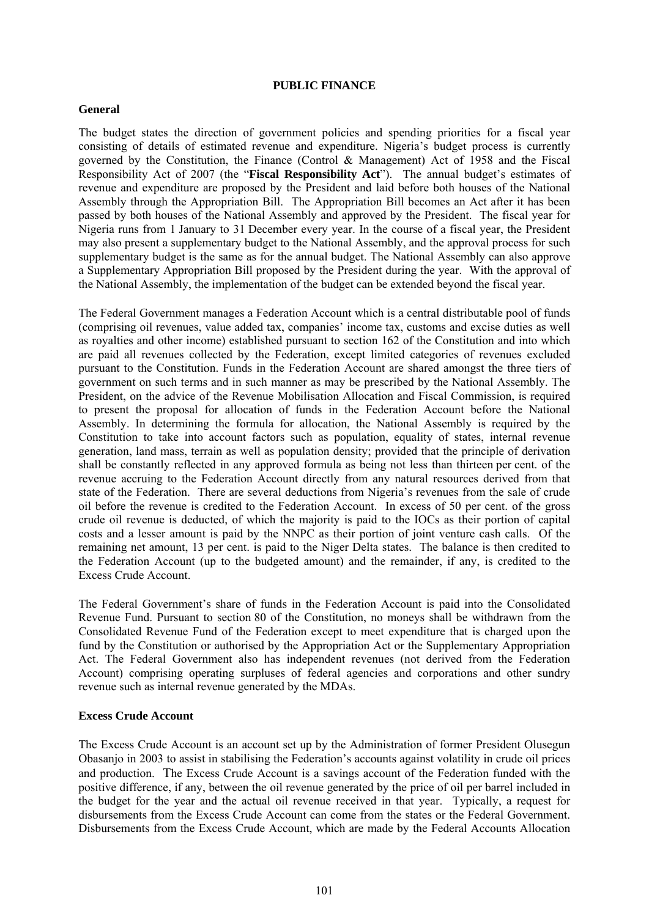#### **PUBLIC FINANCE**

#### **General**

The budget states the direction of government policies and spending priorities for a fiscal year consisting of details of estimated revenue and expenditure. Nigeria's budget process is currently governed by the Constitution, the Finance (Control & Management) Act of 1958 and the Fiscal Responsibility Act of 2007 (the "**Fiscal Responsibility Act**"). The annual budget's estimates of revenue and expenditure are proposed by the President and laid before both houses of the National Assembly through the Appropriation Bill. The Appropriation Bill becomes an Act after it has been passed by both houses of the National Assembly and approved by the President. The fiscal year for Nigeria runs from 1 January to 31 December every year. In the course of a fiscal year, the President may also present a supplementary budget to the National Assembly, and the approval process for such supplementary budget is the same as for the annual budget. The National Assembly can also approve a Supplementary Appropriation Bill proposed by the President during the year. With the approval of the National Assembly, the implementation of the budget can be extended beyond the fiscal year.

The Federal Government manages a Federation Account which is a central distributable pool of funds (comprising oil revenues, value added tax, companies' income tax, customs and excise duties as well as royalties and other income) established pursuant to section 162 of the Constitution and into which are paid all revenues collected by the Federation, except limited categories of revenues excluded pursuant to the Constitution. Funds in the Federation Account are shared amongst the three tiers of government on such terms and in such manner as may be prescribed by the National Assembly. The President, on the advice of the Revenue Mobilisation Allocation and Fiscal Commission, is required to present the proposal for allocation of funds in the Federation Account before the National Assembly. In determining the formula for allocation, the National Assembly is required by the Constitution to take into account factors such as population, equality of states, internal revenue generation, land mass, terrain as well as population density; provided that the principle of derivation shall be constantly reflected in any approved formula as being not less than thirteen per cent. of the revenue accruing to the Federation Account directly from any natural resources derived from that state of the Federation. There are several deductions from Nigeria's revenues from the sale of crude oil before the revenue is credited to the Federation Account. In excess of 50 per cent. of the gross crude oil revenue is deducted, of which the majority is paid to the IOCs as their portion of capital costs and a lesser amount is paid by the NNPC as their portion of joint venture cash calls. Of the remaining net amount, 13 per cent. is paid to the Niger Delta states. The balance is then credited to the Federation Account (up to the budgeted amount) and the remainder, if any, is credited to the Excess Crude Account.

The Federal Government's share of funds in the Federation Account is paid into the Consolidated Revenue Fund. Pursuant to section 80 of the Constitution, no moneys shall be withdrawn from the Consolidated Revenue Fund of the Federation except to meet expenditure that is charged upon the fund by the Constitution or authorised by the Appropriation Act or the Supplementary Appropriation Act. The Federal Government also has independent revenues (not derived from the Federation Account) comprising operating surpluses of federal agencies and corporations and other sundry revenue such as internal revenue generated by the MDAs.

### **Excess Crude Account**

The Excess Crude Account is an account set up by the Administration of former President Olusegun Obasanjo in 2003 to assist in stabilising the Federation's accounts against volatility in crude oil prices and production. The Excess Crude Account is a savings account of the Federation funded with the positive difference, if any, between the oil revenue generated by the price of oil per barrel included in the budget for the year and the actual oil revenue received in that year. Typically, a request for disbursements from the Excess Crude Account can come from the states or the Federal Government. Disbursements from the Excess Crude Account, which are made by the Federal Accounts Allocation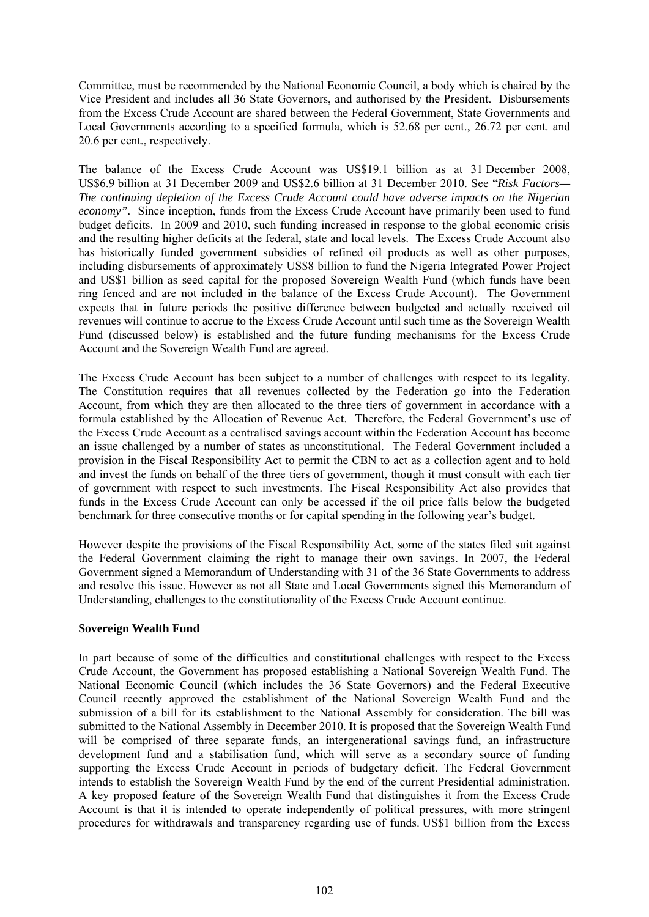Committee, must be recommended by the National Economic Council, a body which is chaired by the Vice President and includes all 36 State Governors, and authorised by the President. Disbursements from the Excess Crude Account are shared between the Federal Government, State Governments and Local Governments according to a specified formula, which is 52.68 per cent., 26.72 per cent. and 20.6 per cent., respectively.

The balance of the Excess Crude Account was US\$19.1 billion as at 31 December 2008, US\$6.9 billion at 31 December 2009 and US\$2.6 billion at 31 December 2010. See "*Risk Factors— The continuing depletion of the Excess Crude Account could have adverse impacts on the Nigerian economy".* Since inception, funds from the Excess Crude Account have primarily been used to fund budget deficits. In 2009 and 2010, such funding increased in response to the global economic crisis and the resulting higher deficits at the federal, state and local levels. The Excess Crude Account also has historically funded government subsidies of refined oil products as well as other purposes, including disbursements of approximately US\$8 billion to fund the Nigeria Integrated Power Project and US\$1 billion as seed capital for the proposed Sovereign Wealth Fund (which funds have been ring fenced and are not included in the balance of the Excess Crude Account). The Government expects that in future periods the positive difference between budgeted and actually received oil revenues will continue to accrue to the Excess Crude Account until such time as the Sovereign Wealth Fund (discussed below) is established and the future funding mechanisms for the Excess Crude Account and the Sovereign Wealth Fund are agreed.

The Excess Crude Account has been subject to a number of challenges with respect to its legality. The Constitution requires that all revenues collected by the Federation go into the Federation Account, from which they are then allocated to the three tiers of government in accordance with a formula established by the Allocation of Revenue Act. Therefore, the Federal Government's use of the Excess Crude Account as a centralised savings account within the Federation Account has become an issue challenged by a number of states as unconstitutional. The Federal Government included a provision in the Fiscal Responsibility Act to permit the CBN to act as a collection agent and to hold and invest the funds on behalf of the three tiers of government, though it must consult with each tier of government with respect to such investments. The Fiscal Responsibility Act also provides that funds in the Excess Crude Account can only be accessed if the oil price falls below the budgeted benchmark for three consecutive months or for capital spending in the following year's budget.

However despite the provisions of the Fiscal Responsibility Act, some of the states filed suit against the Federal Government claiming the right to manage their own savings. In 2007, the Federal Government signed a Memorandum of Understanding with 31 of the 36 State Governments to address and resolve this issue. However as not all State and Local Governments signed this Memorandum of Understanding, challenges to the constitutionality of the Excess Crude Account continue.

### **Sovereign Wealth Fund**

In part because of some of the difficulties and constitutional challenges with respect to the Excess Crude Account, the Government has proposed establishing a National Sovereign Wealth Fund. The National Economic Council (which includes the 36 State Governors) and the Federal Executive Council recently approved the establishment of the National Sovereign Wealth Fund and the submission of a bill for its establishment to the National Assembly for consideration. The bill was submitted to the National Assembly in December 2010. It is proposed that the Sovereign Wealth Fund will be comprised of three separate funds, an intergenerational savings fund, an infrastructure development fund and a stabilisation fund, which will serve as a secondary source of funding supporting the Excess Crude Account in periods of budgetary deficit. The Federal Government intends to establish the Sovereign Wealth Fund by the end of the current Presidential administration. A key proposed feature of the Sovereign Wealth Fund that distinguishes it from the Excess Crude Account is that it is intended to operate independently of political pressures, with more stringent procedures for withdrawals and transparency regarding use of funds. US\$1 billion from the Excess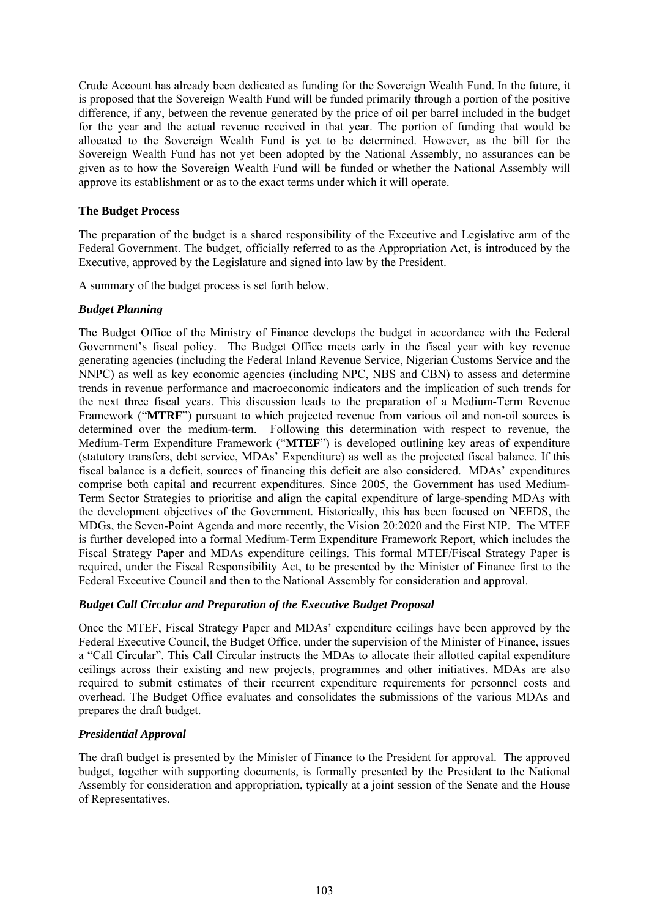Crude Account has already been dedicated as funding for the Sovereign Wealth Fund. In the future, it is proposed that the Sovereign Wealth Fund will be funded primarily through a portion of the positive difference, if any, between the revenue generated by the price of oil per barrel included in the budget for the year and the actual revenue received in that year. The portion of funding that would be allocated to the Sovereign Wealth Fund is yet to be determined. However, as the bill for the Sovereign Wealth Fund has not yet been adopted by the National Assembly, no assurances can be given as to how the Sovereign Wealth Fund will be funded or whether the National Assembly will approve its establishment or as to the exact terms under which it will operate.

## **The Budget Process**

The preparation of the budget is a shared responsibility of the Executive and Legislative arm of the Federal Government. The budget, officially referred to as the Appropriation Act, is introduced by the Executive, approved by the Legislature and signed into law by the President.

A summary of the budget process is set forth below.

# *Budget Planning*

The Budget Office of the Ministry of Finance develops the budget in accordance with the Federal Government's fiscal policy. The Budget Office meets early in the fiscal year with key revenue generating agencies (including the Federal Inland Revenue Service, Nigerian Customs Service and the NNPC) as well as key economic agencies (including NPC, NBS and CBN) to assess and determine trends in revenue performance and macroeconomic indicators and the implication of such trends for the next three fiscal years. This discussion leads to the preparation of a Medium-Term Revenue Framework ("**MTRF**") pursuant to which projected revenue from various oil and non-oil sources is determined over the medium-term. Following this determination with respect to revenue, the Medium-Term Expenditure Framework ("**MTEF**") is developed outlining key areas of expenditure (statutory transfers, debt service, MDAs' Expenditure) as well as the projected fiscal balance. If this fiscal balance is a deficit, sources of financing this deficit are also considered. MDAs' expenditures comprise both capital and recurrent expenditures. Since 2005, the Government has used Medium-Term Sector Strategies to prioritise and align the capital expenditure of large-spending MDAs with the development objectives of the Government. Historically, this has been focused on NEEDS, the MDGs, the Seven-Point Agenda and more recently, the Vision 20:2020 and the First NIP. The MTEF is further developed into a formal Medium-Term Expenditure Framework Report, which includes the Fiscal Strategy Paper and MDAs expenditure ceilings. This formal MTEF/Fiscal Strategy Paper is required, under the Fiscal Responsibility Act, to be presented by the Minister of Finance first to the Federal Executive Council and then to the National Assembly for consideration and approval.

# *Budget Call Circular and Preparation of the Executive Budget Proposal*

Once the MTEF, Fiscal Strategy Paper and MDAs' expenditure ceilings have been approved by the Federal Executive Council, the Budget Office, under the supervision of the Minister of Finance, issues a "Call Circular". This Call Circular instructs the MDAs to allocate their allotted capital expenditure ceilings across their existing and new projects, programmes and other initiatives. MDAs are also required to submit estimates of their recurrent expenditure requirements for personnel costs and overhead. The Budget Office evaluates and consolidates the submissions of the various MDAs and prepares the draft budget.

# *Presidential Approval*

The draft budget is presented by the Minister of Finance to the President for approval. The approved budget, together with supporting documents, is formally presented by the President to the National Assembly for consideration and appropriation, typically at a joint session of the Senate and the House of Representatives.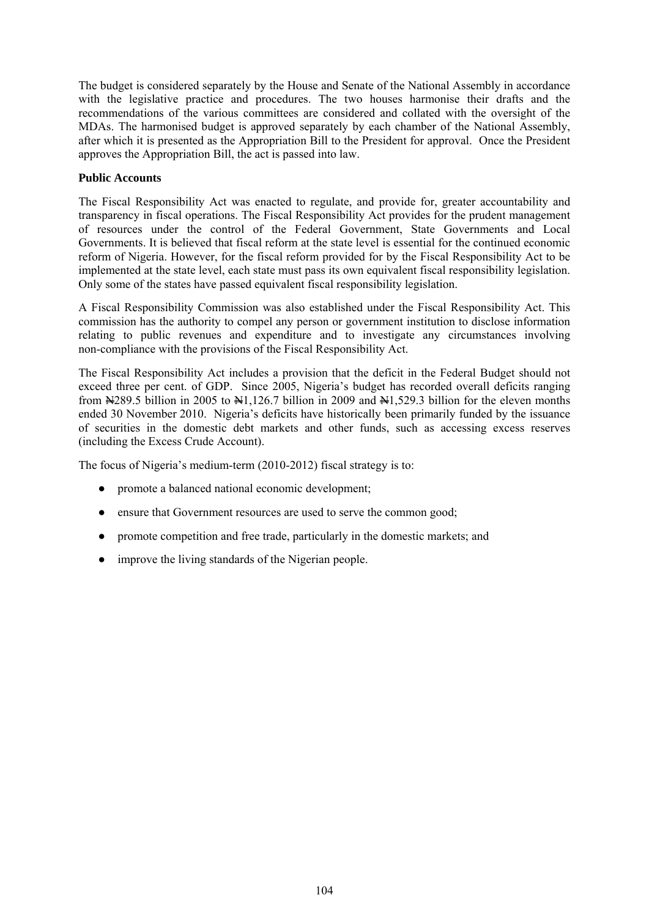The budget is considered separately by the House and Senate of the National Assembly in accordance with the legislative practice and procedures. The two houses harmonise their drafts and the recommendations of the various committees are considered and collated with the oversight of the MDAs. The harmonised budget is approved separately by each chamber of the National Assembly, after which it is presented as the Appropriation Bill to the President for approval. Once the President approves the Appropriation Bill, the act is passed into law.

## **Public Accounts**

The Fiscal Responsibility Act was enacted to regulate, and provide for, greater accountability and transparency in fiscal operations. The Fiscal Responsibility Act provides for the prudent management of resources under the control of the Federal Government, State Governments and Local Governments. It is believed that fiscal reform at the state level is essential for the continued economic reform of Nigeria. However, for the fiscal reform provided for by the Fiscal Responsibility Act to be implemented at the state level, each state must pass its own equivalent fiscal responsibility legislation. Only some of the states have passed equivalent fiscal responsibility legislation.

A Fiscal Responsibility Commission was also established under the Fiscal Responsibility Act. This commission has the authority to compel any person or government institution to disclose information relating to public revenues and expenditure and to investigate any circumstances involving non-compliance with the provisions of the Fiscal Responsibility Act.

The Fiscal Responsibility Act includes a provision that the deficit in the Federal Budget should not exceed three per cent. of GDP. Since 2005, Nigeria's budget has recorded overall deficits ranging from N289.5 billion in 2005 to N1,126.7 billion in 2009 and N1,529.3 billion for the eleven months ended 30 November 2010. Nigeria's deficits have historically been primarily funded by the issuance of securities in the domestic debt markets and other funds, such as accessing excess reserves (including the Excess Crude Account).

The focus of Nigeria's medium-term (2010-2012) fiscal strategy is to:

- promote a balanced national economic development;
- ensure that Government resources are used to serve the common good;
- promote competition and free trade, particularly in the domestic markets; and
- improve the living standards of the Nigerian people.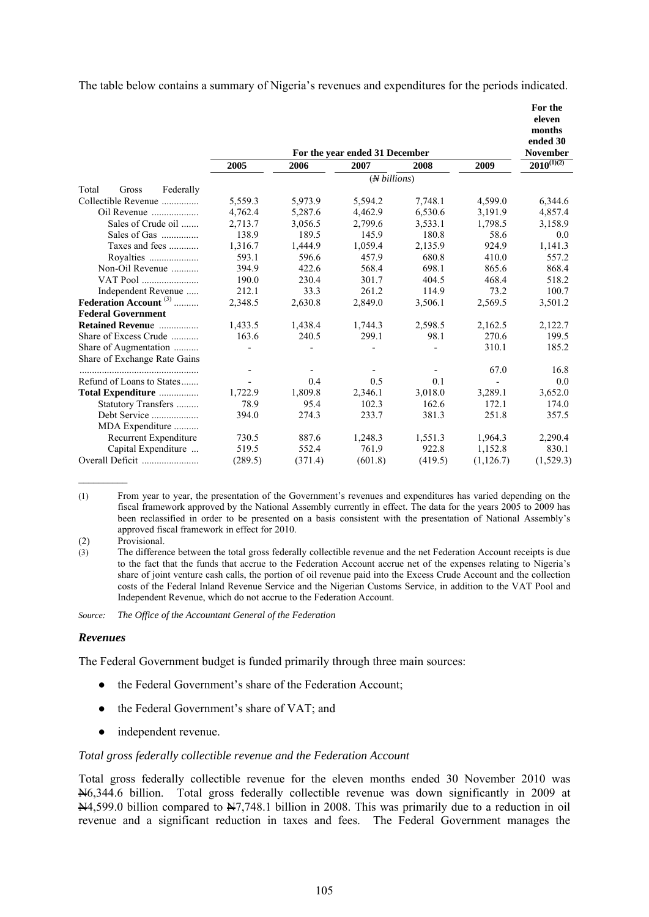The table below contains a summary of Nigeria's revenues and expenditures for the periods indicated.

|                                   |         |         |                                |         |            | For the<br>eleven<br>months |  |  |
|-----------------------------------|---------|---------|--------------------------------|---------|------------|-----------------------------|--|--|
|                                   |         |         | For the year ended 31 December |         |            | ended 30<br>November        |  |  |
|                                   | 2005    | 2006    | 2007                           | 2008    | 2009       | $2010^{(1)(2)}$             |  |  |
|                                   |         |         | ( <i>N</i> billions)           |         |            |                             |  |  |
| Total<br>Federally<br>Gross       |         |         |                                |         |            |                             |  |  |
| Collectible Revenue               | 5,559.3 | 5,973.9 | 5,594.2                        | 7,748.1 | 4,599.0    | 6,344.6                     |  |  |
| Oil Revenue                       | 4,762.4 | 5,287.6 | 4,462.9                        | 6,530.6 | 3,191.9    | 4,857.4                     |  |  |
| Sales of Crude oil                | 2,713.7 | 3,056.5 | 2,799.6                        | 3,533.1 | 1,798.5    | 3,158.9                     |  |  |
| Sales of Gas                      | 138.9   | 189.5   | 145.9                          | 180.8   | 58.6       | 0.0                         |  |  |
| Taxes and fees                    | 1,316.7 | 1,444.9 | 1,059.4                        | 2,135.9 | 924.9      | 1,141.3                     |  |  |
| Royalties                         | 593.1   | 596.6   | 457.9                          | 680.8   | 410.0      | 557.2                       |  |  |
| Non-Oil Revenue                   | 394.9   | 422.6   | 568.4                          | 698.1   | 865.6      | 868.4                       |  |  |
| VAT Pool                          | 190.0   | 230.4   | 301.7                          | 404.5   | 468.4      | 518.2                       |  |  |
| Independent Revenue               | 212.1   | 33.3    | 261.2                          | 114.9   | 73.2       | 100.7                       |  |  |
| Federation Account <sup>(3)</sup> | 2,348.5 | 2,630.8 | 2,849.0                        | 3,506.1 | 2,569.5    | 3,501.2                     |  |  |
| <b>Federal Government</b>         |         |         |                                |         |            |                             |  |  |
| <b>Retained Revenue</b>           | 1,433.5 | 1,438.4 | 1,744.3                        | 2,598.5 | 2,162.5    | 2,122.7                     |  |  |
| Share of Excess Crude             | 163.6   | 240.5   | 299.1                          | 98.1    | 270.6      | 199.5                       |  |  |
| Share of Augmentation             |         |         |                                |         | 310.1      | 185.2                       |  |  |
| Share of Exchange Rate Gains      |         |         |                                |         |            |                             |  |  |
|                                   |         |         |                                |         | 67.0       | 16.8                        |  |  |
| Refund of Loans to States         |         | 0.4     | 0.5                            | 0.1     |            | 0.0                         |  |  |
| Total Expenditure                 | 1,722.9 | 1,809.8 | 2,346.1                        | 3,018.0 | 3,289.1    | 3,652.0                     |  |  |
| Statutory Transfers               | 78.9    | 95.4    | 102.3                          | 162.6   | 172.1      | 174.0                       |  |  |
| Debt Service                      | 394.0   | 274.3   | 233.7                          | 381.3   | 251.8      | 357.5                       |  |  |
| MDA Expenditure                   |         |         |                                |         |            |                             |  |  |
| Recurrent Expenditure             | 730.5   | 887.6   | 1,248.3                        | 1,551.3 | 1,964.3    | 2,290.4                     |  |  |
| Capital Expenditure               | 519.5   | 552.4   | 761.9                          | 922.8   | 1,152.8    | 830.1                       |  |  |
|                                   | (289.5) | (371.4) | (601.8)                        | (419.5) | (1, 126.7) | (1,529.3)                   |  |  |

(1) From year to year, the presentation of the Government's revenues and expenditures has varied depending on the fiscal framework approved by the National Assembly currently in effect. The data for the years 2005 to 2009 has been reclassified in order to be presented on a basis consistent with the presentation of National Assembly's approved fiscal framework in effect for 2010.

(2) Provisional.

 $\mathcal{L}_\text{max}$ 

(3) The difference between the total gross federally collectible revenue and the net Federation Account receipts is due to the fact that the funds that accrue to the Federation Account accrue net of the expenses relating to Nigeria's share of joint venture cash calls, the portion of oil revenue paid into the Excess Crude Account and the collection costs of the Federal Inland Revenue Service and the Nigerian Customs Service, in addition to the VAT Pool and Independent Revenue, which do not accrue to the Federation Account.

*Source: The Office of the Accountant General of the Federation*

### *Revenues*

The Federal Government budget is funded primarily through three main sources:

- the Federal Government's share of the Federation Account;
- the Federal Government's share of VAT; and
- independent revenue.

#### *Total gross federally collectible revenue and the Federation Account*

Total gross federally collectible revenue for the eleven months ended 30 November 2010 was N6,344.6 billion. Total gross federally collectible revenue was down significantly in 2009 at  $\frac{11}{2}$ ,599.0 billion compared to  $\frac{11}{2}$ ,748.1 billion in 2008. This was primarily due to a reduction in oil revenue and a significant reduction in taxes and fees. The Federal Government manages the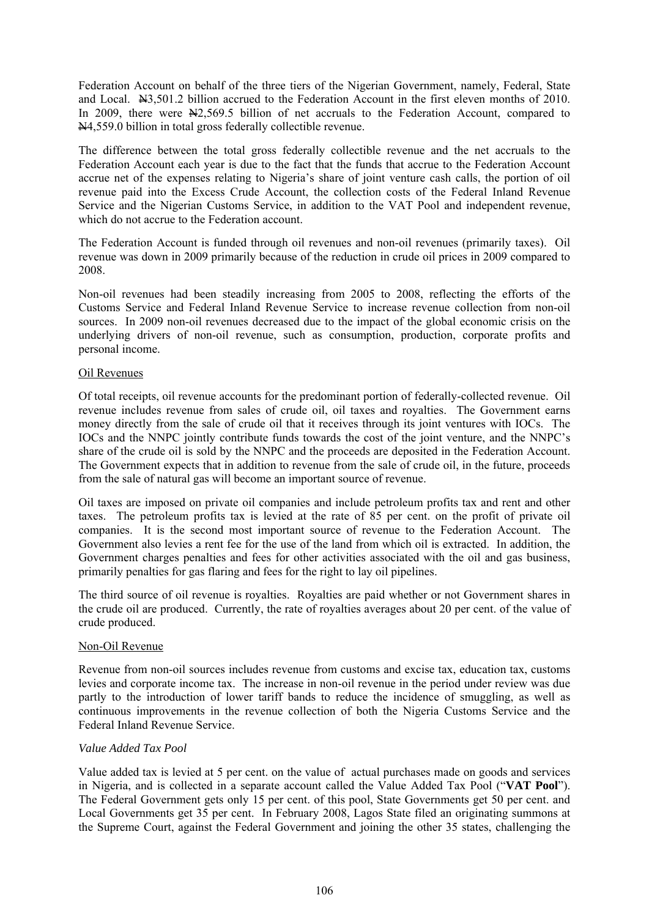Federation Account on behalf of the three tiers of the Nigerian Government, namely, Federal, State and Local. N3,501.2 billion accrued to the Federation Account in the first eleven months of 2010. In 2009, there were  $\frac{N}{2}$ , 569.5 billion of net accruals to the Federation Account, compared to N4,559.0 billion in total gross federally collectible revenue.

The difference between the total gross federally collectible revenue and the net accruals to the Federation Account each year is due to the fact that the funds that accrue to the Federation Account accrue net of the expenses relating to Nigeria's share of joint venture cash calls, the portion of oil revenue paid into the Excess Crude Account, the collection costs of the Federal Inland Revenue Service and the Nigerian Customs Service, in addition to the VAT Pool and independent revenue, which do not accrue to the Federation account.

The Federation Account is funded through oil revenues and non-oil revenues (primarily taxes). Oil revenue was down in 2009 primarily because of the reduction in crude oil prices in 2009 compared to 2008.

Non-oil revenues had been steadily increasing from 2005 to 2008, reflecting the efforts of the Customs Service and Federal Inland Revenue Service to increase revenue collection from non-oil sources. In 2009 non-oil revenues decreased due to the impact of the global economic crisis on the underlying drivers of non-oil revenue, such as consumption, production, corporate profits and personal income.

### Oil Revenues

Of total receipts, oil revenue accounts for the predominant portion of federally-collected revenue. Oil revenue includes revenue from sales of crude oil, oil taxes and royalties. The Government earns money directly from the sale of crude oil that it receives through its joint ventures with IOCs. The IOCs and the NNPC jointly contribute funds towards the cost of the joint venture, and the NNPC's share of the crude oil is sold by the NNPC and the proceeds are deposited in the Federation Account. The Government expects that in addition to revenue from the sale of crude oil, in the future, proceeds from the sale of natural gas will become an important source of revenue.

Oil taxes are imposed on private oil companies and include petroleum profits tax and rent and other taxes. The petroleum profits tax is levied at the rate of 85 per cent. on the profit of private oil companies. It is the second most important source of revenue to the Federation Account. The Government also levies a rent fee for the use of the land from which oil is extracted. In addition, the Government charges penalties and fees for other activities associated with the oil and gas business, primarily penalties for gas flaring and fees for the right to lay oil pipelines.

The third source of oil revenue is royalties. Royalties are paid whether or not Government shares in the crude oil are produced. Currently, the rate of royalties averages about 20 per cent. of the value of crude produced.

### Non-Oil Revenue

Revenue from non-oil sources includes revenue from customs and excise tax, education tax, customs levies and corporate income tax. The increase in non-oil revenue in the period under review was due partly to the introduction of lower tariff bands to reduce the incidence of smuggling, as well as continuous improvements in the revenue collection of both the Nigeria Customs Service and the Federal Inland Revenue Service.

### *Value Added Tax Pool*

Value added tax is levied at 5 per cent. on the value of actual purchases made on goods and services in Nigeria, and is collected in a separate account called the Value Added Tax Pool ("**VAT Pool**"). The Federal Government gets only 15 per cent. of this pool, State Governments get 50 per cent. and Local Governments get 35 per cent. In February 2008, Lagos State filed an originating summons at the Supreme Court, against the Federal Government and joining the other 35 states, challenging the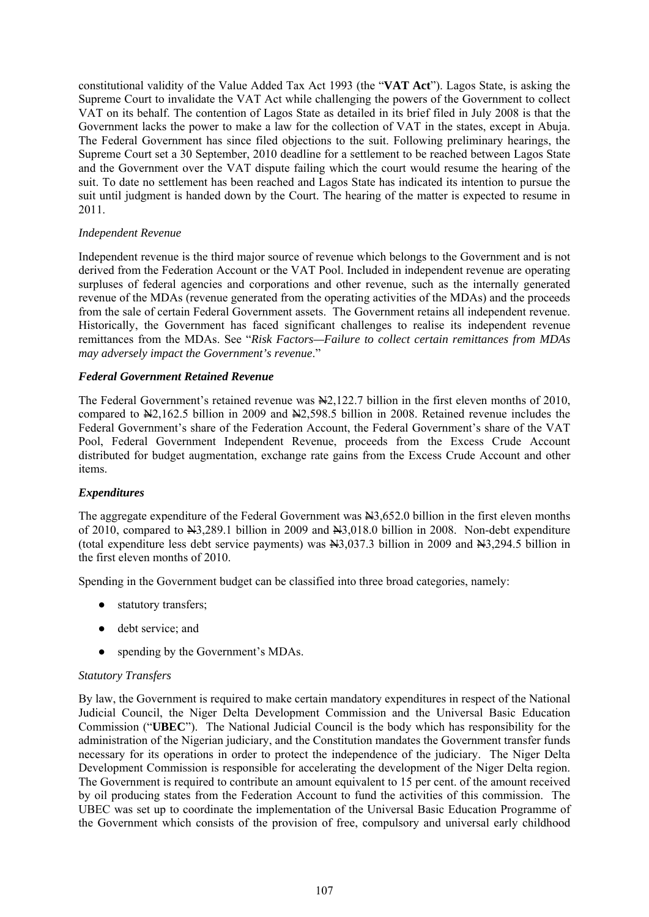constitutional validity of the Value Added Tax Act 1993 (the "**VAT Act**"). Lagos State, is asking the Supreme Court to invalidate the VAT Act while challenging the powers of the Government to collect VAT on its behalf. The contention of Lagos State as detailed in its brief filed in July 2008 is that the Government lacks the power to make a law for the collection of VAT in the states, except in Abuja. The Federal Government has since filed objections to the suit. Following preliminary hearings, the Supreme Court set a 30 September, 2010 deadline for a settlement to be reached between Lagos State and the Government over the VAT dispute failing which the court would resume the hearing of the suit. To date no settlement has been reached and Lagos State has indicated its intention to pursue the suit until judgment is handed down by the Court. The hearing of the matter is expected to resume in 2011.

## *Independent Revenue*

Independent revenue is the third major source of revenue which belongs to the Government and is not derived from the Federation Account or the VAT Pool. Included in independent revenue are operating surpluses of federal agencies and corporations and other revenue, such as the internally generated revenue of the MDAs (revenue generated from the operating activities of the MDAs) and the proceeds from the sale of certain Federal Government assets. The Government retains all independent revenue. Historically, the Government has faced significant challenges to realise its independent revenue remittances from the MDAs. See "*Risk Factors—Failure to collect certain remittances from MDAs may adversely impact the Government's revenue*."

## *Federal Government Retained Revenue*

The Federal Government's retained revenue was  $\frac{N}{2}$ , 122.7 billion in the first eleven months of 2010, compared to N2,162.5 billion in 2009 and N2,598.5 billion in 2008. Retained revenue includes the Federal Government's share of the Federation Account, the Federal Government's share of the VAT Pool, Federal Government Independent Revenue, proceeds from the Excess Crude Account distributed for budget augmentation, exchange rate gains from the Excess Crude Account and other items.

# *Expenditures*

The aggregate expenditure of the Federal Government was  $\frac{13,652.0}{10,652.0}$  billion in the first eleven months of 2010, compared to N3,289.1 billion in 2009 and N3,018.0 billion in 2008. Non-debt expenditure (total expenditure less debt service payments) was  $\frac{12037.3}{1000}$  billion in 2009 and  $\frac{1209}{1000}$  billion in the first eleven months of 2010.

Spending in the Government budget can be classified into three broad categories, namely:

- statutory transfers:
- debt service; and
- spending by the Government's MDAs.

### *Statutory Transfers*

By law, the Government is required to make certain mandatory expenditures in respect of the National Judicial Council, the Niger Delta Development Commission and the Universal Basic Education Commission ("**UBEC**"). The National Judicial Council is the body which has responsibility for the administration of the Nigerian judiciary, and the Constitution mandates the Government transfer funds necessary for its operations in order to protect the independence of the judiciary. The Niger Delta Development Commission is responsible for accelerating the development of the Niger Delta region. The Government is required to contribute an amount equivalent to 15 per cent. of the amount received by oil producing states from the Federation Account to fund the activities of this commission. The UBEC was set up to coordinate the implementation of the Universal Basic Education Programme of the Government which consists of the provision of free, compulsory and universal early childhood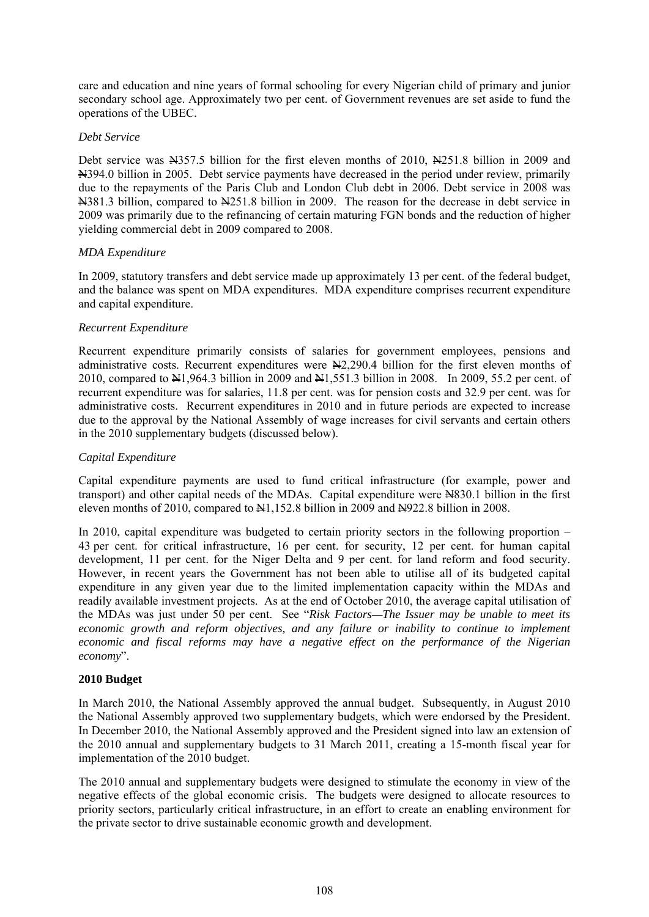care and education and nine years of formal schooling for every Nigerian child of primary and junior secondary school age. Approximately two per cent. of Government revenues are set aside to fund the operations of the UBEC.

## *Debt Service*

Debt service was N4357.5 billion for the first eleven months of 2010, N4251.8 billion in 2009 and N394.0 billion in 2005. Debt service payments have decreased in the period under review, primarily due to the repayments of the Paris Club and London Club debt in 2006. Debt service in 2008 was N381.3 billion, compared to N251.8 billion in 2009. The reason for the decrease in debt service in 2009 was primarily due to the refinancing of certain maturing FGN bonds and the reduction of higher yielding commercial debt in 2009 compared to 2008.

## *MDA Expenditure*

In 2009, statutory transfers and debt service made up approximately 13 per cent. of the federal budget, and the balance was spent on MDA expenditures. MDA expenditure comprises recurrent expenditure and capital expenditure.

## *Recurrent Expenditure*

Recurrent expenditure primarily consists of salaries for government employees, pensions and administrative costs. Recurrent expenditures were  $\frac{12,290.4}{10,100}$  billion for the first eleven months of 2010, compared to N1,964.3 billion in 2009 and N1,551.3 billion in 2008. In 2009, 55.2 per cent. of recurrent expenditure was for salaries, 11.8 per cent. was for pension costs and 32.9 per cent. was for administrative costs. Recurrent expenditures in 2010 and in future periods are expected to increase due to the approval by the National Assembly of wage increases for civil servants and certain others in the 2010 supplementary budgets (discussed below).

## *Capital Expenditure*

Capital expenditure payments are used to fund critical infrastructure (for example, power and transport) and other capital needs of the MDAs. Capital expenditure were N830.1 billion in the first eleven months of 2010, compared to  $\frac{11152.8 \text{ billion in } 2009}$  and  $\frac{114922.8 \text{ billion in } 2008}$ .

In 2010, capital expenditure was budgeted to certain priority sectors in the following proportion – 43 per cent. for critical infrastructure, 16 per cent. for security, 12 per cent. for human capital development, 11 per cent. for the Niger Delta and 9 per cent. for land reform and food security. However, in recent years the Government has not been able to utilise all of its budgeted capital expenditure in any given year due to the limited implementation capacity within the MDAs and readily available investment projects. As at the end of October 2010, the average capital utilisation of the MDAs was just under 50 per cent. See "*Risk Factors—The Issuer may be unable to meet its economic growth and reform objectives, and any failure or inability to continue to implement economic and fiscal reforms may have a negative effect on the performance of the Nigerian economy*".

### **2010 Budget**

In March 2010, the National Assembly approved the annual budget. Subsequently, in August 2010 the National Assembly approved two supplementary budgets, which were endorsed by the President. In December 2010, the National Assembly approved and the President signed into law an extension of the 2010 annual and supplementary budgets to 31 March 2011, creating a 15-month fiscal year for implementation of the 2010 budget.

The 2010 annual and supplementary budgets were designed to stimulate the economy in view of the negative effects of the global economic crisis. The budgets were designed to allocate resources to priority sectors, particularly critical infrastructure, in an effort to create an enabling environment for the private sector to drive sustainable economic growth and development.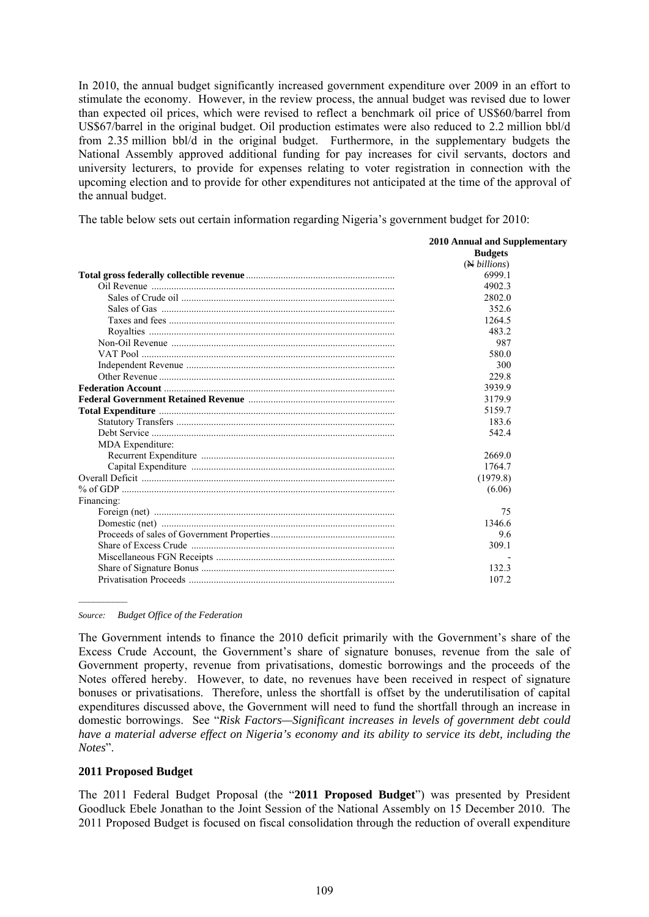In 2010, the annual budget significantly increased government expenditure over 2009 in an effort to stimulate the economy. However, in the review process, the annual budget was revised due to lower than expected oil prices, which were revised to reflect a benchmark oil price of US\$60/barrel from US\$67/barrel in the original budget. Oil production estimates were also reduced to 2.2 million bbl/d from 2.35 million bbl/d in the original budget. Furthermore, in the supplementary budgets the National Assembly approved additional funding for pay increases for civil servants, doctors and university lecturers, to provide for expenses relating to voter registration in connection with the upcoming election and to provide for other expenditures not anticipated at the time of the approval of the annual budget.

The table below sets out certain information regarding Nigeria's government budget for 2010:

|                  | <b>2010 Annual and Supplementary</b> |
|------------------|--------------------------------------|
|                  | <b>Budgets</b>                       |
|                  | (N billions)                         |
|                  | 6999.1                               |
|                  | 4902.3                               |
|                  | 2802.0                               |
|                  | 352.6                                |
|                  | 1264.5                               |
|                  | 483.2                                |
|                  | 987                                  |
|                  | 580.0                                |
|                  | 300                                  |
|                  | 229.8                                |
|                  | 3939.9                               |
|                  | 3179.9                               |
|                  | 5159.7                               |
|                  | 183.6                                |
|                  | 542.4                                |
| MDA Expenditure: |                                      |
|                  | 2669.0                               |
|                  | 1764.7                               |
|                  | (1979.8)                             |
|                  | (6.06)                               |
| Financing:       |                                      |
|                  | 75                                   |
|                  | 1346.6                               |
|                  | 9.6                                  |
|                  | 309.1                                |
|                  |                                      |
|                  | 132.3                                |
|                  | 107.2                                |

*Source: Budget Office of the Federation*

 $\mathcal{L}_\text{max}$ 

The Government intends to finance the 2010 deficit primarily with the Government's share of the Excess Crude Account, the Government's share of signature bonuses, revenue from the sale of Government property, revenue from privatisations, domestic borrowings and the proceeds of the Notes offered hereby. However, to date, no revenues have been received in respect of signature bonuses or privatisations. Therefore, unless the shortfall is offset by the underutilisation of capital expenditures discussed above, the Government will need to fund the shortfall through an increase in domestic borrowings. See "*Risk Factors—Significant increases in levels of government debt could have a material adverse effect on Nigeria's economy and its ability to service its debt, including the Notes*".

### **2011 Proposed Budget**

The 2011 Federal Budget Proposal (the "**2011 Proposed Budget**") was presented by President Goodluck Ebele Jonathan to the Joint Session of the National Assembly on 15 December 2010. The 2011 Proposed Budget is focused on fiscal consolidation through the reduction of overall expenditure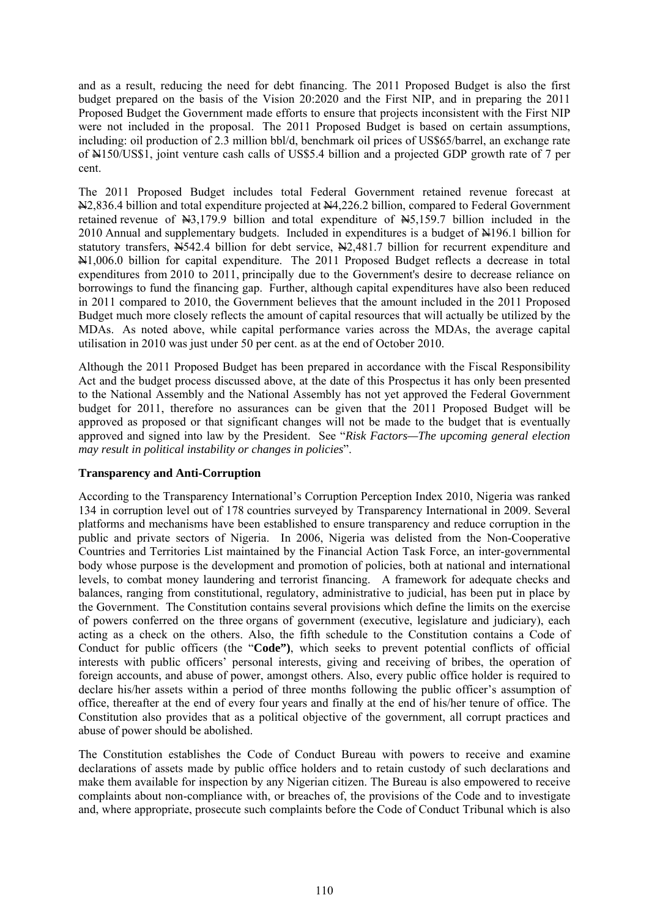and as a result, reducing the need for debt financing. The 2011 Proposed Budget is also the first budget prepared on the basis of the Vision 20:2020 and the First NIP, and in preparing the 2011 Proposed Budget the Government made efforts to ensure that projects inconsistent with the First NIP were not included in the proposal. The 2011 Proposed Budget is based on certain assumptions, including: oil production of 2.3 million bbl/d, benchmark oil prices of US\$65/barrel, an exchange rate of N150/US\$1, joint venture cash calls of US\$5.4 billion and a projected GDP growth rate of 7 per cent.

The 2011 Proposed Budget includes total Federal Government retained revenue forecast at N2,836.4 billion and total expenditure projected at N4,226.2 billion, compared to Federal Government retained revenue of  $\frac{13,179.9}{100}$  billion and total expenditure of  $\frac{15,159.7}{100}$  billion included in the 2010 Annual and supplementary budgets. Included in expenditures is a budget of N196.1 billion for statutory transfers,  $\overline{N}$ 542.4 billion for debt service,  $\overline{N}$ 2,481.7 billion for recurrent expenditure and N1,006.0 billion for capital expenditure. The 2011 Proposed Budget reflects a decrease in total expenditures from 2010 to 2011, principally due to the Government's desire to decrease reliance on borrowings to fund the financing gap. Further, although capital expenditures have also been reduced in 2011 compared to 2010, the Government believes that the amount included in the 2011 Proposed Budget much more closely reflects the amount of capital resources that will actually be utilized by the MDAs. As noted above, while capital performance varies across the MDAs, the average capital utilisation in 2010 was just under 50 per cent. as at the end of October 2010.

Although the 2011 Proposed Budget has been prepared in accordance with the Fiscal Responsibility Act and the budget process discussed above, at the date of this Prospectus it has only been presented to the National Assembly and the National Assembly has not yet approved the Federal Government budget for 2011, therefore no assurances can be given that the 2011 Proposed Budget will be approved as proposed or that significant changes will not be made to the budget that is eventually approved and signed into law by the President. See "*Risk Factors—The upcoming general election may result in political instability or changes in policies*".

### **Transparency and Anti-Corruption**

According to the Transparency International's Corruption Perception Index 2010, Nigeria was ranked 134 in corruption level out of 178 countries surveyed by Transparency International in 2009. Several platforms and mechanisms have been established to ensure transparency and reduce corruption in the public and private sectors of Nigeria. In 2006, Nigeria was delisted from the Non-Cooperative Countries and Territories List maintained by the Financial Action Task Force, an inter-governmental body whose purpose is the development and promotion of policies, both at national and international levels, to combat money laundering and terrorist financing. A framework for adequate checks and balances, ranging from constitutional, regulatory, administrative to judicial, has been put in place by the Government. The Constitution contains several provisions which define the limits on the exercise of powers conferred on the three organs of government (executive, legislature and judiciary), each acting as a check on the others. Also, the fifth schedule to the Constitution contains a Code of Conduct for public officers (the "**Code")**, which seeks to prevent potential conflicts of official interests with public officers' personal interests, giving and receiving of bribes, the operation of foreign accounts, and abuse of power, amongst others. Also, every public office holder is required to declare his/her assets within a period of three months following the public officer's assumption of office, thereafter at the end of every four years and finally at the end of his/her tenure of office. The Constitution also provides that as a political objective of the government, all corrupt practices and abuse of power should be abolished.

The Constitution establishes the Code of Conduct Bureau with powers to receive and examine declarations of assets made by public office holders and to retain custody of such declarations and make them available for inspection by any Nigerian citizen. The Bureau is also empowered to receive complaints about non-compliance with, or breaches of, the provisions of the Code and to investigate and, where appropriate, prosecute such complaints before the Code of Conduct Tribunal which is also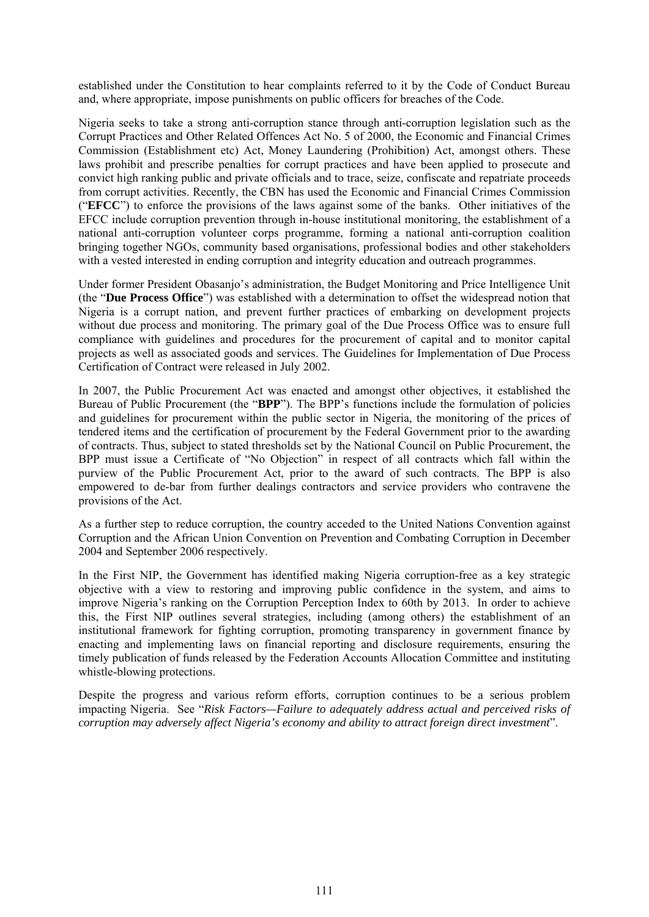established under the Constitution to hear complaints referred to it by the Code of Conduct Bureau and, where appropriate, impose punishments on public officers for breaches of the Code.

Nigeria seeks to take a strong anti-corruption stance through anti-corruption legislation such as the Corrupt Practices and Other Related Offences Act No. 5 of 2000, the Economic and Financial Crimes Commission (Establishment etc) Act, Money Laundering (Prohibition) Act, amongst others. These laws prohibit and prescribe penalties for corrupt practices and have been applied to prosecute and convict high ranking public and private officials and to trace, seize, confiscate and repatriate proceeds from corrupt activities. Recently, the CBN has used the Economic and Financial Crimes Commission ("**EFCC**") to enforce the provisions of the laws against some of the banks. Other initiatives of the EFCC include corruption prevention through in-house institutional monitoring, the establishment of a national anti-corruption volunteer corps programme, forming a national anti-corruption coalition bringing together NGOs, community based organisations, professional bodies and other stakeholders with a vested interested in ending corruption and integrity education and outreach programmes.

Under former President Obasanjo's administration, the Budget Monitoring and Price Intelligence Unit (the "**Due Process Office**") was established with a determination to offset the widespread notion that Nigeria is a corrupt nation, and prevent further practices of embarking on development projects without due process and monitoring. The primary goal of the Due Process Office was to ensure full compliance with guidelines and procedures for the procurement of capital and to monitor capital projects as well as associated goods and services. The Guidelines for Implementation of Due Process Certification of Contract were released in July 2002.

In 2007, the Public Procurement Act was enacted and amongst other objectives, it established the Bureau of Public Procurement (the "**BPP**"). The BPP's functions include the formulation of policies and guidelines for procurement within the public sector in Nigeria, the monitoring of the prices of tendered items and the certification of procurement by the Federal Government prior to the awarding of contracts. Thus, subject to stated thresholds set by the National Council on Public Procurement, the BPP must issue a Certificate of "No Objection" in respect of all contracts which fall within the purview of the Public Procurement Act, prior to the award of such contracts. The BPP is also empowered to de-bar from further dealings contractors and service providers who contravene the provisions of the Act.

As a further step to reduce corruption, the country acceded to the United Nations Convention against Corruption and the African Union Convention on Prevention and Combating Corruption in December 2004 and September 2006 respectively.

In the First NIP, the Government has identified making Nigeria corruption-free as a key strategic objective with a view to restoring and improving public confidence in the system, and aims to improve Nigeria's ranking on the Corruption Perception Index to 60th by 2013. In order to achieve this, the First NIP outlines several strategies, including (among others) the establishment of an institutional framework for fighting corruption, promoting transparency in government finance by enacting and implementing laws on financial reporting and disclosure requirements, ensuring the timely publication of funds released by the Federation Accounts Allocation Committee and instituting whistle-blowing protections.

Despite the progress and various reform efforts, corruption continues to be a serious problem impacting Nigeria. See "*Risk Factors—Failure to adequately address actual and perceived risks of corruption may adversely affect Nigeria's economy and ability to attract foreign direct investment*".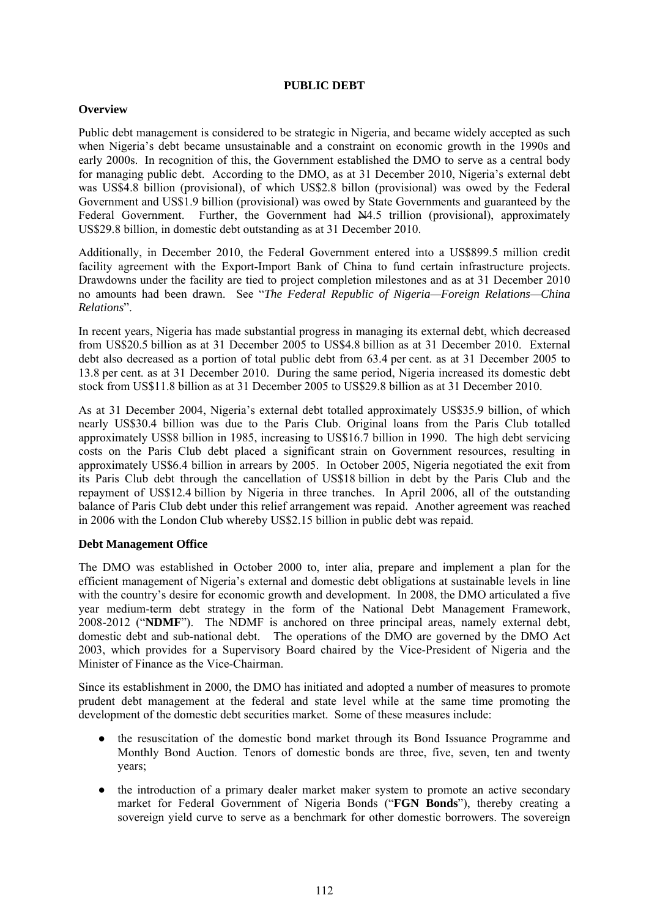## **PUBLIC DEBT**

## **Overview**

Public debt management is considered to be strategic in Nigeria, and became widely accepted as such when Nigeria's debt became unsustainable and a constraint on economic growth in the 1990s and early 2000s. In recognition of this, the Government established the DMO to serve as a central body for managing public debt. According to the DMO, as at 31 December 2010, Nigeria's external debt was US\$4.8 billion (provisional), of which US\$2.8 billon (provisional) was owed by the Federal Government and US\$1.9 billion (provisional) was owed by State Governments and guaranteed by the Federal Government. Further, the Government had  $\overline{N4.5}$  trillion (provisional), approximately US\$29.8 billion, in domestic debt outstanding as at 31 December 2010.

Additionally, in December 2010, the Federal Government entered into a US\$899.5 million credit facility agreement with the Export-Import Bank of China to fund certain infrastructure projects. Drawdowns under the facility are tied to project completion milestones and as at 31 December 2010 no amounts had been drawn. See "*The Federal Republic of Nigeria—Foreign Relations—China Relations*".

In recent years, Nigeria has made substantial progress in managing its external debt, which decreased from US\$20.5 billion as at 31 December 2005 to US\$4.8 billion as at 31 December 2010. External debt also decreased as a portion of total public debt from 63.4 per cent. as at 31 December 2005 to 13.8 per cent. as at 31 December 2010. During the same period, Nigeria increased its domestic debt stock from US\$11.8 billion as at 31 December 2005 to US\$29.8 billion as at 31 December 2010.

As at 31 December 2004, Nigeria's external debt totalled approximately US\$35.9 billion, of which nearly US\$30.4 billion was due to the Paris Club. Original loans from the Paris Club totalled approximately US\$8 billion in 1985, increasing to US\$16.7 billion in 1990. The high debt servicing costs on the Paris Club debt placed a significant strain on Government resources, resulting in approximately US\$6.4 billion in arrears by 2005. In October 2005, Nigeria negotiated the exit from its Paris Club debt through the cancellation of US\$18 billion in debt by the Paris Club and the repayment of US\$12.4 billion by Nigeria in three tranches. In April 2006, all of the outstanding balance of Paris Club debt under this relief arrangement was repaid. Another agreement was reached in 2006 with the London Club whereby US\$2.15 billion in public debt was repaid.

# **Debt Management Office**

The DMO was established in October 2000 to, inter alia, prepare and implement a plan for the efficient management of Nigeria's external and domestic debt obligations at sustainable levels in line with the country's desire for economic growth and development. In 2008, the DMO articulated a five year medium-term debt strategy in the form of the National Debt Management Framework, 2008-2012 ("**NDMF**"). The NDMF is anchored on three principal areas, namely external debt, domestic debt and sub-national debt. The operations of the DMO are governed by the DMO Act 2003, which provides for a Supervisory Board chaired by the Vice-President of Nigeria and the Minister of Finance as the Vice-Chairman.

Since its establishment in 2000, the DMO has initiated and adopted a number of measures to promote prudent debt management at the federal and state level while at the same time promoting the development of the domestic debt securities market. Some of these measures include:

- the resuscitation of the domestic bond market through its Bond Issuance Programme and Monthly Bond Auction. Tenors of domestic bonds are three, five, seven, ten and twenty years;
- the introduction of a primary dealer market maker system to promote an active secondary market for Federal Government of Nigeria Bonds ("**FGN Bonds**"), thereby creating a sovereign yield curve to serve as a benchmark for other domestic borrowers. The sovereign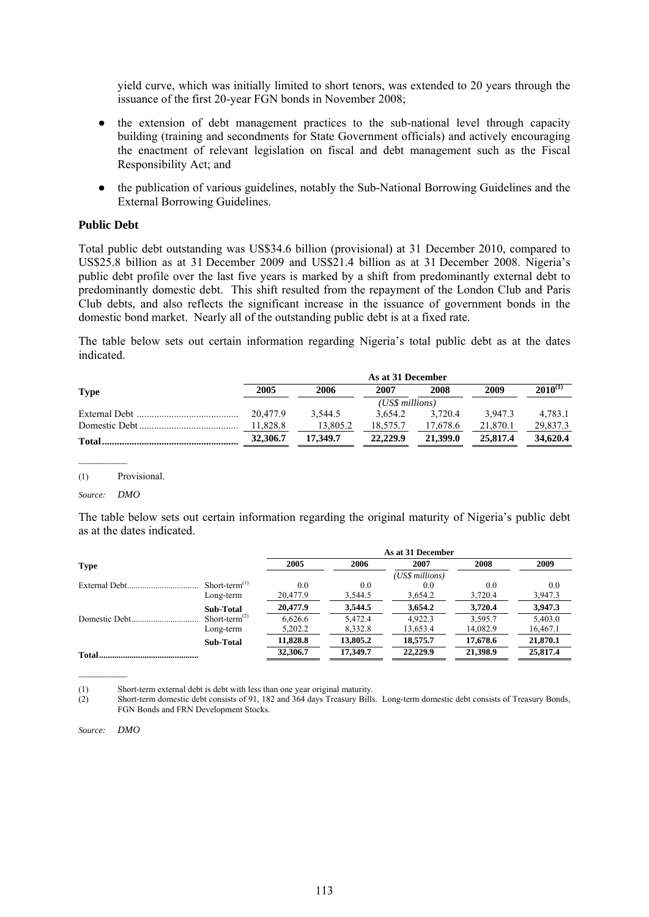yield curve, which was initially limited to short tenors, was extended to 20 years through the issuance of the first 20-year FGN bonds in November 2008;

- the extension of debt management practices to the sub-national level through capacity building (training and secondments for State Government officials) and actively encouraging the enactment of relevant legislation on fiscal and debt management such as the Fiscal Responsibility Act; and
- the publication of various guidelines, notably the Sub-National Borrowing Guidelines and the External Borrowing Guidelines.

#### **Public Debt**

Total public debt outstanding was US\$34.6 billion (provisional) at 31 December 2010, compared to US\$25.8 billion as at 31 December 2009 and US\$21.4 billion as at 31 December 2008. Nigeria's public debt profile over the last five years is marked by a shift from predominantly external debt to predominantly domestic debt. This shift resulted from the repayment of the London Club and Paris Club debts, and also reflects the significant increase in the issuance of government bonds in the domestic bond market. Nearly all of the outstanding public debt is at a fixed rate.

The table below sets out certain information regarding Nigeria's total public debt as at the dates indicated.

|              | As at 31 December |          |          |          |          |              |
|--------------|-------------------|----------|----------|----------|----------|--------------|
| <b>Type</b>  | 2005              | 2006     | 2007     | 2008     | 2009     | $2010^{(1)}$ |
|              |                   |          |          |          |          |              |
|              | 20.477.9          | 3.544.5  | 3.654.2  | 3.720.4  | 3.947.3  | 4.783.1      |
|              | 11.828.8          | 13,805.2 | 18.575.7 | 17.678.6 | 21.870.1 | 29,837.3     |
| <b>Total</b> | 32,306.7          | 17.349.7 | 22,229.9 | 21,399.0 | 25,817.4 | 34,620.4     |

(1) Provisional.

*Source: DMO*

The table below sets out certain information regarding the original maturity of Nigeria's public debt as at the dates indicated.

|                  |                  | As at 31 December |          |                 |          |          |  |  |
|------------------|------------------|-------------------|----------|-----------------|----------|----------|--|--|
| <b>Type</b>      |                  | 2005              | 2006     | 2007            | 2008     | 2009     |  |  |
|                  |                  |                   |          | (US\$ millions) |          |          |  |  |
| External Debt    | $Short-term(1)$  | 0.0               | 0.0      | 0.0             | 0.0      | 0.0      |  |  |
|                  | Long-term        | 20,477.9          | 3,544.5  | 3,654.2         | 3,720.4  | 3,947.3  |  |  |
|                  | Sub-Total        | 20,477.9          | 3.544.5  | 3.654.2         | 3,720.4  | 3,947.3  |  |  |
| Domestic Debt.   | $Short-term(2)$  | 6.626.6           | 5.472.4  | 4.922.3         | 3.595.7  | 5,403.0  |  |  |
|                  | Long-term        | 5,202.2           | 8,332.8  | 13,653.4        | 14,082.9 | 16,467.1 |  |  |
|                  | <b>Sub-Total</b> | 11,828.8          | 13,805.2 | 18.575.7        | 17,678.6 | 21,870.1 |  |  |
| <b>Total</b><br> |                  | 32,306.7          | 17.349.7 | 22,229.9        | 21,398.9 | 25,817.4 |  |  |

(1) Short-term external debt is debt with less than one year original maturity.

(2) Short-term domestic debt consists of 91, 182 and 364 days Treasury Bills. Long-term domestic debt consists of Treasury Bonds, FGN Bonds and FRN Development Stocks.

*Source: DMO*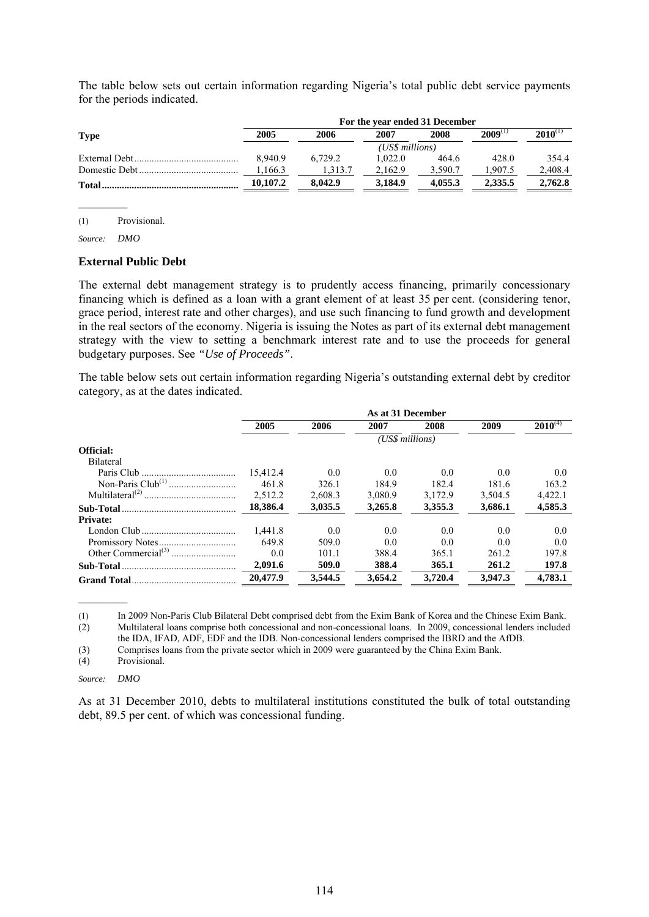The table below sets out certain information regarding Nigeria's total public debt service payments for the periods indicated.

|              | For the year ended 31 December |         |         |         |              |              |  |
|--------------|--------------------------------|---------|---------|---------|--------------|--------------|--|
| <b>Type</b>  | 2005                           | 2006    | 2007    | 2008    | $2009^{(1)}$ | $2010^{(1)}$ |  |
|              | (US\$ millions)                |         |         |         |              |              |  |
|              | 8.940.9                        | 6.729.2 | 1.022.0 | 464.6   | 428.0        | 354.4        |  |
|              | 1.166.3                        | 1.313.7 | 2.162.9 | 3.590.7 | .907.5       | 2,408.4      |  |
| <b>Total</b> | 10.107.2                       | 8.042.9 | 3.184.9 | 4.055.3 | 2,335.5      | 2,762.8      |  |

(1) Provisional.

*Source: DMO*

#### **External Public Debt**

The external debt management strategy is to prudently access financing, primarily concessionary financing which is defined as a loan with a grant element of at least 35 per cent. (considering tenor, grace period, interest rate and other charges), and use such financing to fund growth and development in the real sectors of the economy. Nigeria is issuing the Notes as part of its external debt management strategy with the view to setting a benchmark interest rate and to use the proceeds for general budgetary purposes. See *"Use of Proceeds"*.

The table below sets out certain information regarding Nigeria's outstanding external debt by creditor category, as at the dates indicated.

|                 | As at 31 December |         |                 |         |         |              |
|-----------------|-------------------|---------|-----------------|---------|---------|--------------|
|                 | 2005              | 2006    | 2007            | 2008    | 2009    | $2010^{(4)}$ |
|                 |                   |         | (US\$ millions) |         |         |              |
| Official:       |                   |         |                 |         |         |              |
| Bilateral       |                   |         |                 |         |         |              |
|                 | 15.412.4          | 0.0     | 0.0             | 0.0     | 0.0     | 0.0          |
|                 | 461.8             | 326.1   | 184.9           | 182.4   | 181.6   | 163.2        |
|                 | 2.512.2           | 2,608.3 | 3,080.9         | 3.172.9 | 3,504.5 | 4,422.1      |
|                 | 18,386.4          | 3,035.5 | 3,265.8         | 3,355.3 | 3,686.1 | 4,585.3      |
| <b>Private:</b> |                   |         |                 |         |         |              |
|                 | 1.441.8           | 0.0     | 0.0             | 0.0     | 0.0     | 0.0          |
|                 | 6498              | 509.0   | 0.0             | 0.0     | 0.0     | 0.0          |
|                 | 0.0               | 101.1   | 388.4           | 365.1   | 261.2   | 197.8        |
|                 | 2,091.6           | 509.0   | 388.4           | 365.1   | 261.2   | 197.8        |
|                 | 20.477.9          | 3,544.5 | 3.654.2         | 3.720.4 | 3.947.3 | 4.783.1      |

(1) In 2009 Non-Paris Club Bilateral Debt comprised debt from the Exim Bank of Korea and the Chinese Exim Bank. (2) Multilateral loans comprise both concessional and non-concessional loans. In 2009, concessional lenders included

the IDA, IFAD, ADF, EDF and the IDB. Non-concessional lenders comprised the IBRD and the AfDB.

(3) Comprises loans from the private sector which in 2009 were guaranteed by the China Exim Bank.<br>
(4) Provisional.

Provisional.

#### *Source: DMO*

 $\mathcal{L}_\text{max}$ 

As at 31 December 2010, debts to multilateral institutions constituted the bulk of total outstanding debt, 89.5 per cent. of which was concessional funding.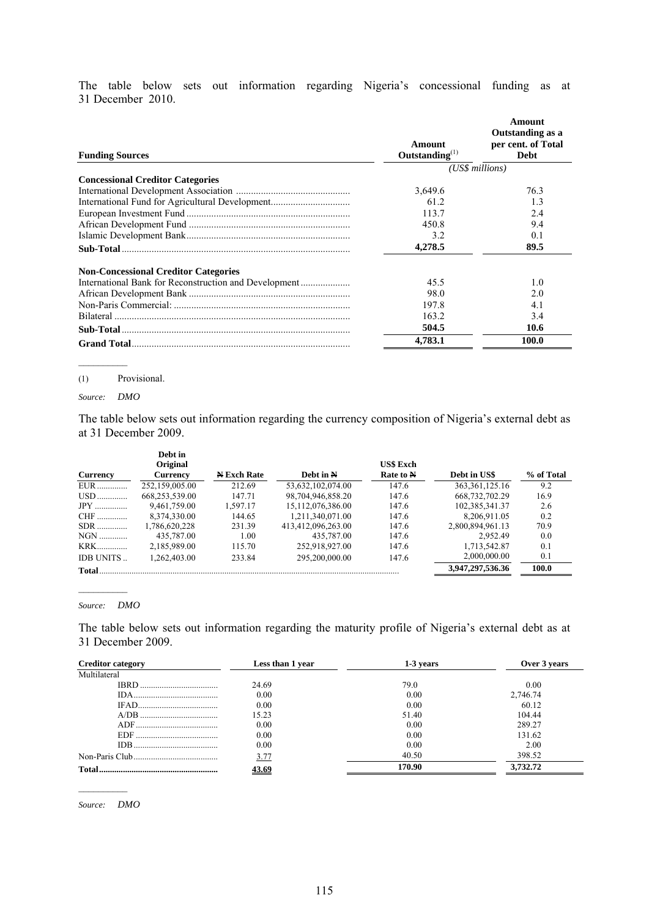The table below sets out information regarding Nigeria's concessional funding as at 31 December 2010.

| <b>Funding Sources</b>                                | Amount<br>Outstanding $^{(1)}$ | Amount<br>Outstanding as a<br>per cent. of Total<br><b>Debt</b> |
|-------------------------------------------------------|--------------------------------|-----------------------------------------------------------------|
|                                                       |                                | (US\$ millions)                                                 |
| <b>Concessional Creditor Categories</b>               |                                |                                                                 |
|                                                       | 3,649.6                        | 76.3                                                            |
|                                                       | 61.2                           | 1.3                                                             |
|                                                       | 113.7                          | 2.4                                                             |
|                                                       | 450.8                          | 9.4                                                             |
|                                                       | 3.2                            | 0.1                                                             |
|                                                       | 4,278.5                        | 89.5                                                            |
| <b>Non-Concessional Creditor Categories</b>           |                                |                                                                 |
| International Bank for Reconstruction and Development | 45.5                           | 1.0                                                             |
|                                                       | 98.0                           | 2.0                                                             |
|                                                       | 197.8                          | 4.1                                                             |
|                                                       | 163.2                          | 3.4                                                             |
| Sub-Total                                             | 504.5                          | 10.6                                                            |
|                                                       | 4.783.1                        | 100.0                                                           |

#### (1) Provisional.

#### *Source: DMO*

The table below sets out information regarding the currency composition of Nigeria's external debt as at 31 December 2009.

|              | Debt in<br>Original<br><b>Currency</b> | <b>N</b> Exch Rate | Debt in N          | <b>US\$</b> Exch<br>Rate to N | Debt in US\$      | % of Total |
|--------------|----------------------------------------|--------------------|--------------------|-------------------------------|-------------------|------------|
| Currency     |                                        |                    |                    |                               |                   |            |
| EUR.         | 252.159.005.00                         | 212.69             | 53,632,102,074.00  | 147.6                         | 363, 361, 125. 16 | 9.2        |
|              | 668,253,539.00                         | 147.71             | 98,704,946,858.20  | 147.6                         | 668, 732, 702. 29 | 16.9       |
| $JPY$        | 9,461,759.00                           | 1.597.17           | 15,112,076,386.00  | 147.6                         | 102,385,341.37    | 2.6        |
| CHF          | 8,374,330.00                           | 144.65             | 1,211,340,071.00   | 147.6                         | 8,206,911.05      | 0.2        |
| $SDR$        | 1,786,620,228                          | 231.39             | 413,412,096,263.00 | 147.6                         | 2.800.894.961.13  | 70.9       |
| NGN          | 435,787.00                             | 1.00               | 435,787.00         | 147.6                         | 2.952.49          | 0.0        |
| <b>KRK</b>   | 2,185,989.00                           | 115.70             | 252,918,927.00     | 147.6                         | 1,713,542.87      | 0.1        |
| IDB UNITS    | 1.262.403.00                           | 233.84             | 295.200.000.00     | 147.6                         | 2,000,000.00      | 0.1        |
| <b>Total</b> |                                        |                    |                    |                               | 3,947,297,536.36  | 100.0      |

#### *Source: DMO*

The table below sets out information regarding the maturity profile of Nigeria's external debt as at 31 December 2009.

| <b>Creditor category</b> | Less than 1 year | 1-3 years | Over 3 years |
|--------------------------|------------------|-----------|--------------|
| Multilateral             |                  |           |              |
| IBRD.                    | 24.69            | 79.0      | 0.00         |
|                          | 0.00             | 0.00      | 2,746.74     |
|                          | 0.00             | 0.00      | 60.12        |
|                          | 15.23            | 51.40     | 104.44       |
|                          | 0.00             | 0.00      | 289.27       |
|                          | 0.00             | 0.00      | 131.62       |
| IDB.                     | 0.00             | 0.00      | 2.00         |
|                          | 3.77             | 40.50     | 398.52       |
| Total                    | 43.69            | 170.90    | 3.732.72     |

*Source: DMO*

 $\mathcal{L}_\text{max}$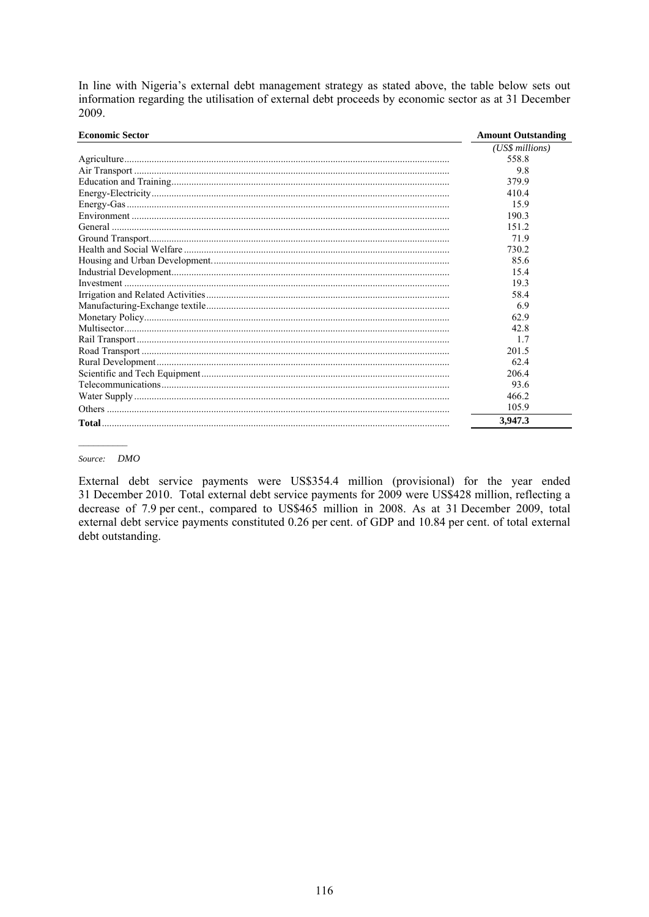In line with Nigeria's external debt management strategy as stated above, the table below sets out information regarding the utilisation of external debt proceeds by economic sector as at 31 December 2009.

| <b>Economic Sector</b> | <b>Amount Outstanding</b> |
|------------------------|---------------------------|
|                        | (US\$ millions)           |
|                        | 558.8                     |
|                        | 9.8                       |
|                        | 379.9                     |
|                        | 410.4                     |
|                        | 15.9                      |
|                        | 190.3                     |
|                        | 151.2                     |
|                        | 71.9                      |
|                        | 730.2                     |
|                        | 85.6                      |
|                        | 15.4                      |
|                        | 19.3                      |
|                        | 58.4                      |
|                        | 6.9                       |
|                        | 62.9                      |
|                        | 42.8                      |
|                        | 17                        |
|                        | 201.5                     |
|                        | 62.4                      |
|                        | 206.4                     |
|                        | 93.6                      |
|                        | 466.2                     |
|                        | 105.9                     |
|                        | 3,947.3                   |

#### Source: DMO

External debt service payments were US\$354.4 million (provisional) for the year ended 31 December 2010. Total external debt service payments for 2009 were US\$428 million, reflecting a decrease of 7.9 per cent., compared to US\$465 million in 2008. As at 31 December 2009, total external debt service payments constituted 0.26 per cent. of GDP and 10.84 per cent. of total external debt outstanding.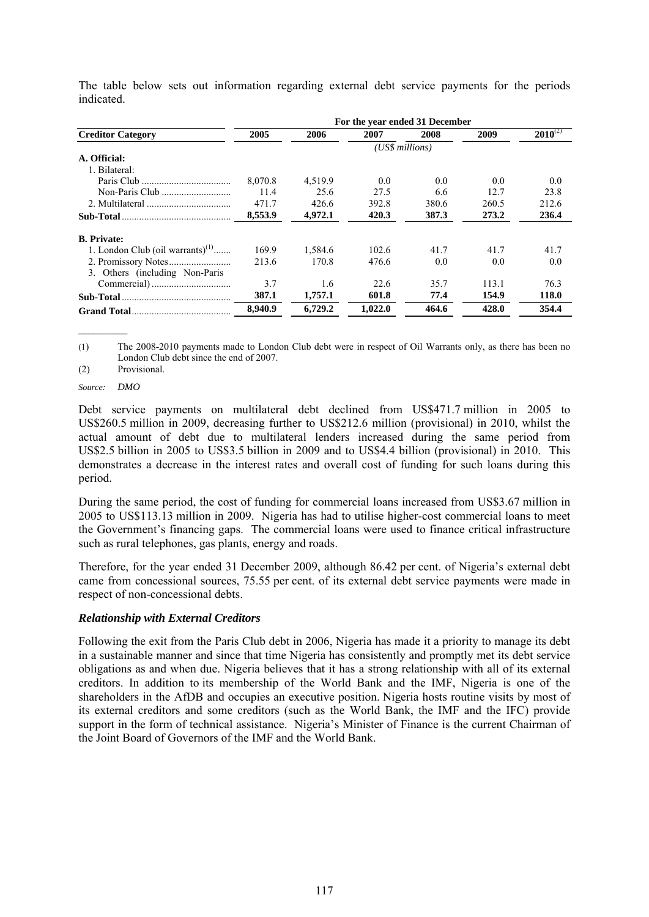|                                     | For the year ended 31 December |         |                 |       |       |              |  |
|-------------------------------------|--------------------------------|---------|-----------------|-------|-------|--------------|--|
| <b>Creditor Category</b>            | 2005                           | 2006    | 2007            | 2008  | 2009  | $2010^{(2)}$ |  |
|                                     |                                |         | (US\$ millions) |       |       |              |  |
| A. Official:                        |                                |         |                 |       |       |              |  |
| 1. Bilateral:                       |                                |         |                 |       |       |              |  |
|                                     | 8.070.8                        | 4,519.9 | 0.0             | 0.0   | 0.0   | 0.0          |  |
|                                     | 11.4                           | 25.6    | 27.5            | 6.6   | 12.7  | 23.8         |  |
|                                     | 471.7                          | 426.6   | 392.8           | 380.6 | 260.5 | 212.6        |  |
|                                     | 8,553.9                        | 4,972.1 | 420.3           | 387.3 | 273.2 | 236.4        |  |
| <b>B.</b> Private:                  |                                |         |                 |       |       |              |  |
| 1. London Club (oil warrants) $(1)$ | 169.9                          | 1.584.6 | 102.6           | 41.7  | 41.7  | 41.7         |  |
|                                     | 213.6                          | 170.8   | 476.6           | 0.0   | 0.0   | 0.0          |  |
| 3. Others (including Non-Paris      |                                |         |                 |       |       |              |  |
|                                     | 3.7                            | 1.6     | 22.6            | 35.7  | 113.1 | 76.3         |  |
|                                     | 387.1                          | 1,757.1 | 601.8           | 77.4  | 154.9 | 118.0        |  |
|                                     | 8,940.9                        | 6,729.2 | 1,022.0         | 464.6 | 428.0 | 354.4        |  |

The table below sets out information regarding external debt service payments for the periods indicated.

(1) The 2008-2010 payments made to London Club debt were in respect of Oil Warrants only, as there has been no London Club debt since the end of 2007.

(2) Provisional.

#### *Source: DMO*

Debt service payments on multilateral debt declined from US\$471.7 million in 2005 to US\$260.5 million in 2009, decreasing further to US\$212.6 million (provisional) in 2010, whilst the actual amount of debt due to multilateral lenders increased during the same period from US\$2.5 billion in 2005 to US\$3.5 billion in 2009 and to US\$4.4 billion (provisional) in 2010. This demonstrates a decrease in the interest rates and overall cost of funding for such loans during this period.

During the same period, the cost of funding for commercial loans increased from US\$3.67 million in 2005 to US\$113.13 million in 2009. Nigeria has had to utilise higher-cost commercial loans to meet the Government's financing gaps. The commercial loans were used to finance critical infrastructure such as rural telephones, gas plants, energy and roads.

Therefore, for the year ended 31 December 2009, although 86.42 per cent. of Nigeria's external debt came from concessional sources, 75.55 per cent. of its external debt service payments were made in respect of non-concessional debts.

### *Relationship with External Creditors*

Following the exit from the Paris Club debt in 2006, Nigeria has made it a priority to manage its debt in a sustainable manner and since that time Nigeria has consistently and promptly met its debt service obligations as and when due. Nigeria believes that it has a strong relationship with all of its external creditors. In addition to its membership of the World Bank and the IMF, Nigeria is one of the shareholders in the AfDB and occupies an executive position. Nigeria hosts routine visits by most of its external creditors and some creditors (such as the World Bank, the IMF and the IFC) provide support in the form of technical assistance. Nigeria's Minister of Finance is the current Chairman of the Joint Board of Governors of the IMF and the World Bank.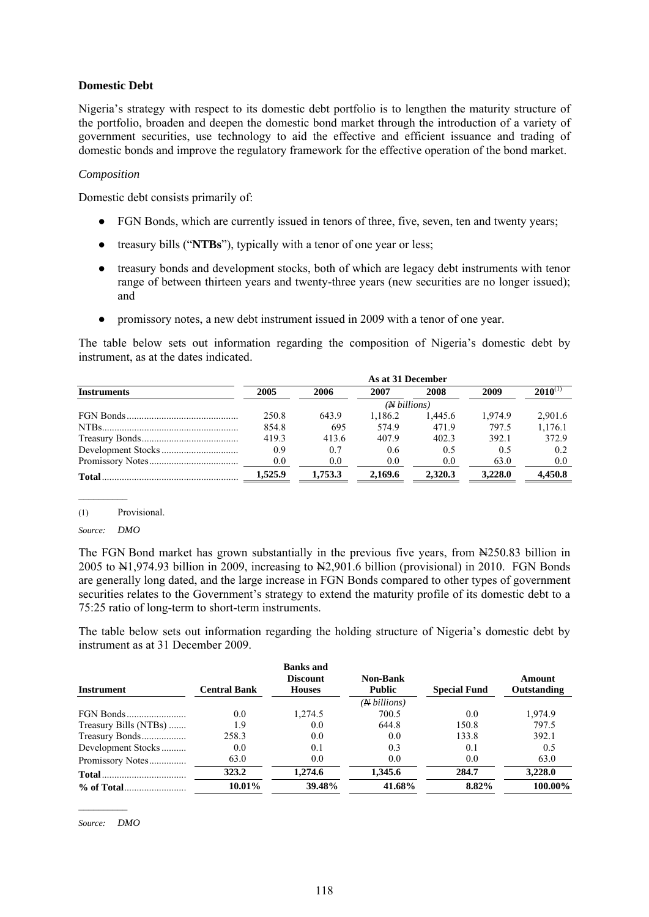#### **Domestic Debt**

Nigeria's strategy with respect to its domestic debt portfolio is to lengthen the maturity structure of the portfolio, broaden and deepen the domestic bond market through the introduction of a variety of government securities, use technology to aid the effective and efficient issuance and trading of domestic bonds and improve the regulatory framework for the effective operation of the bond market.

#### *Composition*

Domestic debt consists primarily of:

- FGN Bonds, which are currently issued in tenors of three, five, seven, ten and twenty years;
- treasury bills ("**NTBs**"), typically with a tenor of one year or less;
- treasury bonds and development stocks, both of which are legacy debt instruments with tenor range of between thirteen years and twenty-three years (new securities are no longer issued); and
- promissory notes, a new debt instrument issued in 2009 with a tenor of one year.

The table below sets out information regarding the composition of Nigeria's domestic debt by instrument, as at the dates indicated.

| <b>Instruments</b> | 2005    | 2006    | 2007                  | 2008    | 2009    | $2010^{01}$ |
|--------------------|---------|---------|-----------------------|---------|---------|-------------|
|                    |         |         | $(A\text{b}$ illions) |         |         |             |
|                    | 250.8   | 643.9   | 1.186.2               | 1.445.6 | 1.974.9 | 2,901.6     |
|                    | 854.8   | 695     | 574.9                 | 471.9   | 797.5   | 1,176.1     |
|                    | 419.3   | 413.6   | 407.9                 | 402.3   | 392.1   | 372.9       |
|                    | 0.9     | 0.7     | 0.6                   | 0.5     | 0.5     | 0.2         |
|                    | 0.0     | 0.0     | 0.0                   | 0.0     | 63.0    | 0.0         |
| <b>Total</b>       | 1,525.9 | 1,753.3 | 2,169.6               | 2,320.3 | 3.228.0 | 4.450.8     |

<sup>(1)</sup> Provisional.

*Source: DMO*

The FGN Bond market has grown substantially in the previous five years, from  $\frac{N250.83}{N250.83}$  billion in 2005 to  $\text{N1},974.93$  billion in 2009, increasing to  $\text{N2},901.6$  billion (provisional) in 2010. FGN Bonds are generally long dated, and the large increase in FGN Bonds compared to other types of government securities relates to the Government's strategy to extend the maturity profile of its domestic debt to a 75:25 ratio of long-term to short-term instruments.

The table below sets out information regarding the holding structure of Nigeria's domestic debt by instrument as at 31 December 2009.

|                       |                     | <b>Banks</b> and<br><b>Discount</b> | <b>Non-Bank</b>      |                     | Amount      |
|-----------------------|---------------------|-------------------------------------|----------------------|---------------------|-------------|
| <b>Instrument</b>     | <b>Central Bank</b> | <b>Houses</b>                       | <b>Public</b>        | <b>Special Fund</b> | Outstanding |
|                       |                     |                                     | ( <i>N</i> billions) |                     |             |
|                       | 0.0                 | 1.274.5                             | 700.5                | 0.0                 | 1,974.9     |
| Treasury Bills (NTBs) | 1.9                 | 0.0                                 | 644.8                | 150.8               | 797.5       |
| Treasury Bonds        | 258.3               | 0.0                                 | 0.0                  | 133.8               | 392.1       |
| Development Stocks    | 0.0                 | 0.1                                 | 0.3                  | 0.1                 | 0.5         |
| Promissory Notes      | 63.0                | 0.0                                 | 0.0                  | 0.0                 | 63.0        |
|                       | 323.2               | 1.274.6                             | 1.345.6              | 284.7               | 3,228.0     |
|                       | 10.01%              | 39.48%                              | 41.68%               | 8.82%               | 100.00%     |

*Source: DMO*

 $\frac{1}{2}$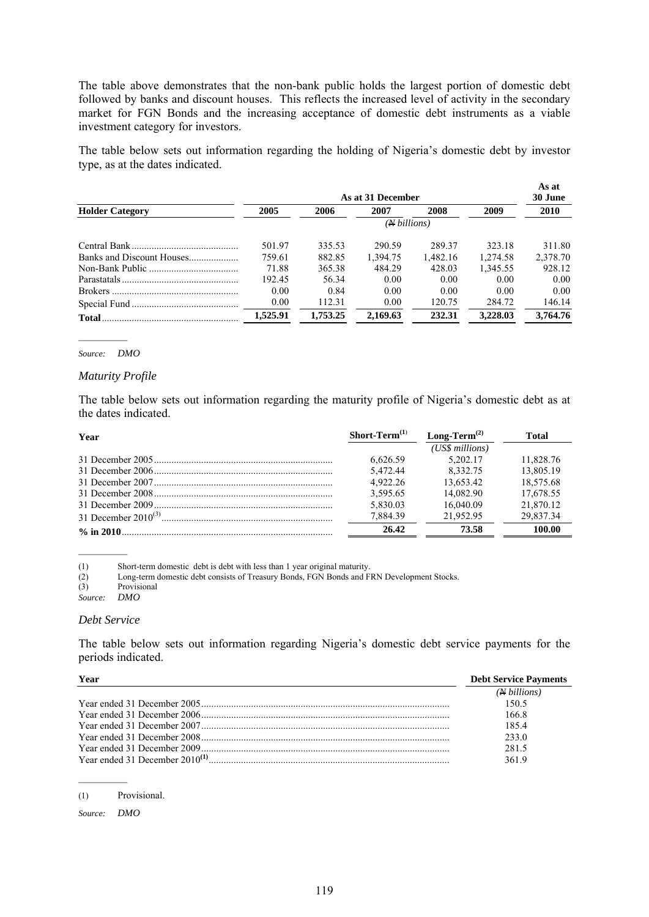The table above demonstrates that the non-bank public holds the largest portion of domestic debt followed by banks and discount houses. This reflects the increased level of activity in the secondary market for FGN Bonds and the increasing acceptance of domestic debt instruments as a viable investment category for investors.

The table below sets out information regarding the holding of Nigeria's domestic debt by investor type, as at the dates indicated.

|                        | As at 31 December |          |              |          |          |          |
|------------------------|-------------------|----------|--------------|----------|----------|----------|
| <b>Holder Category</b> | 2005              | 2006     | 2007         | 2008     | 2009     | 2010     |
|                        |                   |          | (N billions) |          |          |          |
|                        | 501.97            | 335.53   | 290.59       | 289 37   | 323.18   | 311.80   |
|                        | 759.61            | 882.85   | 1.394.75     | 1.482.16 | 1.274.58 | 2.378.70 |
|                        | 71.88             | 365.38   | 484.29       | 428.03   | 1.345.55 | 928.12   |
|                        | 192.45            | 56.34    | 0.00         | 0.00     | 0.00     | 0.00     |
|                        | 0.00              | 0.84     | 0.00         | 0.00     | 0.00     | 0.00     |
|                        | 0.00              | 112.31   | 0.00         | 120.75   | 284.72   | 146.14   |
| Total                  | 1.525.91          | 1,753.25 | 2.169.63     | 232.31   | 3.228.03 | 3.764.76 |

#### *Source: DMO*

#### *Maturity Profile*

The table below sets out information regarding the maturity profile of Nigeria's domestic debt as at the dates indicated.

| Year | Short-Term $(1)$ | Long-Term <sup><math>(2)</math></sup> | Total     |
|------|------------------|---------------------------------------|-----------|
|      |                  | (US\$ millions)                       |           |
|      | 6.626.59         | 5.202.17                              | 11.828.76 |
|      | 5.472.44         | 8.332.75                              | 13.805.19 |
|      | 4.922.26         | 13.653.42                             | 18.575.68 |
|      | 3.595.65         | 14.082.90                             | 17,678.55 |
|      | 5,830.03         | 16.040.09                             | 21,870.12 |
|      | 7.884.39         | 21.952.95                             | 29.837.34 |
|      | 26.42            | 73.58                                 | 100.00    |

(1) Short-term domestic debt is debt with less than 1 year original maturity.

(2) Long-term domestic debt consists of Treasury Bonds, FGN Bonds and FRN Development Stocks.

 $(3)$  Provisional<br>Source: DMO

 $Source:$ 

#### *Debt Service*

The table below sets out information regarding Nigeria's domestic debt service payments for the periods indicated.

| Year | <b>Debt Service Payments</b> |
|------|------------------------------|
|      | $(N \, billions)$            |
|      | 150.5                        |
|      | 166.8                        |
|      | 1854                         |
|      | 233.0                        |
|      | 281.5                        |
|      | 3619                         |

<sup>(1)</sup> Provisional.

*Source: DMO*

 $\mathcal{L}_\text{max}$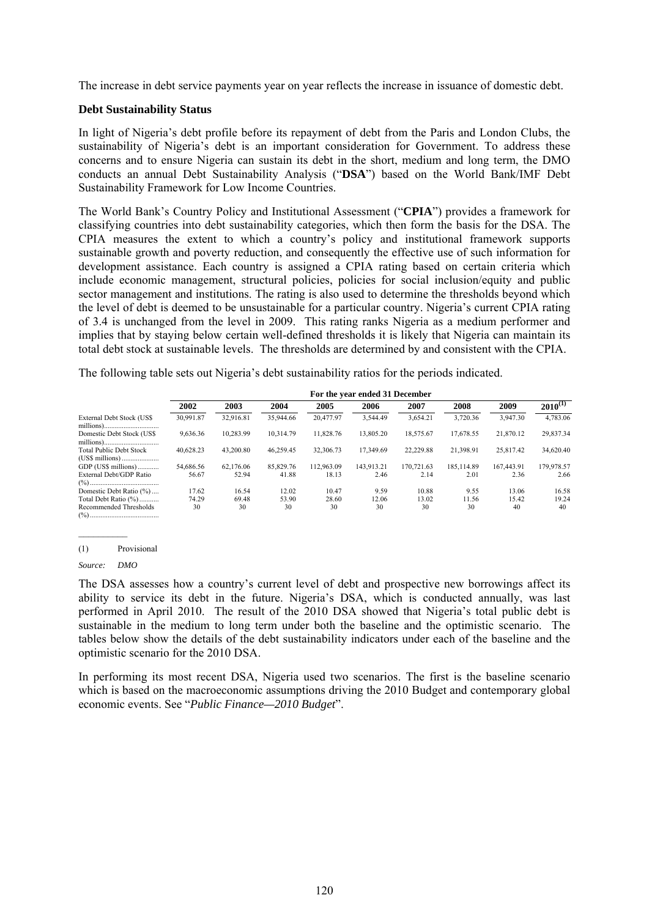The increase in debt service payments year on year reflects the increase in issuance of domestic debt.

#### **Debt Sustainability Status**

In light of Nigeria's debt profile before its repayment of debt from the Paris and London Clubs, the sustainability of Nigeria's debt is an important consideration for Government. To address these concerns and to ensure Nigeria can sustain its debt in the short, medium and long term, the DMO conducts an annual Debt Sustainability Analysis ("**DSA**") based on the World Bank/IMF Debt Sustainability Framework for Low Income Countries.

The World Bank's Country Policy and Institutional Assessment ("**CPIA**") provides a framework for classifying countries into debt sustainability categories, which then form the basis for the DSA. The CPIA measures the extent to which a country's policy and institutional framework supports sustainable growth and poverty reduction, and consequently the effective use of such information for development assistance. Each country is assigned a CPIA rating based on certain criteria which include economic management, structural policies, policies for social inclusion/equity and public sector management and institutions. The rating is also used to determine the thresholds beyond which the level of debt is deemed to be unsustainable for a particular country. Nigeria's current CPIA rating of 3.4 is unchanged from the level in 2009. This rating ranks Nigeria as a medium performer and implies that by staying below certain well-defined thresholds it is likely that Nigeria can maintain its total debt stock at sustainable levels. The thresholds are determined by and consistent with the CPIA.

The following table sets out Nigeria's debt sustainability ratios for the periods indicated.

|                                | For the year ended 31 December |           |           |            |            |            |            |            |              |
|--------------------------------|--------------------------------|-----------|-----------|------------|------------|------------|------------|------------|--------------|
|                                | 2002                           | 2003      | 2004      | 2005       | 2006       | 2007       | 2008       | 2009       | $2010^{(1)}$ |
| External Debt Stock (US\$)     | 30,991.87                      | 32.916.81 | 35,944.66 | 20.477.97  | 3,544.49   | 3,654.21   | 3,720.36   | 3,947.30   | 4,783.06     |
| Domestic Debt Stock (US\$)     | 9,636.36                       | 10.283.99 | 10.314.79 | 11.828.76  | 13.805.20  | 18,575.67  | 17.678.55  | 21.870.12  | 29,837.34    |
| <b>Total Public Debt Stock</b> | 40.628.23                      | 43.200.80 | 46.259.45 | 32,306.73  | 17.349.69  | 22.229.88  | 21.398.91  | 25.817.42  | 34,620.40    |
| GDP (US\$ millions)            | 54,686.56                      | 62.176.06 | 85,829.76 | 112.963.09 | 143.913.21 | 170.721.63 | 185.114.89 | 167,443.91 | 179,978.57   |
| External Debt/GDP Ratio        | 56.67                          | 52.94     | 41.88     | 18.13      | 2.46       | 2.14       | 2.01       | 2.36       | 2.66         |
| Domestic Debt Ratio (%)        | 17.62                          | 16.54     | 12.02     | 10.47      | 9.59       | 10.88      | 9.55       | 13.06      | 16.58        |
| Total Debt Ratio (%)           | 74.29                          | 69.48     | 53.90     | 28.60      | 12.06      | 13.02      | 11.56      | 15.42      | 19.24        |
| Recommended Thresholds         | 30                             | 30        | 30        | 30         | 30         | 30         | 30         | 40         | 40           |

(1) Provisional

The DSA assesses how a country's current level of debt and prospective new borrowings affect its ability to service its debt in the future. Nigeria's DSA, which is conducted annually, was last performed in April 2010. The result of the 2010 DSA showed that Nigeria's total public debt is sustainable in the medium to long term under both the baseline and the optimistic scenario. The tables below show the details of the debt sustainability indicators under each of the baseline and the optimistic scenario for the 2010 DSA.

In performing its most recent DSA, Nigeria used two scenarios. The first is the baseline scenario which is based on the macroeconomic assumptions driving the 2010 Budget and contemporary global economic events. See "*Public Finance—2010 Budget*".

*Source: DMO*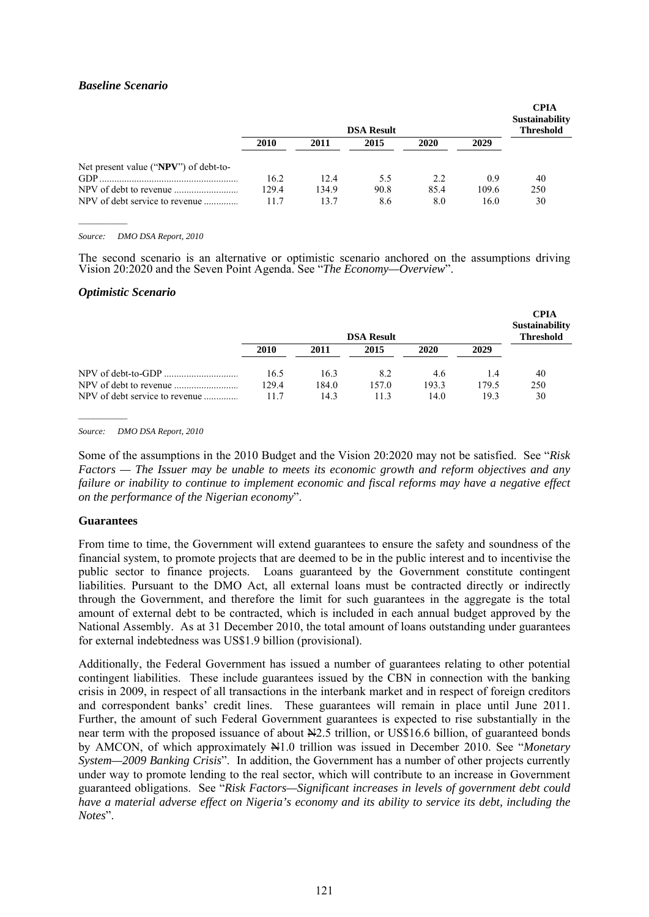### *Baseline Scenario*

|                                       | <b>DSA Result</b> |       |      |      |       | <b>CPIA</b><br>Sustainability<br><b>Threshold</b> |
|---------------------------------------|-------------------|-------|------|------|-------|---------------------------------------------------|
|                                       | 2010              | 2011  | 2015 | 2020 | 2029  |                                                   |
| Net present value ("NPV") of debt-to- |                   |       |      |      |       |                                                   |
| $GDP$ .                               | 16.2              | 12.4  | 5.5  | 2.2  | 0.9   | 40                                                |
|                                       | 129.4             | 134.9 | 90.8 | 85.4 | 109.6 | 250                                               |
| NPV of debt service to revenue        | 11.7              | 13.7  | 8.6  | 8.0  | 16.0  | 30                                                |

*Source: DMO DSA Report, 2010* 

The second scenario is an alternative or optimistic scenario anchored on the assumptions driving Vision 20:2020 and the Seven Point Agenda. See "*The Economy—Overview*".

#### *Optimistic Scenario*

|                                |       |       | <b>DSA Result</b> |       |       | <b>CPIA</b><br><b>Sustainability</b><br><b>Threshold</b> |
|--------------------------------|-------|-------|-------------------|-------|-------|----------------------------------------------------------|
|                                | 2010  | 2011  | 2015              | 2020  | 2029  |                                                          |
|                                | 16.5  | 16.3  | 8.2               | 4.6   | 1.4   | 40                                                       |
|                                | 129.4 | 184.0 | 157.0             | 193.3 | 179.5 | 250                                                      |
| NPV of debt service to revenue | 11.7  | 14.3  | 11.3              | 14.0  | 19.3  | 30                                                       |

*Source: DMO DSA Report, 2010* 

Some of the assumptions in the 2010 Budget and the Vision 20:2020 may not be satisfied. See "*Risk Factors — The Issuer may be unable to meets its economic growth and reform objectives and any failure or inability to continue to implement economic and fiscal reforms may have a negative effect on the performance of the Nigerian economy*".

#### **Guarantees**

From time to time, the Government will extend guarantees to ensure the safety and soundness of the financial system, to promote projects that are deemed to be in the public interest and to incentivise the public sector to finance projects. Loans guaranteed by the Government constitute contingent liabilities. Pursuant to the DMO Act, all external loans must be contracted directly or indirectly through the Government, and therefore the limit for such guarantees in the aggregate is the total amount of external debt to be contracted, which is included in each annual budget approved by the National Assembly. As at 31 December 2010, the total amount of loans outstanding under guarantees for external indebtedness was US\$1.9 billion (provisional).

Additionally, the Federal Government has issued a number of guarantees relating to other potential contingent liabilities. These include guarantees issued by the CBN in connection with the banking crisis in 2009, in respect of all transactions in the interbank market and in respect of foreign creditors and correspondent banks' credit lines. These guarantees will remain in place until June 2011. Further, the amount of such Federal Government guarantees is expected to rise substantially in the near term with the proposed issuance of about  $\frac{N}{2}$ .5 trillion, or US\$16.6 billion, of guaranteed bonds by AMCON, of which approximately N1.0 trillion was issued in December 2010. See "*Monetary System—2009 Banking Crisis*". In addition, the Government has a number of other projects currently under way to promote lending to the real sector, which will contribute to an increase in Government guaranteed obligations. See "*Risk Factors—Significant increases in levels of government debt could have a material adverse effect on Nigeria's economy and its ability to service its debt, including the Notes*".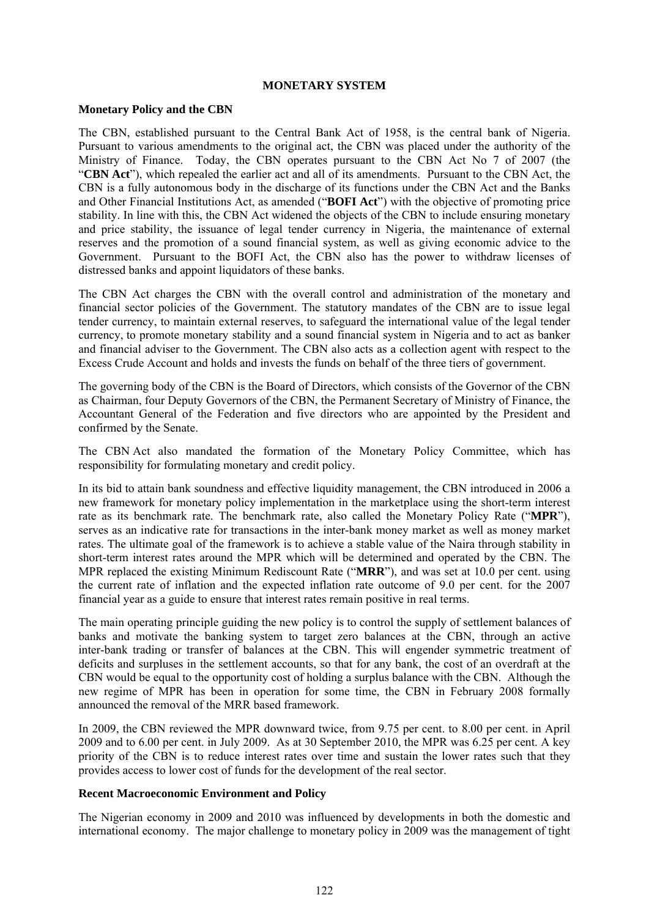#### **MONETARY SYSTEM**

#### **Monetary Policy and the CBN**

The CBN, established pursuant to the Central Bank Act of 1958, is the central bank of Nigeria. Pursuant to various amendments to the original act, the CBN was placed under the authority of the Ministry of Finance. Today, the CBN operates pursuant to the CBN Act No 7 of 2007 (the "**CBN Act**"), which repealed the earlier act and all of its amendments. Pursuant to the CBN Act, the CBN is a fully autonomous body in the discharge of its functions under the CBN Act and the Banks and Other Financial Institutions Act, as amended ("**BOFI Act**") with the objective of promoting price stability. In line with this, the CBN Act widened the objects of the CBN to include ensuring monetary and price stability, the issuance of legal tender currency in Nigeria, the maintenance of external reserves and the promotion of a sound financial system, as well as giving economic advice to the Government. Pursuant to the BOFI Act, the CBN also has the power to withdraw licenses of distressed banks and appoint liquidators of these banks.

The CBN Act charges the CBN with the overall control and administration of the monetary and financial sector policies of the Government. The statutory mandates of the CBN are to issue legal tender currency, to maintain external reserves, to safeguard the international value of the legal tender currency, to promote monetary stability and a sound financial system in Nigeria and to act as banker and financial adviser to the Government. The CBN also acts as a collection agent with respect to the Excess Crude Account and holds and invests the funds on behalf of the three tiers of government.

The governing body of the CBN is the Board of Directors, which consists of the Governor of the CBN as Chairman, four Deputy Governors of the CBN, the Permanent Secretary of Ministry of Finance, the Accountant General of the Federation and five directors who are appointed by the President and confirmed by the Senate.

The CBN Act also mandated the formation of the Monetary Policy Committee, which has responsibility for formulating monetary and credit policy.

In its bid to attain bank soundness and effective liquidity management, the CBN introduced in 2006 a new framework for monetary policy implementation in the marketplace using the short-term interest rate as its benchmark rate. The benchmark rate, also called the Monetary Policy Rate ("**MPR**"), serves as an indicative rate for transactions in the inter-bank money market as well as money market rates. The ultimate goal of the framework is to achieve a stable value of the Naira through stability in short-term interest rates around the MPR which will be determined and operated by the CBN. The MPR replaced the existing Minimum Rediscount Rate ("**MRR**"), and was set at 10.0 per cent. using the current rate of inflation and the expected inflation rate outcome of 9.0 per cent. for the 2007 financial year as a guide to ensure that interest rates remain positive in real terms.

The main operating principle guiding the new policy is to control the supply of settlement balances of banks and motivate the banking system to target zero balances at the CBN, through an active inter-bank trading or transfer of balances at the CBN. This will engender symmetric treatment of deficits and surpluses in the settlement accounts, so that for any bank, the cost of an overdraft at the CBN would be equal to the opportunity cost of holding a surplus balance with the CBN. Although the new regime of MPR has been in operation for some time, the CBN in February 2008 formally announced the removal of the MRR based framework.

In 2009, the CBN reviewed the MPR downward twice, from 9.75 per cent. to 8.00 per cent. in April 2009 and to 6.00 per cent. in July 2009. As at 30 September 2010, the MPR was 6.25 per cent. A key priority of the CBN is to reduce interest rates over time and sustain the lower rates such that they provides access to lower cost of funds for the development of the real sector.

#### **Recent Macroeconomic Environment and Policy**

The Nigerian economy in 2009 and 2010 was influenced by developments in both the domestic and international economy. The major challenge to monetary policy in 2009 was the management of tight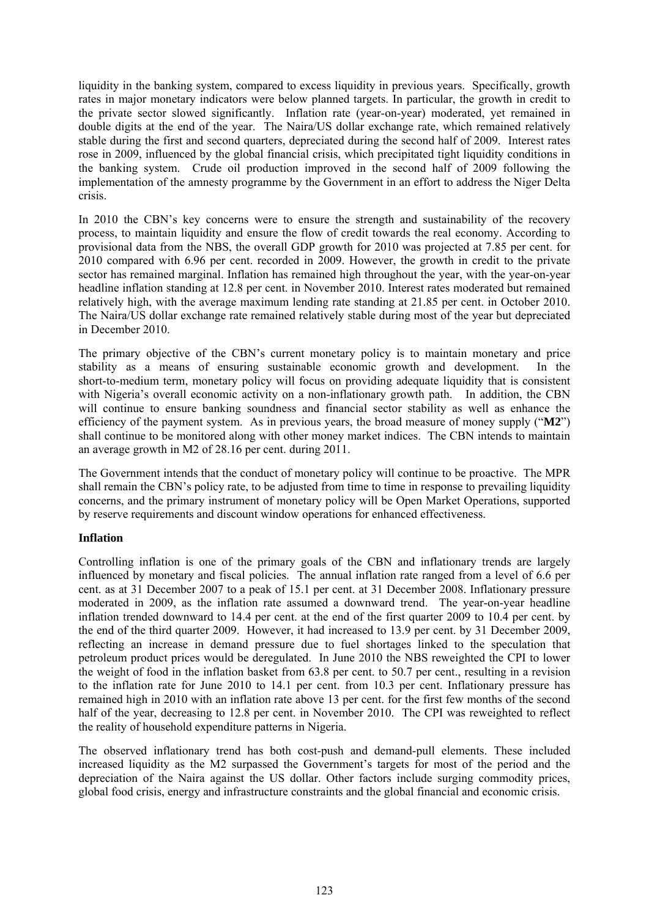liquidity in the banking system, compared to excess liquidity in previous years. Specifically, growth rates in major monetary indicators were below planned targets. In particular, the growth in credit to the private sector slowed significantly. Inflation rate (year-on-year) moderated, yet remained in double digits at the end of the year. The Naira/US dollar exchange rate, which remained relatively stable during the first and second quarters, depreciated during the second half of 2009. Interest rates rose in 2009, influenced by the global financial crisis, which precipitated tight liquidity conditions in the banking system. Crude oil production improved in the second half of 2009 following the implementation of the amnesty programme by the Government in an effort to address the Niger Delta crisis.

In 2010 the CBN's key concerns were to ensure the strength and sustainability of the recovery process, to maintain liquidity and ensure the flow of credit towards the real economy. According to provisional data from the NBS, the overall GDP growth for 2010 was projected at 7.85 per cent. for 2010 compared with 6.96 per cent. recorded in 2009. However, the growth in credit to the private sector has remained marginal. Inflation has remained high throughout the year, with the year-on-year headline inflation standing at 12.8 per cent. in November 2010. Interest rates moderated but remained relatively high, with the average maximum lending rate standing at 21.85 per cent. in October 2010. The Naira/US dollar exchange rate remained relatively stable during most of the year but depreciated in December 2010.

The primary objective of the CBN's current monetary policy is to maintain monetary and price stability as a means of ensuring sustainable economic growth and development. In the short-to-medium term, monetary policy will focus on providing adequate liquidity that is consistent with Nigeria's overall economic activity on a non-inflationary growth path. In addition, the CBN will continue to ensure banking soundness and financial sector stability as well as enhance the efficiency of the payment system. As in previous years, the broad measure of money supply ("**M2**") shall continue to be monitored along with other money market indices. The CBN intends to maintain an average growth in M2 of 28.16 per cent. during 2011.

The Government intends that the conduct of monetary policy will continue to be proactive. The MPR shall remain the CBN's policy rate, to be adjusted from time to time in response to prevailing liquidity concerns, and the primary instrument of monetary policy will be Open Market Operations, supported by reserve requirements and discount window operations for enhanced effectiveness.

### **Inflation**

Controlling inflation is one of the primary goals of the CBN and inflationary trends are largely influenced by monetary and fiscal policies. The annual inflation rate ranged from a level of 6.6 per cent. as at 31 December 2007 to a peak of 15.1 per cent. at 31 December 2008. Inflationary pressure moderated in 2009, as the inflation rate assumed a downward trend. The year-on-year headline inflation trended downward to 14.4 per cent. at the end of the first quarter 2009 to 10.4 per cent. by the end of the third quarter 2009. However, it had increased to 13.9 per cent. by 31 December 2009, reflecting an increase in demand pressure due to fuel shortages linked to the speculation that petroleum product prices would be deregulated. In June 2010 the NBS reweighted the CPI to lower the weight of food in the inflation basket from 63.8 per cent. to 50.7 per cent., resulting in a revision to the inflation rate for June 2010 to 14.1 per cent. from 10.3 per cent. Inflationary pressure has remained high in 2010 with an inflation rate above 13 per cent. for the first few months of the second half of the year, decreasing to 12.8 per cent. in November 2010. The CPI was reweighted to reflect the reality of household expenditure patterns in Nigeria.

The observed inflationary trend has both cost-push and demand-pull elements. These included increased liquidity as the M2 surpassed the Government's targets for most of the period and the depreciation of the Naira against the US dollar. Other factors include surging commodity prices, global food crisis, energy and infrastructure constraints and the global financial and economic crisis.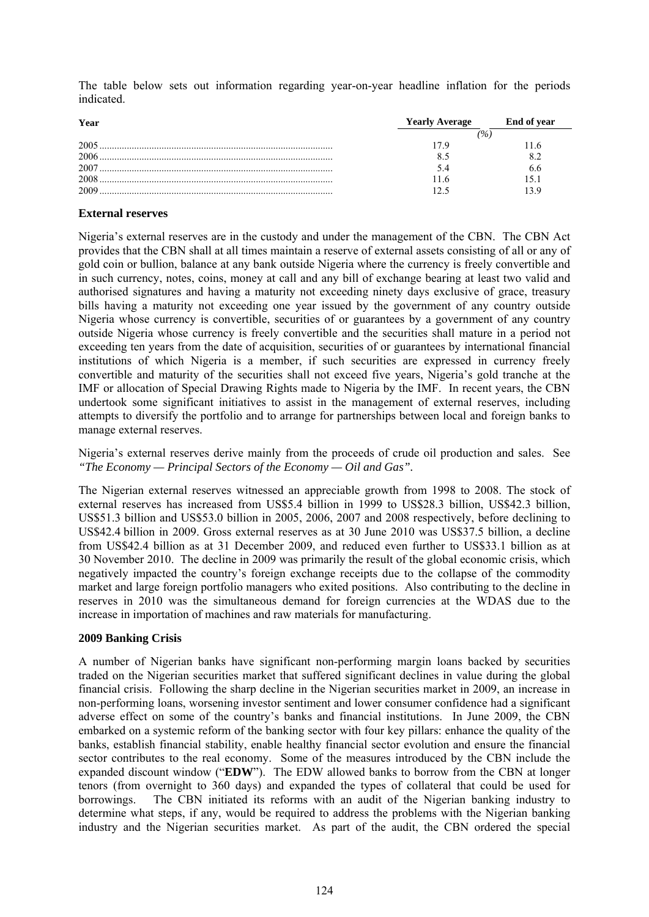The table below sets out information regarding year-on-year headline inflation for the periods indicated.

| Year | <b>Yearly Average</b> | End of year |
|------|-----------------------|-------------|
|      |                       |             |
| 2005 |                       |             |
| 2006 |                       |             |
|      |                       |             |
| 2008 |                       | -5.1        |
| 2009 |                       |             |

#### **External reserves**

Nigeria's external reserves are in the custody and under the management of the CBN. The CBN Act provides that the CBN shall at all times maintain a reserve of external assets consisting of all or any of gold coin or bullion, balance at any bank outside Nigeria where the currency is freely convertible and in such currency, notes, coins, money at call and any bill of exchange bearing at least two valid and authorised signatures and having a maturity not exceeding ninety days exclusive of grace, treasury bills having a maturity not exceeding one year issued by the government of any country outside Nigeria whose currency is convertible, securities of or guarantees by a government of any country outside Nigeria whose currency is freely convertible and the securities shall mature in a period not exceeding ten years from the date of acquisition, securities of or guarantees by international financial institutions of which Nigeria is a member, if such securities are expressed in currency freely convertible and maturity of the securities shall not exceed five years, Nigeria's gold tranche at the IMF or allocation of Special Drawing Rights made to Nigeria by the IMF. In recent years, the CBN undertook some significant initiatives to assist in the management of external reserves, including attempts to diversify the portfolio and to arrange for partnerships between local and foreign banks to manage external reserves.

Nigeria's external reserves derive mainly from the proceeds of crude oil production and sales. See *"The Economy — Principal Sectors of the Economy — Oil and Gas".* 

The Nigerian external reserves witnessed an appreciable growth from 1998 to 2008. The stock of external reserves has increased from US\$5.4 billion in 1999 to US\$28.3 billion, US\$42.3 billion, US\$51.3 billion and US\$53.0 billion in 2005, 2006, 2007 and 2008 respectively, before declining to US\$42.4 billion in 2009. Gross external reserves as at 30 June 2010 was US\$37.5 billion, a decline from US\$42.4 billion as at 31 December 2009, and reduced even further to US\$33.1 billion as at 30 November 2010. The decline in 2009 was primarily the result of the global economic crisis, which negatively impacted the country's foreign exchange receipts due to the collapse of the commodity market and large foreign portfolio managers who exited positions. Also contributing to the decline in reserves in 2010 was the simultaneous demand for foreign currencies at the WDAS due to the increase in importation of machines and raw materials for manufacturing.

#### **2009 Banking Crisis**

A number of Nigerian banks have significant non-performing margin loans backed by securities traded on the Nigerian securities market that suffered significant declines in value during the global financial crisis. Following the sharp decline in the Nigerian securities market in 2009, an increase in non-performing loans, worsening investor sentiment and lower consumer confidence had a significant adverse effect on some of the country's banks and financial institutions. In June 2009, the CBN embarked on a systemic reform of the banking sector with four key pillars: enhance the quality of the banks, establish financial stability, enable healthy financial sector evolution and ensure the financial sector contributes to the real economy. Some of the measures introduced by the CBN include the expanded discount window ("**EDW**"). The EDW allowed banks to borrow from the CBN at longer tenors (from overnight to 360 days) and expanded the types of collateral that could be used for borrowings. The CBN initiated its reforms with an audit of the Nigerian banking industry to determine what steps, if any, would be required to address the problems with the Nigerian banking industry and the Nigerian securities market. As part of the audit, the CBN ordered the special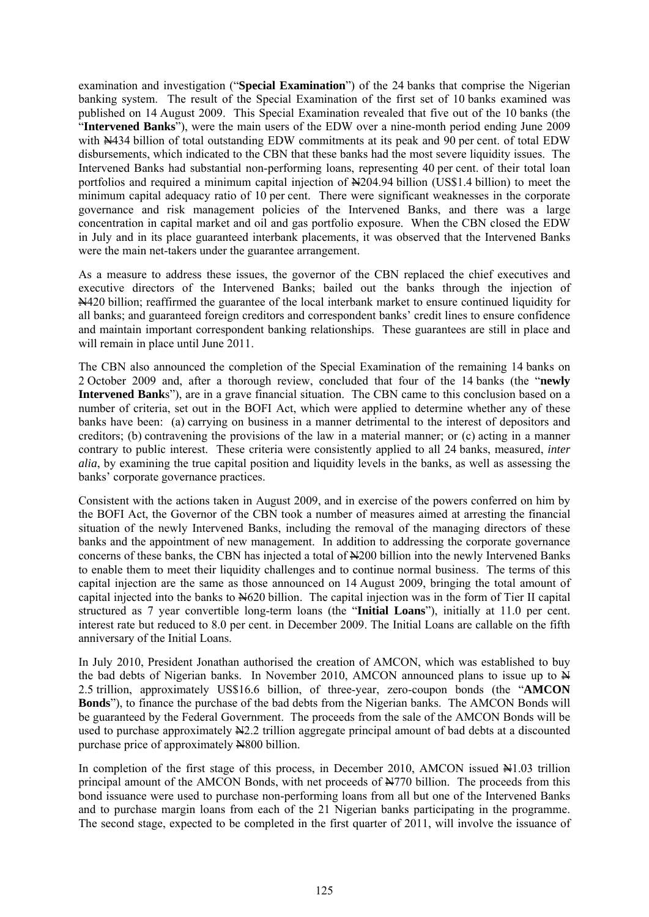examination and investigation ("**Special Examination**") of the 24 banks that comprise the Nigerian banking system. The result of the Special Examination of the first set of 10 banks examined was published on 14 August 2009. This Special Examination revealed that five out of the 10 banks (the "**Intervened Banks**"), were the main users of the EDW over a nine-month period ending June 2009 with  $\frac{N}{4}$ 434 billion of total outstanding EDW commitments at its peak and 90 per cent. of total EDW disbursements, which indicated to the CBN that these banks had the most severe liquidity issues. The Intervened Banks had substantial non-performing loans, representing 40 per cent. of their total loan portfolios and required a minimum capital injection of  $\angle 204.94$  billion (US\$1.4 billion) to meet the minimum capital adequacy ratio of 10 per cent. There were significant weaknesses in the corporate governance and risk management policies of the Intervened Banks, and there was a large concentration in capital market and oil and gas portfolio exposure. When the CBN closed the EDW in July and in its place guaranteed interbank placements, it was observed that the Intervened Banks were the main net-takers under the guarantee arrangement.

As a measure to address these issues, the governor of the CBN replaced the chief executives and executive directors of the Intervened Banks; bailed out the banks through the injection of N420 billion; reaffirmed the guarantee of the local interbank market to ensure continued liquidity for all banks; and guaranteed foreign creditors and correspondent banks' credit lines to ensure confidence and maintain important correspondent banking relationships. These guarantees are still in place and will remain in place until June 2011.

The CBN also announced the completion of the Special Examination of the remaining 14 banks on 2 October 2009 and, after a thorough review, concluded that four of the 14 banks (the "**newly Intervened Bank**s"), are in a grave financial situation. The CBN came to this conclusion based on a number of criteria, set out in the BOFI Act, which were applied to determine whether any of these banks have been: (a) carrying on business in a manner detrimental to the interest of depositors and creditors; (b) contravening the provisions of the law in a material manner; or (c) acting in a manner contrary to public interest. These criteria were consistently applied to all 24 banks, measured, *inter alia*, by examining the true capital position and liquidity levels in the banks, as well as assessing the banks' corporate governance practices.

Consistent with the actions taken in August 2009, and in exercise of the powers conferred on him by the BOFI Act, the Governor of the CBN took a number of measures aimed at arresting the financial situation of the newly Intervened Banks, including the removal of the managing directors of these banks and the appointment of new management. In addition to addressing the corporate governance concerns of these banks, the CBN has injected a total of N200 billion into the newly Intervened Banks to enable them to meet their liquidity challenges and to continue normal business. The terms of this capital injection are the same as those announced on 14 August 2009, bringing the total amount of capital injected into the banks to N620 billion. The capital injection was in the form of Tier II capital structured as 7 year convertible long-term loans (the "**Initial Loans**"), initially at 11.0 per cent. interest rate but reduced to 8.0 per cent. in December 2009. The Initial Loans are callable on the fifth anniversary of the Initial Loans.

In July 2010, President Jonathan authorised the creation of AMCON, which was established to buy the bad debts of Nigerian banks. In November 2010, AMCON announced plans to issue up to N 2.5 trillion, approximately US\$16.6 billion, of three-year, zero-coupon bonds (the "**AMCON Bonds**"), to finance the purchase of the bad debts from the Nigerian banks. The AMCON Bonds will be guaranteed by the Federal Government. The proceeds from the sale of the AMCON Bonds will be used to purchase approximately  $\frac{1}{2}$ . trillion aggregate principal amount of bad debts at a discounted purchase price of approximately N800 billion.

In completion of the first stage of this process, in December 2010, AMCON issued  $\mathbb{H}1.03$  trillion principal amount of the AMCON Bonds, with net proceeds of  $\frac{N}{70}$  billion. The proceeds from this bond issuance were used to purchase non-performing loans from all but one of the Intervened Banks and to purchase margin loans from each of the 21 Nigerian banks participating in the programme. The second stage, expected to be completed in the first quarter of 2011, will involve the issuance of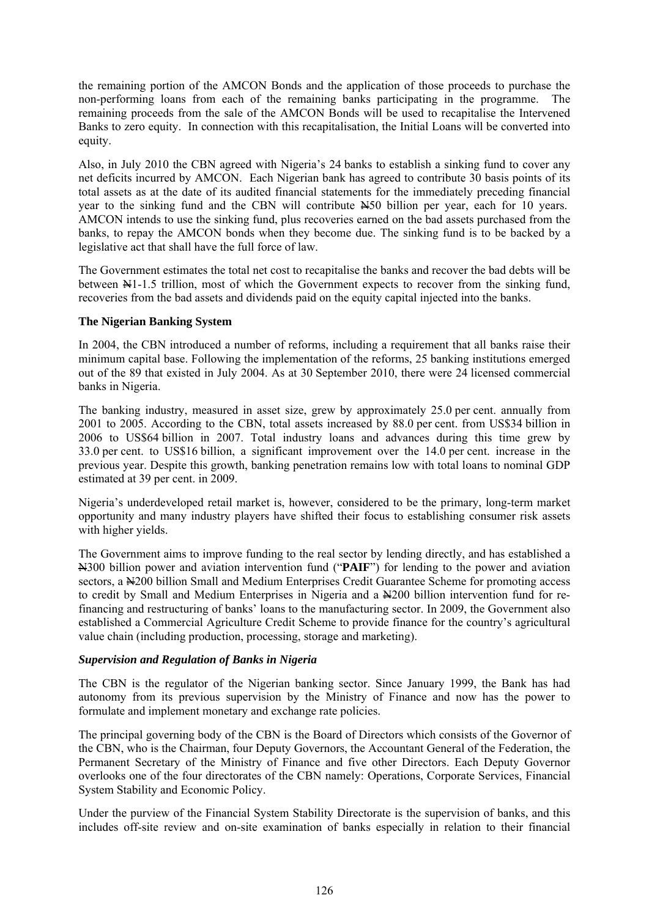the remaining portion of the AMCON Bonds and the application of those proceeds to purchase the non-performing loans from each of the remaining banks participating in the programme. The remaining proceeds from the sale of the AMCON Bonds will be used to recapitalise the Intervened Banks to zero equity. In connection with this recapitalisation, the Initial Loans will be converted into equity.

Also, in July 2010 the CBN agreed with Nigeria's 24 banks to establish a sinking fund to cover any net deficits incurred by AMCON. Each Nigerian bank has agreed to contribute 30 basis points of its total assets as at the date of its audited financial statements for the immediately preceding financial year to the sinking fund and the CBN will contribute N50 billion per year, each for 10 years. AMCON intends to use the sinking fund, plus recoveries earned on the bad assets purchased from the banks, to repay the AMCON bonds when they become due. The sinking fund is to be backed by a legislative act that shall have the full force of law.

The Government estimates the total net cost to recapitalise the banks and recover the bad debts will be between N1-1.5 trillion, most of which the Government expects to recover from the sinking fund, recoveries from the bad assets and dividends paid on the equity capital injected into the banks.

### **The Nigerian Banking System**

In 2004, the CBN introduced a number of reforms, including a requirement that all banks raise their minimum capital base. Following the implementation of the reforms, 25 banking institutions emerged out of the 89 that existed in July 2004. As at 30 September 2010, there were 24 licensed commercial banks in Nigeria.

The banking industry, measured in asset size, grew by approximately 25.0 per cent. annually from 2001 to 2005. According to the CBN, total assets increased by 88.0 per cent. from US\$34 billion in 2006 to US\$64 billion in 2007. Total industry loans and advances during this time grew by 33.0 per cent. to US\$16 billion, a significant improvement over the 14.0 per cent. increase in the previous year. Despite this growth, banking penetration remains low with total loans to nominal GDP estimated at 39 per cent. in 2009.

Nigeria's underdeveloped retail market is, however, considered to be the primary, long-term market opportunity and many industry players have shifted their focus to establishing consumer risk assets with higher yields.

The Government aims to improve funding to the real sector by lending directly, and has established a N300 billion power and aviation intervention fund ("**PAIF**") for lending to the power and aviation sectors, a  $\&$ 200 billion Small and Medium Enterprises Credit Guarantee Scheme for promoting access to credit by Small and Medium Enterprises in Nigeria and a N200 billion intervention fund for refinancing and restructuring of banks' loans to the manufacturing sector. In 2009, the Government also established a Commercial Agriculture Credit Scheme to provide finance for the country's agricultural value chain (including production, processing, storage and marketing).

### *Supervision and Regulation of Banks in Nigeria*

The CBN is the regulator of the Nigerian banking sector. Since January 1999, the Bank has had autonomy from its previous supervision by the Ministry of Finance and now has the power to formulate and implement monetary and exchange rate policies.

The principal governing body of the CBN is the Board of Directors which consists of the Governor of the CBN, who is the Chairman, four Deputy Governors, the Accountant General of the Federation, the Permanent Secretary of the Ministry of Finance and five other Directors. Each Deputy Governor overlooks one of the four directorates of the CBN namely: Operations, Corporate Services, Financial System Stability and Economic Policy.

Under the purview of the Financial System Stability Directorate is the supervision of banks, and this includes off-site review and on-site examination of banks especially in relation to their financial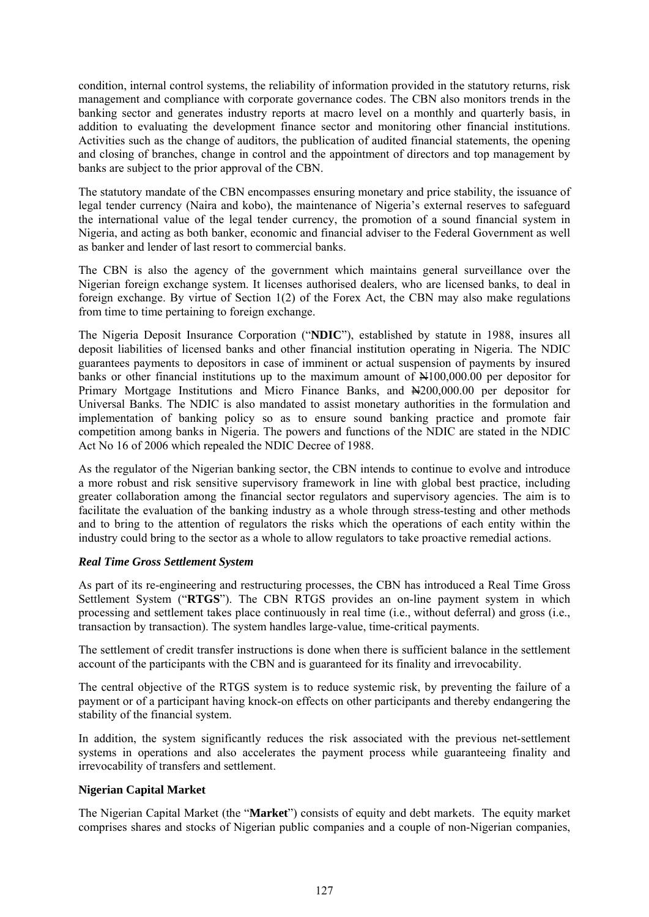condition, internal control systems, the reliability of information provided in the statutory returns, risk management and compliance with corporate governance codes. The CBN also monitors trends in the banking sector and generates industry reports at macro level on a monthly and quarterly basis, in addition to evaluating the development finance sector and monitoring other financial institutions. Activities such as the change of auditors, the publication of audited financial statements, the opening and closing of branches, change in control and the appointment of directors and top management by banks are subject to the prior approval of the CBN.

The statutory mandate of the CBN encompasses ensuring monetary and price stability, the issuance of legal tender currency (Naira and kobo), the maintenance of Nigeria's external reserves to safeguard the international value of the legal tender currency, the promotion of a sound financial system in Nigeria, and acting as both banker, economic and financial adviser to the Federal Government as well as banker and lender of last resort to commercial banks.

The CBN is also the agency of the government which maintains general surveillance over the Nigerian foreign exchange system. It licenses authorised dealers, who are licensed banks, to deal in foreign exchange. By virtue of Section 1(2) of the Forex Act, the CBN may also make regulations from time to time pertaining to foreign exchange.

The Nigeria Deposit Insurance Corporation ("**NDIC**"), established by statute in 1988, insures all deposit liabilities of licensed banks and other financial institution operating in Nigeria. The NDIC guarantees payments to depositors in case of imminent or actual suspension of payments by insured banks or other financial institutions up to the maximum amount of  $\approx 100,000,00$  per depositor for Primary Mortgage Institutions and Micro Finance Banks, and N200,000.00 per depositor for Universal Banks. The NDIC is also mandated to assist monetary authorities in the formulation and implementation of banking policy so as to ensure sound banking practice and promote fair competition among banks in Nigeria. The powers and functions of the NDIC are stated in the NDIC Act No 16 of 2006 which repealed the NDIC Decree of 1988.

As the regulator of the Nigerian banking sector, the CBN intends to continue to evolve and introduce a more robust and risk sensitive supervisory framework in line with global best practice, including greater collaboration among the financial sector regulators and supervisory agencies. The aim is to facilitate the evaluation of the banking industry as a whole through stress-testing and other methods and to bring to the attention of regulators the risks which the operations of each entity within the industry could bring to the sector as a whole to allow regulators to take proactive remedial actions.

# *Real Time Gross Settlement System*

As part of its re-engineering and restructuring processes, the CBN has introduced a Real Time Gross Settlement System ("**RTGS**"). The CBN RTGS provides an on-line payment system in which processing and settlement takes place continuously in real time (i.e., without deferral) and gross (i.e., transaction by transaction). The system handles large-value, time-critical payments.

The settlement of credit transfer instructions is done when there is sufficient balance in the settlement account of the participants with the CBN and is guaranteed for its finality and irrevocability.

The central objective of the RTGS system is to reduce systemic risk, by preventing the failure of a payment or of a participant having knock-on effects on other participants and thereby endangering the stability of the financial system.

In addition, the system significantly reduces the risk associated with the previous net-settlement systems in operations and also accelerates the payment process while guaranteeing finality and irrevocability of transfers and settlement.

# **Nigerian Capital Market**

The Nigerian Capital Market (the "**Market**") consists of equity and debt markets. The equity market comprises shares and stocks of Nigerian public companies and a couple of non-Nigerian companies,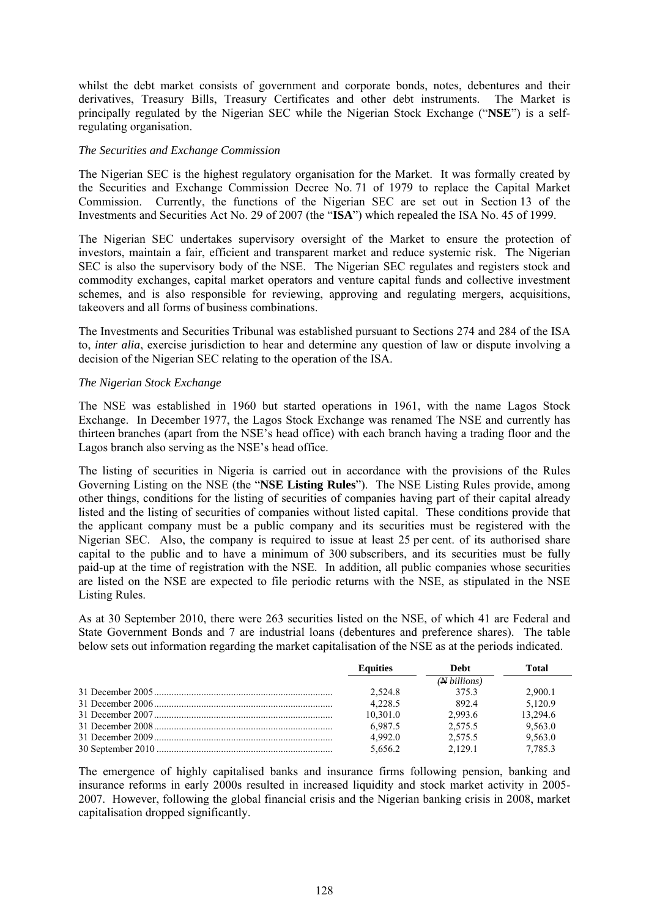whilst the debt market consists of government and corporate bonds, notes, debentures and their derivatives, Treasury Bills, Treasury Certificates and other debt instruments. The Market is principally regulated by the Nigerian SEC while the Nigerian Stock Exchange ("**NSE**") is a selfregulating organisation.

#### *The Securities and Exchange Commission*

The Nigerian SEC is the highest regulatory organisation for the Market. It was formally created by the Securities and Exchange Commission Decree No. 71 of 1979 to replace the Capital Market Commission. Currently, the functions of the Nigerian SEC are set out in Section 13 of the Investments and Securities Act No. 29 of 2007 (the "**ISA**") which repealed the ISA No. 45 of 1999.

The Nigerian SEC undertakes supervisory oversight of the Market to ensure the protection of investors, maintain a fair, efficient and transparent market and reduce systemic risk. The Nigerian SEC is also the supervisory body of the NSE. The Nigerian SEC regulates and registers stock and commodity exchanges, capital market operators and venture capital funds and collective investment schemes, and is also responsible for reviewing, approving and regulating mergers, acquisitions, takeovers and all forms of business combinations.

The Investments and Securities Tribunal was established pursuant to Sections 274 and 284 of the ISA to, *inter alia*, exercise jurisdiction to hear and determine any question of law or dispute involving a decision of the Nigerian SEC relating to the operation of the ISA.

### *The Nigerian Stock Exchange*

The NSE was established in 1960 but started operations in 1961, with the name Lagos Stock Exchange. In December 1977, the Lagos Stock Exchange was renamed The NSE and currently has thirteen branches (apart from the NSE's head office) with each branch having a trading floor and the Lagos branch also serving as the NSE's head office.

The listing of securities in Nigeria is carried out in accordance with the provisions of the Rules Governing Listing on the NSE (the "**NSE Listing Rules**"). The NSE Listing Rules provide, among other things, conditions for the listing of securities of companies having part of their capital already listed and the listing of securities of companies without listed capital. These conditions provide that the applicant company must be a public company and its securities must be registered with the Nigerian SEC. Also, the company is required to issue at least 25 per cent. of its authorised share capital to the public and to have a minimum of 300 subscribers, and its securities must be fully paid-up at the time of registration with the NSE. In addition, all public companies whose securities are listed on the NSE are expected to file periodic returns with the NSE, as stipulated in the NSE Listing Rules.

As at 30 September 2010, there were 263 securities listed on the NSE, of which 41 are Federal and State Government Bonds and 7 are industrial loans (debentures and preference shares). The table below sets out information regarding the market capitalisation of the NSE as at the periods indicated.

| <b>Equities</b> | Debt               | Total    |
|-----------------|--------------------|----------|
|                 | $(A\rightarrow B)$ |          |
| 2.524.8         | 3753               | 2.900.1  |
| 4.228.5         | 892.4              | 5.120.9  |
| 10,301.0        | 2.993.6            | 13,294.6 |
| 6.987.5         | 2.575.5            | 9,563.0  |
| 4.992.0         | 2.575.5            | 9.563.0  |
| 5,656.2         | 2.129.1            | 7.785.3  |

The emergence of highly capitalised banks and insurance firms following pension, banking and insurance reforms in early 2000s resulted in increased liquidity and stock market activity in 2005- 2007. However, following the global financial crisis and the Nigerian banking crisis in 2008, market capitalisation dropped significantly.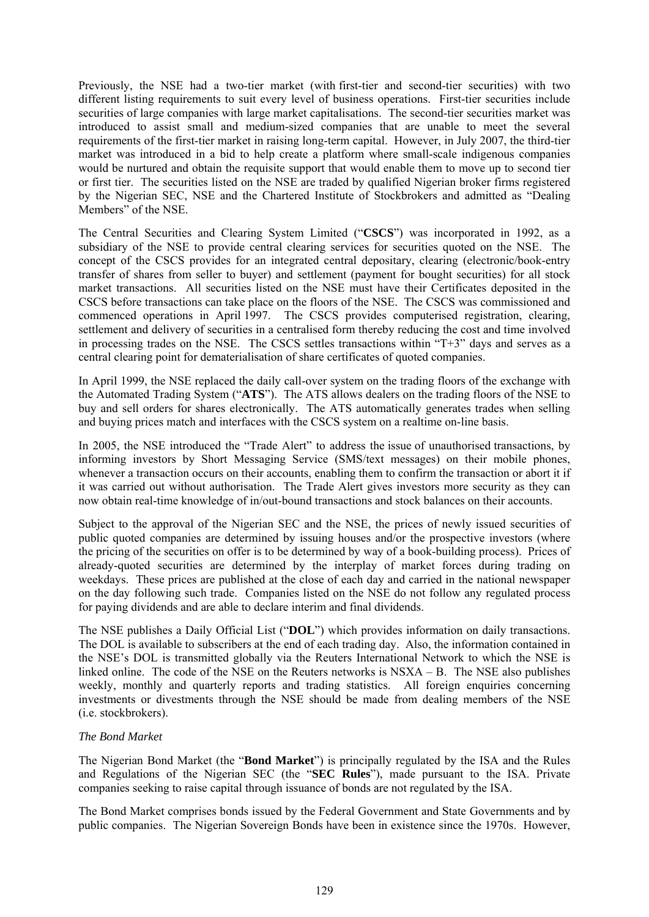Previously, the NSE had a two-tier market (with first-tier and second-tier securities) with two different listing requirements to suit every level of business operations. First-tier securities include securities of large companies with large market capitalisations. The second-tier securities market was introduced to assist small and medium-sized companies that are unable to meet the several requirements of the first-tier market in raising long-term capital. However, in July 2007, the third-tier market was introduced in a bid to help create a platform where small-scale indigenous companies would be nurtured and obtain the requisite support that would enable them to move up to second tier or first tier. The securities listed on the NSE are traded by qualified Nigerian broker firms registered by the Nigerian SEC, NSE and the Chartered Institute of Stockbrokers and admitted as "Dealing Members" of the NSE.

The Central Securities and Clearing System Limited ("**CSCS**") was incorporated in 1992, as a subsidiary of the NSE to provide central clearing services for securities quoted on the NSE. The concept of the CSCS provides for an integrated central depositary, clearing (electronic/book-entry transfer of shares from seller to buyer) and settlement (payment for bought securities) for all stock market transactions. All securities listed on the NSE must have their Certificates deposited in the CSCS before transactions can take place on the floors of the NSE. The CSCS was commissioned and commenced operations in April 1997. The CSCS provides computerised registration, clearing, settlement and delivery of securities in a centralised form thereby reducing the cost and time involved in processing trades on the NSE. The CSCS settles transactions within "T+3" days and serves as a central clearing point for dematerialisation of share certificates of quoted companies.

In April 1999, the NSE replaced the daily call-over system on the trading floors of the exchange with the Automated Trading System ("**ATS**"). The ATS allows dealers on the trading floors of the NSE to buy and sell orders for shares electronically. The ATS automatically generates trades when selling and buying prices match and interfaces with the CSCS system on a realtime on-line basis.

In 2005, the NSE introduced the "Trade Alert" to address the issue of unauthorised transactions, by informing investors by Short Messaging Service (SMS/text messages) on their mobile phones, whenever a transaction occurs on their accounts, enabling them to confirm the transaction or abort it if it was carried out without authorisation. The Trade Alert gives investors more security as they can now obtain real-time knowledge of in/out-bound transactions and stock balances on their accounts.

Subject to the approval of the Nigerian SEC and the NSE, the prices of newly issued securities of public quoted companies are determined by issuing houses and/or the prospective investors (where the pricing of the securities on offer is to be determined by way of a book-building process). Prices of already-quoted securities are determined by the interplay of market forces during trading on weekdays. These prices are published at the close of each day and carried in the national newspaper on the day following such trade. Companies listed on the NSE do not follow any regulated process for paying dividends and are able to declare interim and final dividends.

The NSE publishes a Daily Official List ("**DOL**") which provides information on daily transactions. The DOL is available to subscribers at the end of each trading day. Also, the information contained in the NSE's DOL is transmitted globally via the Reuters International Network to which the NSE is linked online. The code of the NSE on the Reuters networks is NSXA – B. The NSE also publishes weekly, monthly and quarterly reports and trading statistics. All foreign enquiries concerning investments or divestments through the NSE should be made from dealing members of the NSE (i.e. stockbrokers).

### *The Bond Market*

The Nigerian Bond Market (the "**Bond Market**") is principally regulated by the ISA and the Rules and Regulations of the Nigerian SEC (the "**SEC Rules**"), made pursuant to the ISA. Private companies seeking to raise capital through issuance of bonds are not regulated by the ISA.

The Bond Market comprises bonds issued by the Federal Government and State Governments and by public companies. The Nigerian Sovereign Bonds have been in existence since the 1970s. However,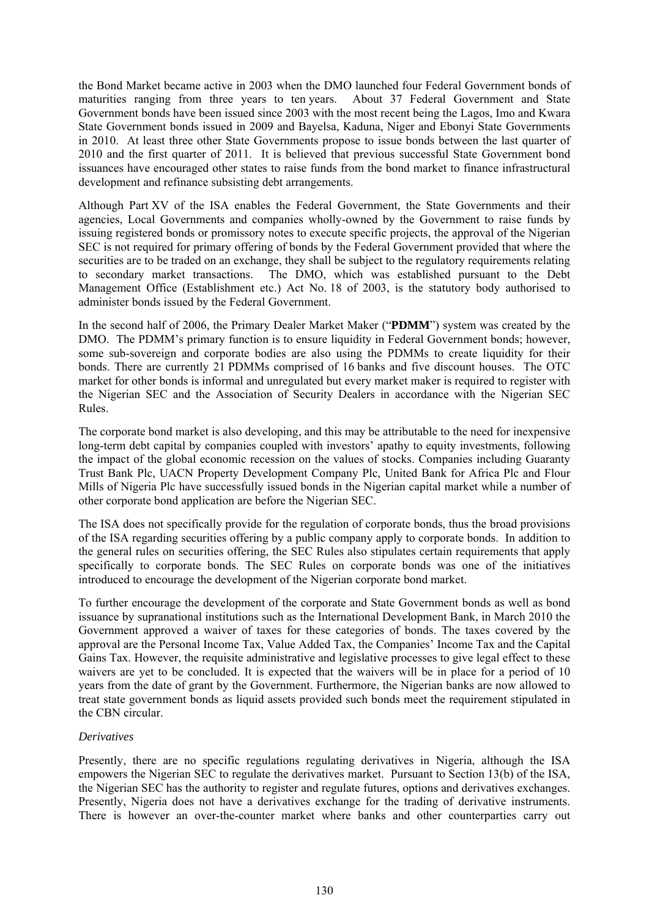the Bond Market became active in 2003 when the DMO launched four Federal Government bonds of maturities ranging from three years to ten years. About 37 Federal Government and State Government bonds have been issued since 2003 with the most recent being the Lagos, Imo and Kwara State Government bonds issued in 2009 and Bayelsa, Kaduna, Niger and Ebonyi State Governments in 2010. At least three other State Governments propose to issue bonds between the last quarter of 2010 and the first quarter of 2011. It is believed that previous successful State Government bond issuances have encouraged other states to raise funds from the bond market to finance infrastructural development and refinance subsisting debt arrangements.

Although Part XV of the ISA enables the Federal Government, the State Governments and their agencies, Local Governments and companies wholly-owned by the Government to raise funds by issuing registered bonds or promissory notes to execute specific projects, the approval of the Nigerian SEC is not required for primary offering of bonds by the Federal Government provided that where the securities are to be traded on an exchange, they shall be subject to the regulatory requirements relating to secondary market transactions. The DMO, which was established pursuant to the Debt Management Office (Establishment etc.) Act No. 18 of 2003, is the statutory body authorised to administer bonds issued by the Federal Government.

In the second half of 2006, the Primary Dealer Market Maker ("**PDMM**") system was created by the DMO. The PDMM's primary function is to ensure liquidity in Federal Government bonds; however, some sub-sovereign and corporate bodies are also using the PDMMs to create liquidity for their bonds. There are currently 21 PDMMs comprised of 16 banks and five discount houses. The OTC market for other bonds is informal and unregulated but every market maker is required to register with the Nigerian SEC and the Association of Security Dealers in accordance with the Nigerian SEC Rules.

The corporate bond market is also developing, and this may be attributable to the need for inexpensive long-term debt capital by companies coupled with investors' apathy to equity investments, following the impact of the global economic recession on the values of stocks. Companies including Guaranty Trust Bank Plc, UACN Property Development Company Plc, United Bank for Africa Plc and Flour Mills of Nigeria Plc have successfully issued bonds in the Nigerian capital market while a number of other corporate bond application are before the Nigerian SEC.

The ISA does not specifically provide for the regulation of corporate bonds, thus the broad provisions of the ISA regarding securities offering by a public company apply to corporate bonds. In addition to the general rules on securities offering, the SEC Rules also stipulates certain requirements that apply specifically to corporate bonds. The SEC Rules on corporate bonds was one of the initiatives introduced to encourage the development of the Nigerian corporate bond market.

To further encourage the development of the corporate and State Government bonds as well as bond issuance by supranational institutions such as the International Development Bank, in March 2010 the Government approved a waiver of taxes for these categories of bonds. The taxes covered by the approval are the Personal Income Tax, Value Added Tax, the Companies' Income Tax and the Capital Gains Tax. However, the requisite administrative and legislative processes to give legal effect to these waivers are yet to be concluded. It is expected that the waivers will be in place for a period of 10 years from the date of grant by the Government. Furthermore, the Nigerian banks are now allowed to treat state government bonds as liquid assets provided such bonds meet the requirement stipulated in the CBN circular.

### *Derivatives*

Presently, there are no specific regulations regulating derivatives in Nigeria, although the ISA empowers the Nigerian SEC to regulate the derivatives market. Pursuant to Section 13(b) of the ISA, the Nigerian SEC has the authority to register and regulate futures, options and derivatives exchanges. Presently, Nigeria does not have a derivatives exchange for the trading of derivative instruments. There is however an over-the-counter market where banks and other counterparties carry out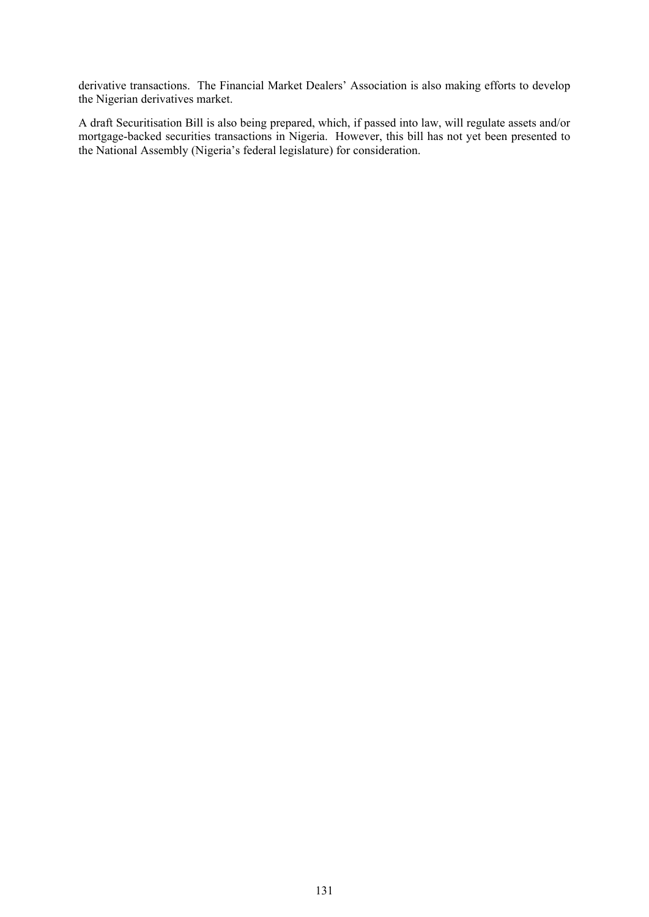derivative transactions. The Financial Market Dealers' Association is also making efforts to develop the Nigerian derivatives market.

A draft Securitisation Bill is also being prepared, which, if passed into law, will regulate assets and/or mortgage-backed securities transactions in Nigeria. However, this bill has not yet been presented to the National Assembly (Nigeria's federal legislature) for consideration.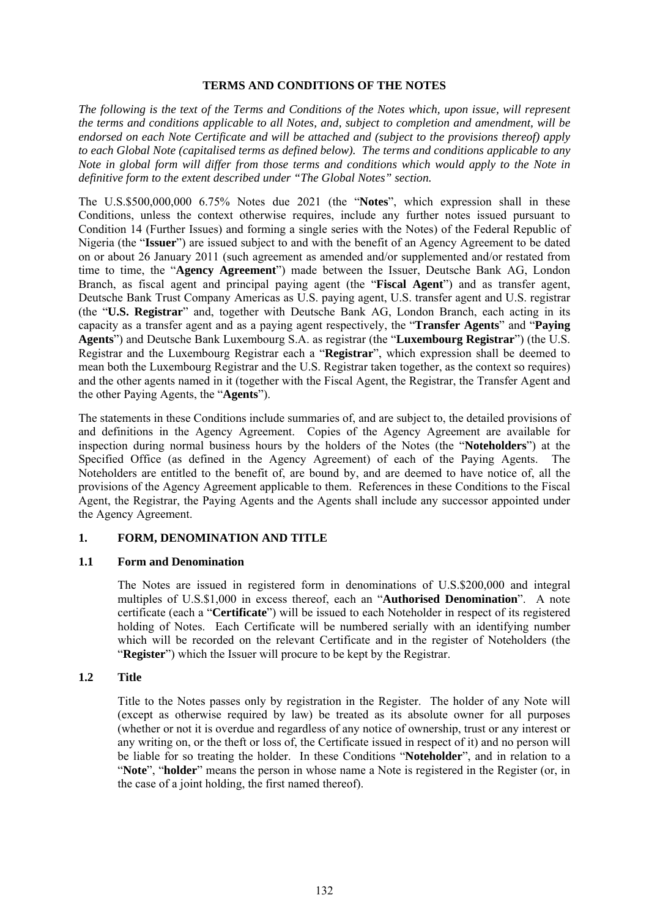#### **TERMS AND CONDITIONS OF THE NOTES**

*The following is the text of the Terms and Conditions of the Notes which, upon issue, will represent the terms and conditions applicable to all Notes, and, subject to completion and amendment, will be endorsed on each Note Certificate and will be attached and (subject to the provisions thereof) apply to each Global Note (capitalised terms as defined below). The terms and conditions applicable to any Note in global form will differ from those terms and conditions which would apply to the Note in definitive form to the extent described under "The Global Notes" section.*

The U.S.\$500,000,000 6.75% Notes due 2021 (the "**Notes**", which expression shall in these Conditions, unless the context otherwise requires, include any further notes issued pursuant to Condition 14 (Further Issues) and forming a single series with the Notes) of the Federal Republic of Nigeria (the "**Issuer**") are issued subject to and with the benefit of an Agency Agreement to be dated on or about 26 January 2011 (such agreement as amended and/or supplemented and/or restated from time to time, the "**Agency Agreement**") made between the Issuer, Deutsche Bank AG, London Branch, as fiscal agent and principal paying agent (the "**Fiscal Agent**") and as transfer agent, Deutsche Bank Trust Company Americas as U.S. paying agent, U.S. transfer agent and U.S. registrar (the "**U.S. Registrar**" and, together with Deutsche Bank AG, London Branch, each acting in its capacity as a transfer agent and as a paying agent respectively, the "**Transfer Agents**" and "**Paying Agents**") and Deutsche Bank Luxembourg S.A. as registrar (the "**Luxembourg Registrar**") (the U.S. Registrar and the Luxembourg Registrar each a "**Registrar**", which expression shall be deemed to mean both the Luxembourg Registrar and the U.S. Registrar taken together, as the context so requires) and the other agents named in it (together with the Fiscal Agent, the Registrar, the Transfer Agent and the other Paying Agents, the "**Agents**").

The statements in these Conditions include summaries of, and are subject to, the detailed provisions of and definitions in the Agency Agreement. Copies of the Agency Agreement are available for inspection during normal business hours by the holders of the Notes (the "**Noteholders**") at the Specified Office (as defined in the Agency Agreement) of each of the Paying Agents. The Noteholders are entitled to the benefit of, are bound by, and are deemed to have notice of, all the provisions of the Agency Agreement applicable to them. References in these Conditions to the Fiscal Agent, the Registrar, the Paying Agents and the Agents shall include any successor appointed under the Agency Agreement.

### **1. FORM, DENOMINATION AND TITLE**

### **1.1 Form and Denomination**

The Notes are issued in registered form in denominations of U.S.\$200,000 and integral multiples of U.S.\$1,000 in excess thereof, each an "**Authorised Denomination**". A note certificate (each a "**Certificate**") will be issued to each Noteholder in respect of its registered holding of Notes. Each Certificate will be numbered serially with an identifying number which will be recorded on the relevant Certificate and in the register of Noteholders (the "**Register**") which the Issuer will procure to be kept by the Registrar.

### **1.2 Title**

Title to the Notes passes only by registration in the Register. The holder of any Note will (except as otherwise required by law) be treated as its absolute owner for all purposes (whether or not it is overdue and regardless of any notice of ownership, trust or any interest or any writing on, or the theft or loss of, the Certificate issued in respect of it) and no person will be liable for so treating the holder. In these Conditions "**Noteholder**", and in relation to a "**Note**", "**holder**" means the person in whose name a Note is registered in the Register (or, in the case of a joint holding, the first named thereof).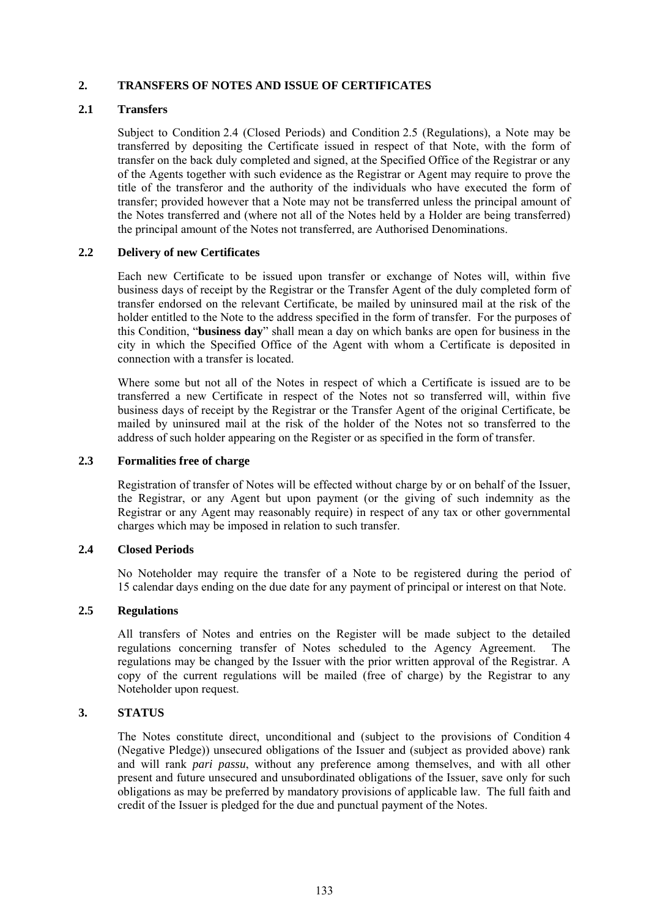## **2. TRANSFERS OF NOTES AND ISSUE OF CERTIFICATES**

## **2.1 Transfers**

Subject to Condition 2.4 (Closed Periods) and Condition 2.5 (Regulations), a Note may be transferred by depositing the Certificate issued in respect of that Note, with the form of transfer on the back duly completed and signed, at the Specified Office of the Registrar or any of the Agents together with such evidence as the Registrar or Agent may require to prove the title of the transferor and the authority of the individuals who have executed the form of transfer; provided however that a Note may not be transferred unless the principal amount of the Notes transferred and (where not all of the Notes held by a Holder are being transferred) the principal amount of the Notes not transferred, are Authorised Denominations.

## **2.2 Delivery of new Certificates**

Each new Certificate to be issued upon transfer or exchange of Notes will, within five business days of receipt by the Registrar or the Transfer Agent of the duly completed form of transfer endorsed on the relevant Certificate, be mailed by uninsured mail at the risk of the holder entitled to the Note to the address specified in the form of transfer. For the purposes of this Condition, "**business day**" shall mean a day on which banks are open for business in the city in which the Specified Office of the Agent with whom a Certificate is deposited in connection with a transfer is located.

Where some but not all of the Notes in respect of which a Certificate is issued are to be transferred a new Certificate in respect of the Notes not so transferred will, within five business days of receipt by the Registrar or the Transfer Agent of the original Certificate, be mailed by uninsured mail at the risk of the holder of the Notes not so transferred to the address of such holder appearing on the Register or as specified in the form of transfer.

## **2.3 Formalities free of charge**

Registration of transfer of Notes will be effected without charge by or on behalf of the Issuer, the Registrar, or any Agent but upon payment (or the giving of such indemnity as the Registrar or any Agent may reasonably require) in respect of any tax or other governmental charges which may be imposed in relation to such transfer.

### **2.4 Closed Periods**

No Noteholder may require the transfer of a Note to be registered during the period of 15 calendar days ending on the due date for any payment of principal or interest on that Note.

### **2.5 Regulations**

All transfers of Notes and entries on the Register will be made subject to the detailed regulations concerning transfer of Notes scheduled to the Agency Agreement. The regulations may be changed by the Issuer with the prior written approval of the Registrar. A copy of the current regulations will be mailed (free of charge) by the Registrar to any Noteholder upon request.

### **3. STATUS**

The Notes constitute direct, unconditional and (subject to the provisions of Condition 4 (Negative Pledge)) unsecured obligations of the Issuer and (subject as provided above) rank and will rank *pari passu*, without any preference among themselves, and with all other present and future unsecured and unsubordinated obligations of the Issuer, save only for such obligations as may be preferred by mandatory provisions of applicable law. The full faith and credit of the Issuer is pledged for the due and punctual payment of the Notes.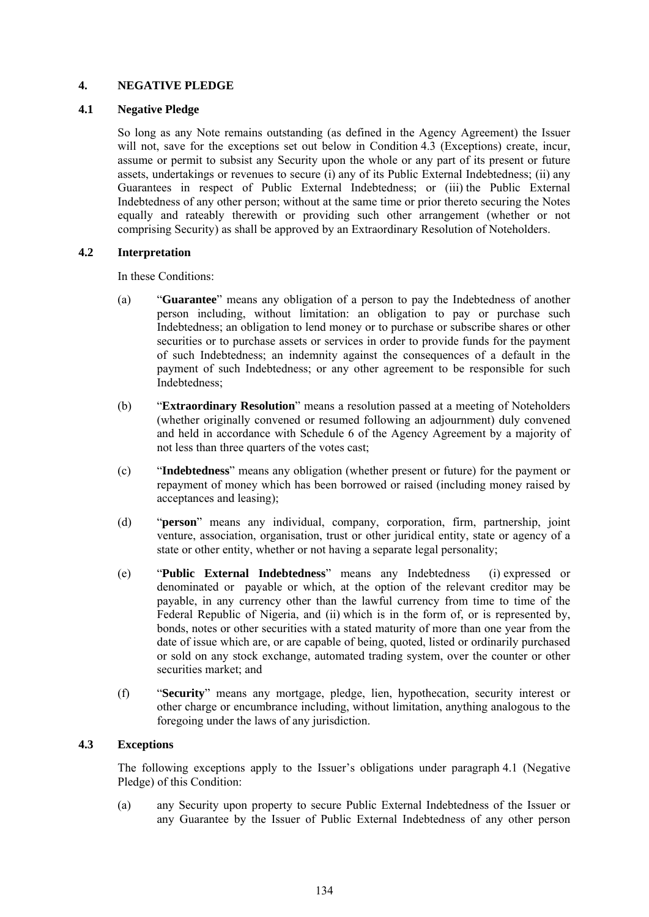## **4. NEGATIVE PLEDGE**

## **4.1 Negative Pledge**

So long as any Note remains outstanding (as defined in the Agency Agreement) the Issuer will not, save for the exceptions set out below in Condition 4.3 (Exceptions) create, incur, assume or permit to subsist any Security upon the whole or any part of its present or future assets, undertakings or revenues to secure (i) any of its Public External Indebtedness; (ii) any Guarantees in respect of Public External Indebtedness; or (iii) the Public External Indebtedness of any other person; without at the same time or prior thereto securing the Notes equally and rateably therewith or providing such other arrangement (whether or not comprising Security) as shall be approved by an Extraordinary Resolution of Noteholders.

## **4.2 Interpretation**

In these Conditions:

- (a) "**Guarantee**" means any obligation of a person to pay the Indebtedness of another person including, without limitation: an obligation to pay or purchase such Indebtedness; an obligation to lend money or to purchase or subscribe shares or other securities or to purchase assets or services in order to provide funds for the payment of such Indebtedness; an indemnity against the consequences of a default in the payment of such Indebtedness; or any other agreement to be responsible for such Indebtedness;
- (b) "**Extraordinary Resolution**" means a resolution passed at a meeting of Noteholders (whether originally convened or resumed following an adjournment) duly convened and held in accordance with Schedule 6 of the Agency Agreement by a majority of not less than three quarters of the votes cast;
- (c) "**Indebtedness**" means any obligation (whether present or future) for the payment or repayment of money which has been borrowed or raised (including money raised by acceptances and leasing);
- (d) "**person**" means any individual, company, corporation, firm, partnership, joint venture, association, organisation, trust or other juridical entity, state or agency of a state or other entity, whether or not having a separate legal personality;
- (e) "**Public External Indebtedness**" means any Indebtedness (i) expressed or denominated or payable or which, at the option of the relevant creditor may be payable, in any currency other than the lawful currency from time to time of the Federal Republic of Nigeria, and (ii) which is in the form of, or is represented by, bonds, notes or other securities with a stated maturity of more than one year from the date of issue which are, or are capable of being, quoted, listed or ordinarily purchased or sold on any stock exchange, automated trading system, over the counter or other securities market; and
- (f) "**Security**" means any mortgage, pledge, lien, hypothecation, security interest or other charge or encumbrance including, without limitation, anything analogous to the foregoing under the laws of any jurisdiction.

## **4.3 Exceptions**

The following exceptions apply to the Issuer's obligations under paragraph 4.1 (Negative Pledge) of this Condition:

(a) any Security upon property to secure Public External Indebtedness of the Issuer or any Guarantee by the Issuer of Public External Indebtedness of any other person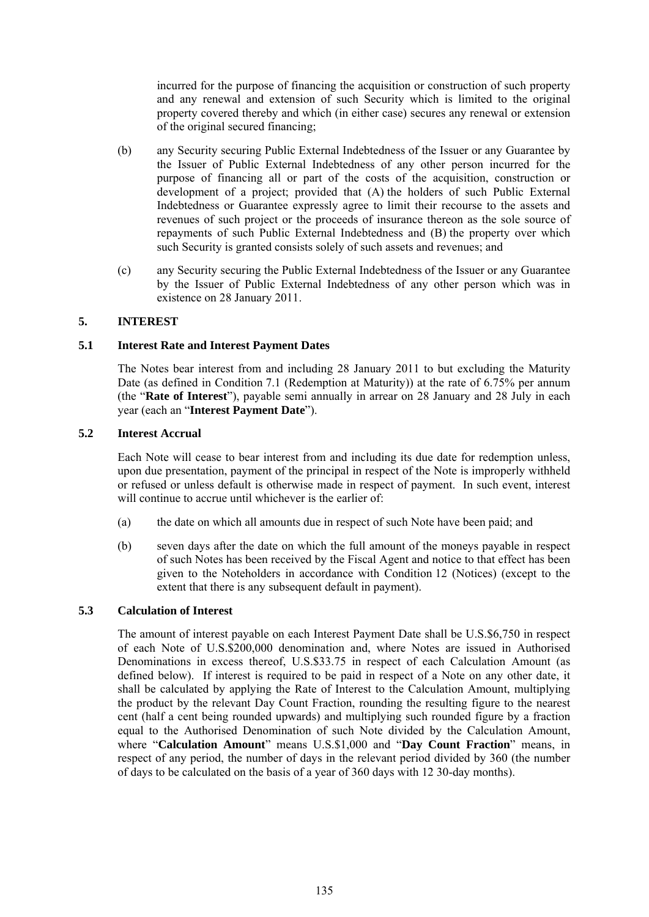incurred for the purpose of financing the acquisition or construction of such property and any renewal and extension of such Security which is limited to the original property covered thereby and which (in either case) secures any renewal or extension of the original secured financing;

- (b) any Security securing Public External Indebtedness of the Issuer or any Guarantee by the Issuer of Public External Indebtedness of any other person incurred for the purpose of financing all or part of the costs of the acquisition, construction or development of a project; provided that (A) the holders of such Public External Indebtedness or Guarantee expressly agree to limit their recourse to the assets and revenues of such project or the proceeds of insurance thereon as the sole source of repayments of such Public External Indebtedness and (B) the property over which such Security is granted consists solely of such assets and revenues; and
- (c) any Security securing the Public External Indebtedness of the Issuer or any Guarantee by the Issuer of Public External Indebtedness of any other person which was in existence on 28 January 2011.

# **5. INTEREST**

### **5.1 Interest Rate and Interest Payment Dates**

The Notes bear interest from and including 28 January 2011 to but excluding the Maturity Date (as defined in Condition 7.1 (Redemption at Maturity)) at the rate of 6.75% per annum (the "**Rate of Interest**"), payable semi annually in arrear on 28 January and 28 July in each year (each an "**Interest Payment Date**").

### **5.2 Interest Accrual**

Each Note will cease to bear interest from and including its due date for redemption unless, upon due presentation, payment of the principal in respect of the Note is improperly withheld or refused or unless default is otherwise made in respect of payment. In such event, interest will continue to accrue until whichever is the earlier of:

- (a) the date on which all amounts due in respect of such Note have been paid; and
- (b) seven days after the date on which the full amount of the moneys payable in respect of such Notes has been received by the Fiscal Agent and notice to that effect has been given to the Noteholders in accordance with Condition 12 (Notices) (except to the extent that there is any subsequent default in payment).

### **5.3 Calculation of Interest**

The amount of interest payable on each Interest Payment Date shall be U.S.\$6,750 in respect of each Note of U.S.\$200,000 denomination and, where Notes are issued in Authorised Denominations in excess thereof, U.S.\$33.75 in respect of each Calculation Amount (as defined below). If interest is required to be paid in respect of a Note on any other date, it shall be calculated by applying the Rate of Interest to the Calculation Amount, multiplying the product by the relevant Day Count Fraction, rounding the resulting figure to the nearest cent (half a cent being rounded upwards) and multiplying such rounded figure by a fraction equal to the Authorised Denomination of such Note divided by the Calculation Amount, where "**Calculation Amount**" means U.S.\$1,000 and "**Day Count Fraction**" means, in respect of any period, the number of days in the relevant period divided by 360 (the number of days to be calculated on the basis of a year of 360 days with 12 30-day months).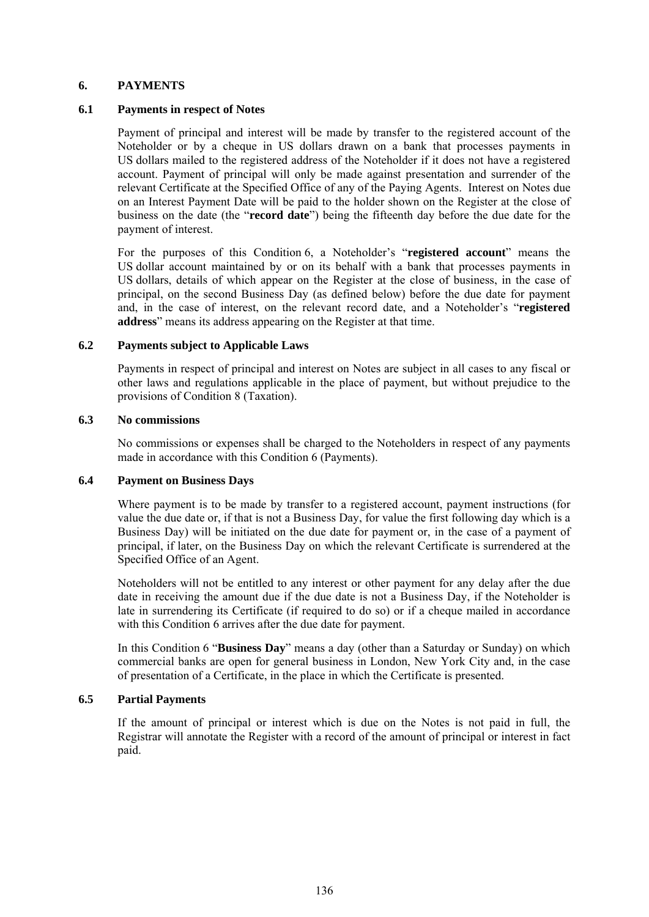### **6. PAYMENTS**

#### **6.1 Payments in respect of Notes**

Payment of principal and interest will be made by transfer to the registered account of the Noteholder or by a cheque in US dollars drawn on a bank that processes payments in US dollars mailed to the registered address of the Noteholder if it does not have a registered account. Payment of principal will only be made against presentation and surrender of the relevant Certificate at the Specified Office of any of the Paying Agents. Interest on Notes due on an Interest Payment Date will be paid to the holder shown on the Register at the close of business on the date (the "**record date**") being the fifteenth day before the due date for the payment of interest.

For the purposes of this Condition 6, a Noteholder's "**registered account**" means the US dollar account maintained by or on its behalf with a bank that processes payments in US dollars, details of which appear on the Register at the close of business, in the case of principal, on the second Business Day (as defined below) before the due date for payment and, in the case of interest, on the relevant record date, and a Noteholder's "**registered address**" means its address appearing on the Register at that time.

#### **6.2 Payments subject to Applicable Laws**

Payments in respect of principal and interest on Notes are subject in all cases to any fiscal or other laws and regulations applicable in the place of payment, but without prejudice to the provisions of Condition 8 (Taxation).

#### **6.3 No commissions**

No commissions or expenses shall be charged to the Noteholders in respect of any payments made in accordance with this Condition 6 (Payments).

### **6.4 Payment on Business Days**

Where payment is to be made by transfer to a registered account, payment instructions (for value the due date or, if that is not a Business Day, for value the first following day which is a Business Day) will be initiated on the due date for payment or, in the case of a payment of principal, if later, on the Business Day on which the relevant Certificate is surrendered at the Specified Office of an Agent.

Noteholders will not be entitled to any interest or other payment for any delay after the due date in receiving the amount due if the due date is not a Business Day, if the Noteholder is late in surrendering its Certificate (if required to do so) or if a cheque mailed in accordance with this Condition 6 arrives after the due date for payment.

In this Condition 6 "**Business Day**" means a day (other than a Saturday or Sunday) on which commercial banks are open for general business in London, New York City and, in the case of presentation of a Certificate, in the place in which the Certificate is presented.

### **6.5 Partial Payments**

If the amount of principal or interest which is due on the Notes is not paid in full, the Registrar will annotate the Register with a record of the amount of principal or interest in fact paid.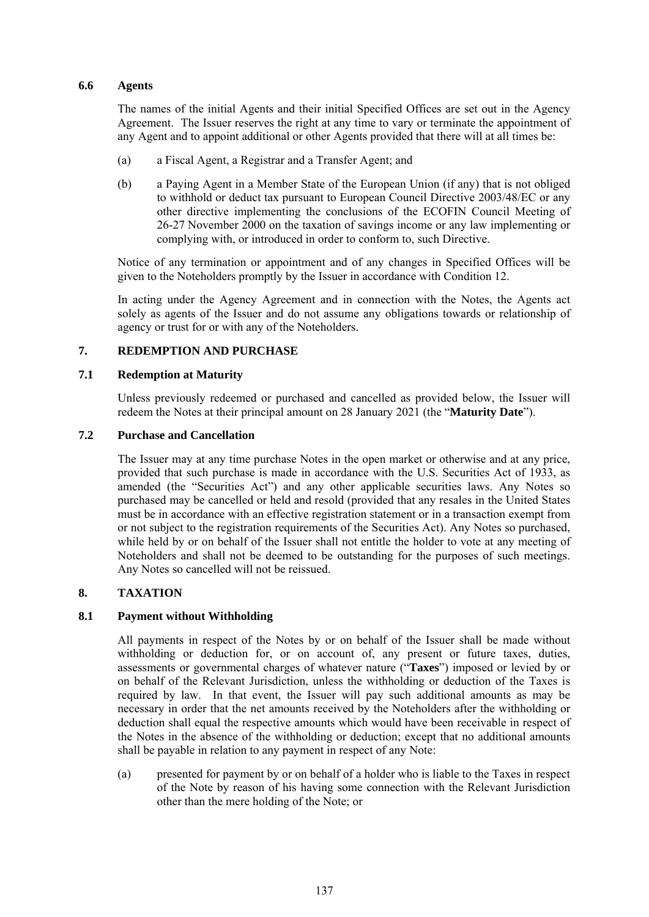## **6.6 Agents**

The names of the initial Agents and their initial Specified Offices are set out in the Agency Agreement. The Issuer reserves the right at any time to vary or terminate the appointment of any Agent and to appoint additional or other Agents provided that there will at all times be:

- (a) a Fiscal Agent, a Registrar and a Transfer Agent; and
- (b) a Paying Agent in a Member State of the European Union (if any) that is not obliged to withhold or deduct tax pursuant to European Council Directive 2003/48/EC or any other directive implementing the conclusions of the ECOFIN Council Meeting of 26-27 November 2000 on the taxation of savings income or any law implementing or complying with, or introduced in order to conform to, such Directive.

Notice of any termination or appointment and of any changes in Specified Offices will be given to the Noteholders promptly by the Issuer in accordance with Condition 12.

In acting under the Agency Agreement and in connection with the Notes, the Agents act solely as agents of the Issuer and do not assume any obligations towards or relationship of agency or trust for or with any of the Noteholders.

## **7. REDEMPTION AND PURCHASE**

## **7.1 Redemption at Maturity**

Unless previously redeemed or purchased and cancelled as provided below, the Issuer will redeem the Notes at their principal amount on 28 January 2021 (the "**Maturity Date**").

## **7.2 Purchase and Cancellation**

The Issuer may at any time purchase Notes in the open market or otherwise and at any price, provided that such purchase is made in accordance with the U.S. Securities Act of 1933, as amended (the "Securities Act") and any other applicable securities laws. Any Notes so purchased may be cancelled or held and resold (provided that any resales in the United States must be in accordance with an effective registration statement or in a transaction exempt from or not subject to the registration requirements of the Securities Act). Any Notes so purchased, while held by or on behalf of the Issuer shall not entitle the holder to vote at any meeting of Noteholders and shall not be deemed to be outstanding for the purposes of such meetings. Any Notes so cancelled will not be reissued.

# **8. TAXATION**

# **8.1 Payment without Withholding**

All payments in respect of the Notes by or on behalf of the Issuer shall be made without withholding or deduction for, or on account of, any present or future taxes, duties, assessments or governmental charges of whatever nature ("**Taxes**") imposed or levied by or on behalf of the Relevant Jurisdiction, unless the withholding or deduction of the Taxes is required by law. In that event, the Issuer will pay such additional amounts as may be necessary in order that the net amounts received by the Noteholders after the withholding or deduction shall equal the respective amounts which would have been receivable in respect of the Notes in the absence of the withholding or deduction; except that no additional amounts shall be payable in relation to any payment in respect of any Note:

(a) presented for payment by or on behalf of a holder who is liable to the Taxes in respect of the Note by reason of his having some connection with the Relevant Jurisdiction other than the mere holding of the Note; or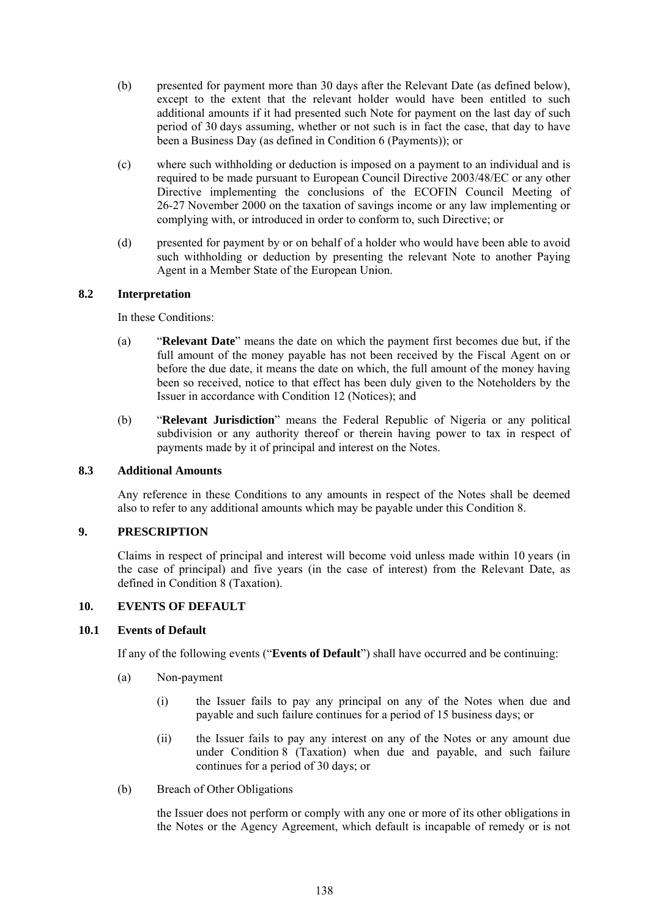- (b) presented for payment more than 30 days after the Relevant Date (as defined below), except to the extent that the relevant holder would have been entitled to such additional amounts if it had presented such Note for payment on the last day of such period of 30 days assuming, whether or not such is in fact the case, that day to have been a Business Day (as defined in Condition 6 (Payments)); or
- (c) where such withholding or deduction is imposed on a payment to an individual and is required to be made pursuant to European Council Directive 2003/48/EC or any other Directive implementing the conclusions of the ECOFIN Council Meeting of 26-27 November 2000 on the taxation of savings income or any law implementing or complying with, or introduced in order to conform to, such Directive; or
- (d) presented for payment by or on behalf of a holder who would have been able to avoid such withholding or deduction by presenting the relevant Note to another Paying Agent in a Member State of the European Union.

## **8.2 Interpretation**

In these Conditions:

- (a) "**Relevant Date**" means the date on which the payment first becomes due but, if the full amount of the money payable has not been received by the Fiscal Agent on or before the due date, it means the date on which, the full amount of the money having been so received, notice to that effect has been duly given to the Noteholders by the Issuer in accordance with Condition 12 (Notices); and
- (b) "**Relevant Jurisdiction**" means the Federal Republic of Nigeria or any political subdivision or any authority thereof or therein having power to tax in respect of payments made by it of principal and interest on the Notes.

### **8.3 Additional Amounts**

Any reference in these Conditions to any amounts in respect of the Notes shall be deemed also to refer to any additional amounts which may be payable under this Condition 8.

## **9. PRESCRIPTION**

Claims in respect of principal and interest will become void unless made within 10 years (in the case of principal) and five years (in the case of interest) from the Relevant Date, as defined in Condition 8 (Taxation).

### **10. EVENTS OF DEFAULT**

### **10.1 Events of Default**

If any of the following events ("**Events of Default**") shall have occurred and be continuing:

- (a) Non-payment
	- (i) the Issuer fails to pay any principal on any of the Notes when due and payable and such failure continues for a period of 15 business days; or
	- (ii) the Issuer fails to pay any interest on any of the Notes or any amount due under Condition 8 (Taxation) when due and payable, and such failure continues for a period of 30 days; or
- (b) Breach of Other Obligations

the Issuer does not perform or comply with any one or more of its other obligations in the Notes or the Agency Agreement, which default is incapable of remedy or is not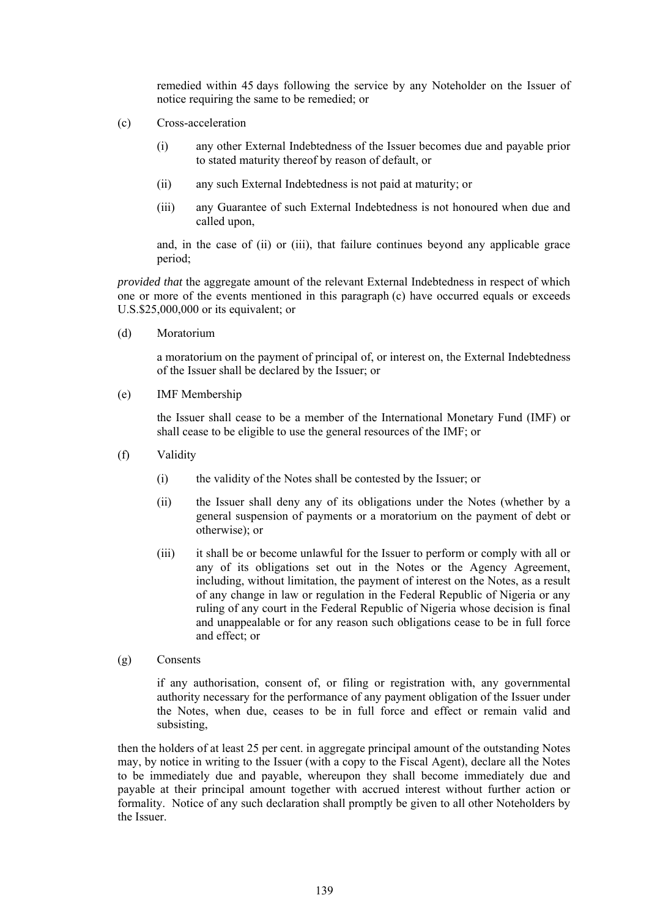remedied within 45 days following the service by any Noteholder on the Issuer of notice requiring the same to be remedied; or

- (c) Cross-acceleration
	- (i) any other External Indebtedness of the Issuer becomes due and payable prior to stated maturity thereof by reason of default, or
	- (ii) any such External Indebtedness is not paid at maturity; or
	- (iii) any Guarantee of such External Indebtedness is not honoured when due and called upon,

and, in the case of (ii) or (iii), that failure continues beyond any applicable grace period;

*provided that* the aggregate amount of the relevant External Indebtedness in respect of which one or more of the events mentioned in this paragraph (c) have occurred equals or exceeds U.S.\$25,000,000 or its equivalent; or

(d) Moratorium

a moratorium on the payment of principal of, or interest on, the External Indebtedness of the Issuer shall be declared by the Issuer; or

(e) IMF Membership

the Issuer shall cease to be a member of the International Monetary Fund (IMF) or shall cease to be eligible to use the general resources of the IMF; or

- (f) Validity
	- (i) the validity of the Notes shall be contested by the Issuer; or
	- (ii) the Issuer shall deny any of its obligations under the Notes (whether by a general suspension of payments or a moratorium on the payment of debt or otherwise); or
	- (iii) it shall be or become unlawful for the Issuer to perform or comply with all or any of its obligations set out in the Notes or the Agency Agreement, including, without limitation, the payment of interest on the Notes, as a result of any change in law or regulation in the Federal Republic of Nigeria or any ruling of any court in the Federal Republic of Nigeria whose decision is final and unappealable or for any reason such obligations cease to be in full force and effect; or
- (g) Consents

if any authorisation, consent of, or filing or registration with, any governmental authority necessary for the performance of any payment obligation of the Issuer under the Notes, when due, ceases to be in full force and effect or remain valid and subsisting,

then the holders of at least 25 per cent. in aggregate principal amount of the outstanding Notes may, by notice in writing to the Issuer (with a copy to the Fiscal Agent), declare all the Notes to be immediately due and payable, whereupon they shall become immediately due and payable at their principal amount together with accrued interest without further action or formality. Notice of any such declaration shall promptly be given to all other Noteholders by the Issuer.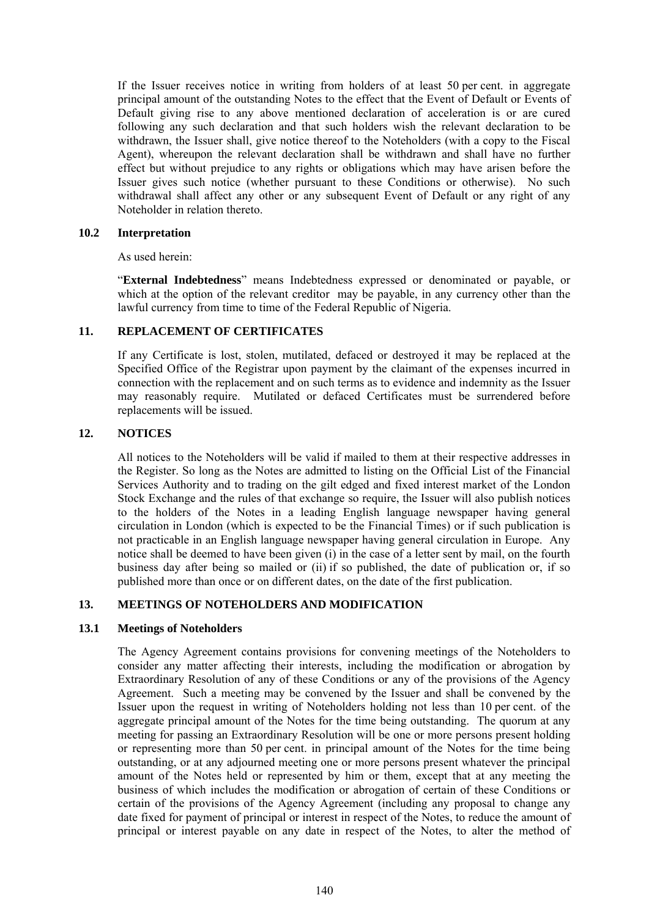If the Issuer receives notice in writing from holders of at least 50 per cent. in aggregate principal amount of the outstanding Notes to the effect that the Event of Default or Events of Default giving rise to any above mentioned declaration of acceleration is or are cured following any such declaration and that such holders wish the relevant declaration to be withdrawn, the Issuer shall, give notice thereof to the Noteholders (with a copy to the Fiscal Agent), whereupon the relevant declaration shall be withdrawn and shall have no further effect but without prejudice to any rights or obligations which may have arisen before the Issuer gives such notice (whether pursuant to these Conditions or otherwise). No such withdrawal shall affect any other or any subsequent Event of Default or any right of any Noteholder in relation thereto.

## **10.2 Interpretation**

As used herein:

"**External Indebtedness**" means Indebtedness expressed or denominated or payable, or which at the option of the relevant creditor may be payable, in any currency other than the lawful currency from time to time of the Federal Republic of Nigeria.

### **11. REPLACEMENT OF CERTIFICATES**

If any Certificate is lost, stolen, mutilated, defaced or destroyed it may be replaced at the Specified Office of the Registrar upon payment by the claimant of the expenses incurred in connection with the replacement and on such terms as to evidence and indemnity as the Issuer may reasonably require. Mutilated or defaced Certificates must be surrendered before replacements will be issued.

## **12. NOTICES**

All notices to the Noteholders will be valid if mailed to them at their respective addresses in the Register. So long as the Notes are admitted to listing on the Official List of the Financial Services Authority and to trading on the gilt edged and fixed interest market of the London Stock Exchange and the rules of that exchange so require, the Issuer will also publish notices to the holders of the Notes in a leading English language newspaper having general circulation in London (which is expected to be the Financial Times) or if such publication is not practicable in an English language newspaper having general circulation in Europe. Any notice shall be deemed to have been given (i) in the case of a letter sent by mail, on the fourth business day after being so mailed or (ii) if so published, the date of publication or, if so published more than once or on different dates, on the date of the first publication.

# **13. MEETINGS OF NOTEHOLDERS AND MODIFICATION**

### **13.1 Meetings of Noteholders**

The Agency Agreement contains provisions for convening meetings of the Noteholders to consider any matter affecting their interests, including the modification or abrogation by Extraordinary Resolution of any of these Conditions or any of the provisions of the Agency Agreement. Such a meeting may be convened by the Issuer and shall be convened by the Issuer upon the request in writing of Noteholders holding not less than 10 per cent. of the aggregate principal amount of the Notes for the time being outstanding. The quorum at any meeting for passing an Extraordinary Resolution will be one or more persons present holding or representing more than 50 per cent. in principal amount of the Notes for the time being outstanding, or at any adjourned meeting one or more persons present whatever the principal amount of the Notes held or represented by him or them, except that at any meeting the business of which includes the modification or abrogation of certain of these Conditions or certain of the provisions of the Agency Agreement (including any proposal to change any date fixed for payment of principal or interest in respect of the Notes, to reduce the amount of principal or interest payable on any date in respect of the Notes, to alter the method of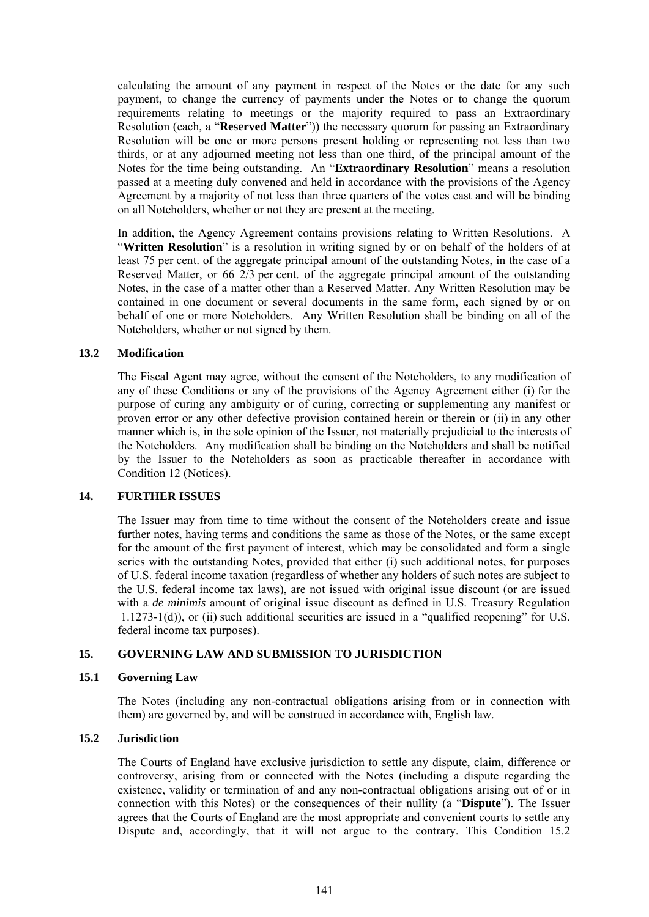calculating the amount of any payment in respect of the Notes or the date for any such payment, to change the currency of payments under the Notes or to change the quorum requirements relating to meetings or the majority required to pass an Extraordinary Resolution (each, a "**Reserved Matter**")) the necessary quorum for passing an Extraordinary Resolution will be one or more persons present holding or representing not less than two thirds, or at any adjourned meeting not less than one third, of the principal amount of the Notes for the time being outstanding. An "**Extraordinary Resolution**" means a resolution passed at a meeting duly convened and held in accordance with the provisions of the Agency Agreement by a majority of not less than three quarters of the votes cast and will be binding on all Noteholders, whether or not they are present at the meeting.

In addition, the Agency Agreement contains provisions relating to Written Resolutions. A "**Written Resolution**" is a resolution in writing signed by or on behalf of the holders of at least 75 per cent. of the aggregate principal amount of the outstanding Notes, in the case of a Reserved Matter, or 66 2/3 per cent. of the aggregate principal amount of the outstanding Notes, in the case of a matter other than a Reserved Matter. Any Written Resolution may be contained in one document or several documents in the same form, each signed by or on behalf of one or more Noteholders. Any Written Resolution shall be binding on all of the Noteholders, whether or not signed by them.

### **13.2 Modification**

The Fiscal Agent may agree, without the consent of the Noteholders, to any modification of any of these Conditions or any of the provisions of the Agency Agreement either (i) for the purpose of curing any ambiguity or of curing, correcting or supplementing any manifest or proven error or any other defective provision contained herein or therein or (ii) in any other manner which is, in the sole opinion of the Issuer, not materially prejudicial to the interests of the Noteholders. Any modification shall be binding on the Noteholders and shall be notified by the Issuer to the Noteholders as soon as practicable thereafter in accordance with Condition 12 (Notices).

#### **14. FURTHER ISSUES**

The Issuer may from time to time without the consent of the Noteholders create and issue further notes, having terms and conditions the same as those of the Notes, or the same except for the amount of the first payment of interest, which may be consolidated and form a single series with the outstanding Notes, provided that either (i) such additional notes, for purposes of U.S. federal income taxation (regardless of whether any holders of such notes are subject to the U.S. federal income tax laws), are not issued with original issue discount (or are issued with a *de minimis* amount of original issue discount as defined in U.S. Treasury Regulation 1.1273-1(d)), or (ii) such additional securities are issued in a "qualified reopening" for U.S. federal income tax purposes).

### **15. GOVERNING LAW AND SUBMISSION TO JURISDICTION**

#### **15.1 Governing Law**

The Notes (including any non-contractual obligations arising from or in connection with them) are governed by, and will be construed in accordance with, English law.

### **15.2 Jurisdiction**

The Courts of England have exclusive jurisdiction to settle any dispute, claim, difference or controversy, arising from or connected with the Notes (including a dispute regarding the existence, validity or termination of and any non-contractual obligations arising out of or in connection with this Notes) or the consequences of their nullity (a "**Dispute**"). The Issuer agrees that the Courts of England are the most appropriate and convenient courts to settle any Dispute and, accordingly, that it will not argue to the contrary. This Condition 15.2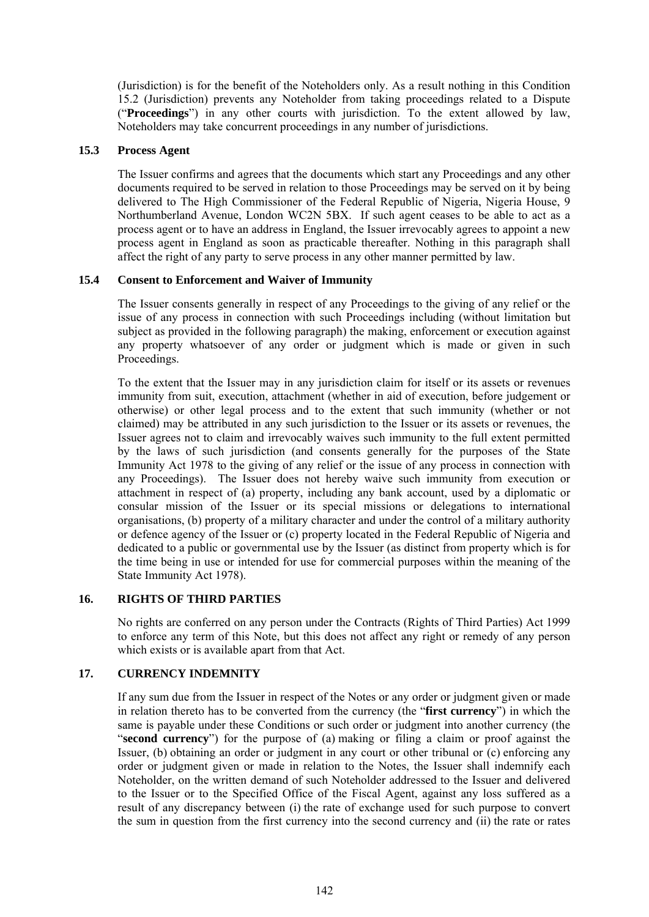(Jurisdiction) is for the benefit of the Noteholders only. As a result nothing in this Condition 15.2 (Jurisdiction) prevents any Noteholder from taking proceedings related to a Dispute ("**Proceedings**") in any other courts with jurisdiction. To the extent allowed by law, Noteholders may take concurrent proceedings in any number of jurisdictions.

# **15.3 Process Agent**

The Issuer confirms and agrees that the documents which start any Proceedings and any other documents required to be served in relation to those Proceedings may be served on it by being delivered to The High Commissioner of the Federal Republic of Nigeria, Nigeria House, 9 Northumberland Avenue, London WC2N 5BX. If such agent ceases to be able to act as a process agent or to have an address in England, the Issuer irrevocably agrees to appoint a new process agent in England as soon as practicable thereafter. Nothing in this paragraph shall affect the right of any party to serve process in any other manner permitted by law.

# **15.4 Consent to Enforcement and Waiver of Immunity**

The Issuer consents generally in respect of any Proceedings to the giving of any relief or the issue of any process in connection with such Proceedings including (without limitation but subject as provided in the following paragraph) the making, enforcement or execution against any property whatsoever of any order or judgment which is made or given in such Proceedings.

To the extent that the Issuer may in any jurisdiction claim for itself or its assets or revenues immunity from suit, execution, attachment (whether in aid of execution, before judgement or otherwise) or other legal process and to the extent that such immunity (whether or not claimed) may be attributed in any such jurisdiction to the Issuer or its assets or revenues, the Issuer agrees not to claim and irrevocably waives such immunity to the full extent permitted by the laws of such jurisdiction (and consents generally for the purposes of the State Immunity Act 1978 to the giving of any relief or the issue of any process in connection with any Proceedings). The Issuer does not hereby waive such immunity from execution or attachment in respect of (a) property, including any bank account, used by a diplomatic or consular mission of the Issuer or its special missions or delegations to international organisations, (b) property of a military character and under the control of a military authority or defence agency of the Issuer or (c) property located in the Federal Republic of Nigeria and dedicated to a public or governmental use by the Issuer (as distinct from property which is for the time being in use or intended for use for commercial purposes within the meaning of the State Immunity Act 1978).

# **16. RIGHTS OF THIRD PARTIES**

No rights are conferred on any person under the Contracts (Rights of Third Parties) Act 1999 to enforce any term of this Note, but this does not affect any right or remedy of any person which exists or is available apart from that Act.

# **17. CURRENCY INDEMNITY**

If any sum due from the Issuer in respect of the Notes or any order or judgment given or made in relation thereto has to be converted from the currency (the "**first currency**") in which the same is payable under these Conditions or such order or judgment into another currency (the "**second currency**") for the purpose of (a) making or filing a claim or proof against the Issuer, (b) obtaining an order or judgment in any court or other tribunal or (c) enforcing any order or judgment given or made in relation to the Notes, the Issuer shall indemnify each Noteholder, on the written demand of such Noteholder addressed to the Issuer and delivered to the Issuer or to the Specified Office of the Fiscal Agent, against any loss suffered as a result of any discrepancy between (i) the rate of exchange used for such purpose to convert the sum in question from the first currency into the second currency and (ii) the rate or rates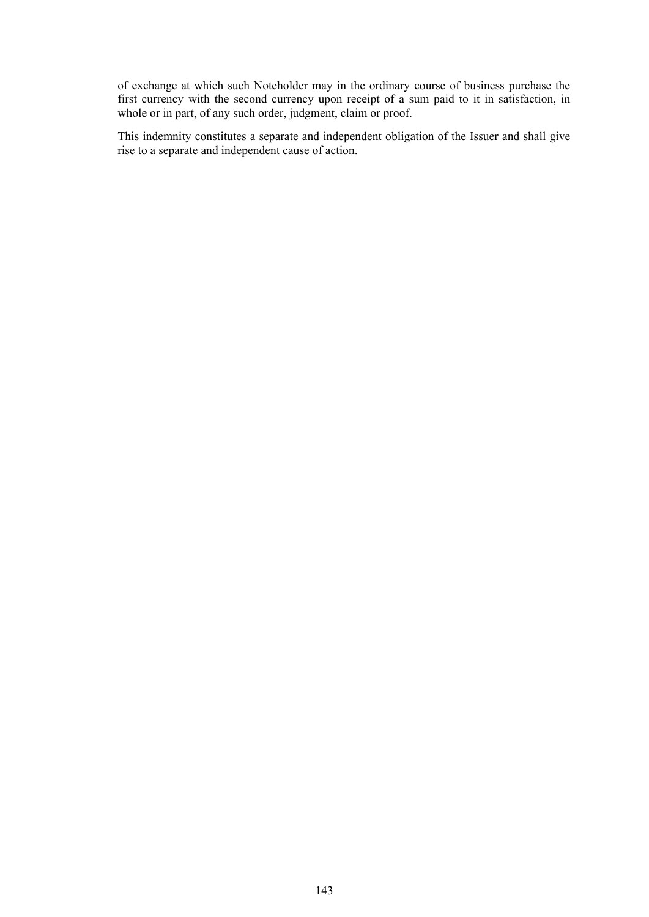of exchange at which such Noteholder may in the ordinary course of business purchase the first currency with the second currency upon receipt of a sum paid to it in satisfaction, in whole or in part, of any such order, judgment, claim or proof.

This indemnity constitutes a separate and independent obligation of the Issuer and shall give rise to a separate and independent cause of action.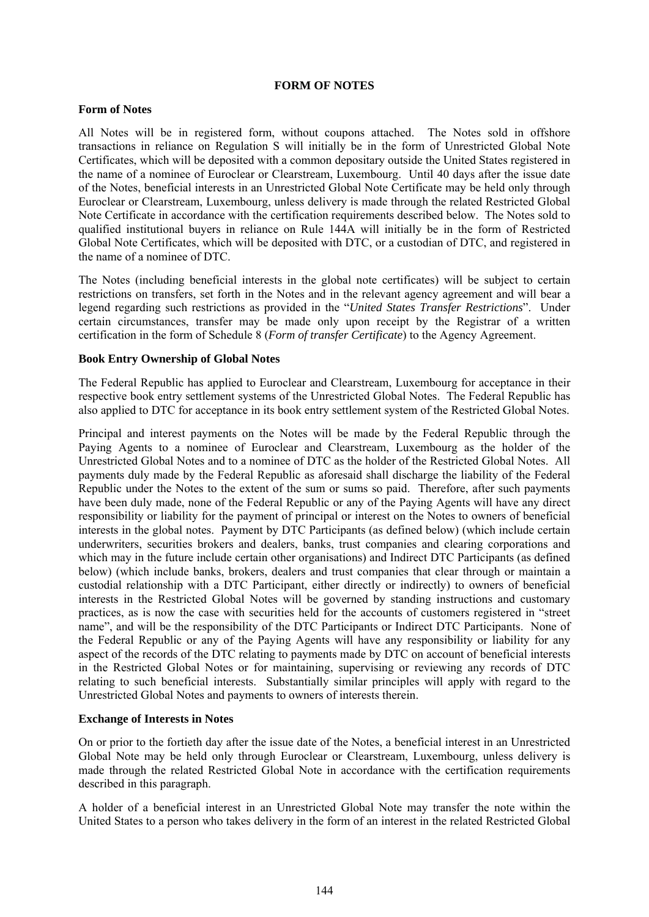#### **FORM OF NOTES**

#### **Form of Notes**

All Notes will be in registered form, without coupons attached. The Notes sold in offshore transactions in reliance on Regulation S will initially be in the form of Unrestricted Global Note Certificates, which will be deposited with a common depositary outside the United States registered in the name of a nominee of Euroclear or Clearstream, Luxembourg. Until 40 days after the issue date of the Notes, beneficial interests in an Unrestricted Global Note Certificate may be held only through Euroclear or Clearstream, Luxembourg, unless delivery is made through the related Restricted Global Note Certificate in accordance with the certification requirements described below. The Notes sold to qualified institutional buyers in reliance on Rule 144A will initially be in the form of Restricted Global Note Certificates, which will be deposited with DTC, or a custodian of DTC, and registered in the name of a nominee of DTC.

The Notes (including beneficial interests in the global note certificates) will be subject to certain restrictions on transfers, set forth in the Notes and in the relevant agency agreement and will bear a legend regarding such restrictions as provided in the "*United States Transfer Restrictions*". Under certain circumstances, transfer may be made only upon receipt by the Registrar of a written certification in the form of Schedule 8 (*Form of transfer Certificate*) to the Agency Agreement.

#### **Book Entry Ownership of Global Notes**

The Federal Republic has applied to Euroclear and Clearstream, Luxembourg for acceptance in their respective book entry settlement systems of the Unrestricted Global Notes. The Federal Republic has also applied to DTC for acceptance in its book entry settlement system of the Restricted Global Notes.

Principal and interest payments on the Notes will be made by the Federal Republic through the Paying Agents to a nominee of Euroclear and Clearstream, Luxembourg as the holder of the Unrestricted Global Notes and to a nominee of DTC as the holder of the Restricted Global Notes. All payments duly made by the Federal Republic as aforesaid shall discharge the liability of the Federal Republic under the Notes to the extent of the sum or sums so paid. Therefore, after such payments have been duly made, none of the Federal Republic or any of the Paying Agents will have any direct responsibility or liability for the payment of principal or interest on the Notes to owners of beneficial interests in the global notes. Payment by DTC Participants (as defined below) (which include certain underwriters, securities brokers and dealers, banks, trust companies and clearing corporations and which may in the future include certain other organisations) and Indirect DTC Participants (as defined below) (which include banks, brokers, dealers and trust companies that clear through or maintain a custodial relationship with a DTC Participant, either directly or indirectly) to owners of beneficial interests in the Restricted Global Notes will be governed by standing instructions and customary practices, as is now the case with securities held for the accounts of customers registered in "street name", and will be the responsibility of the DTC Participants or Indirect DTC Participants. None of the Federal Republic or any of the Paying Agents will have any responsibility or liability for any aspect of the records of the DTC relating to payments made by DTC on account of beneficial interests in the Restricted Global Notes or for maintaining, supervising or reviewing any records of DTC relating to such beneficial interests. Substantially similar principles will apply with regard to the Unrestricted Global Notes and payments to owners of interests therein.

# **Exchange of Interests in Notes**

On or prior to the fortieth day after the issue date of the Notes, a beneficial interest in an Unrestricted Global Note may be held only through Euroclear or Clearstream, Luxembourg, unless delivery is made through the related Restricted Global Note in accordance with the certification requirements described in this paragraph.

A holder of a beneficial interest in an Unrestricted Global Note may transfer the note within the United States to a person who takes delivery in the form of an interest in the related Restricted Global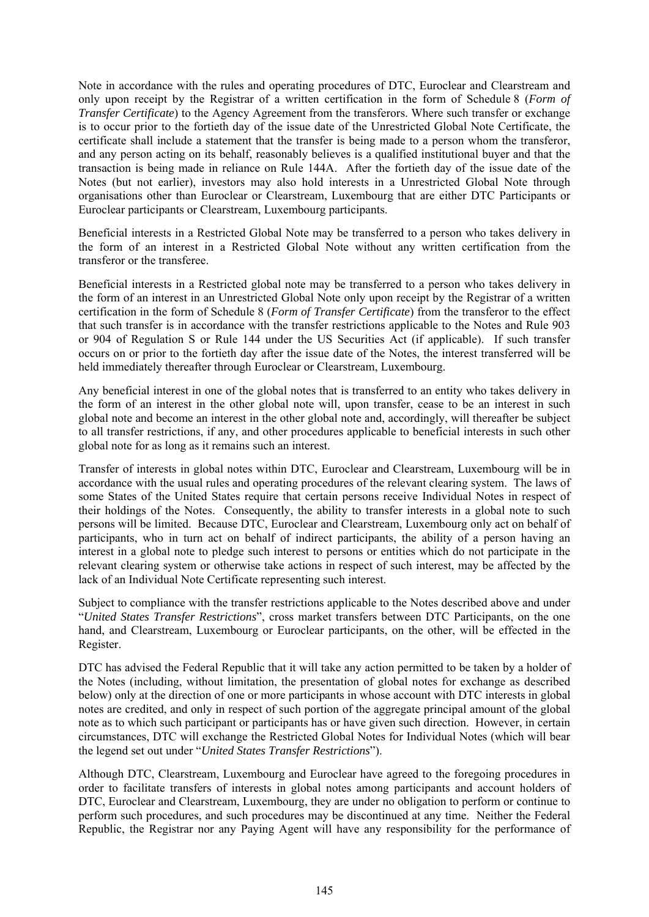Note in accordance with the rules and operating procedures of DTC, Euroclear and Clearstream and only upon receipt by the Registrar of a written certification in the form of Schedule 8 (*Form of Transfer Certificate*) to the Agency Agreement from the transferors. Where such transfer or exchange is to occur prior to the fortieth day of the issue date of the Unrestricted Global Note Certificate, the certificate shall include a statement that the transfer is being made to a person whom the transferor, and any person acting on its behalf, reasonably believes is a qualified institutional buyer and that the transaction is being made in reliance on Rule 144A. After the fortieth day of the issue date of the Notes (but not earlier), investors may also hold interests in a Unrestricted Global Note through organisations other than Euroclear or Clearstream, Luxembourg that are either DTC Participants or Euroclear participants or Clearstream, Luxembourg participants.

Beneficial interests in a Restricted Global Note may be transferred to a person who takes delivery in the form of an interest in a Restricted Global Note without any written certification from the transferor or the transferee.

Beneficial interests in a Restricted global note may be transferred to a person who takes delivery in the form of an interest in an Unrestricted Global Note only upon receipt by the Registrar of a written certification in the form of Schedule 8 (*Form of Transfer Certificate*) from the transferor to the effect that such transfer is in accordance with the transfer restrictions applicable to the Notes and Rule 903 or 904 of Regulation S or Rule 144 under the US Securities Act (if applicable). If such transfer occurs on or prior to the fortieth day after the issue date of the Notes, the interest transferred will be held immediately thereafter through Euroclear or Clearstream, Luxembourg.

Any beneficial interest in one of the global notes that is transferred to an entity who takes delivery in the form of an interest in the other global note will, upon transfer, cease to be an interest in such global note and become an interest in the other global note and, accordingly, will thereafter be subject to all transfer restrictions, if any, and other procedures applicable to beneficial interests in such other global note for as long as it remains such an interest.

Transfer of interests in global notes within DTC, Euroclear and Clearstream, Luxembourg will be in accordance with the usual rules and operating procedures of the relevant clearing system. The laws of some States of the United States require that certain persons receive Individual Notes in respect of their holdings of the Notes. Consequently, the ability to transfer interests in a global note to such persons will be limited. Because DTC, Euroclear and Clearstream, Luxembourg only act on behalf of participants, who in turn act on behalf of indirect participants, the ability of a person having an interest in a global note to pledge such interest to persons or entities which do not participate in the relevant clearing system or otherwise take actions in respect of such interest, may be affected by the lack of an Individual Note Certificate representing such interest.

Subject to compliance with the transfer restrictions applicable to the Notes described above and under "*United States Transfer Restrictions*", cross market transfers between DTC Participants, on the one hand, and Clearstream, Luxembourg or Euroclear participants, on the other, will be effected in the Register.

DTC has advised the Federal Republic that it will take any action permitted to be taken by a holder of the Notes (including, without limitation, the presentation of global notes for exchange as described below) only at the direction of one or more participants in whose account with DTC interests in global notes are credited, and only in respect of such portion of the aggregate principal amount of the global note as to which such participant or participants has or have given such direction. However, in certain circumstances, DTC will exchange the Restricted Global Notes for Individual Notes (which will bear the legend set out under "*United States Transfer Restrictions*").

Although DTC, Clearstream, Luxembourg and Euroclear have agreed to the foregoing procedures in order to facilitate transfers of interests in global notes among participants and account holders of DTC, Euroclear and Clearstream, Luxembourg, they are under no obligation to perform or continue to perform such procedures, and such procedures may be discontinued at any time. Neither the Federal Republic, the Registrar nor any Paying Agent will have any responsibility for the performance of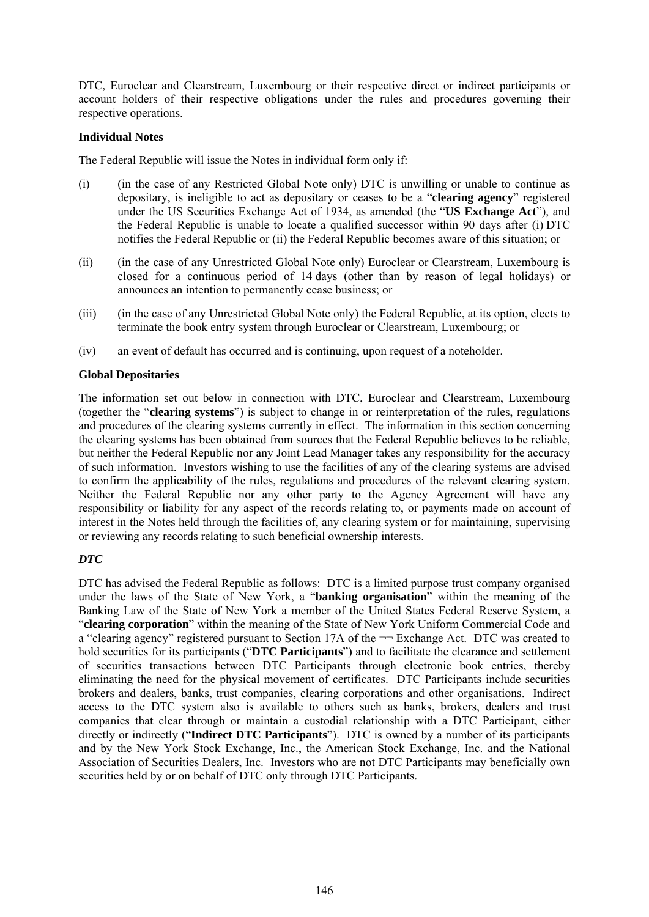DTC, Euroclear and Clearstream, Luxembourg or their respective direct or indirect participants or account holders of their respective obligations under the rules and procedures governing their respective operations.

# **Individual Notes**

The Federal Republic will issue the Notes in individual form only if:

- (i) (in the case of any Restricted Global Note only) DTC is unwilling or unable to continue as depositary, is ineligible to act as depositary or ceases to be a "**clearing agency**" registered under the US Securities Exchange Act of 1934, as amended (the "**US Exchange Act**"), and the Federal Republic is unable to locate a qualified successor within 90 days after (i) DTC notifies the Federal Republic or (ii) the Federal Republic becomes aware of this situation; or
- (ii) (in the case of any Unrestricted Global Note only) Euroclear or Clearstream, Luxembourg is closed for a continuous period of 14 days (other than by reason of legal holidays) or announces an intention to permanently cease business; or
- (iii) (in the case of any Unrestricted Global Note only) the Federal Republic, at its option, elects to terminate the book entry system through Euroclear or Clearstream, Luxembourg; or
- (iv) an event of default has occurred and is continuing, upon request of a noteholder.

# **Global Depositaries**

The information set out below in connection with DTC, Euroclear and Clearstream, Luxembourg (together the "**clearing systems**") is subject to change in or reinterpretation of the rules, regulations and procedures of the clearing systems currently in effect. The information in this section concerning the clearing systems has been obtained from sources that the Federal Republic believes to be reliable, but neither the Federal Republic nor any Joint Lead Manager takes any responsibility for the accuracy of such information. Investors wishing to use the facilities of any of the clearing systems are advised to confirm the applicability of the rules, regulations and procedures of the relevant clearing system. Neither the Federal Republic nor any other party to the Agency Agreement will have any responsibility or liability for any aspect of the records relating to, or payments made on account of interest in the Notes held through the facilities of, any clearing system or for maintaining, supervising or reviewing any records relating to such beneficial ownership interests.

# *DTC*

DTC has advised the Federal Republic as follows: DTC is a limited purpose trust company organised under the laws of the State of New York, a "**banking organisation**" within the meaning of the Banking Law of the State of New York a member of the United States Federal Reserve System, a "**clearing corporation**" within the meaning of the State of New York Uniform Commercial Code and a "clearing agency" registered pursuant to Section 17A of the  $\neg$  Exchange Act. DTC was created to hold securities for its participants ("**DTC Participants**") and to facilitate the clearance and settlement of securities transactions between DTC Participants through electronic book entries, thereby eliminating the need for the physical movement of certificates. DTC Participants include securities brokers and dealers, banks, trust companies, clearing corporations and other organisations. Indirect access to the DTC system also is available to others such as banks, brokers, dealers and trust companies that clear through or maintain a custodial relationship with a DTC Participant, either directly or indirectly ("**Indirect DTC Participants**"). DTC is owned by a number of its participants and by the New York Stock Exchange, Inc., the American Stock Exchange, Inc. and the National Association of Securities Dealers, Inc. Investors who are not DTC Participants may beneficially own securities held by or on behalf of DTC only through DTC Participants.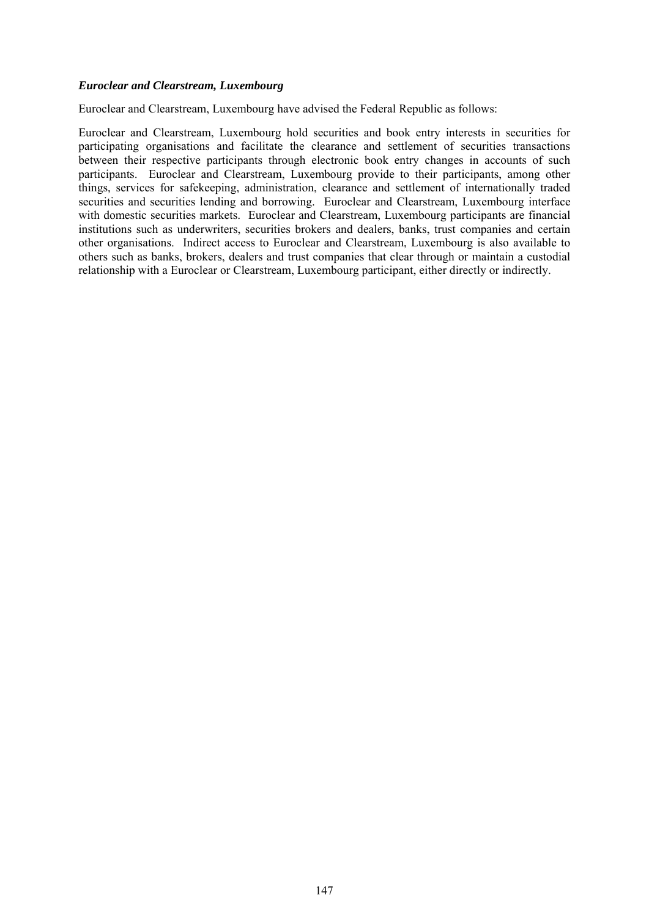#### *Euroclear and Clearstream, Luxembourg*

Euroclear and Clearstream, Luxembourg have advised the Federal Republic as follows:

Euroclear and Clearstream, Luxembourg hold securities and book entry interests in securities for participating organisations and facilitate the clearance and settlement of securities transactions between their respective participants through electronic book entry changes in accounts of such participants. Euroclear and Clearstream, Luxembourg provide to their participants, among other things, services for safekeeping, administration, clearance and settlement of internationally traded securities and securities lending and borrowing. Euroclear and Clearstream, Luxembourg interface with domestic securities markets. Euroclear and Clearstream, Luxembourg participants are financial institutions such as underwriters, securities brokers and dealers, banks, trust companies and certain other organisations. Indirect access to Euroclear and Clearstream, Luxembourg is also available to others such as banks, brokers, dealers and trust companies that clear through or maintain a custodial relationship with a Euroclear or Clearstream, Luxembourg participant, either directly or indirectly.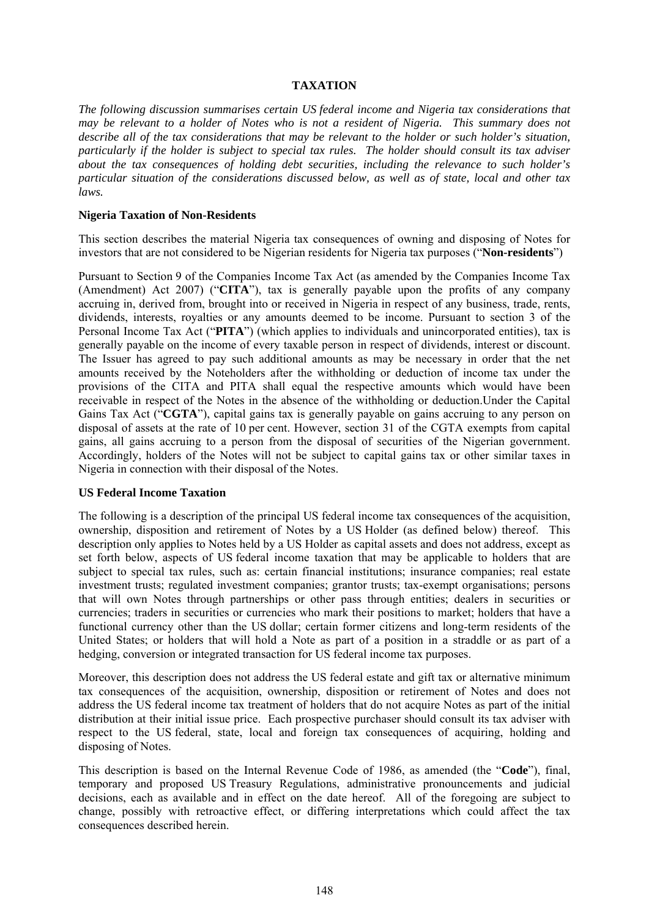# **TAXATION**

*The following discussion summarises certain US federal income and Nigeria tax considerations that may be relevant to a holder of Notes who is not a resident of Nigeria. This summary does not describe all of the tax considerations that may be relevant to the holder or such holder's situation, particularly if the holder is subject to special tax rules. The holder should consult its tax adviser about the tax consequences of holding debt securities, including the relevance to such holder's particular situation of the considerations discussed below, as well as of state, local and other tax laws.*

#### **Nigeria Taxation of Non-Residents**

This section describes the material Nigeria tax consequences of owning and disposing of Notes for investors that are not considered to be Nigerian residents for Nigeria tax purposes ("**Non-residents**")

Pursuant to Section 9 of the Companies Income Tax Act (as amended by the Companies Income Tax (Amendment) Act 2007) ("**CITA**"), tax is generally payable upon the profits of any company accruing in, derived from, brought into or received in Nigeria in respect of any business, trade, rents, dividends, interests, royalties or any amounts deemed to be income. Pursuant to section 3 of the Personal Income Tax Act ("**PITA**") (which applies to individuals and unincorporated entities), tax is generally payable on the income of every taxable person in respect of dividends, interest or discount. The Issuer has agreed to pay such additional amounts as may be necessary in order that the net amounts received by the Noteholders after the withholding or deduction of income tax under the provisions of the CITA and PITA shall equal the respective amounts which would have been receivable in respect of the Notes in the absence of the withholding or deduction.Under the Capital Gains Tax Act ("**CGTA**"), capital gains tax is generally payable on gains accruing to any person on disposal of assets at the rate of 10 per cent. However, section 31 of the CGTA exempts from capital gains, all gains accruing to a person from the disposal of securities of the Nigerian government. Accordingly, holders of the Notes will not be subject to capital gains tax or other similar taxes in Nigeria in connection with their disposal of the Notes.

# **US Federal Income Taxation**

The following is a description of the principal US federal income tax consequences of the acquisition, ownership, disposition and retirement of Notes by a US Holder (as defined below) thereof. This description only applies to Notes held by a US Holder as capital assets and does not address, except as set forth below, aspects of US federal income taxation that may be applicable to holders that are subject to special tax rules, such as: certain financial institutions; insurance companies; real estate investment trusts; regulated investment companies; grantor trusts; tax-exempt organisations; persons that will own Notes through partnerships or other pass through entities; dealers in securities or currencies; traders in securities or currencies who mark their positions to market; holders that have a functional currency other than the US dollar; certain former citizens and long-term residents of the United States; or holders that will hold a Note as part of a position in a straddle or as part of a hedging, conversion or integrated transaction for US federal income tax purposes.

Moreover, this description does not address the US federal estate and gift tax or alternative minimum tax consequences of the acquisition, ownership, disposition or retirement of Notes and does not address the US federal income tax treatment of holders that do not acquire Notes as part of the initial distribution at their initial issue price. Each prospective purchaser should consult its tax adviser with respect to the US federal, state, local and foreign tax consequences of acquiring, holding and disposing of Notes.

This description is based on the Internal Revenue Code of 1986, as amended (the "**Code**"), final, temporary and proposed US Treasury Regulations, administrative pronouncements and judicial decisions, each as available and in effect on the date hereof. All of the foregoing are subject to change, possibly with retroactive effect, or differing interpretations which could affect the tax consequences described herein.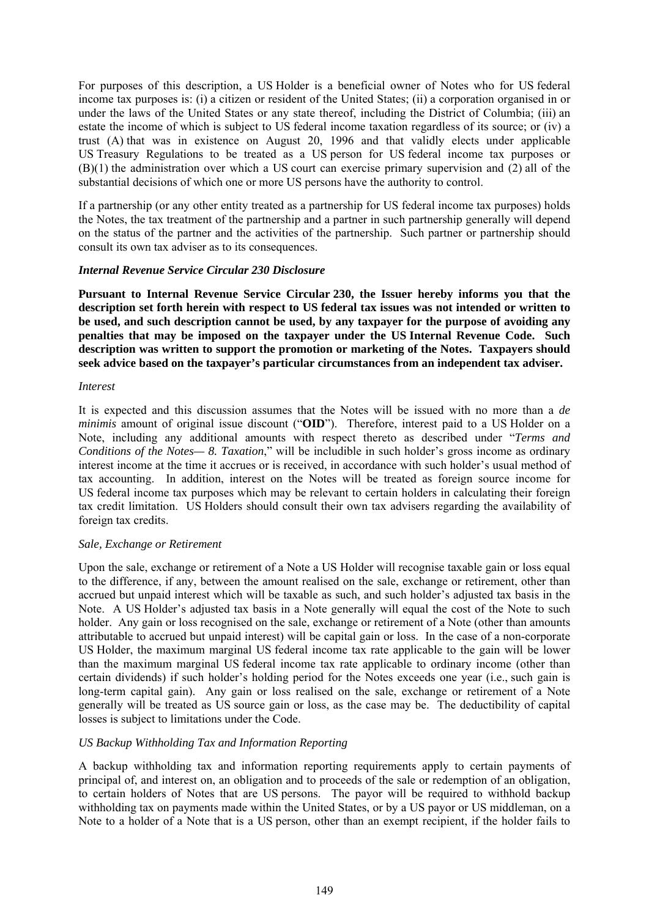For purposes of this description, a US Holder is a beneficial owner of Notes who for US federal income tax purposes is: (i) a citizen or resident of the United States; (ii) a corporation organised in or under the laws of the United States or any state thereof, including the District of Columbia; (iii) an estate the income of which is subject to US federal income taxation regardless of its source; or (iv) a trust (A) that was in existence on August 20, 1996 and that validly elects under applicable US Treasury Regulations to be treated as a US person for US federal income tax purposes or (B)(1) the administration over which a US court can exercise primary supervision and (2) all of the substantial decisions of which one or more US persons have the authority to control.

If a partnership (or any other entity treated as a partnership for US federal income tax purposes) holds the Notes, the tax treatment of the partnership and a partner in such partnership generally will depend on the status of the partner and the activities of the partnership. Such partner or partnership should consult its own tax adviser as to its consequences.

#### *Internal Revenue Service Circular 230 Disclosure*

**Pursuant to Internal Revenue Service Circular 230, the Issuer hereby informs you that the description set forth herein with respect to US federal tax issues was not intended or written to be used, and such description cannot be used, by any taxpayer for the purpose of avoiding any penalties that may be imposed on the taxpayer under the US Internal Revenue Code. Such description was written to support the promotion or marketing of the Notes. Taxpayers should seek advice based on the taxpayer's particular circumstances from an independent tax adviser.** 

#### *Interest*

It is expected and this discussion assumes that the Notes will be issued with no more than a *de minimis* amount of original issue discount ("**OID**"). Therefore, interest paid to a US Holder on a Note, including any additional amounts with respect thereto as described under "*Terms and Conditions of the Notes— 8. Taxation*," will be includible in such holder's gross income as ordinary interest income at the time it accrues or is received, in accordance with such holder's usual method of tax accounting. In addition, interest on the Notes will be treated as foreign source income for US federal income tax purposes which may be relevant to certain holders in calculating their foreign tax credit limitation. US Holders should consult their own tax advisers regarding the availability of foreign tax credits.

# *Sale, Exchange or Retirement*

Upon the sale, exchange or retirement of a Note a US Holder will recognise taxable gain or loss equal to the difference, if any, between the amount realised on the sale, exchange or retirement, other than accrued but unpaid interest which will be taxable as such, and such holder's adjusted tax basis in the Note. A US Holder's adjusted tax basis in a Note generally will equal the cost of the Note to such holder. Any gain or loss recognised on the sale, exchange or retirement of a Note (other than amounts attributable to accrued but unpaid interest) will be capital gain or loss. In the case of a non-corporate US Holder, the maximum marginal US federal income tax rate applicable to the gain will be lower than the maximum marginal US federal income tax rate applicable to ordinary income (other than certain dividends) if such holder's holding period for the Notes exceeds one year (i.e., such gain is long-term capital gain). Any gain or loss realised on the sale, exchange or retirement of a Note generally will be treated as US source gain or loss, as the case may be. The deductibility of capital losses is subject to limitations under the Code.

# *US Backup Withholding Tax and Information Reporting*

A backup withholding tax and information reporting requirements apply to certain payments of principal of, and interest on, an obligation and to proceeds of the sale or redemption of an obligation, to certain holders of Notes that are US persons. The payor will be required to withhold backup withholding tax on payments made within the United States, or by a US payor or US middleman, on a Note to a holder of a Note that is a US person, other than an exempt recipient, if the holder fails to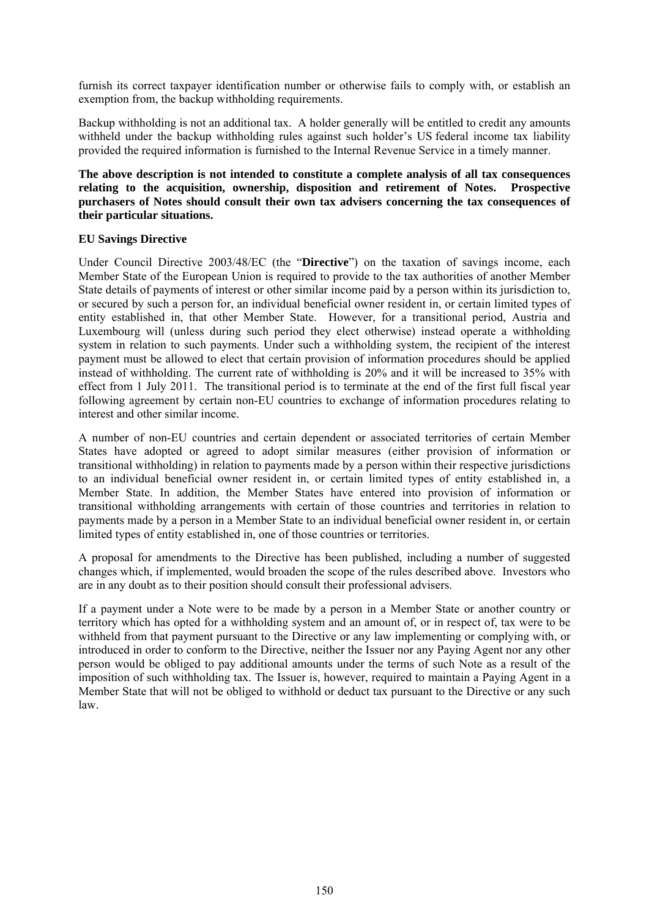furnish its correct taxpayer identification number or otherwise fails to comply with, or establish an exemption from, the backup withholding requirements.

Backup withholding is not an additional tax. A holder generally will be entitled to credit any amounts withheld under the backup withholding rules against such holder's US federal income tax liability provided the required information is furnished to the Internal Revenue Service in a timely manner.

# **The above description is not intended to constitute a complete analysis of all tax consequences relating to the acquisition, ownership, disposition and retirement of Notes. Prospective purchasers of Notes should consult their own tax advisers concerning the tax consequences of their particular situations.**

# **EU Savings Directive**

Under Council Directive 2003/48/EC (the "**Directive**") on the taxation of savings income, each Member State of the European Union is required to provide to the tax authorities of another Member State details of payments of interest or other similar income paid by a person within its jurisdiction to, or secured by such a person for, an individual beneficial owner resident in, or certain limited types of entity established in, that other Member State. However, for a transitional period, Austria and Luxembourg will (unless during such period they elect otherwise) instead operate a withholding system in relation to such payments. Under such a withholding system, the recipient of the interest payment must be allowed to elect that certain provision of information procedures should be applied instead of withholding. The current rate of withholding is 20% and it will be increased to 35% with effect from 1 July 2011. The transitional period is to terminate at the end of the first full fiscal year following agreement by certain non-EU countries to exchange of information procedures relating to interest and other similar income.

A number of non-EU countries and certain dependent or associated territories of certain Member States have adopted or agreed to adopt similar measures (either provision of information or transitional withholding) in relation to payments made by a person within their respective jurisdictions to an individual beneficial owner resident in, or certain limited types of entity established in, a Member State. In addition, the Member States have entered into provision of information or transitional withholding arrangements with certain of those countries and territories in relation to payments made by a person in a Member State to an individual beneficial owner resident in, or certain limited types of entity established in, one of those countries or territories.

A proposal for amendments to the Directive has been published, including a number of suggested changes which, if implemented, would broaden the scope of the rules described above. Investors who are in any doubt as to their position should consult their professional advisers.

If a payment under a Note were to be made by a person in a Member State or another country or territory which has opted for a withholding system and an amount of, or in respect of, tax were to be withheld from that payment pursuant to the Directive or any law implementing or complying with, or introduced in order to conform to the Directive, neither the Issuer nor any Paying Agent nor any other person would be obliged to pay additional amounts under the terms of such Note as a result of the imposition of such withholding tax. The Issuer is, however, required to maintain a Paying Agent in a Member State that will not be obliged to withhold or deduct tax pursuant to the Directive or any such law.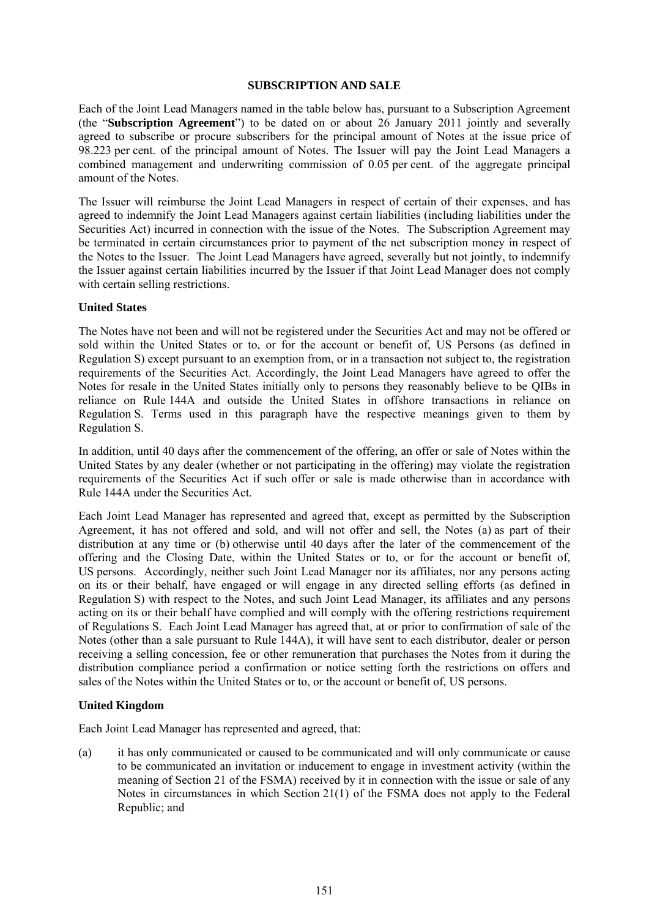#### **SUBSCRIPTION AND SALE**

Each of the Joint Lead Managers named in the table below has, pursuant to a Subscription Agreement (the "**Subscription Agreement**") to be dated on or about 26 January 2011 jointly and severally agreed to subscribe or procure subscribers for the principal amount of Notes at the issue price of 98.223 per cent. of the principal amount of Notes. The Issuer will pay the Joint Lead Managers a combined management and underwriting commission of 0.05 per cent. of the aggregate principal amount of the Notes.

The Issuer will reimburse the Joint Lead Managers in respect of certain of their expenses, and has agreed to indemnify the Joint Lead Managers against certain liabilities (including liabilities under the Securities Act) incurred in connection with the issue of the Notes. The Subscription Agreement may be terminated in certain circumstances prior to payment of the net subscription money in respect of the Notes to the Issuer. The Joint Lead Managers have agreed, severally but not jointly, to indemnify the Issuer against certain liabilities incurred by the Issuer if that Joint Lead Manager does not comply with certain selling restrictions.

# **United States**

The Notes have not been and will not be registered under the Securities Act and may not be offered or sold within the United States or to, or for the account or benefit of, US Persons (as defined in Regulation S) except pursuant to an exemption from, or in a transaction not subject to, the registration requirements of the Securities Act. Accordingly, the Joint Lead Managers have agreed to offer the Notes for resale in the United States initially only to persons they reasonably believe to be QIBs in reliance on Rule 144A and outside the United States in offshore transactions in reliance on Regulation S. Terms used in this paragraph have the respective meanings given to them by Regulation S.

In addition, until 40 days after the commencement of the offering, an offer or sale of Notes within the United States by any dealer (whether or not participating in the offering) may violate the registration requirements of the Securities Act if such offer or sale is made otherwise than in accordance with Rule 144A under the Securities Act.

Each Joint Lead Manager has represented and agreed that, except as permitted by the Subscription Agreement, it has not offered and sold, and will not offer and sell, the Notes (a) as part of their distribution at any time or (b) otherwise until 40 days after the later of the commencement of the offering and the Closing Date, within the United States or to, or for the account or benefit of, US persons. Accordingly, neither such Joint Lead Manager nor its affiliates, nor any persons acting on its or their behalf, have engaged or will engage in any directed selling efforts (as defined in Regulation S) with respect to the Notes, and such Joint Lead Manager, its affiliates and any persons acting on its or their behalf have complied and will comply with the offering restrictions requirement of Regulations S. Each Joint Lead Manager has agreed that, at or prior to confirmation of sale of the Notes (other than a sale pursuant to Rule 144A), it will have sent to each distributor, dealer or person receiving a selling concession, fee or other remuneration that purchases the Notes from it during the distribution compliance period a confirmation or notice setting forth the restrictions on offers and sales of the Notes within the United States or to, or the account or benefit of, US persons.

# **United Kingdom**

Each Joint Lead Manager has represented and agreed, that:

(a) it has only communicated or caused to be communicated and will only communicate or cause to be communicated an invitation or inducement to engage in investment activity (within the meaning of Section 21 of the FSMA) received by it in connection with the issue or sale of any Notes in circumstances in which Section 21(1) of the FSMA does not apply to the Federal Republic; and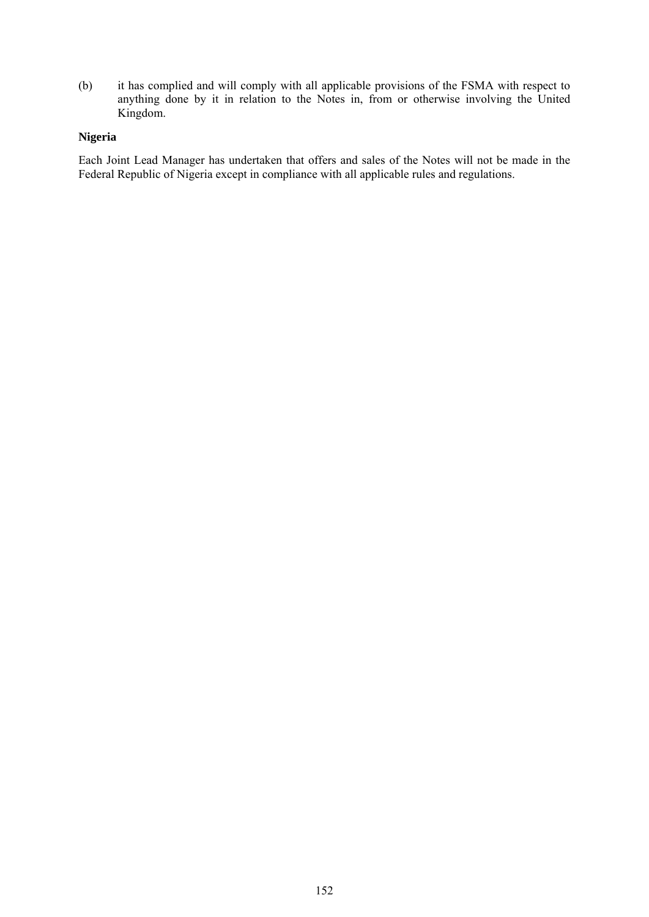(b) it has complied and will comply with all applicable provisions of the FSMA with respect to anything done by it in relation to the Notes in, from or otherwise involving the United Kingdom.

# **Nigeria**

Each Joint Lead Manager has undertaken that offers and sales of the Notes will not be made in the Federal Republic of Nigeria except in compliance with all applicable rules and regulations.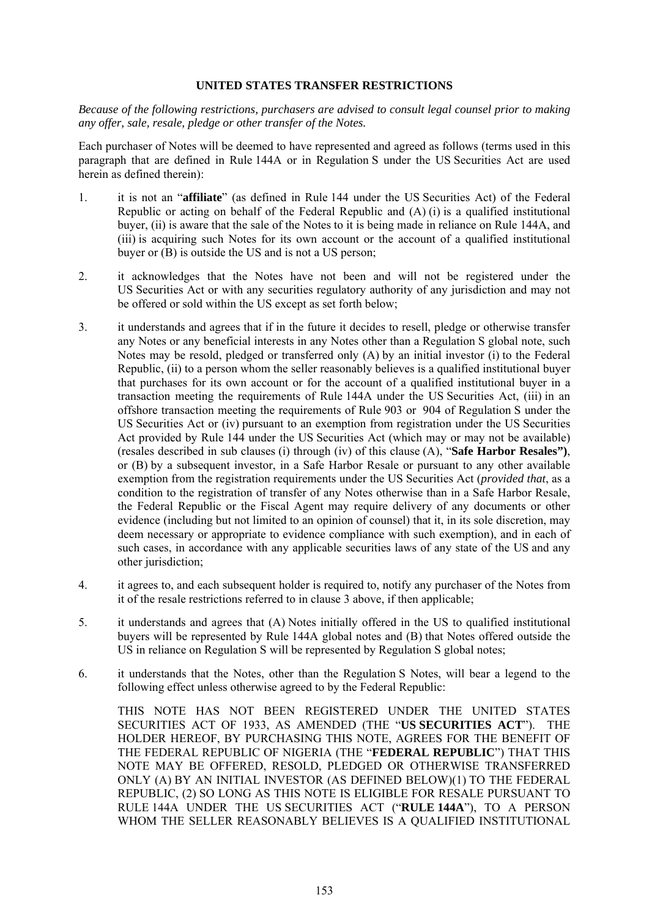#### **UNITED STATES TRANSFER RESTRICTIONS**

*Because of the following restrictions, purchasers are advised to consult legal counsel prior to making any offer, sale, resale, pledge or other transfer of the Notes.*

Each purchaser of Notes will be deemed to have represented and agreed as follows (terms used in this paragraph that are defined in Rule 144A or in Regulation S under the US Securities Act are used herein as defined therein):

- 1. it is not an "**affiliate**" (as defined in Rule 144 under the US Securities Act) of the Federal Republic or acting on behalf of the Federal Republic and (A) (i) is a qualified institutional buyer, (ii) is aware that the sale of the Notes to it is being made in reliance on Rule 144A, and (iii) is acquiring such Notes for its own account or the account of a qualified institutional buyer or (B) is outside the US and is not a US person;
- 2. it acknowledges that the Notes have not been and will not be registered under the US Securities Act or with any securities regulatory authority of any jurisdiction and may not be offered or sold within the US except as set forth below;
- 3. it understands and agrees that if in the future it decides to resell, pledge or otherwise transfer any Notes or any beneficial interests in any Notes other than a Regulation S global note, such Notes may be resold, pledged or transferred only (A) by an initial investor (i) to the Federal Republic, (ii) to a person whom the seller reasonably believes is a qualified institutional buyer that purchases for its own account or for the account of a qualified institutional buyer in a transaction meeting the requirements of Rule 144A under the US Securities Act, (iii) in an offshore transaction meeting the requirements of Rule 903 or 904 of Regulation S under the US Securities Act or (iv) pursuant to an exemption from registration under the US Securities Act provided by Rule 144 under the US Securities Act (which may or may not be available) (resales described in sub clauses (i) through (iv) of this clause (A), "**Safe Harbor Resales")**, or (B) by a subsequent investor, in a Safe Harbor Resale or pursuant to any other available exemption from the registration requirements under the US Securities Act (*provided that*, as a condition to the registration of transfer of any Notes otherwise than in a Safe Harbor Resale, the Federal Republic or the Fiscal Agent may require delivery of any documents or other evidence (including but not limited to an opinion of counsel) that it, in its sole discretion, may deem necessary or appropriate to evidence compliance with such exemption), and in each of such cases, in accordance with any applicable securities laws of any state of the US and any other jurisdiction;
- 4. it agrees to, and each subsequent holder is required to, notify any purchaser of the Notes from it of the resale restrictions referred to in clause 3 above, if then applicable;
- 5. it understands and agrees that (A) Notes initially offered in the US to qualified institutional buyers will be represented by Rule 144A global notes and (B) that Notes offered outside the US in reliance on Regulation S will be represented by Regulation S global notes;
- 6. it understands that the Notes, other than the Regulation S Notes, will bear a legend to the following effect unless otherwise agreed to by the Federal Republic:

THIS NOTE HAS NOT BEEN REGISTERED UNDER THE UNITED STATES SECURITIES ACT OF 1933, AS AMENDED (THE "**US SECURITIES ACT**"). THE HOLDER HEREOF, BY PURCHASING THIS NOTE, AGREES FOR THE BENEFIT OF THE FEDERAL REPUBLIC OF NIGERIA (THE "**FEDERAL REPUBLIC**") THAT THIS NOTE MAY BE OFFERED, RESOLD, PLEDGED OR OTHERWISE TRANSFERRED ONLY (A) BY AN INITIAL INVESTOR (AS DEFINED BELOW)(1) TO THE FEDERAL REPUBLIC, (2) SO LONG AS THIS NOTE IS ELIGIBLE FOR RESALE PURSUANT TO RULE 144A UNDER THE US SECURITIES ACT ("**RULE 144A**"), TO A PERSON WHOM THE SELLER REASONABLY BELIEVES IS A QUALIFIED INSTITUTIONAL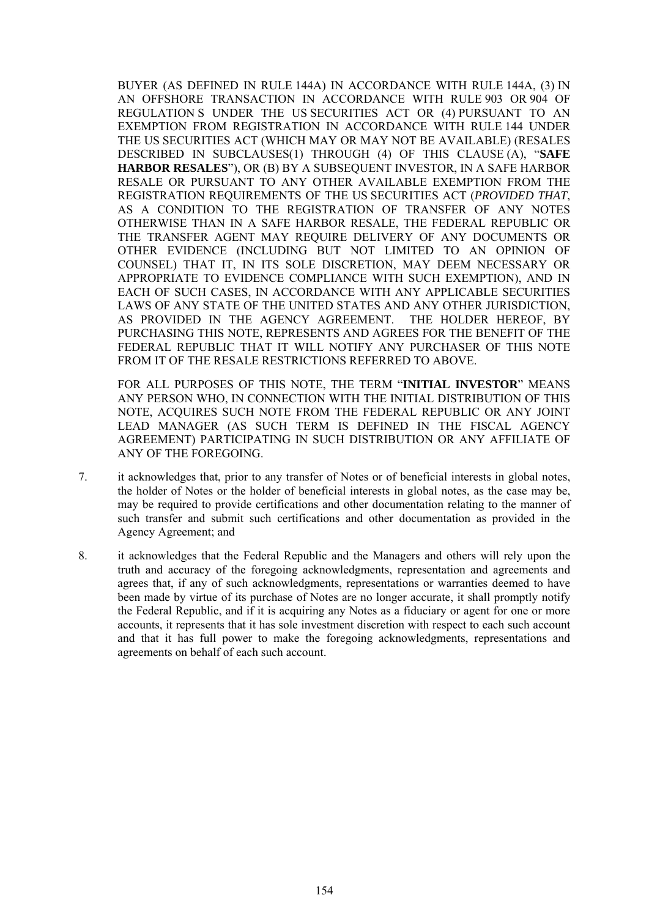BUYER (AS DEFINED IN RULE 144A) IN ACCORDANCE WITH RULE 144A, (3) IN AN OFFSHORE TRANSACTION IN ACCORDANCE WITH RULE 903 OR 904 OF REGULATION S UNDER THE US SECURITIES ACT OR (4) PURSUANT TO AN EXEMPTION FROM REGISTRATION IN ACCORDANCE WITH RULE 144 UNDER THE US SECURITIES ACT (WHICH MAY OR MAY NOT BE AVAILABLE) (RESALES DESCRIBED IN SUBCLAUSES(1) THROUGH (4) OF THIS CLAUSE (A), "**SAFE HARBOR RESALES**"), OR (B) BY A SUBSEQUENT INVESTOR, IN A SAFE HARBOR RESALE OR PURSUANT TO ANY OTHER AVAILABLE EXEMPTION FROM THE REGISTRATION REQUIREMENTS OF THE US SECURITIES ACT (*PROVIDED THAT*, AS A CONDITION TO THE REGISTRATION OF TRANSFER OF ANY NOTES OTHERWISE THAN IN A SAFE HARBOR RESALE, THE FEDERAL REPUBLIC OR THE TRANSFER AGENT MAY REQUIRE DELIVERY OF ANY DOCUMENTS OR OTHER EVIDENCE (INCLUDING BUT NOT LIMITED TO AN OPINION OF COUNSEL) THAT IT, IN ITS SOLE DISCRETION, MAY DEEM NECESSARY OR APPROPRIATE TO EVIDENCE COMPLIANCE WITH SUCH EXEMPTION), AND IN EACH OF SUCH CASES, IN ACCORDANCE WITH ANY APPLICABLE SECURITIES LAWS OF ANY STATE OF THE UNITED STATES AND ANY OTHER JURISDICTION, AS PROVIDED IN THE AGENCY AGREEMENT. THE HOLDER HEREOF, BY PURCHASING THIS NOTE, REPRESENTS AND AGREES FOR THE BENEFIT OF THE FEDERAL REPUBLIC THAT IT WILL NOTIFY ANY PURCHASER OF THIS NOTE FROM IT OF THE RESALE RESTRICTIONS REFERRED TO ABOVE.

FOR ALL PURPOSES OF THIS NOTE, THE TERM "**INITIAL INVESTOR**" MEANS ANY PERSON WHO, IN CONNECTION WITH THE INITIAL DISTRIBUTION OF THIS NOTE, ACQUIRES SUCH NOTE FROM THE FEDERAL REPUBLIC OR ANY JOINT LEAD MANAGER (AS SUCH TERM IS DEFINED IN THE FISCAL AGENCY AGREEMENT) PARTICIPATING IN SUCH DISTRIBUTION OR ANY AFFILIATE OF ANY OF THE FOREGOING.

- 7. it acknowledges that, prior to any transfer of Notes or of beneficial interests in global notes, the holder of Notes or the holder of beneficial interests in global notes, as the case may be, may be required to provide certifications and other documentation relating to the manner of such transfer and submit such certifications and other documentation as provided in the Agency Agreement; and
- 8. it acknowledges that the Federal Republic and the Managers and others will rely upon the truth and accuracy of the foregoing acknowledgments, representation and agreements and agrees that, if any of such acknowledgments, representations or warranties deemed to have been made by virtue of its purchase of Notes are no longer accurate, it shall promptly notify the Federal Republic, and if it is acquiring any Notes as a fiduciary or agent for one or more accounts, it represents that it has sole investment discretion with respect to each such account and that it has full power to make the foregoing acknowledgments, representations and agreements on behalf of each such account.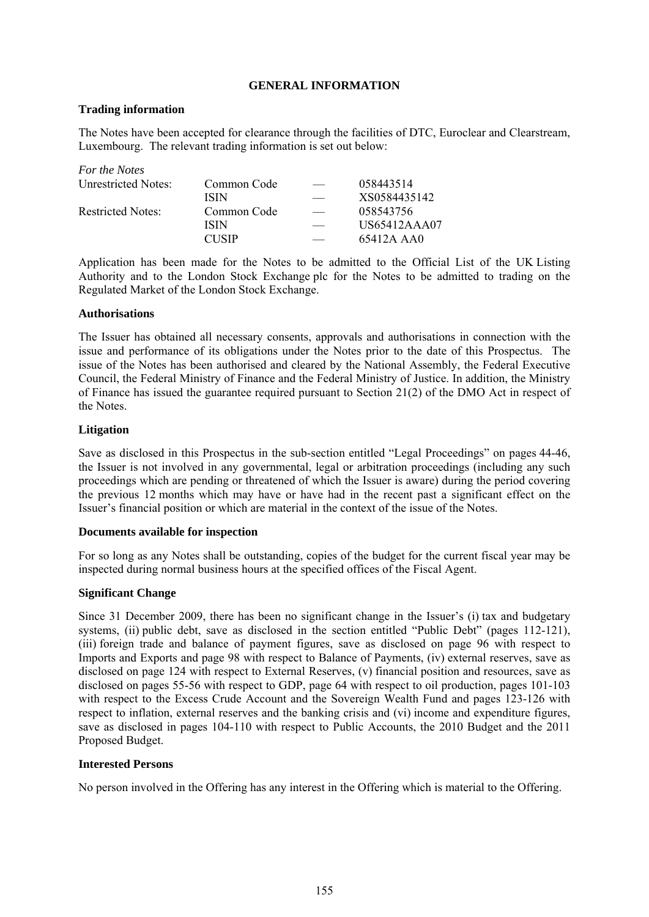# **GENERAL INFORMATION**

# **Trading information**

The Notes have been accepted for clearance through the facilities of DTC, Euroclear and Clearstream, Luxembourg. The relevant trading information is set out below:

| For the Notes            |              |              |
|--------------------------|--------------|--------------|
| Unrestricted Notes:      | Common Code  | 058443514    |
|                          | <b>ISIN</b>  | XS0584435142 |
| <b>Restricted Notes:</b> | Common Code  | 058543756    |
|                          | <b>ISIN</b>  | US65412AAA07 |
|                          | <b>CUSIP</b> | 65412A AA0   |

Application has been made for the Notes to be admitted to the Official List of the UK Listing Authority and to the London Stock Exchange plc for the Notes to be admitted to trading on the Regulated Market of the London Stock Exchange.

# **Authorisations**

The Issuer has obtained all necessary consents, approvals and authorisations in connection with the issue and performance of its obligations under the Notes prior to the date of this Prospectus. The issue of the Notes has been authorised and cleared by the National Assembly, the Federal Executive Council, the Federal Ministry of Finance and the Federal Ministry of Justice. In addition, the Ministry of Finance has issued the guarantee required pursuant to Section 21(2) of the DMO Act in respect of the Notes.

# **Litigation**

Save as disclosed in this Prospectus in the sub-section entitled "Legal Proceedings" on pages 44-46, the Issuer is not involved in any governmental, legal or arbitration proceedings (including any such proceedings which are pending or threatened of which the Issuer is aware) during the period covering the previous 12 months which may have or have had in the recent past a significant effect on the Issuer's financial position or which are material in the context of the issue of the Notes.

#### **Documents available for inspection**

For so long as any Notes shall be outstanding, copies of the budget for the current fiscal year may be inspected during normal business hours at the specified offices of the Fiscal Agent.

# **Significant Change**

Since 31 December 2009, there has been no significant change in the Issuer's (i) tax and budgetary systems, (ii) public debt, save as disclosed in the section entitled "Public Debt" (pages 112-121), (iii) foreign trade and balance of payment figures, save as disclosed on page 96 with respect to Imports and Exports and page 98 with respect to Balance of Payments, (iv) external reserves, save as disclosed on page 124 with respect to External Reserves, (v) financial position and resources, save as disclosed on pages 55-56 with respect to GDP, page 64 with respect to oil production, pages 101-103 with respect to the Excess Crude Account and the Sovereign Wealth Fund and pages 123-126 with respect to inflation, external reserves and the banking crisis and (vi) income and expenditure figures, save as disclosed in pages 104-110 with respect to Public Accounts, the 2010 Budget and the 2011 Proposed Budget.

#### **Interested Persons**

No person involved in the Offering has any interest in the Offering which is material to the Offering.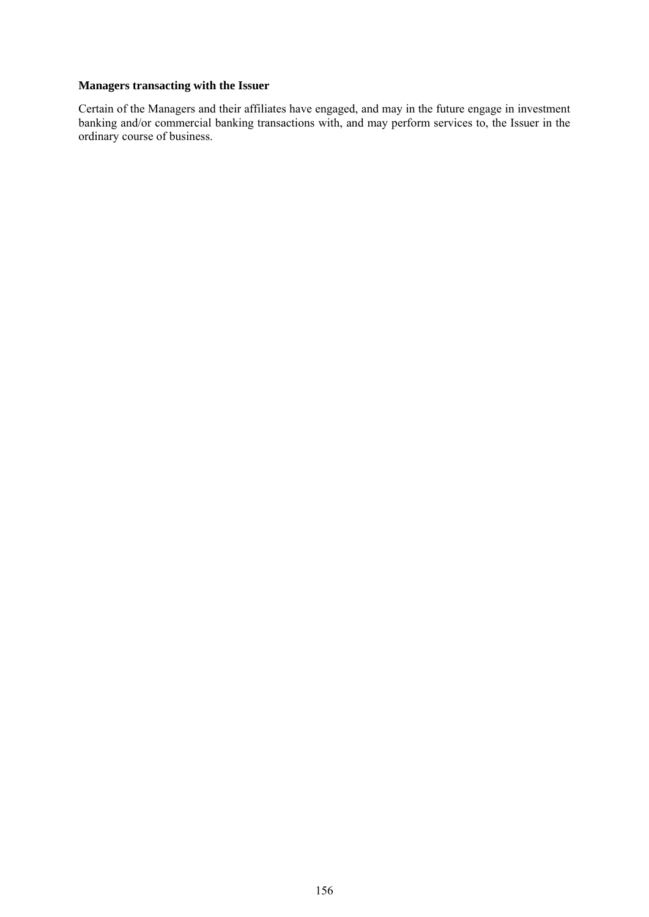# **Managers transacting with the Issuer**

Certain of the Managers and their affiliates have engaged, and may in the future engage in investment banking and/or commercial banking transactions with, and may perform services to, the Issuer in the ordinary course of business.